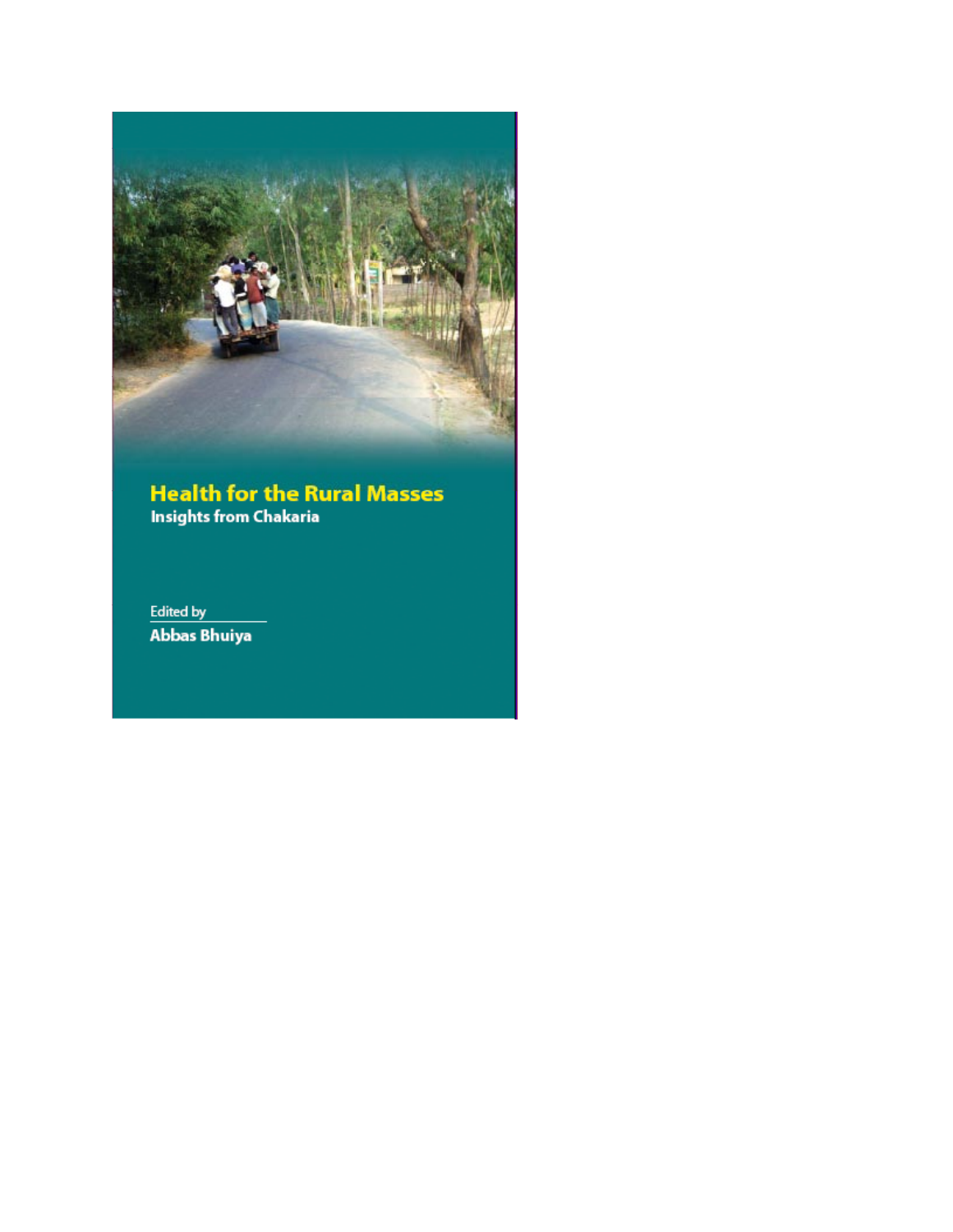

### **Health for the Rural Masses Insights from Chakaria**

**Edited by Abbas Bhuiya**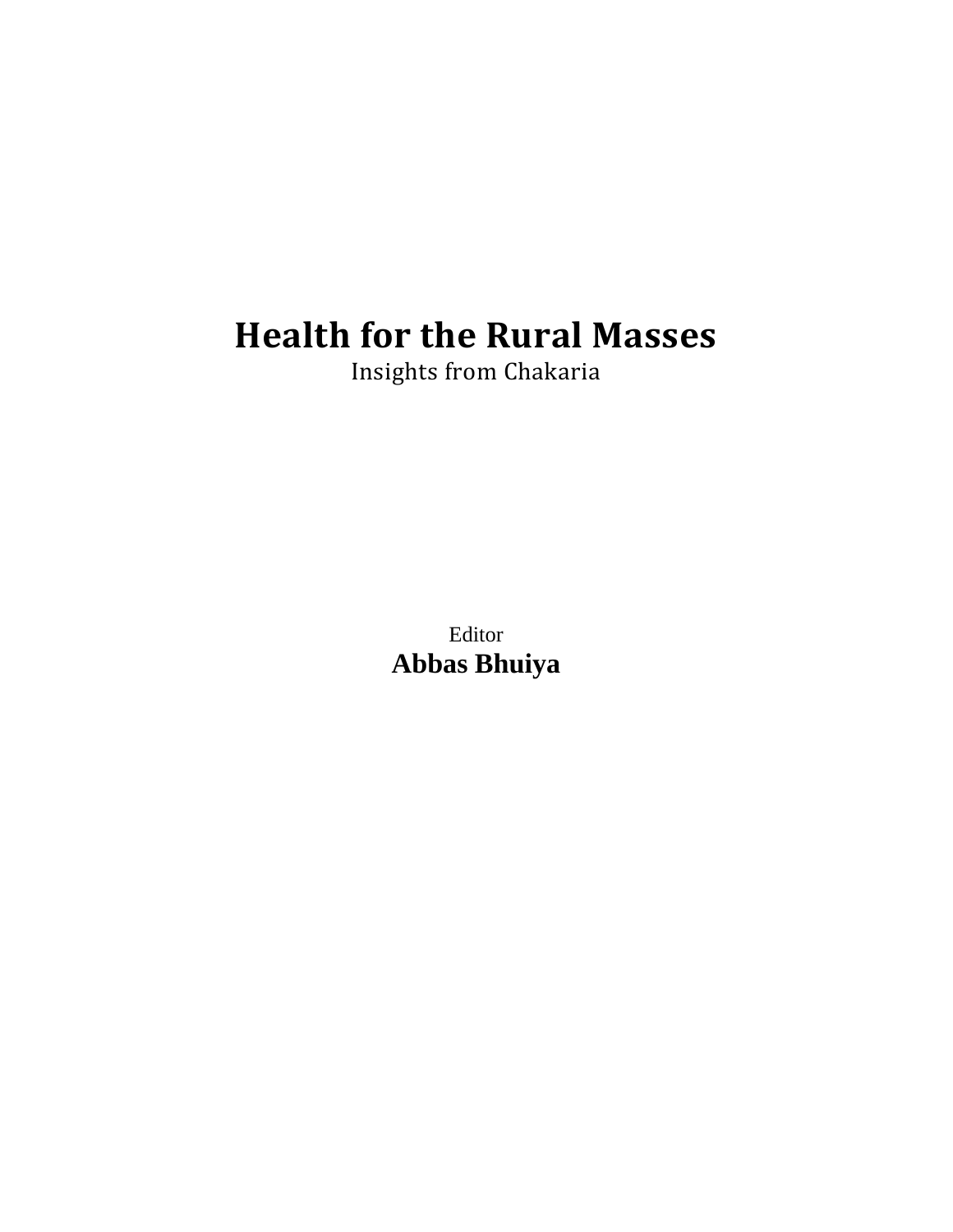# **Health for the Rural Masses**

Insights from Chakaria

Editor **Abbas Bhuiya**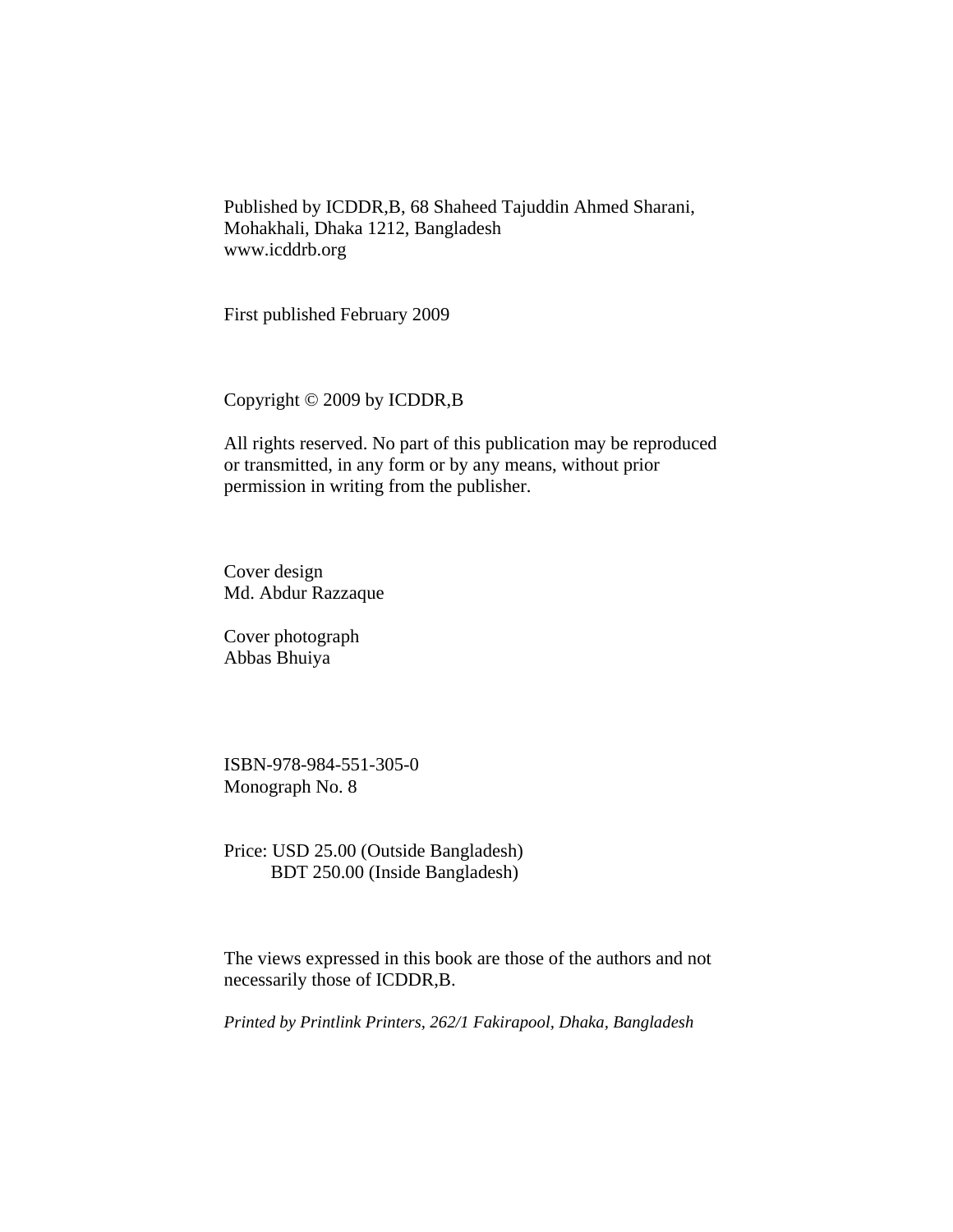Published by ICDDR,B, 68 Shaheed Tajuddin Ahmed Sharani, Mohakhali, Dhaka 1212, Bangladesh www.icddrb.org

First published February 2009

Copyright © 2009 by ICDDR,B

All rights reserved. No part of this publication may be reproduced or transmitted, in any form or by any means, without prior permission in writing from the publisher.

Cover design Md. Abdur Razzaque

Cover photograph Abbas Bhuiya

ISBN-978-984-551-305-0 Monograph No. 8

Price: USD 25.00 (Outside Bangladesh) BDT 250.00 (Inside Bangladesh)

The views expressed in this book are those of the authors and not necessarily those of ICDDR,B.

*Printed by Printlink Printers, 262/1 Fakirapool, Dhaka, Bangladesh*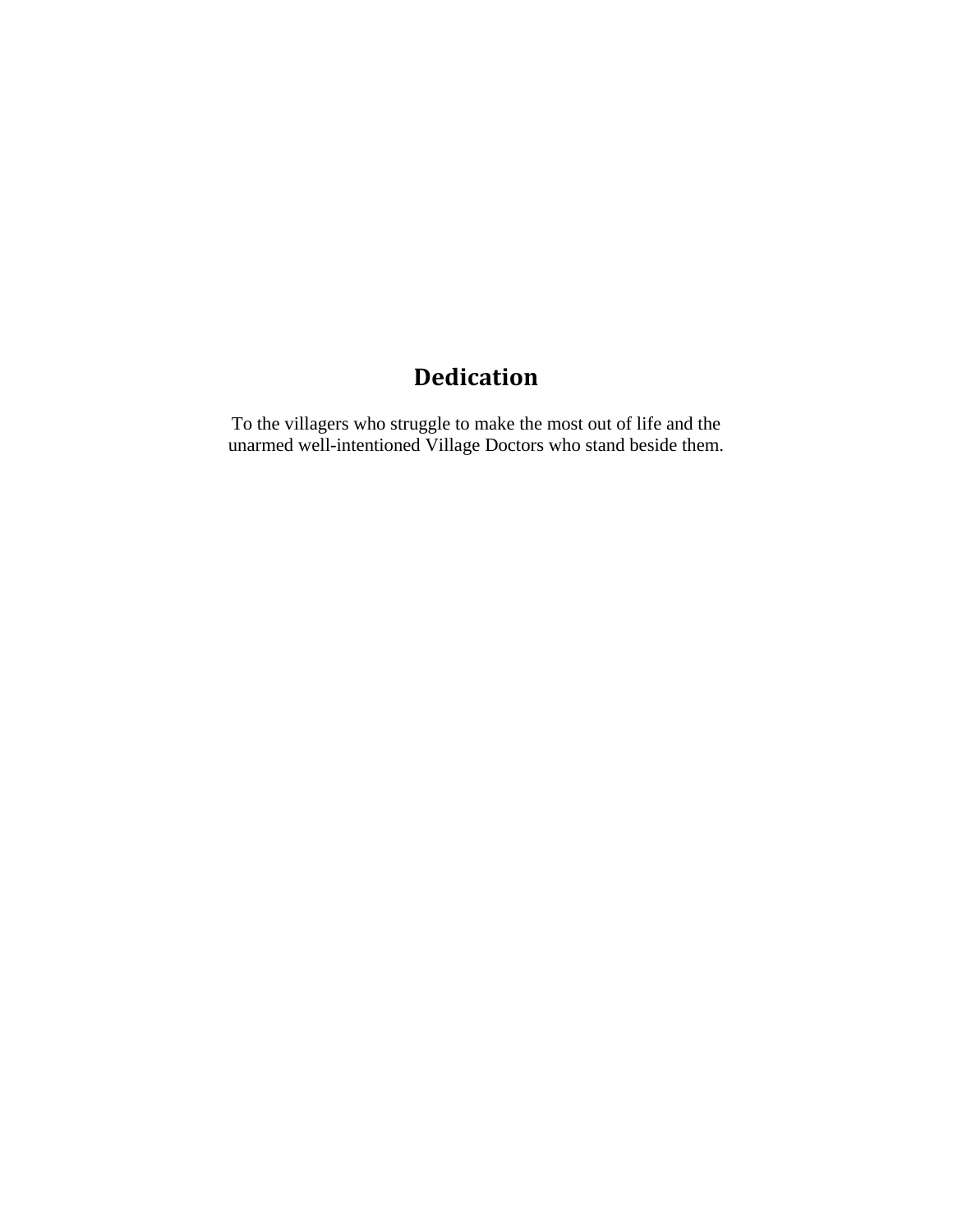## **Dedication**

To the villagers who struggle to make the most out of life and the unarmed well-intentioned Village Doctors who stand beside them.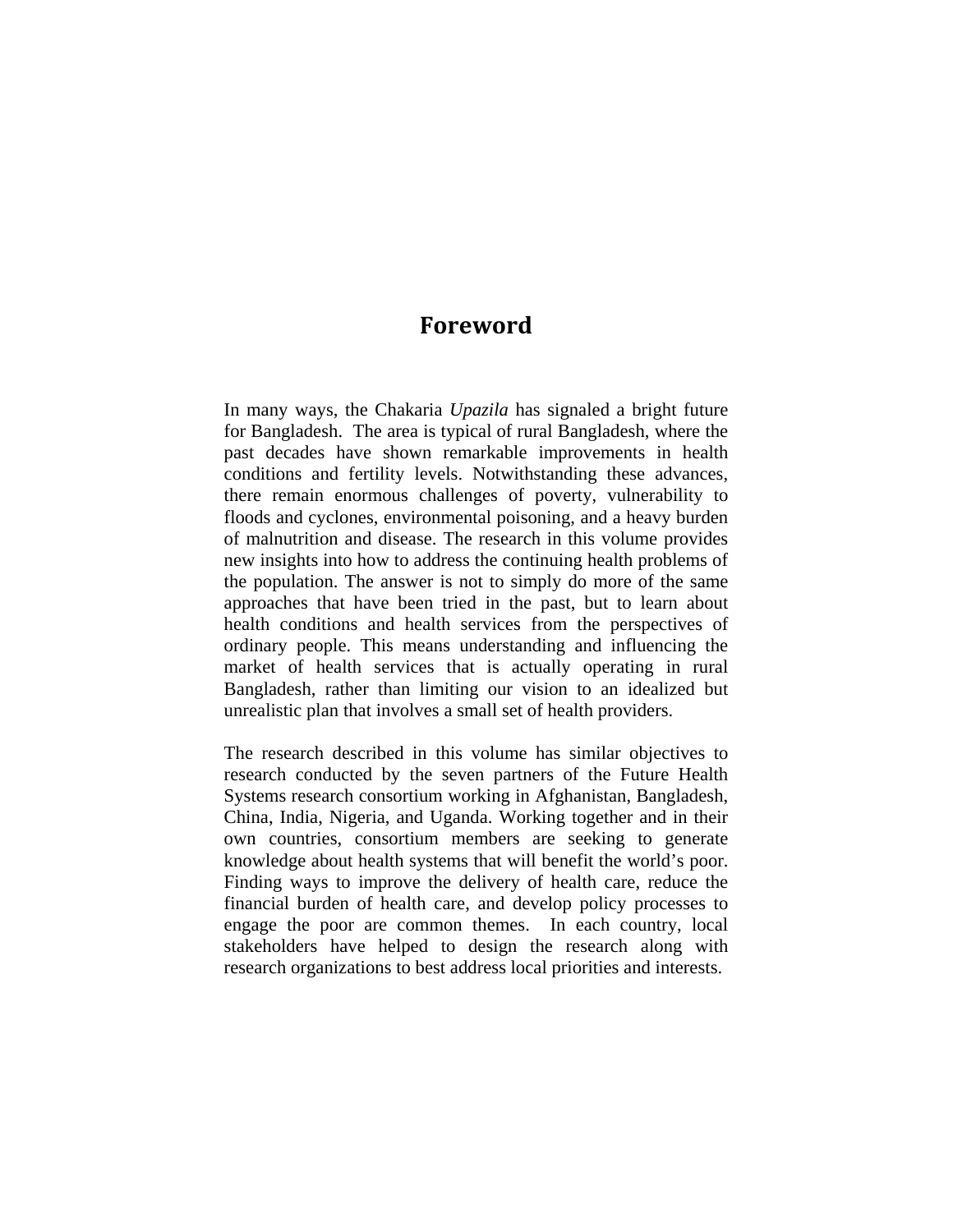### **Foreword**

In many ways, the Chakaria *Upazila* has signaled a bright future for Bangladesh. The area is typical of rural Bangladesh, where the past decades have shown remarkable improvements in health conditions and fertility levels. Notwithstanding these advances, there remain enormous challenges of poverty, vulnerability to floods and cyclones, environmental poisoning, and a heavy burden of malnutrition and disease. The research in this volume provides new insights into how to address the continuing health problems of the population. The answer is not to simply do more of the same approaches that have been tried in the past, but to learn about health conditions and health services from the perspectives of ordinary people. This means understanding and influencing the market of health services that is actually operating in rural Bangladesh, rather than limiting our vision to an idealized but unrealistic plan that involves a small set of health providers.

The research described in this volume has similar objectives to research conducted by the seven partners of the Future Health Systems research consortium working in Afghanistan, Bangladesh, China, India, Nigeria, and Uganda. Working together and in their own countries, consortium members are seeking to generate knowledge about health systems that will benefit the world's poor. Finding ways to improve the delivery of health care, reduce the financial burden of health care, and develop policy processes to engage the poor are common themes. In each country, local stakeholders have helped to design the research along with research organizations to best address local priorities and interests.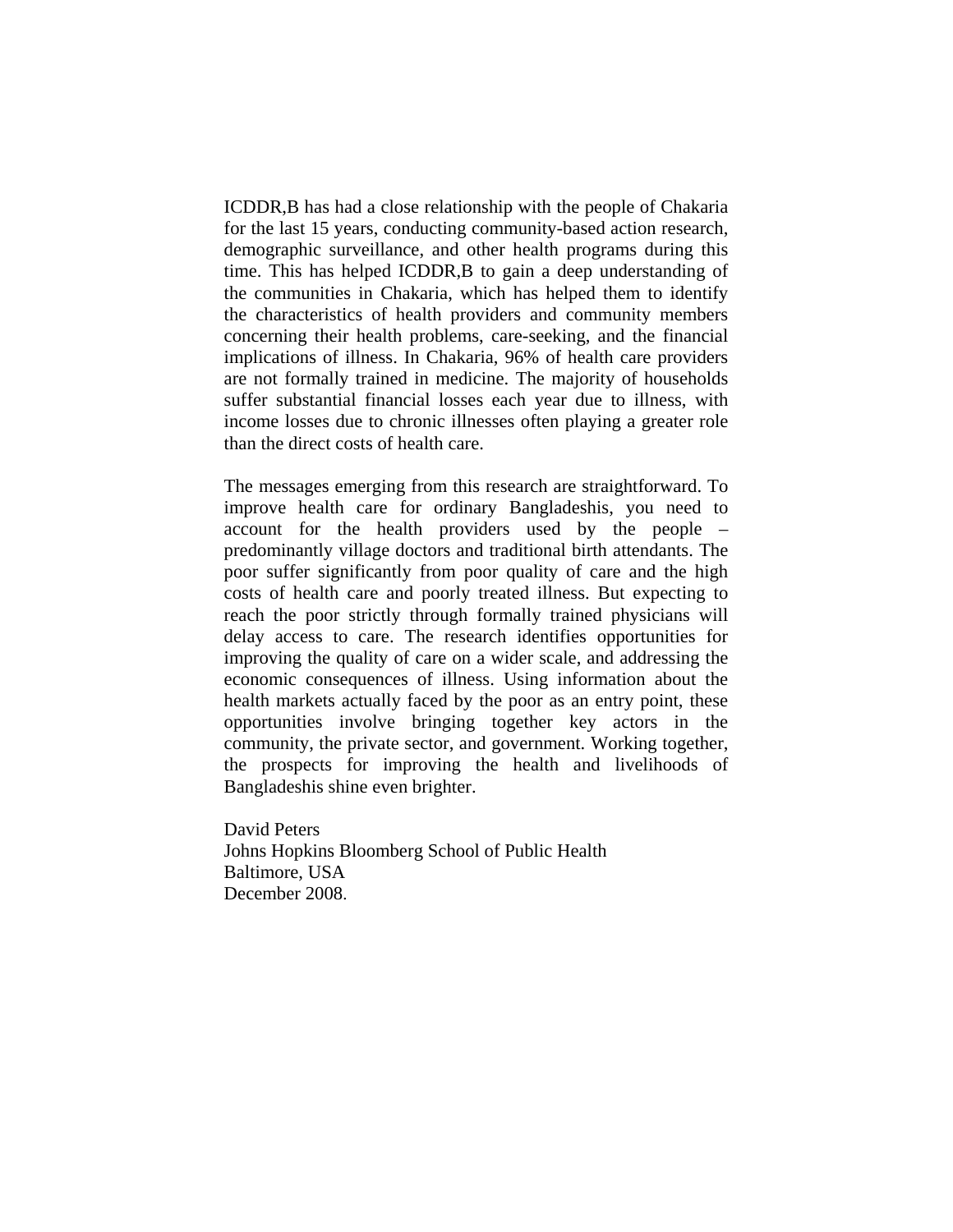ICDDR,B has had a close relationship with the people of Chakaria for the last 15 years, conducting community-based action research, demographic surveillance, and other health programs during this time. This has helped ICDDR,B to gain a deep understanding of the communities in Chakaria, which has helped them to identify the characteristics of health providers and community members concerning their health problems, care-seeking, and the financial implications of illness. In Chakaria, 96% of health care providers are not formally trained in medicine. The majority of households suffer substantial financial losses each year due to illness, with income losses due to chronic illnesses often playing a greater role than the direct costs of health care.

The messages emerging from this research are straightforward. To improve health care for ordinary Bangladeshis, you need to account for the health providers used by the people – predominantly village doctors and traditional birth attendants. The poor suffer significantly from poor quality of care and the high costs of health care and poorly treated illness. But expecting to reach the poor strictly through formally trained physicians will delay access to care. The research identifies opportunities for improving the quality of care on a wider scale, and addressing the economic consequences of illness. Using information about the health markets actually faced by the poor as an entry point, these opportunities involve bringing together key actors in the community, the private sector, and government. Working together, the prospects for improving the health and livelihoods of Bangladeshis shine even brighter.

David Peters Johns Hopkins Bloomberg School of Public Health Baltimore, USA December 2008.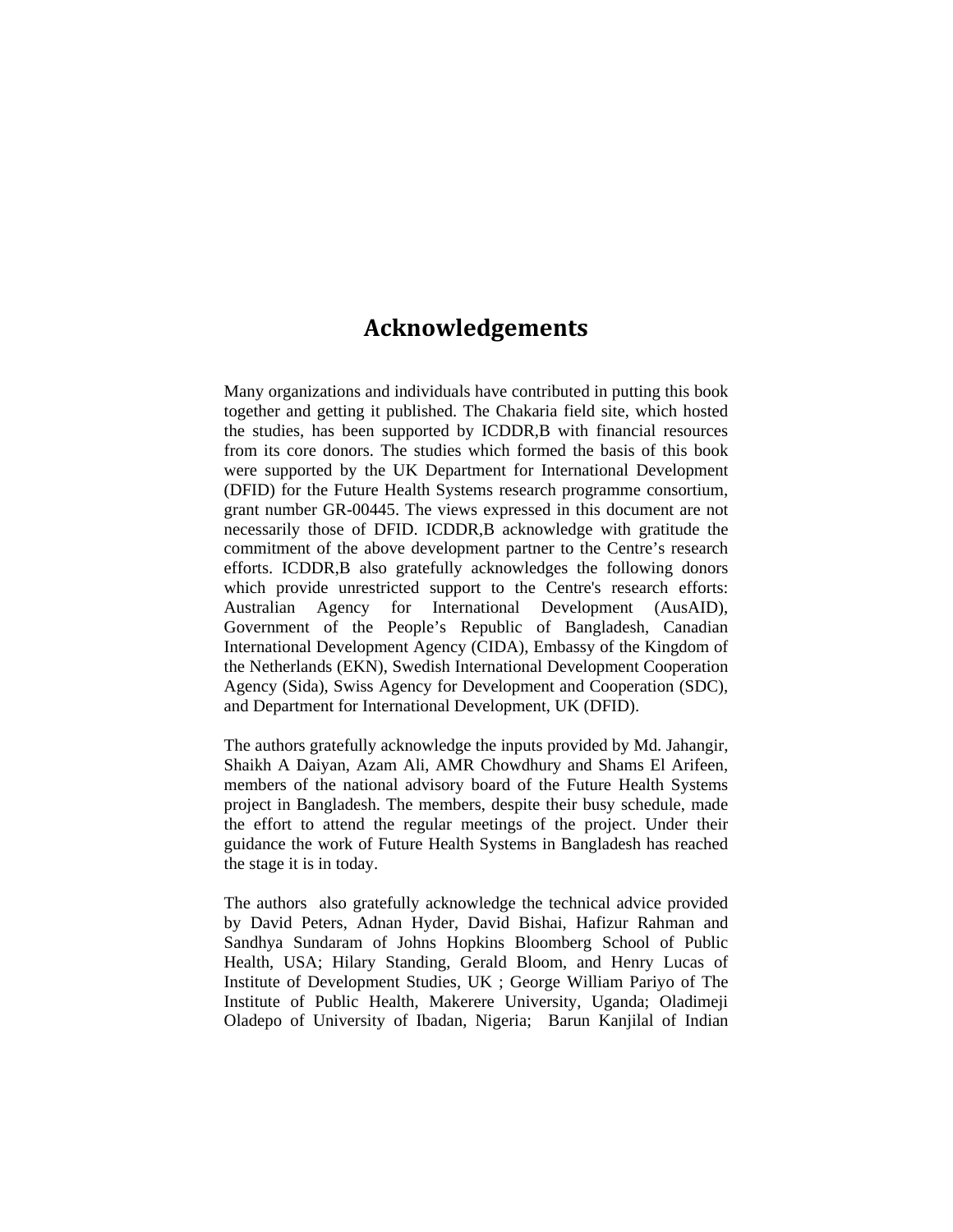## **Acknowledgements**

Many organizations and individuals have contributed in putting this book together and getting it published. The Chakaria field site, which hosted the studies, has been supported by ICDDR,B with financial resources from its core donors. The studies which formed the basis of this book were supported by the UK Department for International Development (DFID) for the Future Health Systems research programme consortium, grant number GR-00445. The views expressed in this document are not necessarily those of DFID. ICDDR,B acknowledge with gratitude the commitment of the above development partner to the Centre's research efforts. ICDDR,B also gratefully acknowledges the following donors which provide unrestricted support to the Centre's research efforts: Australian Agency for International Development (AusAID), Government of the People's Republic of Bangladesh, Canadian International Development Agency (CIDA), Embassy of the Kingdom of the Netherlands (EKN), Swedish International Development Cooperation Agency (Sida), Swiss Agency for Development and Cooperation (SDC), and Department for International Development, UK (DFID).

The authors gratefully acknowledge the inputs provided by Md. Jahangir, Shaikh A Daiyan, Azam Ali, AMR Chowdhury and Shams El Arifeen, members of the national advisory board of the Future Health Systems project in Bangladesh. The members, despite their busy schedule, made the effort to attend the regular meetings of the project. Under their guidance the work of Future Health Systems in Bangladesh has reached the stage it is in today.

The authors also gratefully acknowledge the technical advice provided by David Peters, Adnan Hyder, David Bishai, Hafizur Rahman and Sandhya Sundaram of Johns Hopkins Bloomberg School of Public Health, USA; Hilary Standing, Gerald Bloom, and Henry Lucas of Institute of Development Studies, UK ; George William Pariyo of The Institute of Public Health, Makerere University, Uganda; Oladimeji Oladepo of University of Ibadan, Nigeria; Barun Kanjilal of Indian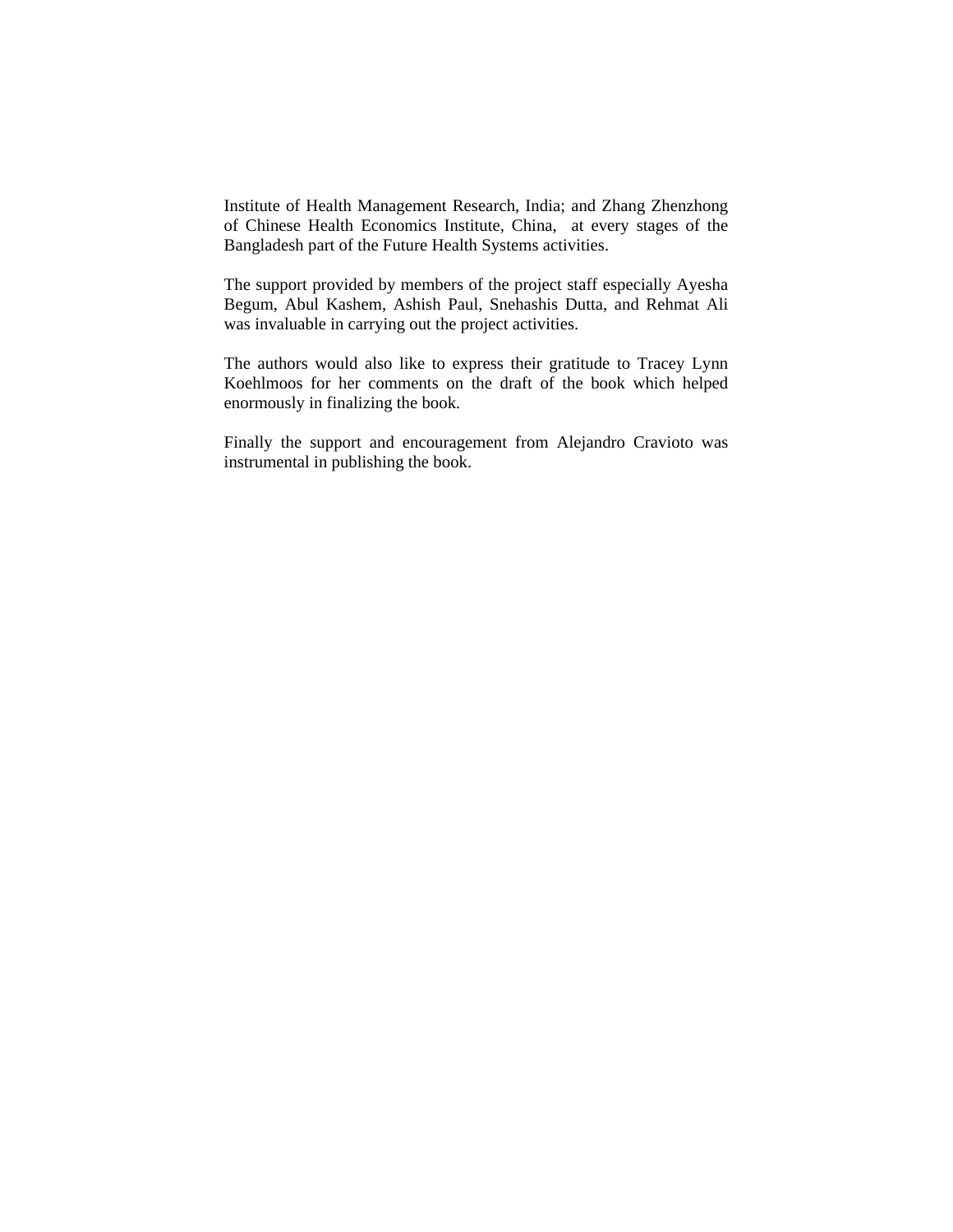Institute of Health Management Research, India; and Zhang Zhenzhong of Chinese Health Economics Institute, China, at every stages of the Bangladesh part of the Future Health Systems activities.

The support provided by members of the project staff especially Ayesha Begum, Abul Kashem, Ashish Paul, Snehashis Dutta, and Rehmat Ali was invaluable in carrying out the project activities.

The authors would also like to express their gratitude to Tracey Lynn Koehlmoos for her comments on the draft of the book which helped enormously in finalizing the book.

Finally the support and encouragement from Alejandro Cravioto was instrumental in publishing the book.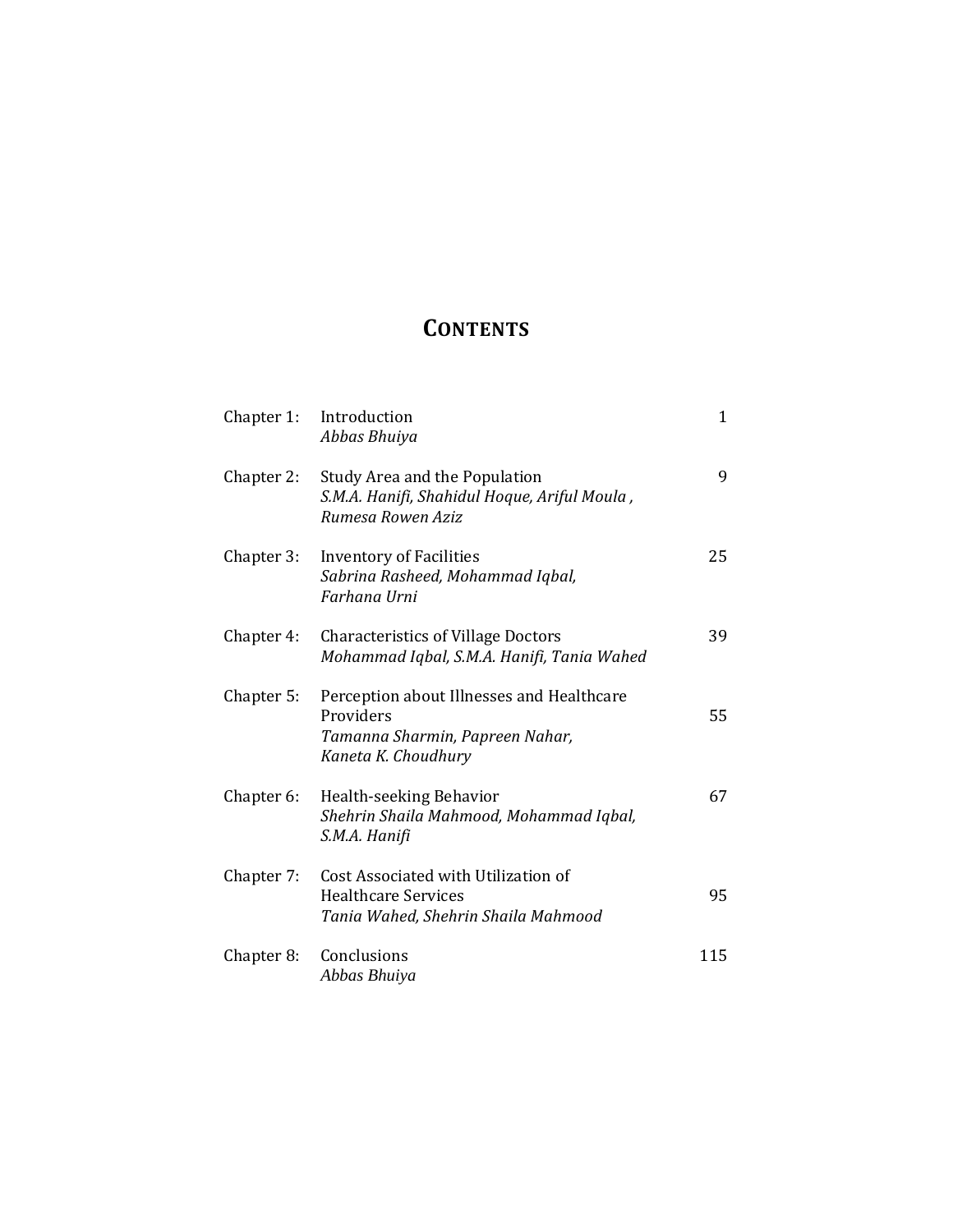## **CONTENTS**

| Chapter 1: | Introduction<br>Abbas Bhuiya                                                                                     | $\mathbf{1}$ |
|------------|------------------------------------------------------------------------------------------------------------------|--------------|
| Chapter 2: | Study Area and the Population<br>S.M.A. Hanifi, Shahidul Hoque, Ariful Moula,<br>Rumesa Rowen Aziz               | 9            |
| Chapter 3: | <b>Inventory of Facilities</b><br>Sabrina Rasheed, Mohammad Iqbal,<br>Farhana Urni                               | 25           |
| Chapter 4: | <b>Characteristics of Village Doctors</b><br>Mohammad Iqbal, S.M.A. Hanifi, Tania Wahed                          | 39           |
| Chapter 5: | Perception about Illnesses and Healthcare<br>Providers<br>Tamanna Sharmin, Papreen Nahar,<br>Kaneta K. Choudhury | 55           |
| Chapter 6: | Health-seeking Behavior<br>Shehrin Shaila Mahmood, Mohammad Iqbal,<br>S.M.A. Hanifi                              | 67           |
| Chapter 7: | Cost Associated with Utilization of<br><b>Healthcare Services</b><br>Tania Wahed, Shehrin Shaila Mahmood         | 95           |
| Chapter 8: | Conclusions<br>Abbas Bhuiya                                                                                      | 115          |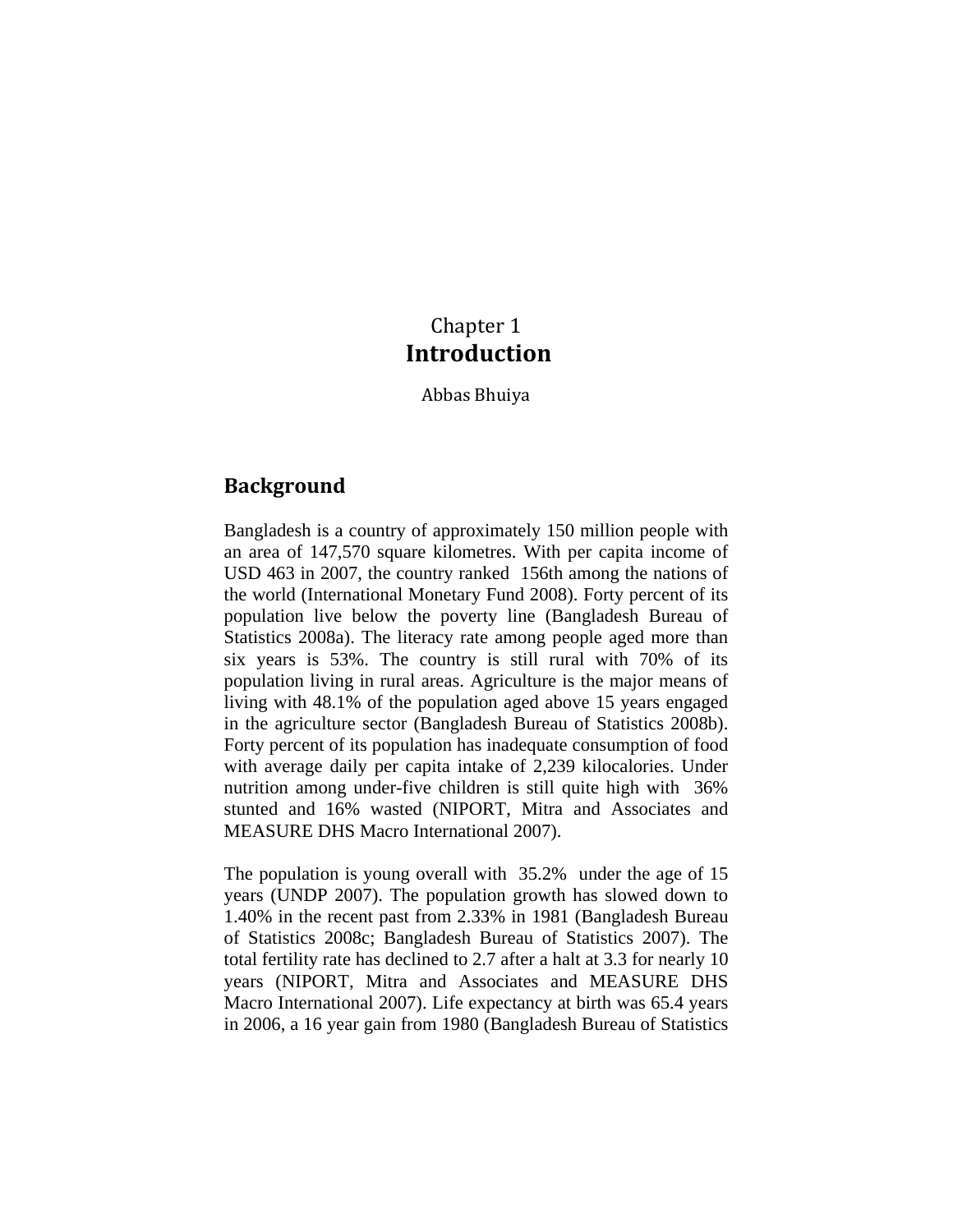## Chapter 1 **Introduction**

Abbas Bhuiya

### **Background**

Bangladesh is a country of approximately 150 million people with an area of 147,570 square kilometres. With per capita income of USD 463 in 2007, the country ranked 156th among the nations of the world (International Monetary Fund 2008). Forty percent of its population live below the poverty line (Bangladesh Bureau of Statistics 2008a). The literacy rate among people aged more than six years is 53%. The country is still rural with 70% of its population living in rural areas. Agriculture is the major means of living with 48.1% of the population aged above 15 years engaged in the agriculture sector (Bangladesh Bureau of Statistics 2008b). Forty percent of its population has inadequate consumption of food with average daily per capita intake of 2,239 kilocalories. Under nutrition among under-five children is still quite high with 36% stunted and 16% wasted (NIPORT, Mitra and Associates and MEASURE DHS Macro International 2007).

The population is young overall with 35.2% under the age of 15 years (UNDP 2007). The population growth has slowed down to 1.40% in the recent past from 2.33% in 1981 (Bangladesh Bureau of Statistics 2008c; Bangladesh Bureau of Statistics 2007). The total fertility rate has declined to 2.7 after a halt at 3.3 for nearly 10 years (NIPORT, Mitra and Associates and MEASURE DHS Macro International 2007). Life expectancy at birth was 65.4 years in 2006, a 16 year gain from 1980 (Bangladesh Bureau of Statistics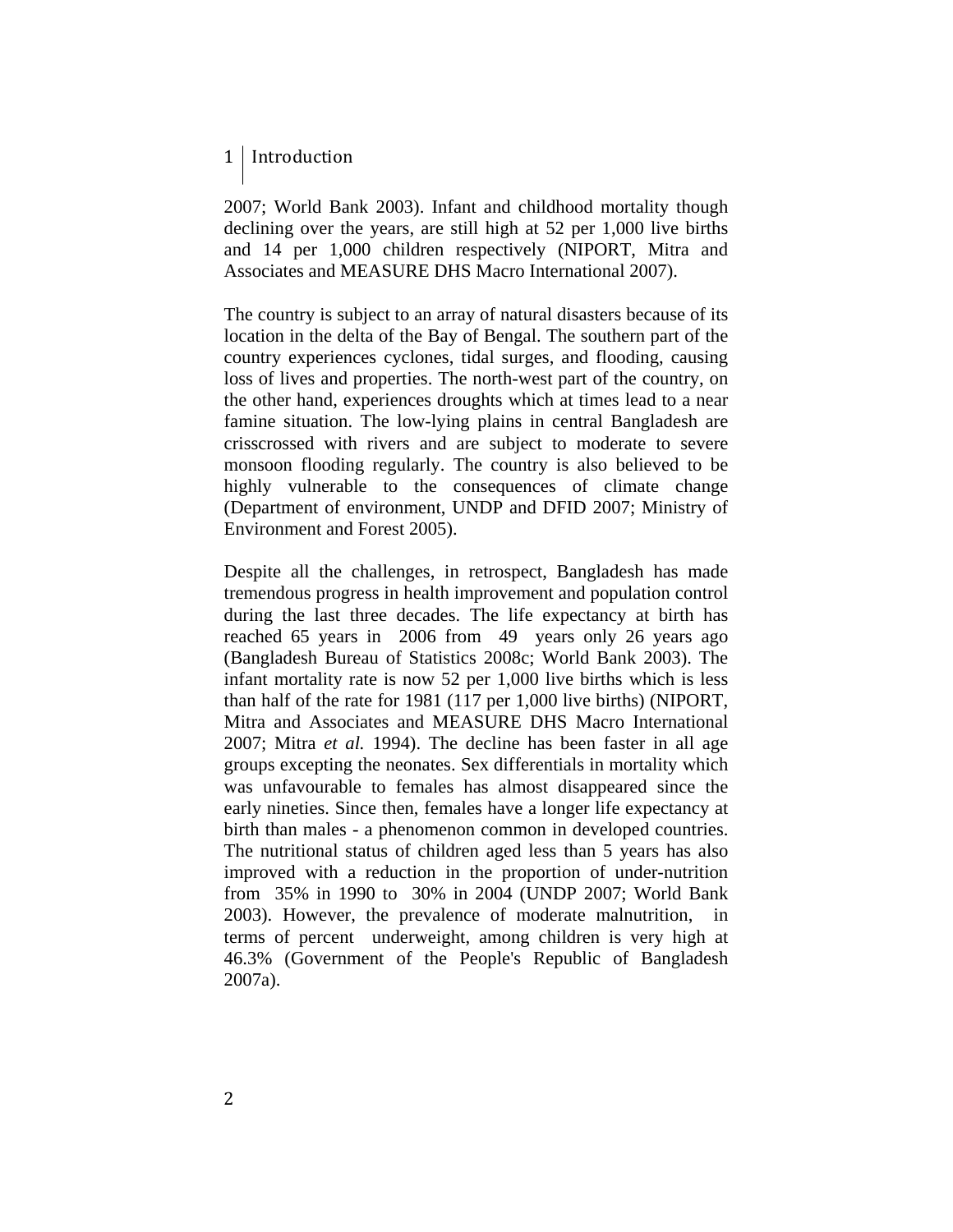### 1 | Introduction

2007; World Bank 2003). Infant and childhood mortality though declining over the years, are still high at 52 per 1,000 live births and 14 per 1,000 children respectively (NIPORT, Mitra and Associates and MEASURE DHS Macro International 2007).

The country is subject to an array of natural disasters because of its location in the delta of the Bay of Bengal. The southern part of the country experiences cyclones, tidal surges, and flooding, causing loss of lives and properties. The north-west part of the country, on the other hand, experiences droughts which at times lead to a near famine situation. The low-lying plains in central Bangladesh are crisscrossed with rivers and are subject to moderate to severe monsoon flooding regularly. The country is also believed to be highly vulnerable to the consequences of climate change (Department of environment, UNDP and DFID 2007; Ministry of Environment and Forest 2005).

Despite all the challenges, in retrospect, Bangladesh has made tremendous progress in health improvement and population control during the last three decades. The life expectancy at birth has reached 65 years in 2006 from 49 years only 26 years ago (Bangladesh Bureau of Statistics 2008c; World Bank 2003). The infant mortality rate is now 52 per 1,000 live births which is less than half of the rate for 1981 (117 per 1,000 live births) (NIPORT, Mitra and Associates and MEASURE DHS Macro International 2007; Mitra *et al.* 1994). The decline has been faster in all age groups excepting the neonates. Sex differentials in mortality which was unfavourable to females has almost disappeared since the early nineties. Since then, females have a longer life expectancy at birth than males - a phenomenon common in developed countries. The nutritional status of children aged less than 5 years has also improved with a reduction in the proportion of under-nutrition from 35% in 1990 to 30% in 2004 (UNDP 2007; World Bank 2003). However, the prevalence of moderate malnutrition, in terms of percent underweight, among children is very high at 46.3% (Government of the People's Republic of Bangladesh 2007a).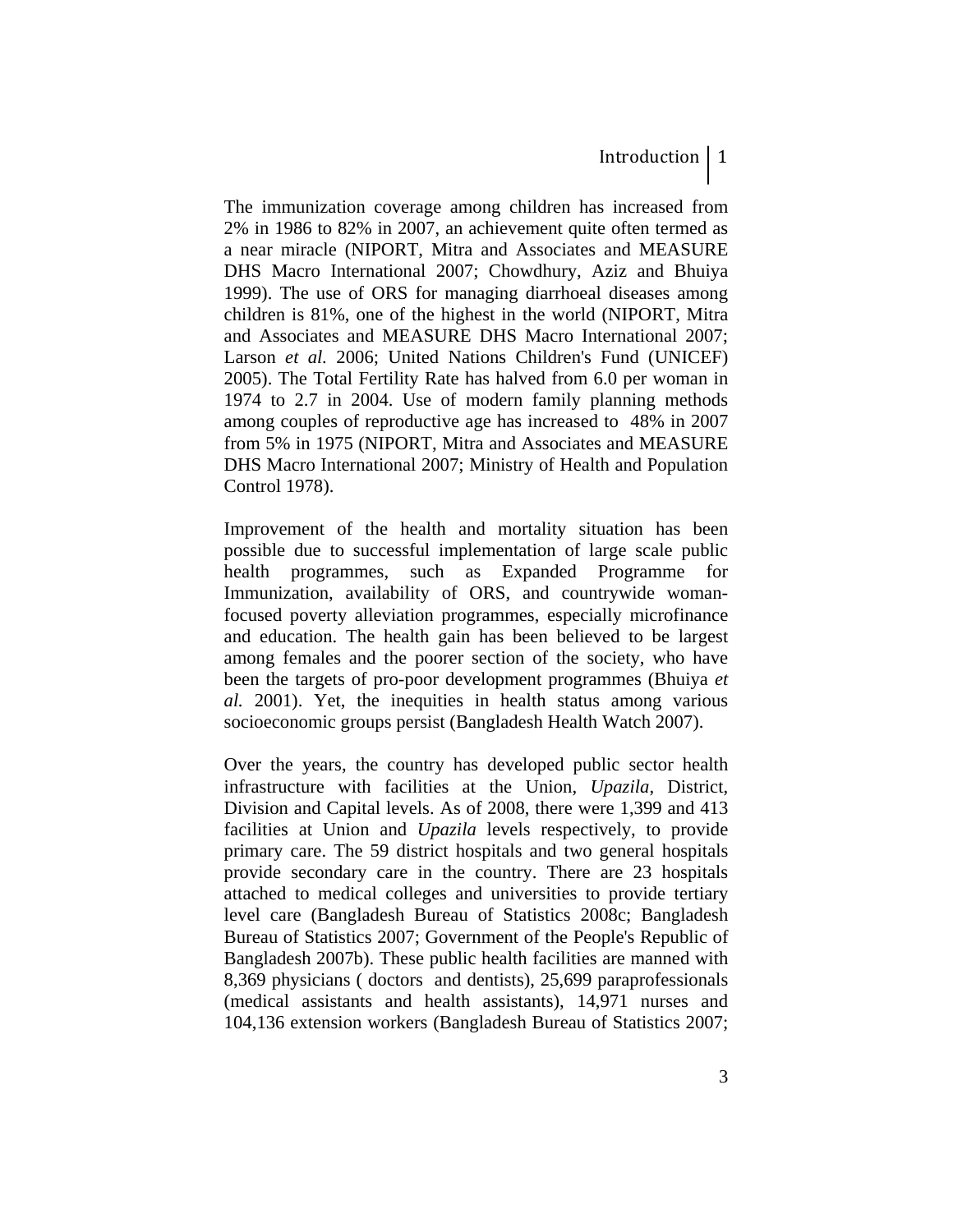The immunization coverage among children has increased from 2% in 1986 to 82% in 2007, an achievement quite often termed as a near miracle (NIPORT, Mitra and Associates and MEASURE DHS Macro International 2007; Chowdhury, Aziz and Bhuiya 1999). The use of ORS for managing diarrhoeal diseases among children is 81%, one of the highest in the world (NIPORT, Mitra and Associates and MEASURE DHS Macro International 2007; Larson *et al.* 2006; United Nations Children's Fund (UNICEF) 2005). The Total Fertility Rate has halved from 6.0 per woman in 1974 to 2.7 in 2004. Use of modern family planning methods among couples of reproductive age has increased to 48% in 2007 from 5% in 1975 (NIPORT, Mitra and Associates and MEASURE DHS Macro International 2007; Ministry of Health and Population Control 1978).

Improvement of the health and mortality situation has been possible due to successful implementation of large scale public health programmes, such as Expanded Programme for Immunization, availability of ORS, and countrywide womanfocused poverty alleviation programmes, especially microfinance and education. The health gain has been believed to be largest among females and the poorer section of the society, who have been the targets of pro-poor development programmes (Bhuiya *et al.* 2001). Yet, the inequities in health status among various socioeconomic groups persist (Bangladesh Health Watch 2007).

Over the years, the country has developed public sector health infrastructure with facilities at the Union, *Upazila*, District, Division and Capital levels. As of 2008, there were 1,399 and 413 facilities at Union and *Upazila* levels respectively, to provide primary care. The 59 district hospitals and two general hospitals provide secondary care in the country. There are 23 hospitals attached to medical colleges and universities to provide tertiary level care (Bangladesh Bureau of Statistics 2008c; Bangladesh Bureau of Statistics 2007; Government of the People's Republic of Bangladesh 2007b). These public health facilities are manned with 8,369 physicians ( doctors and dentists), 25,699 paraprofessionals (medical assistants and health assistants), 14,971 nurses and 104,136 extension workers (Bangladesh Bureau of Statistics 2007;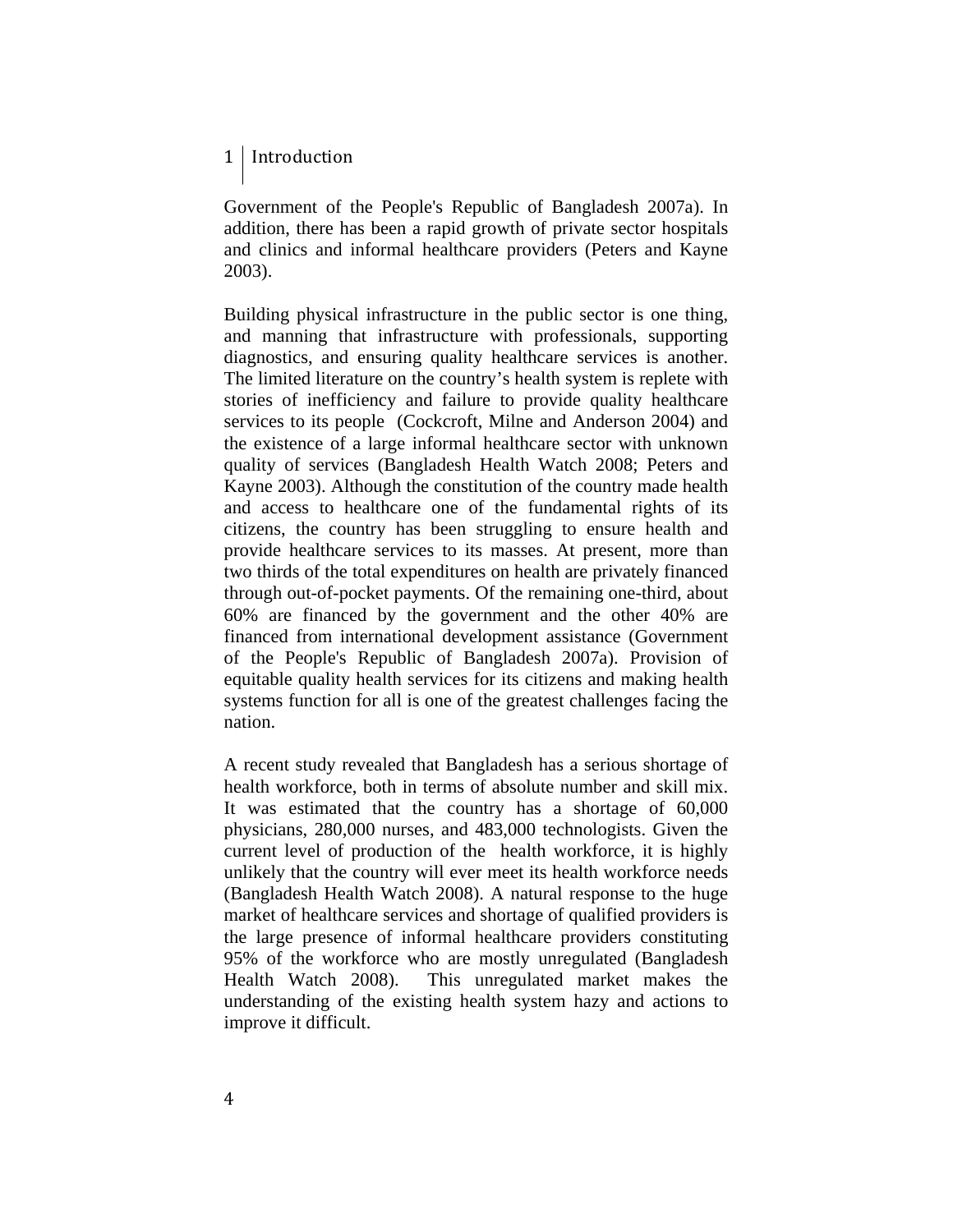### 1 | Introduction

Government of the People's Republic of Bangladesh 2007a). In addition, there has been a rapid growth of private sector hospitals and clinics and informal healthcare providers (Peters and Kayne 2003).

Building physical infrastructure in the public sector is one thing, and manning that infrastructure with professionals, supporting diagnostics, and ensuring quality healthcare services is another. The limited literature on the country's health system is replete with stories of inefficiency and failure to provide quality healthcare services to its people (Cockcroft, Milne and Anderson 2004) and the existence of a large informal healthcare sector with unknown quality of services (Bangladesh Health Watch 2008; Peters and Kayne 2003). Although the constitution of the country made health and access to healthcare one of the fundamental rights of its citizens, the country has been struggling to ensure health and provide healthcare services to its masses. At present, more than two thirds of the total expenditures on health are privately financed through out-of-pocket payments. Of the remaining one-third, about 60% are financed by the government and the other 40% are financed from international development assistance (Government of the People's Republic of Bangladesh 2007a). Provision of equitable quality health services for its citizens and making health systems function for all is one of the greatest challenges facing the nation.

A recent study revealed that Bangladesh has a serious shortage of health workforce, both in terms of absolute number and skill mix. It was estimated that the country has a shortage of 60,000 physicians, 280,000 nurses, and 483,000 technologists. Given the current level of production of the health workforce, it is highly unlikely that the country will ever meet its health workforce needs (Bangladesh Health Watch 2008). A natural response to the huge market of healthcare services and shortage of qualified providers is the large presence of informal healthcare providers constituting 95% of the workforce who are mostly unregulated (Bangladesh Health Watch 2008). This unregulated market makes the understanding of the existing health system hazy and actions to improve it difficult.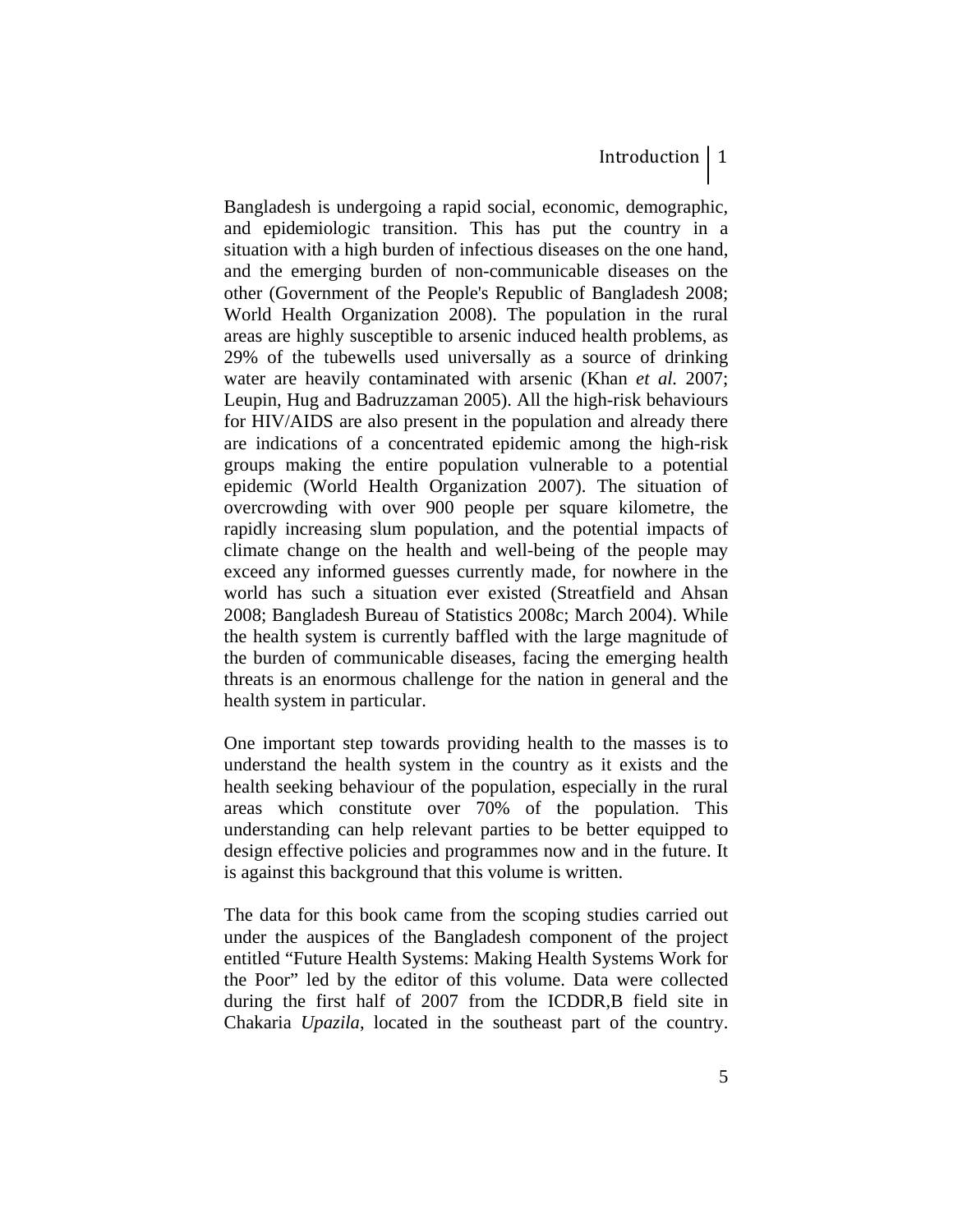Bangladesh is undergoing a rapid social, economic, demographic, and epidemiologic transition. This has put the country in a situation with a high burden of infectious diseases on the one hand, and the emerging burden of non-communicable diseases on the other (Government of the People's Republic of Bangladesh 2008; World Health Organization 2008). The population in the rural areas are highly susceptible to arsenic induced health problems, as 29% of the tubewells used universally as a source of drinking water are heavily contaminated with arsenic (Khan *et al.* 2007; Leupin, Hug and Badruzzaman 2005). All the high-risk behaviours for HIV/AIDS are also present in the population and already there are indications of a concentrated epidemic among the high-risk groups making the entire population vulnerable to a potential epidemic (World Health Organization 2007). The situation of overcrowding with over 900 people per square kilometre, the rapidly increasing slum population, and the potential impacts of climate change on the health and well-being of the people may exceed any informed guesses currently made, for nowhere in the world has such a situation ever existed (Streatfield and Ahsan 2008; Bangladesh Bureau of Statistics 2008c; March 2004). While the health system is currently baffled with the large magnitude of the burden of communicable diseases, facing the emerging health threats is an enormous challenge for the nation in general and the health system in particular.

One important step towards providing health to the masses is to understand the health system in the country as it exists and the health seeking behaviour of the population, especially in the rural areas which constitute over 70% of the population. This understanding can help relevant parties to be better equipped to design effective policies and programmes now and in the future. It is against this background that this volume is written.

The data for this book came from the scoping studies carried out under the auspices of the Bangladesh component of the project entitled "Future Health Systems: Making Health Systems Work for the Poor" led by the editor of this volume. Data were collected during the first half of 2007 from the ICDDR,B field site in Chakaria *Upazila*, located in the southeast part of the country.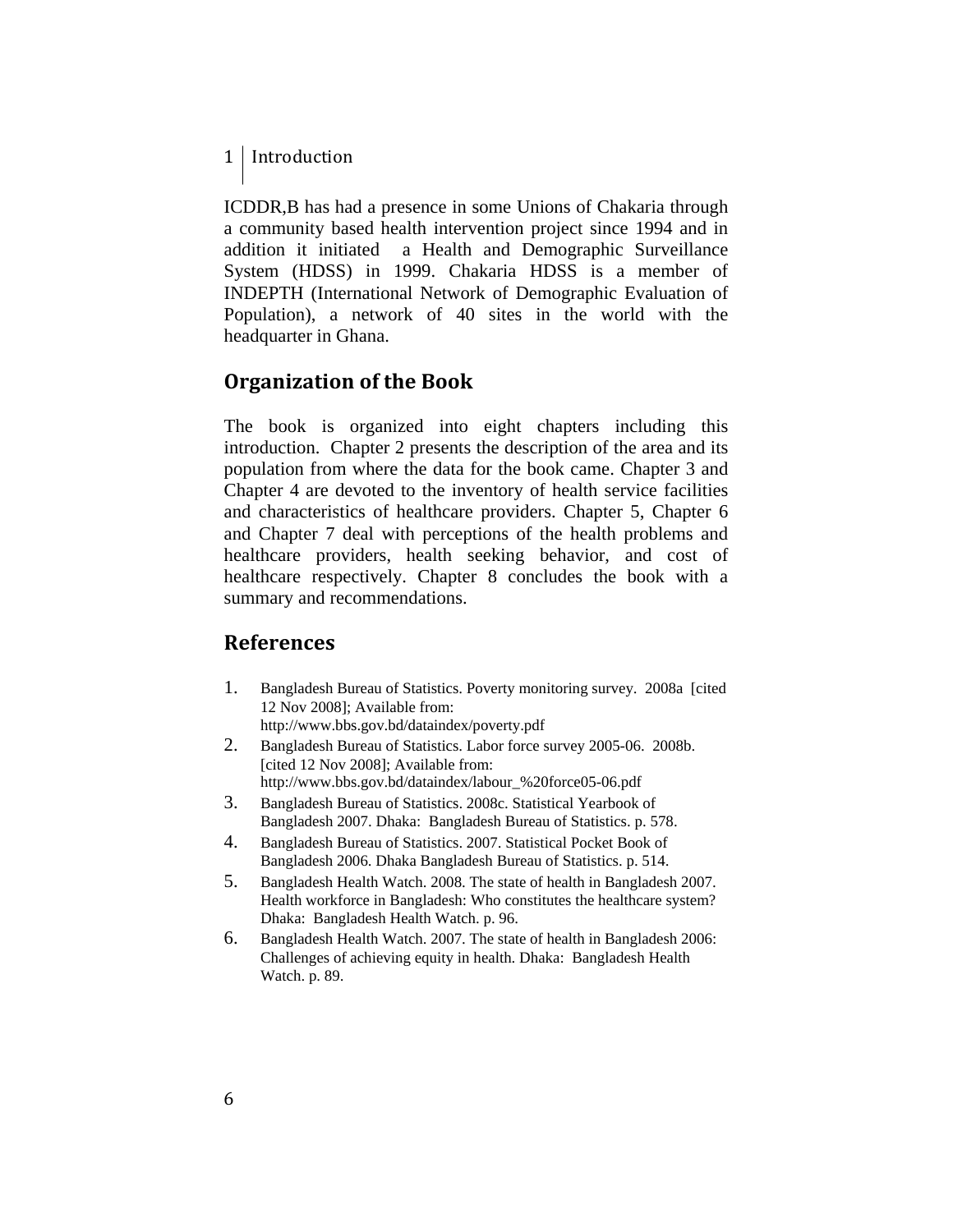### 1 | Introduction

ICDDR,B has had a presence in some Unions of Chakaria through a community based health intervention project since 1994 and in addition it initiated a Health and Demographic Surveillance System (HDSS) in 1999. Chakaria HDSS is a member of INDEPTH (International Network of Demographic Evaluation of Population), a network of 40 sites in the world with the headquarter in Ghana.

### **Organization of the Book**

The book is organized into eight chapters including this introduction. Chapter 2 presents the description of the area and its population from where the data for the book came. Chapter 3 and Chapter 4 are devoted to the inventory of health service facilities and characteristics of healthcare providers. Chapter 5, Chapter 6 and Chapter 7 deal with perceptions of the health problems and healthcare providers, health seeking behavior, and cost of healthcare respectively. Chapter 8 concludes the book with a summary and recommendations.

### **References**

- 1. Bangladesh Bureau of Statistics. Poverty monitoring survey. 2008a [cited 12 Nov 2008]; Available from: http://www.bbs.gov.bd/dataindex/poverty.pdf
- 2. Bangladesh Bureau of Statistics. Labor force survey 2005-06. 2008b. [cited 12 Nov 2008]; Available from: http://www.bbs.gov.bd/dataindex/labour\_%20force05-06.pdf
- 3. Bangladesh Bureau of Statistics. 2008c. Statistical Yearbook of Bangladesh 2007. Dhaka: Bangladesh Bureau of Statistics. p. 578.
- 4. Bangladesh Bureau of Statistics. 2007. Statistical Pocket Book of Bangladesh 2006. Dhaka Bangladesh Bureau of Statistics. p. 514.
- 5. Bangladesh Health Watch. 2008. The state of health in Bangladesh 2007. Health workforce in Bangladesh: Who constitutes the healthcare system? Dhaka: Bangladesh Health Watch. p. 96.
- 6. Bangladesh Health Watch. 2007. The state of health in Bangladesh 2006: Challenges of achieving equity in health. Dhaka: Bangladesh Health Watch. p. 89.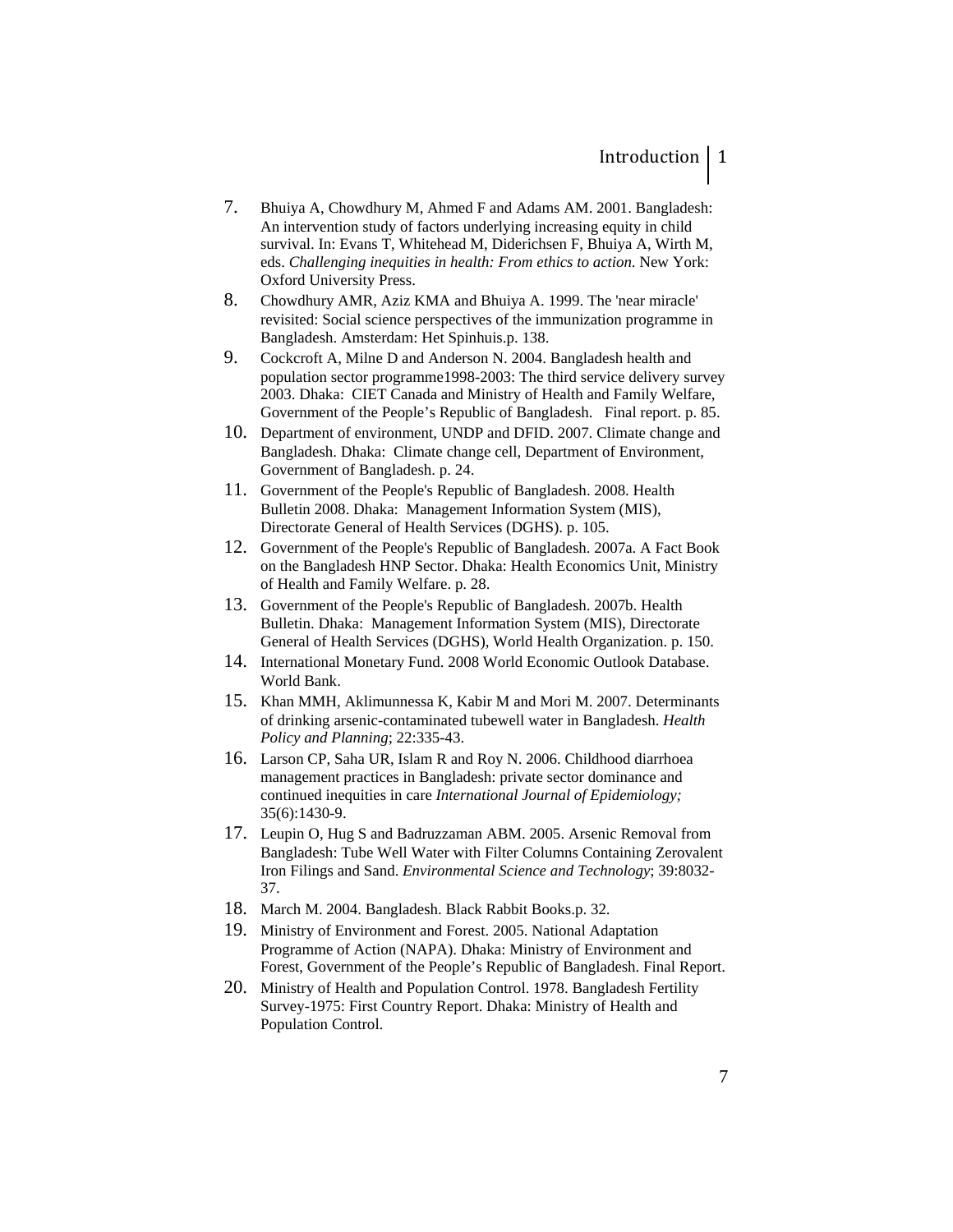- 7. Bhuiya A, Chowdhury M, Ahmed F and Adams AM. 2001. Bangladesh: An intervention study of factors underlying increasing equity in child survival. In: Evans T, Whitehead M, Diderichsen F, Bhuiya A, Wirth M, eds. *Challenging inequities in health: From ethics to action*. New York: Oxford University Press.
- 8. Chowdhury AMR, Aziz KMA and Bhuiya A. 1999. The 'near miracle' revisited: Social science perspectives of the immunization programme in Bangladesh. Amsterdam: Het Spinhuis.p. 138.
- 9. Cockcroft A, Milne D and Anderson N. 2004. Bangladesh health and population sector programme1998-2003: The third service delivery survey 2003. Dhaka: CIET Canada and Ministry of Health and Family Welfare, Government of the People's Republic of Bangladesh. Final report. p. 85.
- 10. Department of environment, UNDP and DFID. 2007. Climate change and Bangladesh. Dhaka: Climate change cell, Department of Environment, Government of Bangladesh. p. 24.
- 11. Government of the People's Republic of Bangladesh. 2008. Health Bulletin 2008. Dhaka: Management Information System (MIS), Directorate General of Health Services (DGHS). p. 105.
- 12. Government of the People's Republic of Bangladesh. 2007a. A Fact Book on the Bangladesh HNP Sector. Dhaka: Health Economics Unit, Ministry of Health and Family Welfare. p. 28.
- 13. Government of the People's Republic of Bangladesh. 2007b. Health Bulletin. Dhaka: Management Information System (MIS), Directorate General of Health Services (DGHS), World Health Organization. p. 150.
- 14. International Monetary Fund. 2008 World Economic Outlook Database. World Bank.
- 15. Khan MMH, Aklimunnessa K, Kabir M and Mori M. 2007. Determinants of drinking arsenic-contaminated tubewell water in Bangladesh. *Health Policy and Planning*; 22:335-43.
- 16. Larson CP, Saha UR, Islam R and Roy N. 2006. Childhood diarrhoea management practices in Bangladesh: private sector dominance and continued inequities in care *International Journal of Epidemiology;* 35(6):1430-9.
- 17. Leupin O, Hug S and Badruzzaman ABM. 2005. Arsenic Removal from Bangladesh: Tube Well Water with Filter Columns Containing Zerovalent Iron Filings and Sand. *Environmental Science and Technology*; 39:8032- 37.
- 18. March M. 2004. Bangladesh. Black Rabbit Books.p. 32.
- 19. Ministry of Environment and Forest. 2005. National Adaptation Programme of Action (NAPA). Dhaka: Ministry of Environment and Forest, Government of the People's Republic of Bangladesh. Final Report.
- 20. Ministry of Health and Population Control. 1978. Bangladesh Fertility Survey-1975: First Country Report. Dhaka: Ministry of Health and Population Control.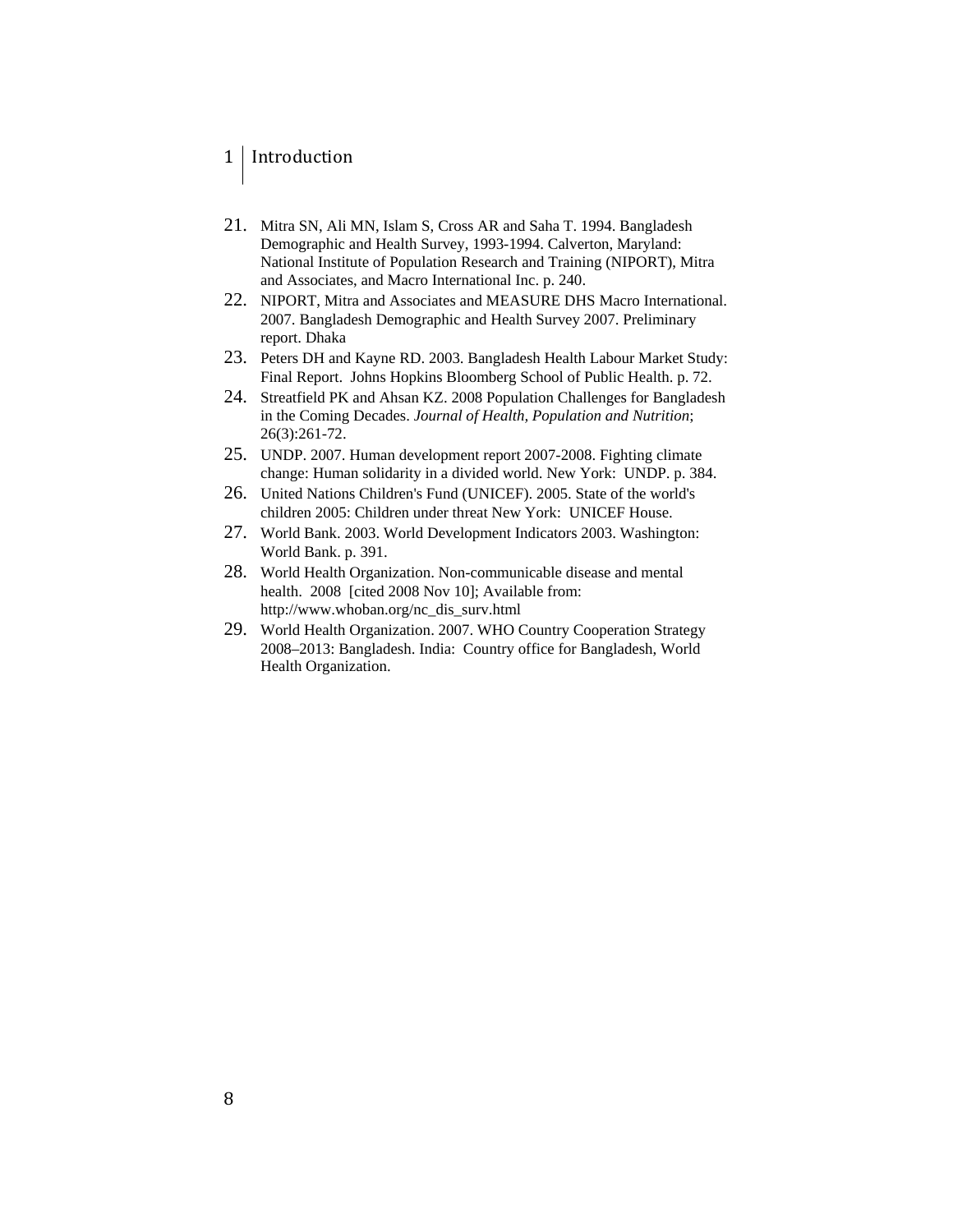### 1 Introduction

- 21. Mitra SN, Ali MN, Islam S, Cross AR and Saha T. 1994. Bangladesh Demographic and Health Survey, 1993-1994. Calverton, Maryland: National Institute of Population Research and Training (NIPORT), Mitra and Associates, and Macro International Inc. p. 240.
- 22. NIPORT, Mitra and Associates and MEASURE DHS Macro International. 2007. Bangladesh Demographic and Health Survey 2007. Preliminary report. Dhaka
- 23. Peters DH and Kayne RD. 2003. Bangladesh Health Labour Market Study: Final Report. Johns Hopkins Bloomberg School of Public Health. p. 72.
- 24. Streatfield PK and Ahsan KZ. 2008 Population Challenges for Bangladesh in the Coming Decades. *Journal of Health, Population and Nutrition*; 26(3):261-72.
- 25. UNDP. 2007. Human development report 2007-2008. Fighting climate change: Human solidarity in a divided world. New York: UNDP. p. 384.
- 26. United Nations Children's Fund (UNICEF). 2005. State of the world's children 2005: Children under threat New York: UNICEF House.
- 27. World Bank. 2003. World Development Indicators 2003. Washington: World Bank. p. 391.
- 28. World Health Organization. Non-communicable disease and mental health. 2008 [cited 2008 Nov 10]; Available from: http://www.whoban.org/nc\_dis\_surv.html
- 29. World Health Organization. 2007. WHO Country Cooperation Strategy 2008–2013: Bangladesh. India: Country office for Bangladesh, World Health Organization.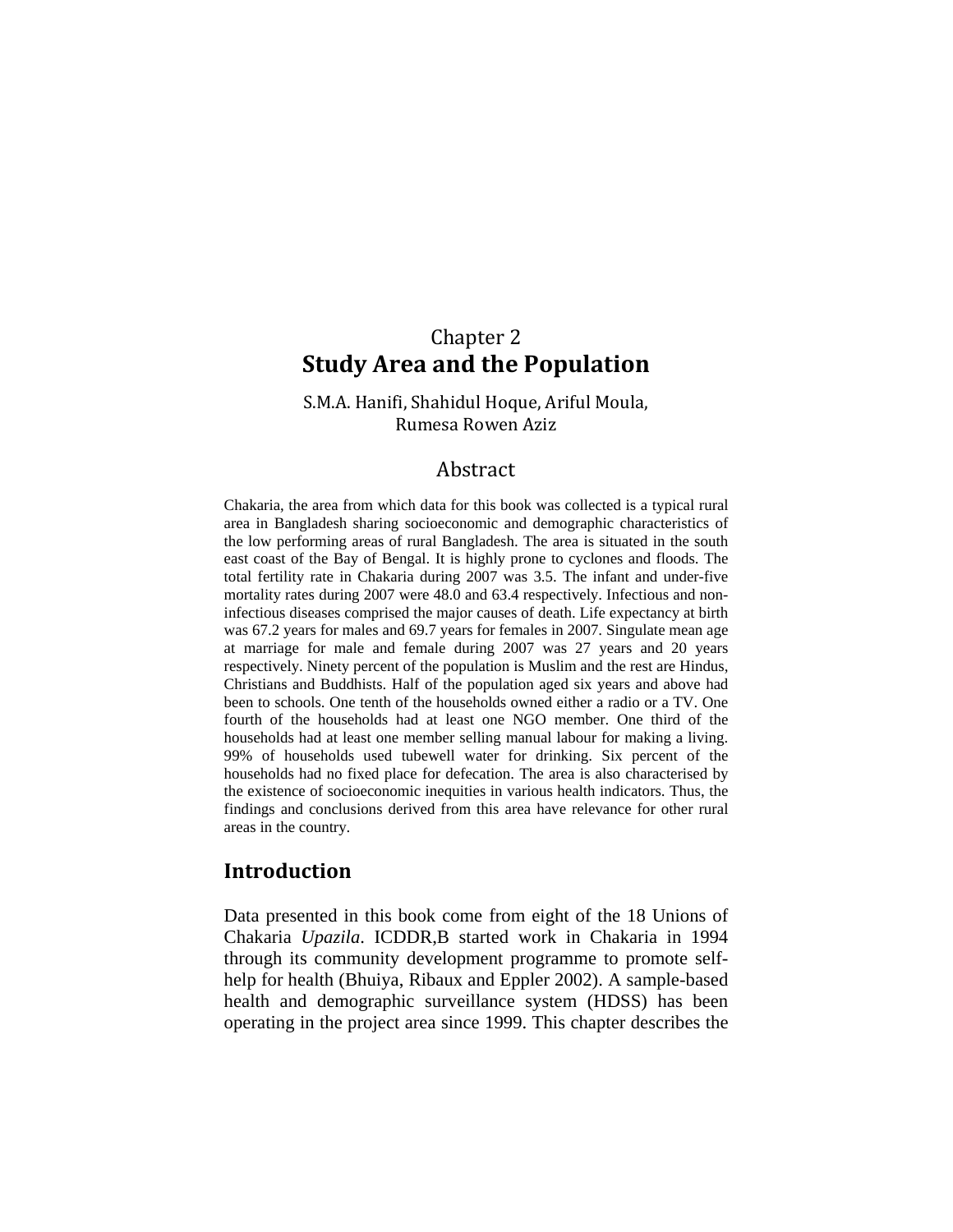### Chapter 2 **Study Area and the Population**

S.M.A. Hanifi, Shahidul Hoque, Ariful Moula, Rumesa Rowen Aziz

### Abstract

Chakaria, the area from which data for this book was collected is a typical rural area in Bangladesh sharing socioeconomic and demographic characteristics of the low performing areas of rural Bangladesh. The area is situated in the south east coast of the Bay of Bengal. It is highly prone to cyclones and floods. The total fertility rate in Chakaria during 2007 was 3.5. The infant and under-five mortality rates during 2007 were 48.0 and 63.4 respectively. Infectious and noninfectious diseases comprised the major causes of death. Life expectancy at birth was 67.2 years for males and 69.7 years for females in 2007. Singulate mean age at marriage for male and female during 2007 was 27 years and 20 years respectively. Ninety percent of the population is Muslim and the rest are Hindus, Christians and Buddhists. Half of the population aged six years and above had been to schools. One tenth of the households owned either a radio or a TV. One fourth of the households had at least one NGO member. One third of the households had at least one member selling manual labour for making a living. 99% of households used tubewell water for drinking. Six percent of the households had no fixed place for defecation. The area is also characterised by the existence of socioeconomic inequities in various health indicators. Thus, the findings and conclusions derived from this area have relevance for other rural areas in the country.

### **Introduction**

Data presented in this book come from eight of the 18 Unions of Chakaria *Upazila*. ICDDR,B started work in Chakaria in 1994 through its community development programme to promote selfhelp for health (Bhuiya, Ribaux and Eppler 2002). A sample-based health and demographic surveillance system (HDSS) has been operating in the project area since 1999. This chapter describes the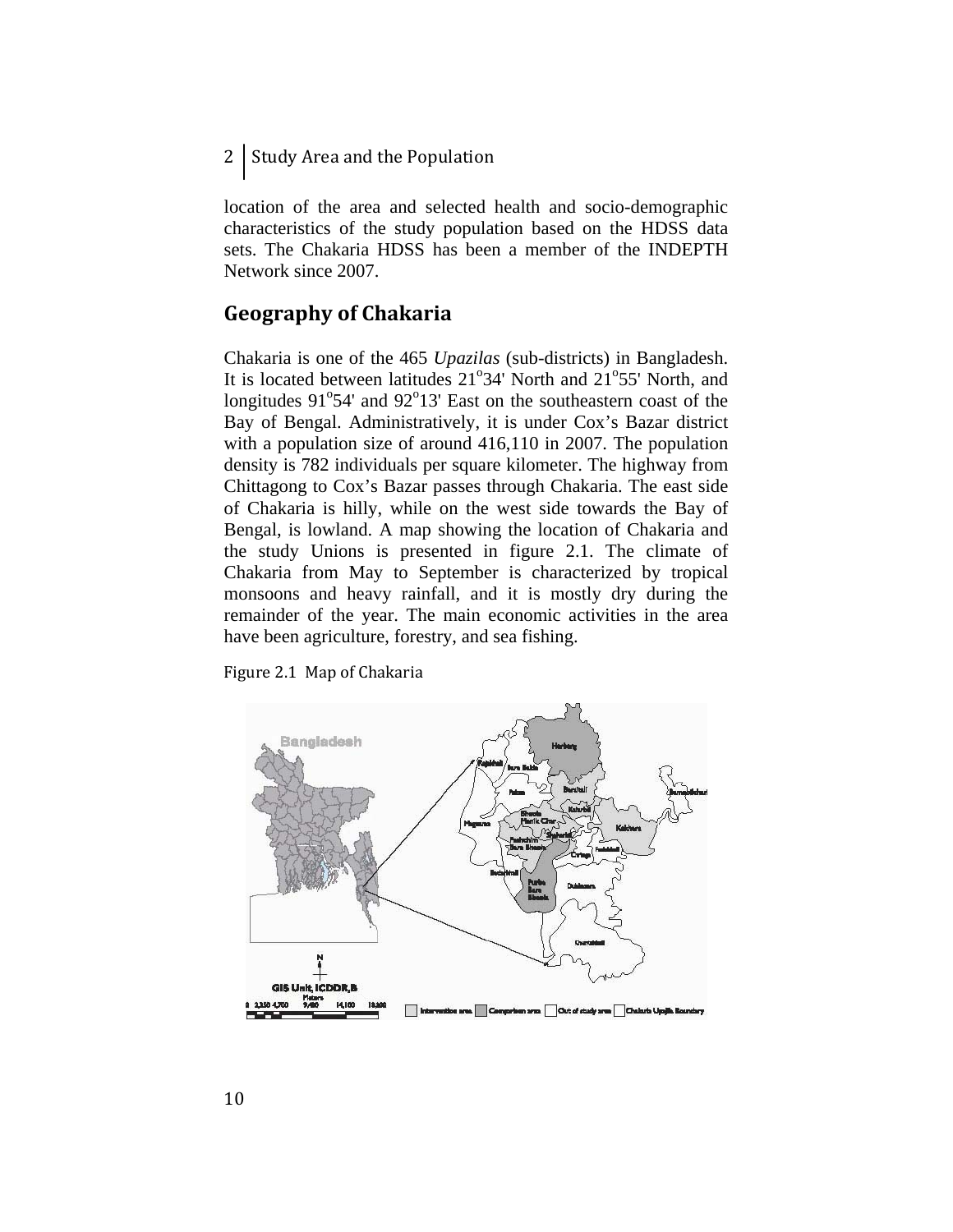2 Study Area and the Population

location of the area and selected health and socio-demographic characteristics of the study population based on the HDSS data sets. The Chakaria HDSS has been a member of the INDEPTH Network since 2007.

### **Geography of Chakaria**

Chakaria is one of the 465 *Upazilas* (sub-districts) in Bangladesh. It is located between latitudes  $21^{\circ}34'$  North and  $21^{\circ}55'$  North, and longitudes  $91^{\circ}54'$  and  $92^{\circ}13'$  East on the southeastern coast of the Bay of Bengal. Administratively, it is under Cox's Bazar district with a population size of around 416,110 in 2007. The population density is 782 individuals per square kilometer. The highway from Chittagong to Cox's Bazar passes through Chakaria. The east side of Chakaria is hilly, while on the west side towards the Bay of Bengal, is lowland. A map showing the location of Chakaria and the study Unions is presented in figure 2.1. The climate of Chakaria from May to September is characterized by tropical monsoons and heavy rainfall, and it is mostly dry during the remainder of the year. The main economic activities in the area have been agriculture, forestry, and sea fishing.

Figure 2.1 Map of Chakaria

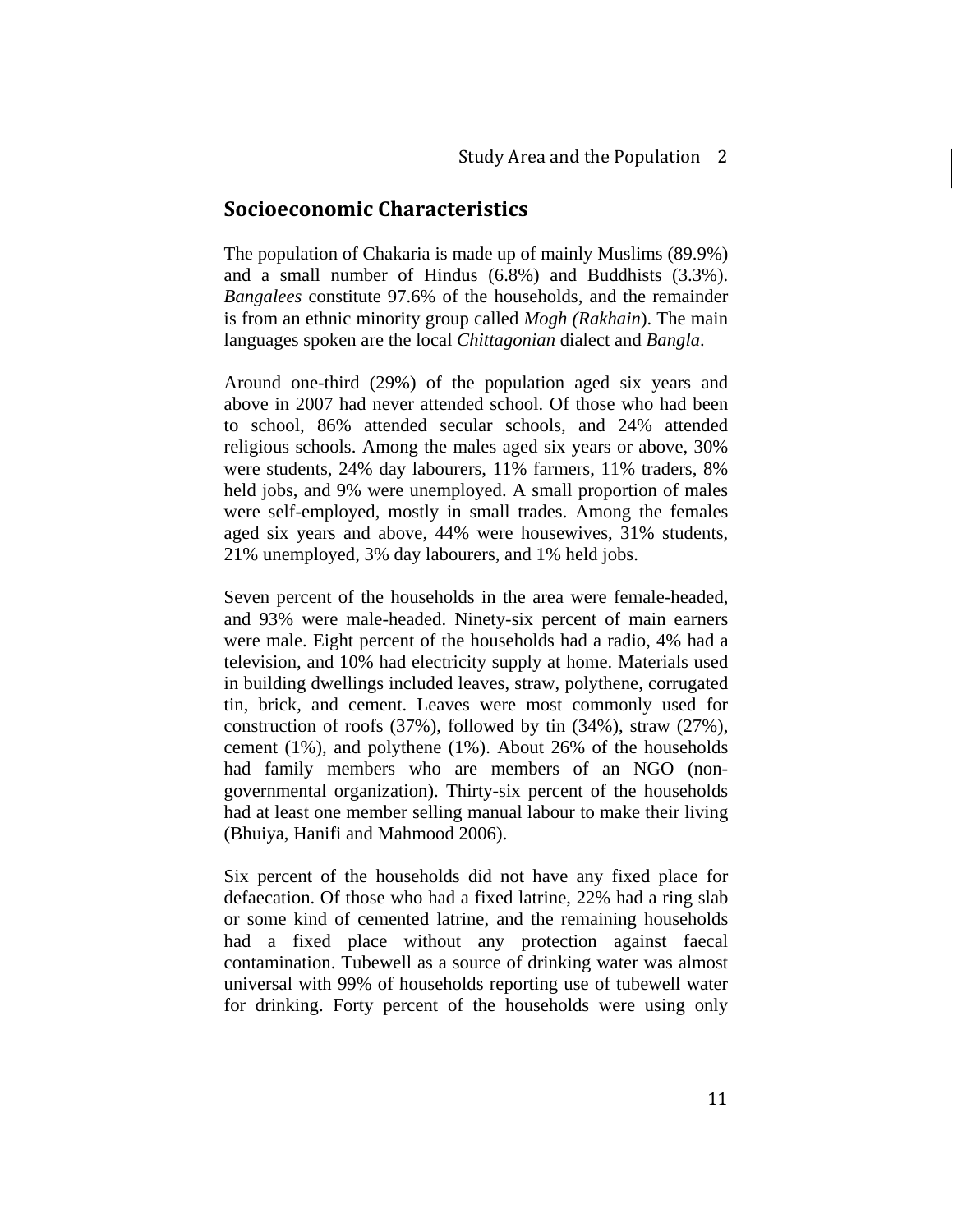### **Socioeconomic Characteristics**

The population of Chakaria is made up of mainly Muslims (89.9%) and a small number of Hindus (6.8%) and Buddhists (3.3%). *Bangalees* constitute 97.6% of the households, and the remainder is from an ethnic minority group called *Mogh (Rakhain*). The main languages spoken are the local *Chittagonian* dialect and *Bangla*.

Around one-third (29%) of the population aged six years and above in 2007 had never attended school. Of those who had been to school, 86% attended secular schools, and 24% attended religious schools. Among the males aged six years or above, 30% were students, 24% day labourers, 11% farmers, 11% traders, 8% held jobs, and 9% were unemployed. A small proportion of males were self-employed, mostly in small trades. Among the females aged six years and above, 44% were housewives, 31% students, 21% unemployed, 3% day labourers, and 1% held jobs.

Seven percent of the households in the area were female-headed, and 93% were male-headed. Ninety-six percent of main earners were male. Eight percent of the households had a radio, 4% had a television, and 10% had electricity supply at home. Materials used in building dwellings included leaves, straw, polythene, corrugated tin, brick, and cement. Leaves were most commonly used for construction of roofs (37%), followed by tin (34%), straw (27%), cement (1%), and polythene (1%). About 26% of the households had family members who are members of an NGO (nongovernmental organization). Thirty-six percent of the households had at least one member selling manual labour to make their living (Bhuiya, Hanifi and Mahmood 2006).

Six percent of the households did not have any fixed place for defaecation. Of those who had a fixed latrine, 22% had a ring slab or some kind of cemented latrine, and the remaining households had a fixed place without any protection against faecal contamination. Tubewell as a source of drinking water was almost universal with 99% of households reporting use of tubewell water for drinking. Forty percent of the households were using only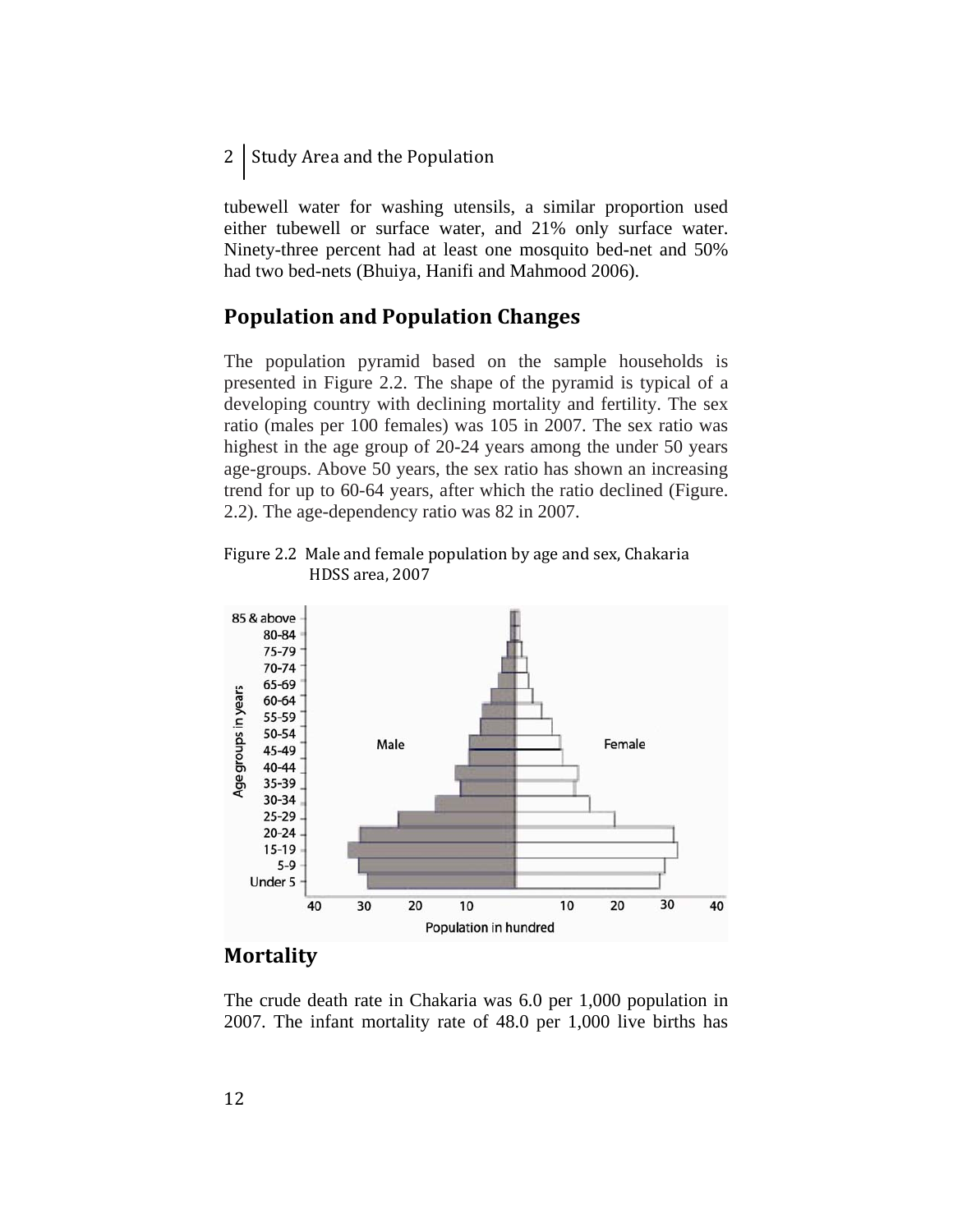2 Study Area and the Population

tubewell water for washing utensils, a similar proportion used either tubewell or surface water, and 21% only surface water. Ninety-three percent had at least one mosquito bed-net and 50% had two bed-nets (Bhuiya, Hanifi and Mahmood 2006).

### **Population and Population Changes**

The population pyramid based on the sample households is presented in Figure 2.2. The shape of the pyramid is typical of a developing country with declining mortality and fertility. The sex ratio (males per 100 females) was 105 in 2007. The sex ratio was highest in the age group of 20-24 years among the under 50 years age-groups. Above 50 years, the sex ratio has shown an increasing trend for up to 60-64 years, after which the ratio declined (Figure. 2.2). The age-dependency ratio was 82 in 2007.

Figure 2.2 Male and female population by age and sex, Chakaria HDSS area, 2007



### **Mortality**

The crude death rate in Chakaria was 6.0 per 1,000 population in 2007. The infant mortality rate of 48.0 per 1,000 live births has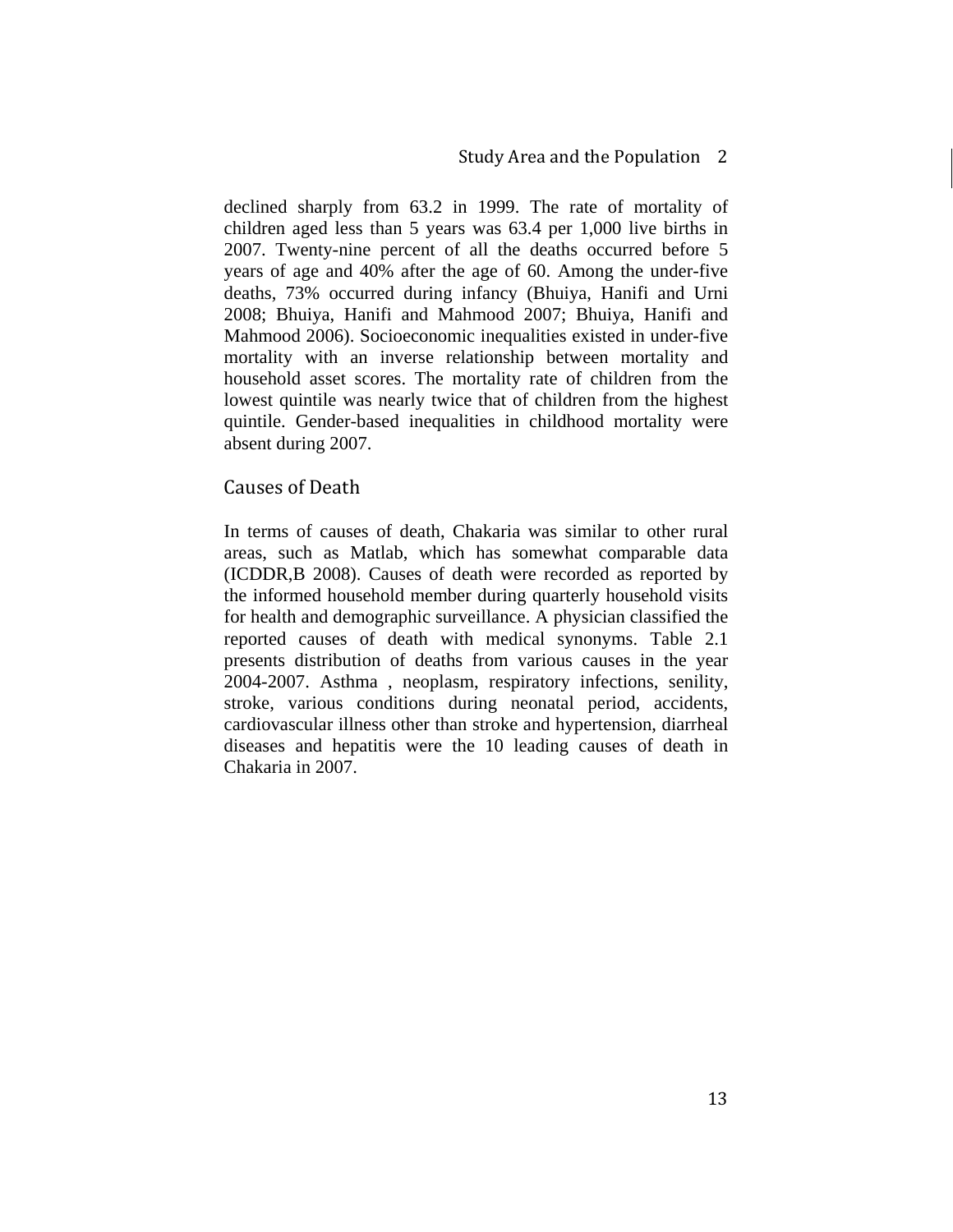declined sharply from 63.2 in 1999. The rate of mortality of children aged less than 5 years was 63.4 per 1,000 live births in 2007. Twenty-nine percent of all the deaths occurred before 5 years of age and 40% after the age of 60. Among the under-five deaths, 73% occurred during infancy (Bhuiya, Hanifi and Urni 2008; Bhuiya, Hanifi and Mahmood 2007; Bhuiya, Hanifi and Mahmood 2006). Socioeconomic inequalities existed in under-five mortality with an inverse relationship between mortality and household asset scores. The mortality rate of children from the lowest quintile was nearly twice that of children from the highest quintile. Gender-based inequalities in childhood mortality were absent during 2007.

#### Causes of Death

In terms of causes of death, Chakaria was similar to other rural areas, such as Matlab, which has somewhat comparable data (ICDDR,B 2008). Causes of death were recorded as reported by the informed household member during quarterly household visits for health and demographic surveillance. A physician classified the reported causes of death with medical synonyms. Table 2.1 presents distribution of deaths from various causes in the year 2004-2007. Asthma , neoplasm, respiratory infections, senility, stroke, various conditions during neonatal period, accidents, cardiovascular illness other than stroke and hypertension, diarrheal diseases and hepatitis were the 10 leading causes of death in Chakaria in 2007.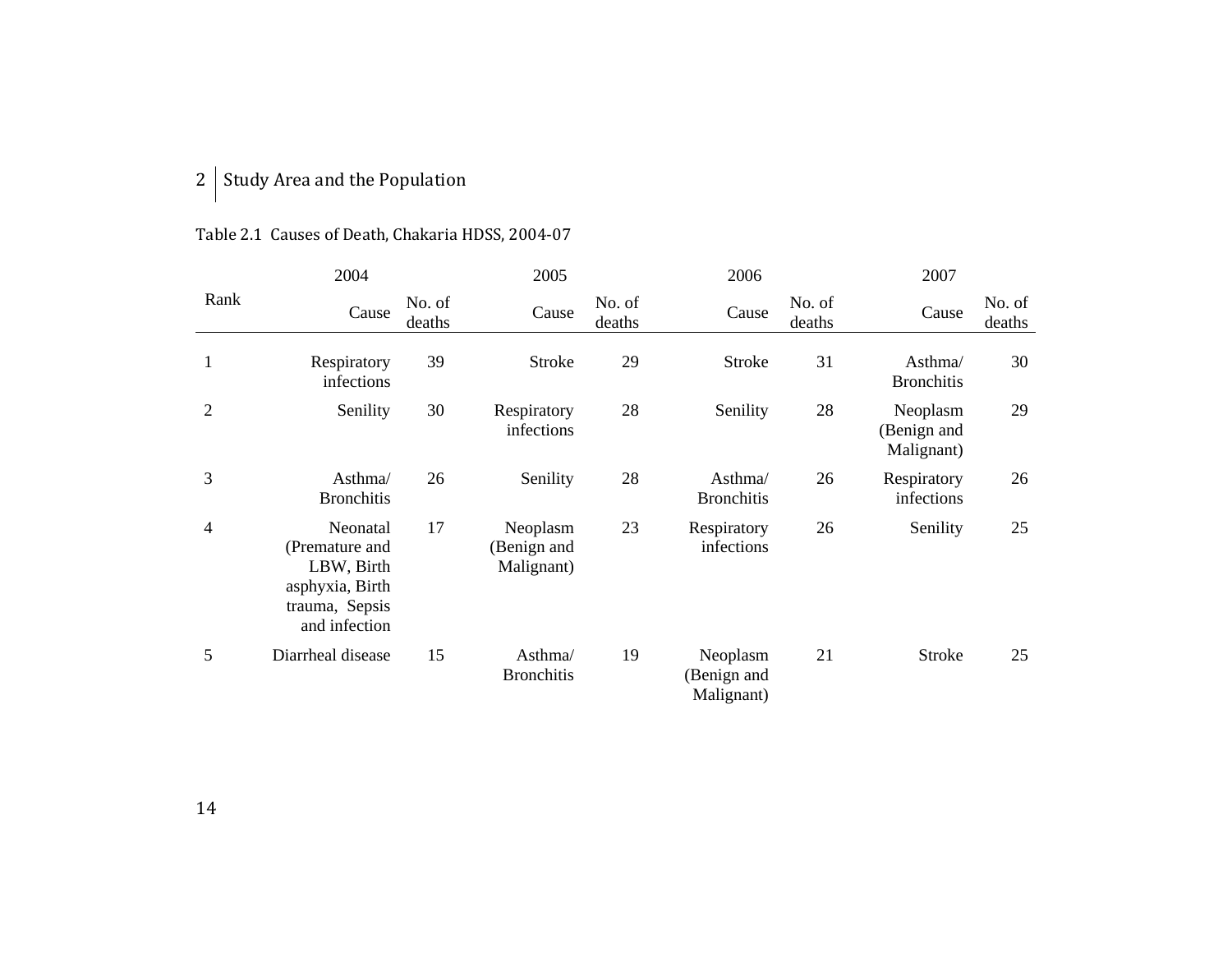### 2 | Study Area and the Population

|              | 2004                                                                                           |                  | 2005                                  |                  | 2006                                  |                  | 2007                                  |                  |
|--------------|------------------------------------------------------------------------------------------------|------------------|---------------------------------------|------------------|---------------------------------------|------------------|---------------------------------------|------------------|
| Rank         | Cause                                                                                          | No. of<br>deaths | Cause                                 | No. of<br>deaths | Cause                                 | No. of<br>deaths | Cause                                 | No. of<br>deaths |
| $\mathbf{1}$ | Respiratory<br>infections                                                                      | 39               | <b>Stroke</b>                         | 29               | Stroke                                | 31               | Asthma/<br><b>Bronchitis</b>          | 30               |
| 2            | Senility                                                                                       | 30               | Respiratory<br>infections             | 28               | Senility                              | 28               | Neoplasm<br>(Benign and<br>Malignant) | 29               |
| 3            | Asthma/<br><b>Bronchitis</b>                                                                   | 26               | Senility                              | 28               | Asthma/<br><b>Bronchitis</b>          | 26               | Respiratory<br>infections             | 26               |
| 4            | Neonatal<br>(Premature and<br>LBW, Birth<br>asphyxia, Birth<br>trauma, Sepsis<br>and infection | 17               | Neoplasm<br>(Benign and<br>Malignant) | 23               | Respiratory<br>infections             | 26               | Senility                              | 25               |
| 5            | Diarrheal disease                                                                              | 15               | Asthma/<br><b>Bronchitis</b>          | 19               | Neoplasm<br>(Benign and<br>Malignant) | 21               | <b>Stroke</b>                         | 25               |

### Table 2.1 Causes of Death, Chakaria HDSS, 2004‐07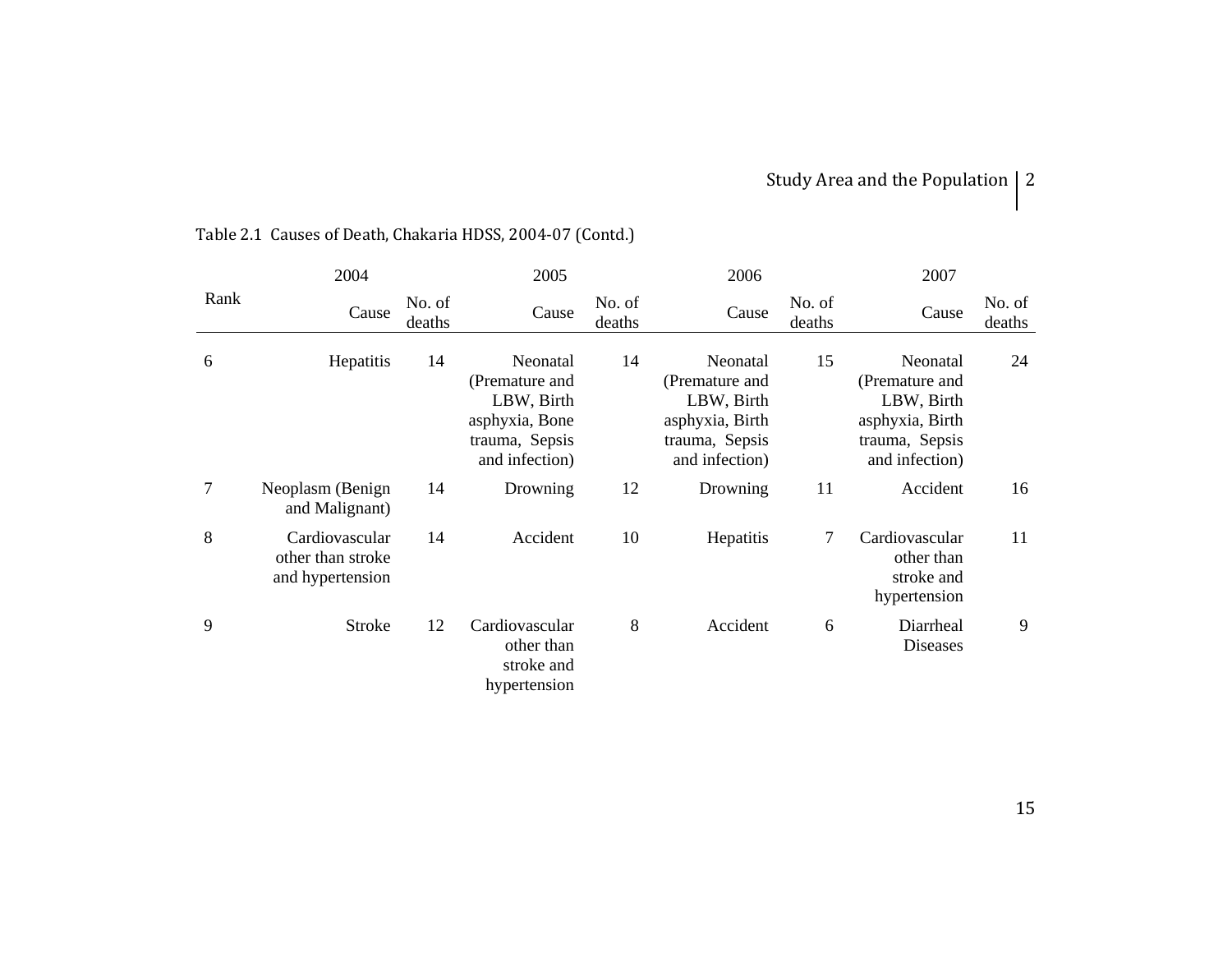## Study Area and the Population  $\vert 2 \vert$

|      | 2004                                                    |                  | 2005                                                                                           |                  | 2006                                                                                            |                  | 2007                                                                                            |                  |
|------|---------------------------------------------------------|------------------|------------------------------------------------------------------------------------------------|------------------|-------------------------------------------------------------------------------------------------|------------------|-------------------------------------------------------------------------------------------------|------------------|
| Rank | Cause                                                   | No. of<br>deaths | Cause                                                                                          | No. of<br>deaths | Cause                                                                                           | No. of<br>deaths | Cause                                                                                           | No. of<br>deaths |
| 6    | Hepatitis                                               | 14               | Neonatal<br>(Premature and<br>LBW, Birth<br>asphyxia, Bone<br>trauma, Sepsis<br>and infection) | 14               | Neonatal<br>(Premature and<br>LBW, Birth<br>asphyxia, Birth<br>trauma, Sepsis<br>and infection) | 15               | Neonatal<br>(Premature and<br>LBW, Birth<br>asphyxia, Birth<br>trauma, Sepsis<br>and infection) | 24               |
| 7    | Neoplasm (Benign<br>and Malignant)                      | 14               | Drowning                                                                                       | 12               | Drowning                                                                                        | 11               | Accident                                                                                        | 16               |
| 8    | Cardiovascular<br>other than stroke<br>and hypertension | 14               | Accident                                                                                       | 10               | Hepatitis                                                                                       | 7                | Cardiovascular<br>other than<br>stroke and<br>hypertension                                      | 11               |
| 9    | <b>Stroke</b>                                           | 12               | Cardiovascular<br>other than<br>stroke and<br>hypertension                                     | 8                | Accident                                                                                        | 6                | Diarrheal<br>Diseases                                                                           | 9                |

## Table 2.1 Causes of Death, Chakaria HDSS, 2004‐07 (Contd.)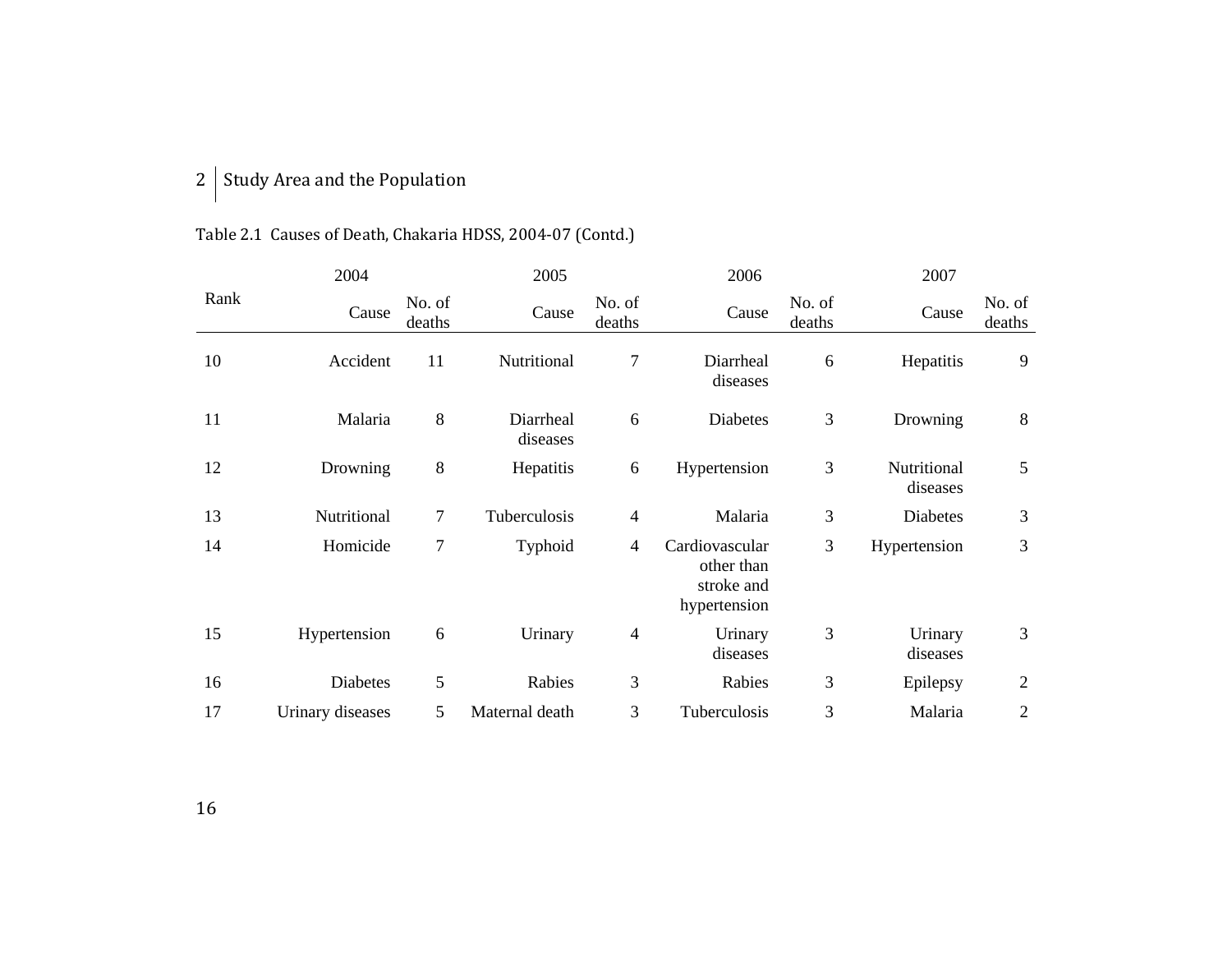### 2 | Study Area and the Population

## Table 2.1 Causes of Death, Chakaria HDSS, 2004‐07 (Contd.)

|      | 2004             |                  | 2005                  |                  | 2006                                                       |                  | 2007                    |                  |
|------|------------------|------------------|-----------------------|------------------|------------------------------------------------------------|------------------|-------------------------|------------------|
| Rank | Cause            | No. of<br>deaths | Cause                 | No. of<br>deaths | Cause                                                      | No. of<br>deaths | Cause                   | No. of<br>deaths |
| 10   | Accident         | 11               | Nutritional           | 7                | Diarrheal<br>diseases                                      | 6                | Hepatitis               | 9                |
| 11   | Malaria          | 8                | Diarrheal<br>diseases | 6                | <b>Diabetes</b>                                            | $\mathfrak{Z}$   | Drowning                | $8\,$            |
| 12   | Drowning         | 8                | Hepatitis             | 6                | Hypertension                                               | 3                | Nutritional<br>diseases | 5                |
| 13   | Nutritional      | $\overline{7}$   | Tuberculosis          | $\overline{4}$   | Malaria                                                    | 3                | Diabetes                | $\mathfrak{Z}$   |
| 14   | Homicide         | $\overline{7}$   | Typhoid               | 4                | Cardiovascular<br>other than<br>stroke and<br>hypertension | 3                | Hypertension            | 3                |
| 15   | Hypertension     | 6                | Urinary               | 4                | Urinary<br>diseases                                        | 3                | Urinary<br>diseases     | 3                |
| 16   | Diabetes         | 5                | Rabies                | 3                | Rabies                                                     | 3                | Epilepsy                | $\mathfrak{2}$   |
| 17   | Urinary diseases | 5                | Maternal death        | 3                | Tuberculosis                                               | 3                | Malaria                 | $\mathbf{2}$     |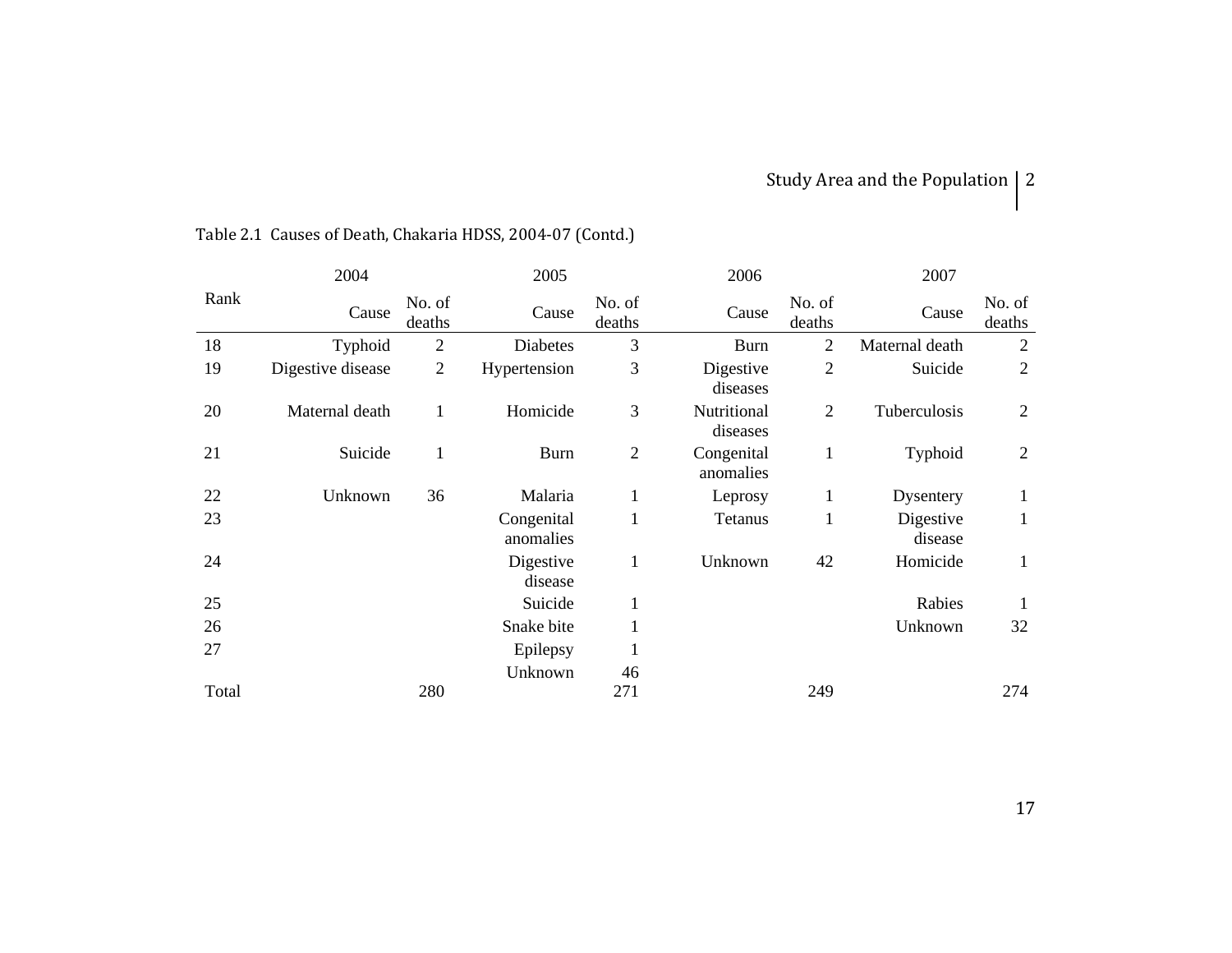## Study Area and the Population  $\vert 2 \vert$

|       | 2004              |                  | 2005                    |                  | 2006                    |                  | 2007                 |                  |
|-------|-------------------|------------------|-------------------------|------------------|-------------------------|------------------|----------------------|------------------|
| Rank  | Cause             | No. of<br>deaths | Cause                   | No. of<br>deaths | Cause                   | No. of<br>deaths | Cause                | No. of<br>deaths |
| 18    | Typhoid           | $\mathbf{2}$     | <b>Diabetes</b>         | 3                | <b>Burn</b>             | $\overline{2}$   | Maternal death       | $\overline{2}$   |
| 19    | Digestive disease | $\overline{2}$   | Hypertension            | 3                | Digestive<br>diseases   | $\overline{2}$   | Suicide              | $\overline{2}$   |
| 20    | Maternal death    | 1                | Homicide                | 3                | Nutritional<br>diseases | $\overline{2}$   | Tuberculosis         | $\overline{2}$   |
| 21    | Suicide           | 1                | <b>Burn</b>             | $\overline{2}$   | Congenital<br>anomalies | $\mathbf{1}$     | Typhoid              | $\overline{2}$   |
| 22    | Unknown           | 36               | Malaria                 | $\mathbf{1}$     | Leprosy                 | 1                | Dysentery            | $\mathbf{1}$     |
| 23    |                   |                  | Congenital<br>anomalies | $\mathbf{1}$     | Tetanus                 | 1                | Digestive<br>disease | $\mathbf{1}$     |
| 24    |                   |                  | Digestive<br>disease    | 1                | Unknown                 | 42               | Homicide             | $\mathbf{1}$     |
| 25    |                   |                  | Suicide                 | 1                |                         |                  | Rabies               | 1                |
| 26    |                   |                  | Snake bite              |                  |                         |                  | Unknown              | 32               |
| 27    |                   |                  | Epilepsy                |                  |                         |                  |                      |                  |
|       |                   |                  | Unknown                 | 46               |                         |                  |                      |                  |
| Total |                   | 280              |                         | 271              |                         | 249              |                      | 274              |

## Table 2.1 Causes of Death, Chakaria HDSS, 2004‐07 (Contd.)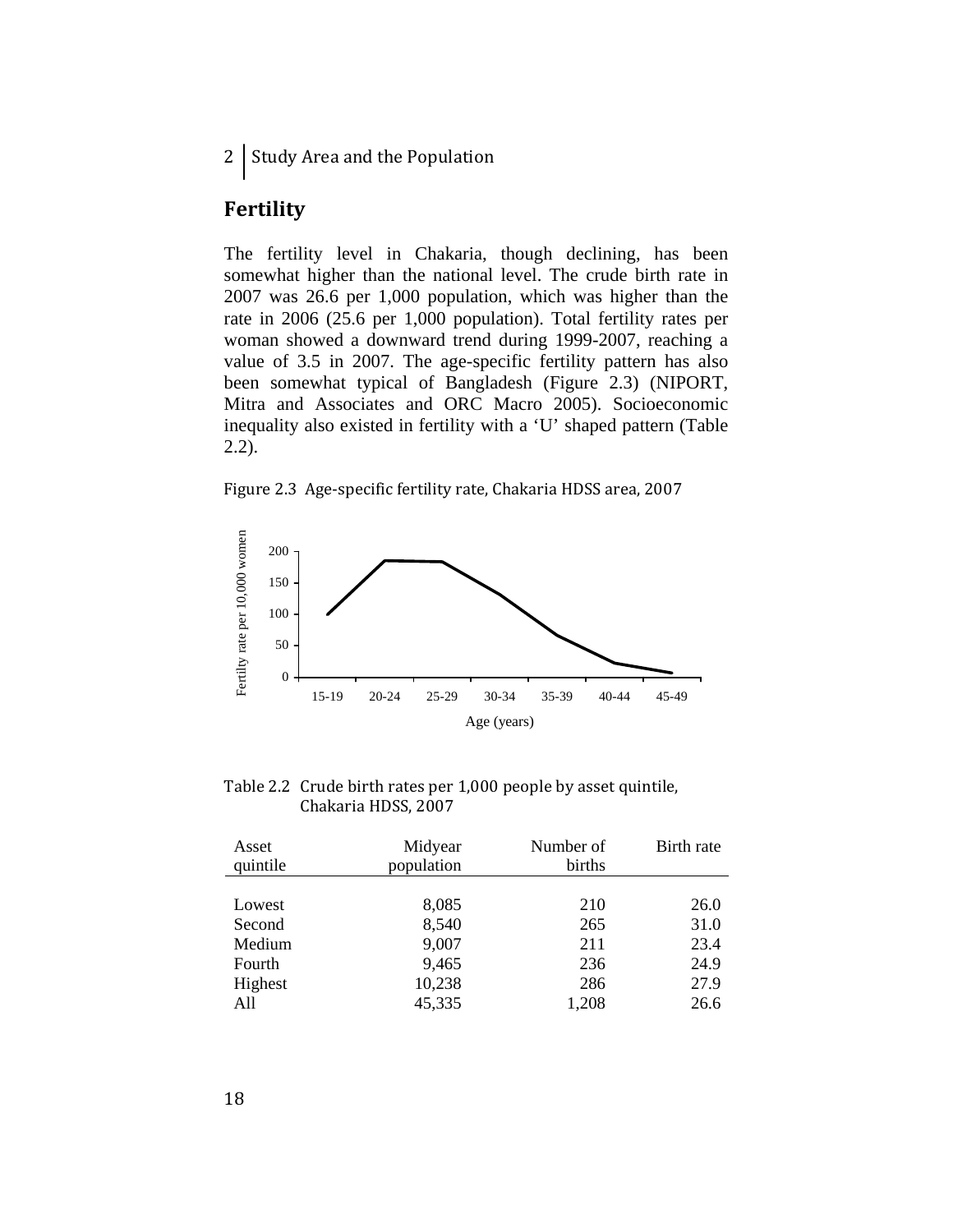2 Study Area and the Population

### **Fertility**

The fertility level in Chakaria, though declining, has been somewhat higher than the national level. The crude birth rate in 2007 was 26.6 per 1,000 population, which was higher than the rate in 2006 (25.6 per 1,000 population). Total fertility rates per woman showed a downward trend during 1999-2007, reaching a value of 3.5 in 2007. The age-specific fertility pattern has also been somewhat typical of Bangladesh (Figure 2.3) (NIPORT, Mitra and Associates and ORC Macro 2005). Socioeconomic inequality also existed in fertility with a 'U' shaped pattern (Table 2.2).

Figure 2.3 Age‐specific fertility rate, Chakaria HDSS area, 2007



Table 2.2 Crude birth rates per 1,000 people by asset quintile, Chakaria HDSS, 2007

| Asset<br>quintile | Midyear<br>population | Number of<br>births | Birth rate |
|-------------------|-----------------------|---------------------|------------|
|                   |                       |                     |            |
| Lowest            | 8,085                 | 210                 | 26.0       |
| Second            | 8,540                 | 265                 | 31.0       |
| Medium            | 9,007                 | 211                 | 23.4       |
| Fourth            | 9,465                 | 236                 | 24.9       |
| Highest           | 10,238                | 286                 | 27.9       |
| All               | 45,335                | 1,208               | 26.6       |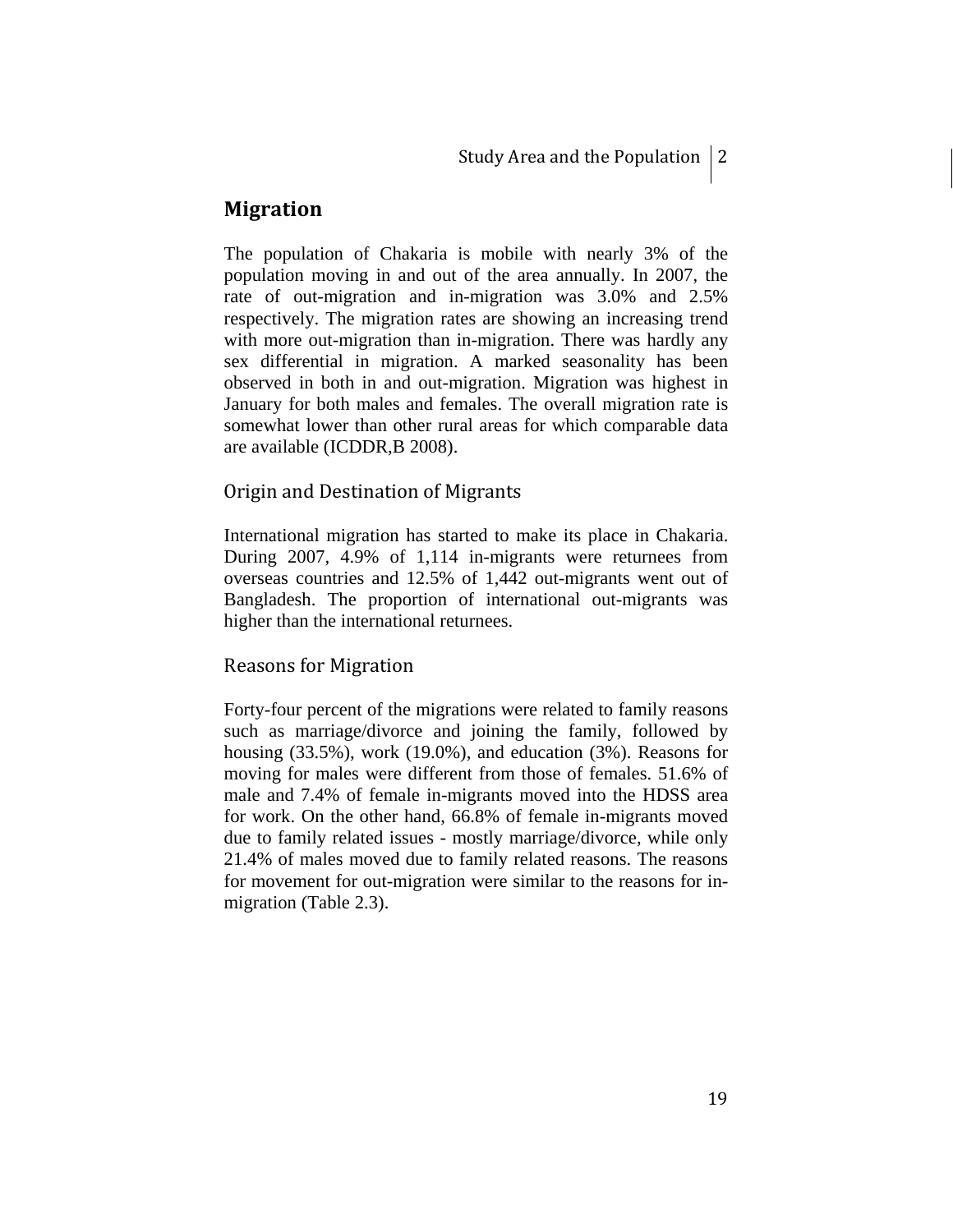### **Migration**

The population of Chakaria is mobile with nearly 3% of the population moving in and out of the area annually. In 2007, the rate of out-migration and in-migration was 3.0% and 2.5% respectively. The migration rates are showing an increasing trend with more out-migration than in-migration. There was hardly any sex differential in migration. A marked seasonality has been observed in both in and out-migration. Migration was highest in January for both males and females. The overall migration rate is somewhat lower than other rural areas for which comparable data are available (ICDDR,B 2008).

#### Origin and Destination of Migrants

International migration has started to make its place in Chakaria. During 2007, 4.9% of 1,114 in-migrants were returnees from overseas countries and 12.5% of 1,442 out-migrants went out of Bangladesh. The proportion of international out-migrants was higher than the international returnees.

#### Reasons for Migration

Forty-four percent of the migrations were related to family reasons such as marriage/divorce and joining the family, followed by housing (33.5%), work (19.0%), and education (3%). Reasons for moving for males were different from those of females. 51.6% of male and 7.4% of female in-migrants moved into the HDSS area for work. On the other hand, 66.8% of female in-migrants moved due to family related issues - mostly marriage/divorce, while only 21.4% of males moved due to family related reasons. The reasons for movement for out-migration were similar to the reasons for inmigration (Table 2.3).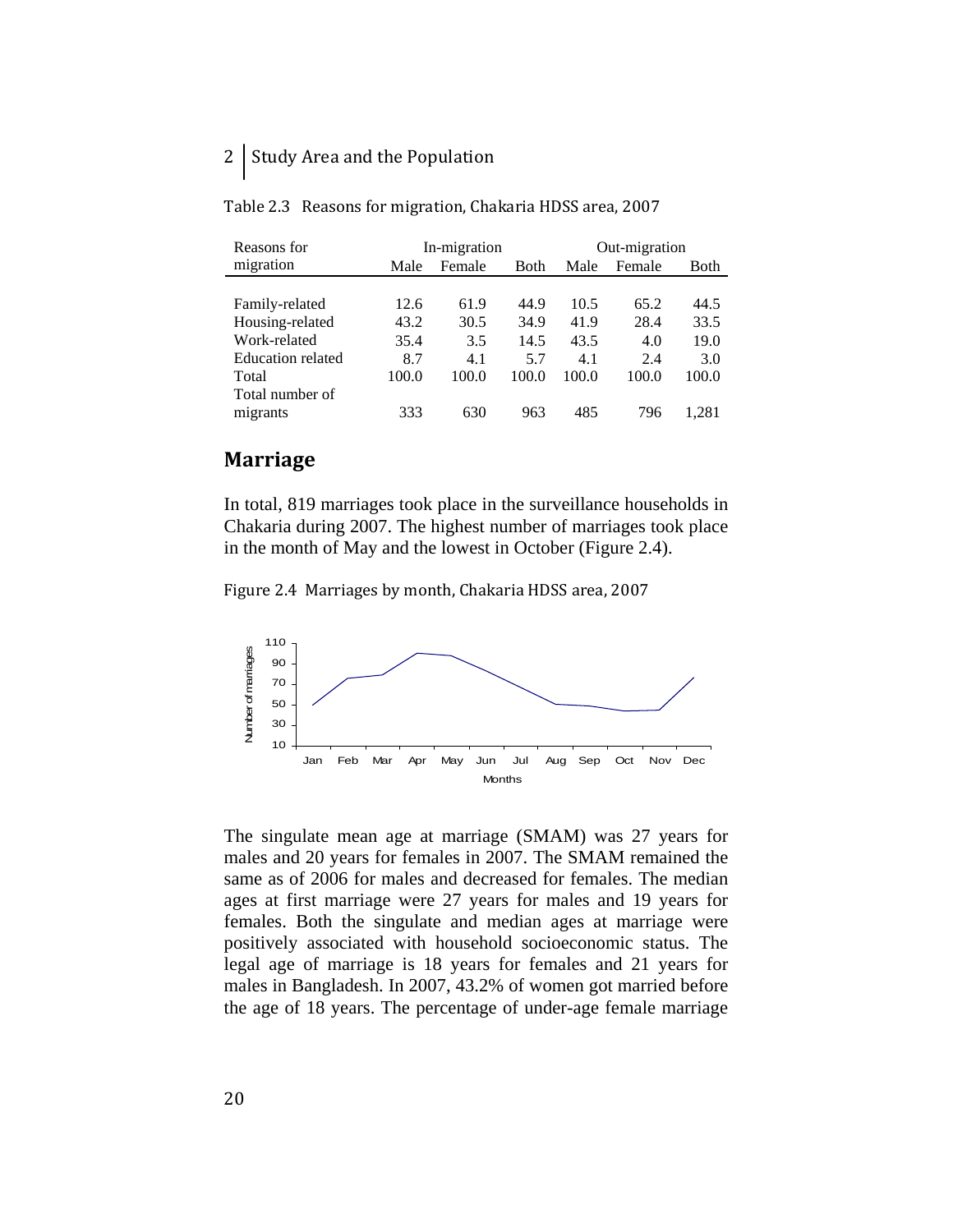### 2 Study Area and the Population

| Reasons for              |       | In-migration |              | Out-migration |        |       |
|--------------------------|-------|--------------|--------------|---------------|--------|-------|
| migration                | Male  | Female       | <b>B</b> oth | Male          | Female | Both  |
|                          |       |              |              |               |        |       |
| Family-related           | 12.6  | 61.9         | 44.9         | 10.5          | 65.2   | 44.5  |
| Housing-related          | 43.2  | 30.5         | 34.9         | 41.9          | 28.4   | 33.5  |
| Work-related             | 35.4  | 3.5          | 14.5         | 43.5          | 4.0    | 19.0  |
| <b>Education related</b> | 8.7   | 4.1          | 5.7          | 4.1           | 2.4    | 3.0   |
| Total                    | 100.0 | 100.0        | 100.0        | 100.0         | 100.0  | 100.0 |
| Total number of          |       |              |              |               |        |       |
| migrants                 | 333   | 630          | 963          | 485           | 796    | .281  |

Table 2.3 Reasons for migration, Chakaria HDSS area, 2007

### **Marriage**

In total, 819 marriages took place in the surveillance households in Chakaria during 2007. The highest number of marriages took place in the month of May and the lowest in October (Figure 2.4).

Figure 2.4 Marriages by month, Chakaria HDSS area, 2007



The singulate mean age at marriage (SMAM) was 27 years for males and 20 years for females in 2007. The SMAM remained the same as of 2006 for males and decreased for females. The median ages at first marriage were 27 years for males and 19 years for females. Both the singulate and median ages at marriage were positively associated with household socioeconomic status. The legal age of marriage is 18 years for females and 21 years for males in Bangladesh. In 2007, 43.2% of women got married before the age of 18 years. The percentage of under-age female marriage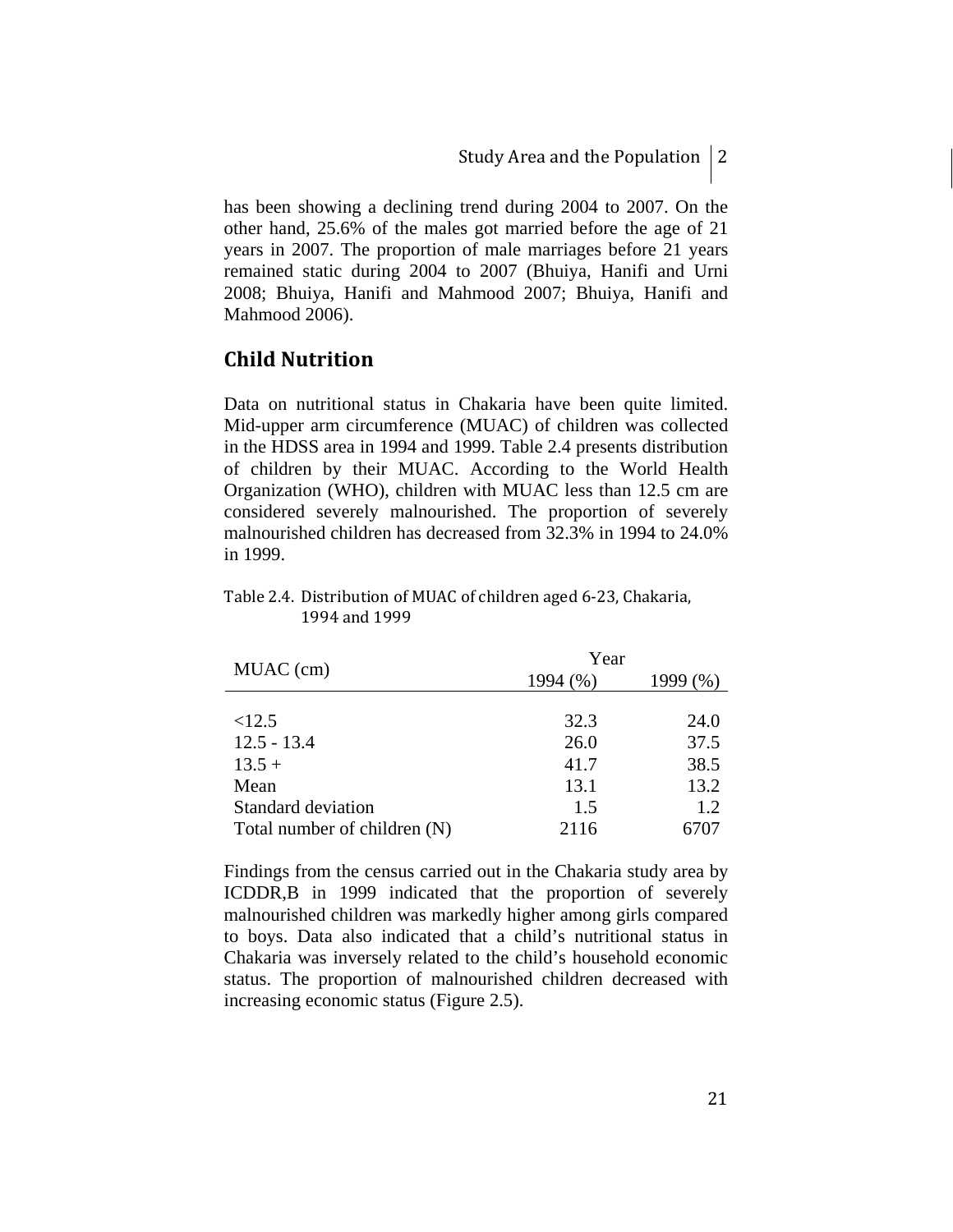has been showing a declining trend during 2004 to 2007. On the other hand, 25.6% of the males got married before the age of 21 years in 2007. The proportion of male marriages before 21 years remained static during 2004 to 2007 (Bhuiya, Hanifi and Urni 2008; Bhuiya, Hanifi and Mahmood 2007; Bhuiya, Hanifi and Mahmood 2006).

### **Child Nutrition**

Data on nutritional status in Chakaria have been quite limited. Mid-upper arm circumference (MUAC) of children was collected in the HDSS area in 1994 and 1999. Table 2.4 presents distribution of children by their MUAC. According to the World Health Organization (WHO), children with MUAC less than 12.5 cm are considered severely malnourished. The proportion of severely malnourished children has decreased from 32.3% in 1994 to 24.0% in 1999.

Table 2.4. Distribution of MUAC of children aged 6‐23, Chakaria, 1994 and 1999

|                              | Year     |      |  |  |  |
|------------------------------|----------|------|--|--|--|
| MUAC (cm)                    | 1994 (%) | 1999 |  |  |  |
|                              |          |      |  |  |  |
| <12.5                        | 32.3     | 24.0 |  |  |  |
| $12.5 - 13.4$                | 26.0     | 37.5 |  |  |  |
| $13.5 +$                     | 41.7     | 38.5 |  |  |  |
| Mean                         | 13.1     | 13.2 |  |  |  |
| Standard deviation           | 1.5      | 1.2  |  |  |  |
| Total number of children (N) | 2116     | 5707 |  |  |  |

Findings from the census carried out in the Chakaria study area by ICDDR,B in 1999 indicated that the proportion of severely malnourished children was markedly higher among girls compared to boys. Data also indicated that a child's nutritional status in Chakaria was inversely related to the child's household economic status. The proportion of malnourished children decreased with increasing economic status (Figure 2.5).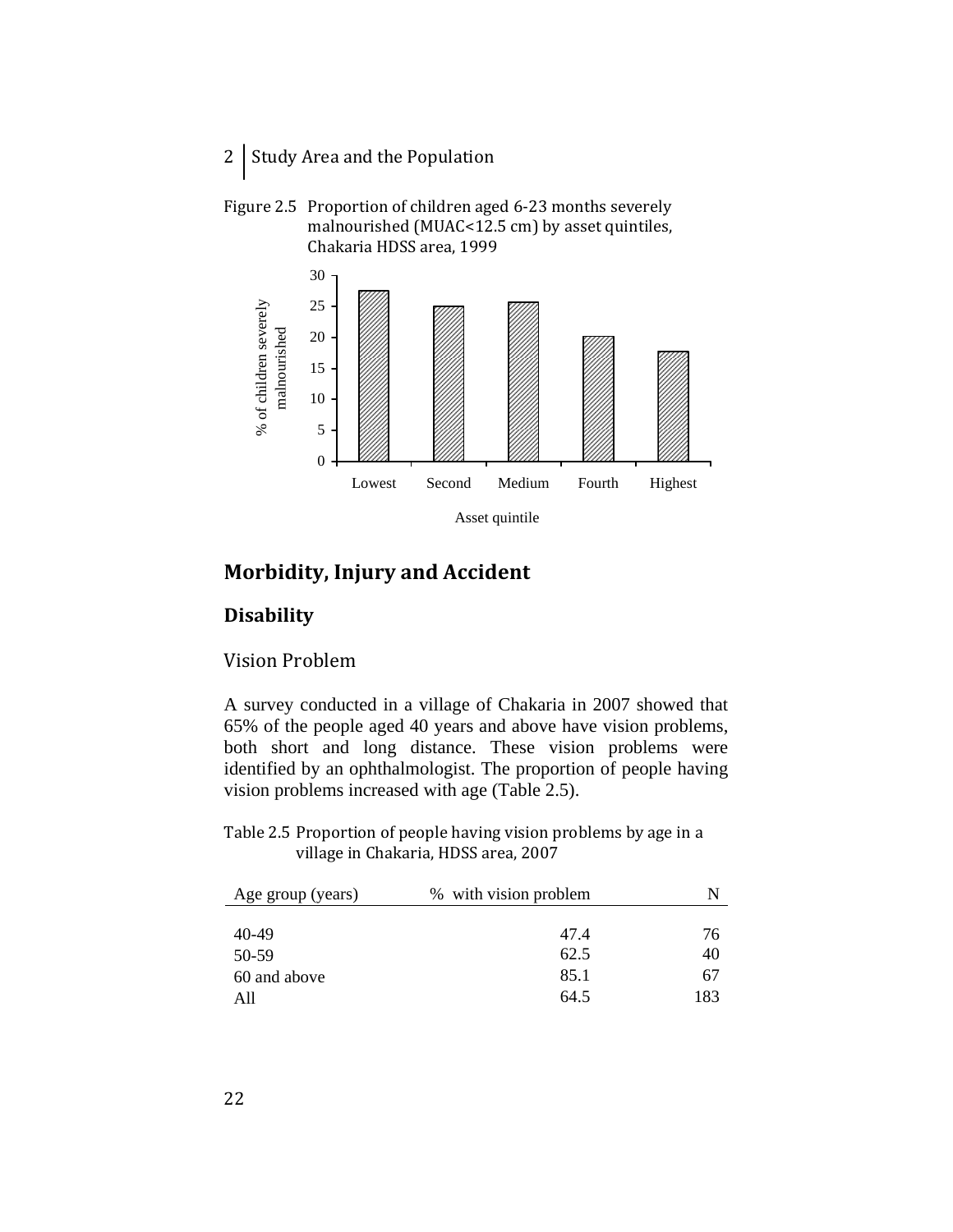- 2 Study Area and the Population
- Figure 2.5 Proportion of children aged 6-23 months severely malnourished (MUAC<12.5 cm) by asset quintiles, Chakaria HDSS area, 1999



### **Morbidity, Injury and Accident**

### **Disability**

### Vision Problem

A survey conducted in a village of Chakaria in 2007 showed that 65% of the people aged 40 years and above have vision problems, both short and long distance. These vision problems were identified by an ophthalmologist. The proportion of people having vision problems increased with age (Table 2.5).

Table 2.5 Proportion of people having vision problems by age in a village in Chakaria, HDSS area, 2007

| % with vision problem | N   |
|-----------------------|-----|
|                       |     |
| 47.4                  | 76  |
| 62.5                  | 40  |
| 85.1                  | 67  |
| 64.5                  | 183 |
|                       |     |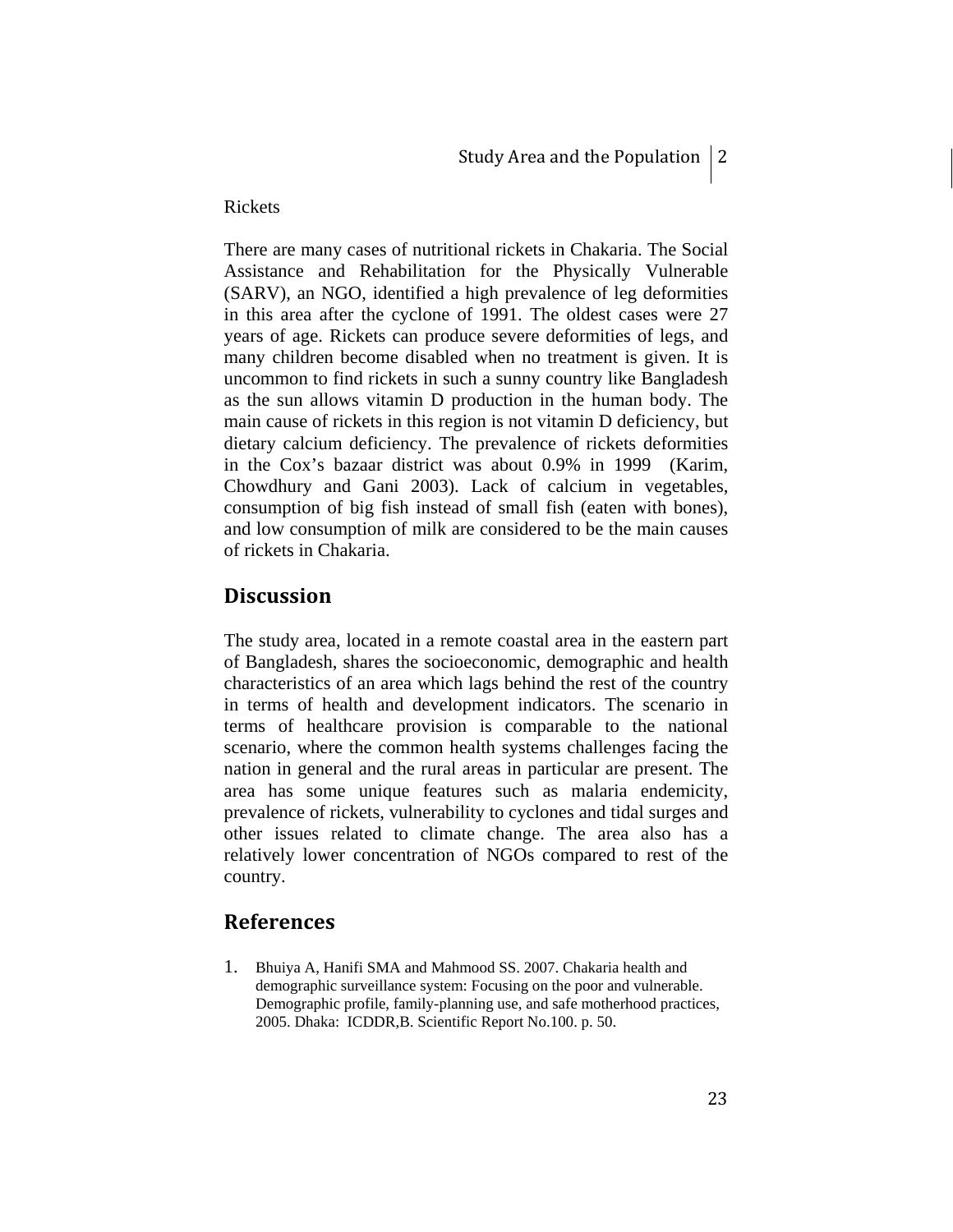#### Rickets

There are many cases of nutritional rickets in Chakaria. The Social Assistance and Rehabilitation for the Physically Vulnerable (SARV), an NGO, identified a high prevalence of leg deformities in this area after the cyclone of 1991. The oldest cases were 27 years of age. Rickets can produce severe deformities of legs, and many children become disabled when no treatment is given. It is uncommon to find rickets in such a sunny country like Bangladesh as the sun allows vitamin D production in the human body. The main cause of rickets in this region is not vitamin D deficiency, but dietary calcium deficiency. The prevalence of rickets deformities in the Cox's bazaar district was about 0.9% in 1999 (Karim, Chowdhury and Gani 2003). Lack of calcium in vegetables, consumption of big fish instead of small fish (eaten with bones), and low consumption of milk are considered to be the main causes of rickets in Chakaria.

### **Discussion**

The study area, located in a remote coastal area in the eastern part of Bangladesh, shares the socioeconomic, demographic and health characteristics of an area which lags behind the rest of the country in terms of health and development indicators. The scenario in terms of healthcare provision is comparable to the national scenario, where the common health systems challenges facing the nation in general and the rural areas in particular are present. The area has some unique features such as malaria endemicity, prevalence of rickets, vulnerability to cyclones and tidal surges and other issues related to climate change. The area also has a relatively lower concentration of NGOs compared to rest of the country.

### **References**

1. Bhuiya A, Hanifi SMA and Mahmood SS. 2007. Chakaria health and demographic surveillance system: Focusing on the poor and vulnerable. Demographic profile, family-planning use, and safe motherhood practices, 2005. Dhaka: ICDDR,B. Scientific Report No.100. p. 50.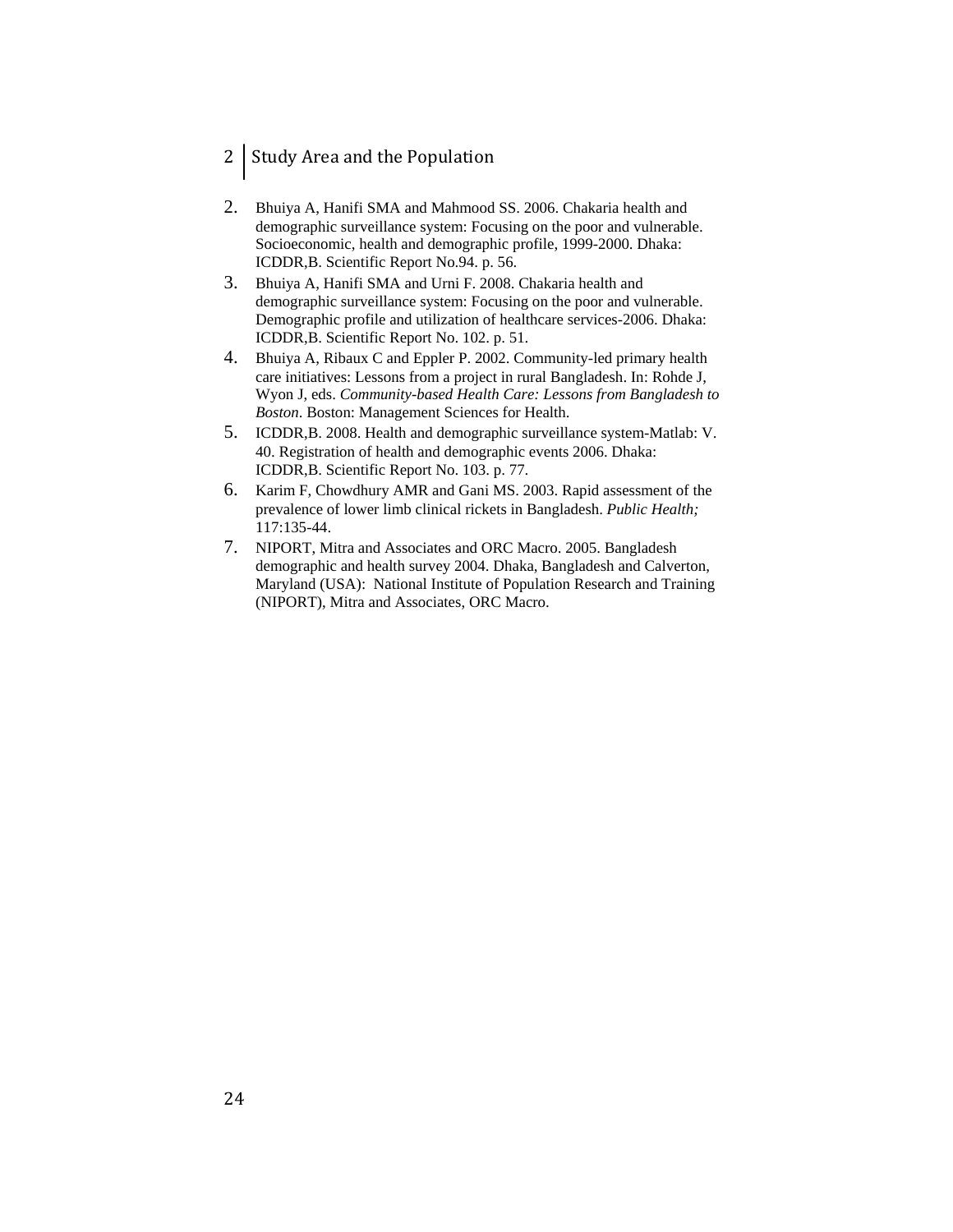### 2 Study Area and the Population

- 2. Bhuiya A, Hanifi SMA and Mahmood SS. 2006. Chakaria health and demographic surveillance system: Focusing on the poor and vulnerable. Socioeconomic, health and demographic profile, 1999-2000. Dhaka: ICDDR,B. Scientific Report No.94. p. 56.
- 3. Bhuiya A, Hanifi SMA and Urni F. 2008. Chakaria health and demographic surveillance system: Focusing on the poor and vulnerable. Demographic profile and utilization of healthcare services-2006. Dhaka: ICDDR,B. Scientific Report No. 102. p. 51.
- 4. Bhuiya A, Ribaux C and Eppler P. 2002. Community-led primary health care initiatives: Lessons from a project in rural Bangladesh. In: Rohde J, Wyon J, eds. *Community-based Health Care: Lessons from Bangladesh to Boston*. Boston: Management Sciences for Health.
- 5. ICDDR,B. 2008. Health and demographic surveillance system-Matlab: V. 40. Registration of health and demographic events 2006. Dhaka: ICDDR,B. Scientific Report No. 103. p. 77.
- 6. Karim F, Chowdhury AMR and Gani MS. 2003. Rapid assessment of the prevalence of lower limb clinical rickets in Bangladesh. *Public Health;* 117:135-44.
- 7. NIPORT, Mitra and Associates and ORC Macro. 2005. Bangladesh demographic and health survey 2004. Dhaka, Bangladesh and Calverton, Maryland (USA): National Institute of Population Research and Training (NIPORT), Mitra and Associates, ORC Macro.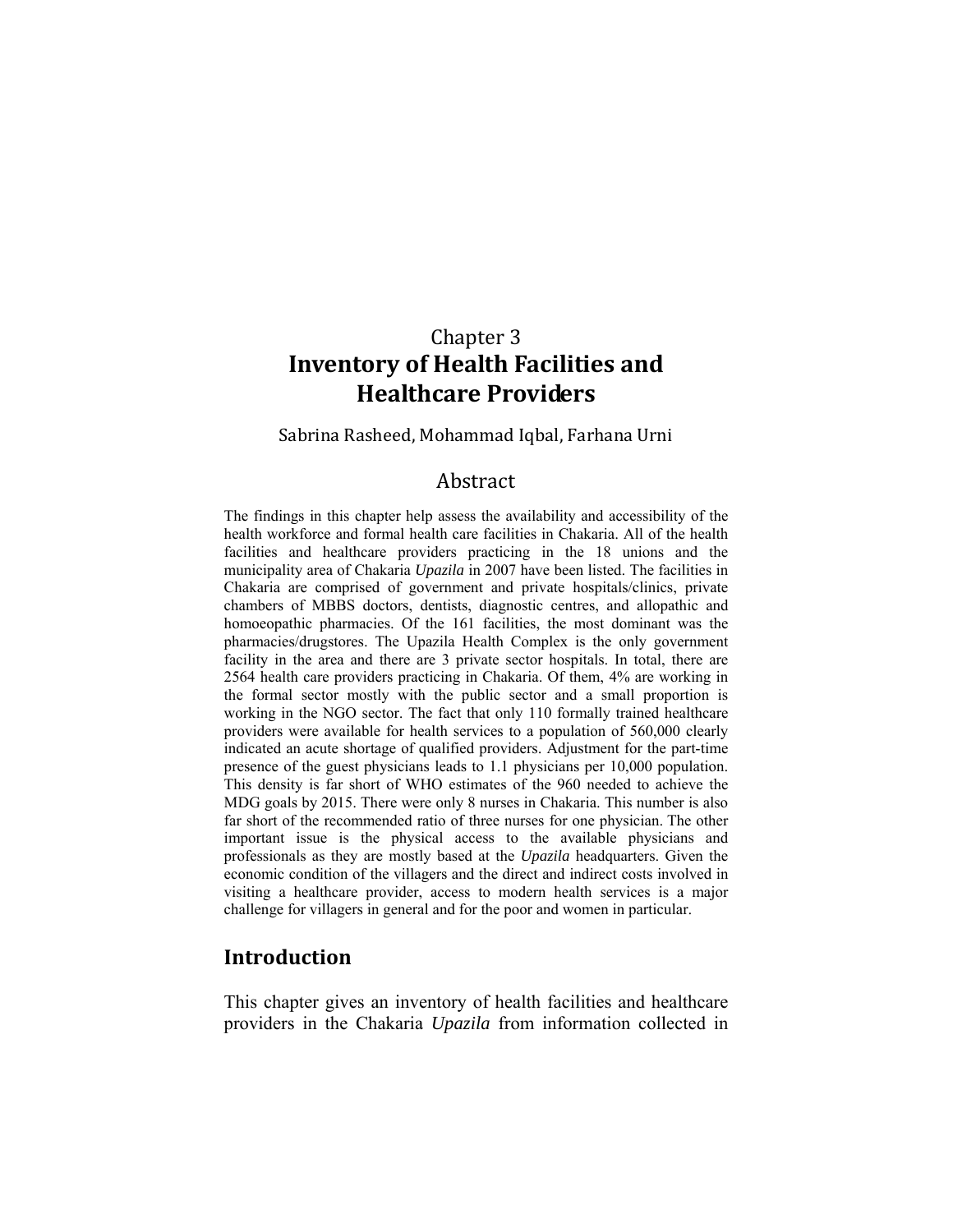## Chapter 3 **Inventory of Health Facilities and Healthcare Providers**

Sabrina Rasheed, Mohammad Iqbal, Farhana Urni

### Abstract

The findings in this chapter help assess the availability and accessibility of the health workforce and formal health care facilities in Chakaria. All of the health facilities and healthcare providers practicing in the 18 unions and the municipality area of Chakaria *Upazila* in 2007 have been listed. The facilities in Chakaria are comprised of government and private hospitals/clinics, private chambers of MBBS doctors, dentists, diagnostic centres, and allopathic and homoeopathic pharmacies. Of the 161 facilities, the most dominant was the pharmacies/drugstores. The Upazila Health Complex is the only government facility in the area and there are 3 private sector hospitals. In total, there are 2564 health care providers practicing in Chakaria. Of them, 4% are working in the formal sector mostly with the public sector and a small proportion is working in the NGO sector. The fact that only 110 formally trained healthcare providers were available for health services to a population of 560,000 clearly indicated an acute shortage of qualified providers. Adjustment for the part-time presence of the guest physicians leads to 1.1 physicians per 10,000 population. This density is far short of WHO estimates of the 960 needed to achieve the MDG goals by 2015. There were only 8 nurses in Chakaria. This number is also far short of the recommended ratio of three nurses for one physician. The other important issue is the physical access to the available physicians and professionals as they are mostly based at the *Upazila* headquarters. Given the economic condition of the villagers and the direct and indirect costs involved in visiting a healthcare provider, access to modern health services is a major challenge for villagers in general and for the poor and women in particular.

### **Introduction**

This chapter gives an inventory of health facilities and healthcare providers in the Chakaria *Upazila* from information collected in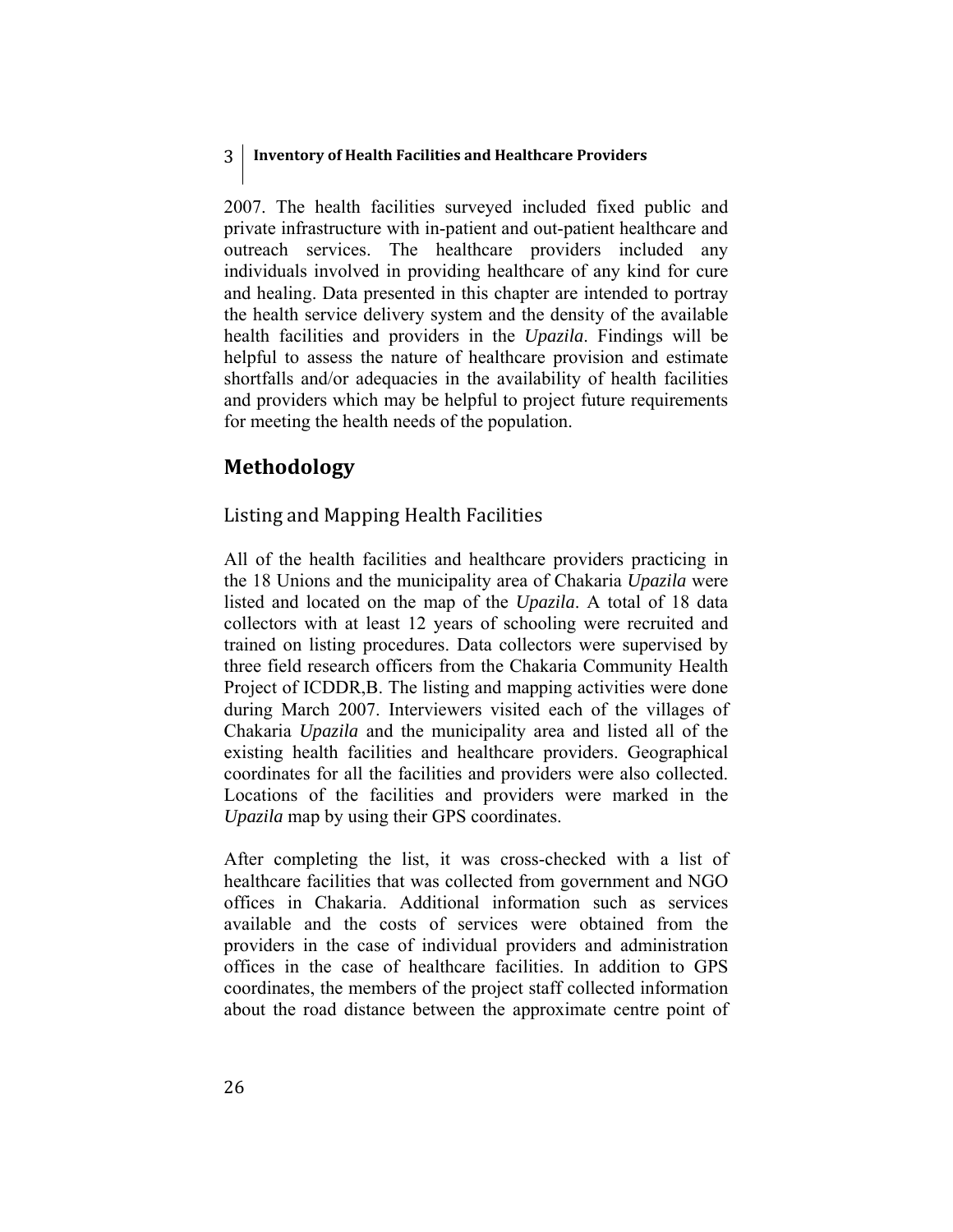### 3 **Inventory of Health Facilities and Healthcare Providers**

2007. The health facilities surveyed included fixed public and private infrastructure with in-patient and out-patient healthcare and outreach services. The healthcare providers included any individuals involved in providing healthcare of any kind for cure and healing. Data presented in this chapter are intended to portray the health service delivery system and the density of the available health facilities and providers in the *Upazila*. Findings will be helpful to assess the nature of healthcare provision and estimate shortfalls and/or adequacies in the availability of health facilities and providers which may be helpful to project future requirements for meeting the health needs of the population.

### **Methodology**

### Listing and Mapping Health Facilities

All of the health facilities and healthcare providers practicing in the 18 Unions and the municipality area of Chakaria *Upazila* were listed and located on the map of the *Upazila*. A total of 18 data collectors with at least 12 years of schooling were recruited and trained on listing procedures. Data collectors were supervised by three field research officers from the Chakaria Community Health Project of ICDDR,B. The listing and mapping activities were done during March 2007. Interviewers visited each of the villages of Chakaria *Upazila* and the municipality area and listed all of the existing health facilities and healthcare providers. Geographical coordinates for all the facilities and providers were also collected. Locations of the facilities and providers were marked in the *Upazila* map by using their GPS coordinates.

After completing the list, it was cross-checked with a list of healthcare facilities that was collected from government and NGO offices in Chakaria. Additional information such as services available and the costs of services were obtained from the providers in the case of individual providers and administration offices in the case of healthcare facilities. In addition to GPS coordinates, the members of the project staff collected information about the road distance between the approximate centre point of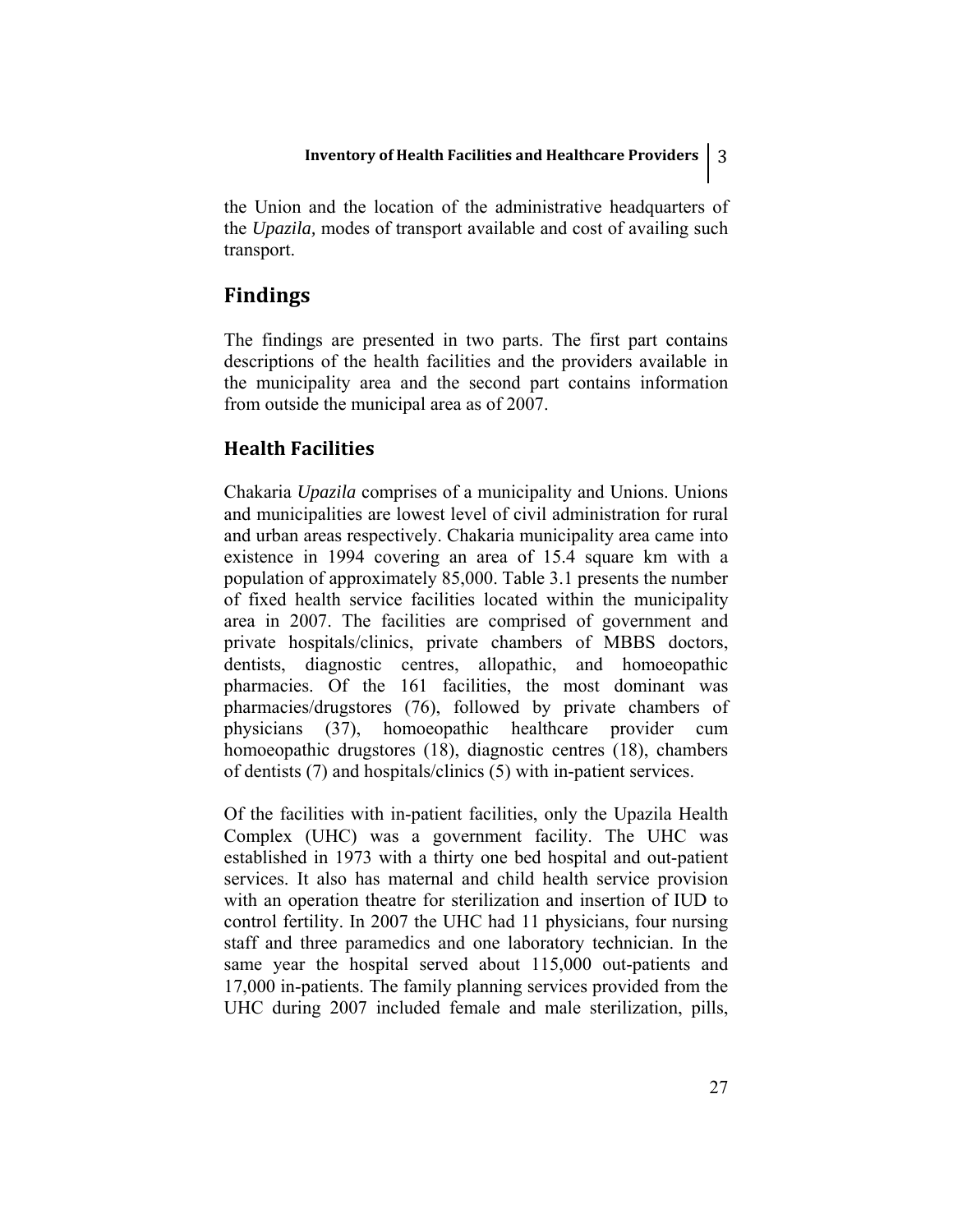the Union and the location of the administrative headquarters of the *Upazila,* modes of transport available and cost of availing such transport.

### **Findings**

The findings are presented in two parts. The first part contains descriptions of the health facilities and the providers available in the municipality area and the second part contains information from outside the municipal area as of 2007.

### **Health Facilities**

Chakaria *Upazila* comprises of a municipality and Unions. Unions and municipalities are lowest level of civil administration for rural and urban areas respectively. Chakaria municipality area came into existence in 1994 covering an area of 15.4 square km with a population of approximately 85,000. Table 3.1 presents the number of fixed health service facilities located within the municipality area in 2007. The facilities are comprised of government and private hospitals/clinics, private chambers of MBBS doctors, dentists, diagnostic centres, allopathic, and homoeopathic pharmacies. Of the 161 facilities, the most dominant was pharmacies/drugstores (76), followed by private chambers of physicians (37), homoeopathic healthcare provider cum homoeopathic drugstores (18), diagnostic centres (18), chambers of dentists (7) and hospitals/clinics (5) with in-patient services.

Of the facilities with in-patient facilities, only the Upazila Health Complex (UHC) was a government facility. The UHC was established in 1973 with a thirty one bed hospital and out-patient services. It also has maternal and child health service provision with an operation theatre for sterilization and insertion of IUD to control fertility. In 2007 the UHC had 11 physicians, four nursing staff and three paramedics and one laboratory technician. In the same year the hospital served about 115,000 out-patients and 17,000 in-patients. The family planning services provided from the UHC during 2007 included female and male sterilization, pills,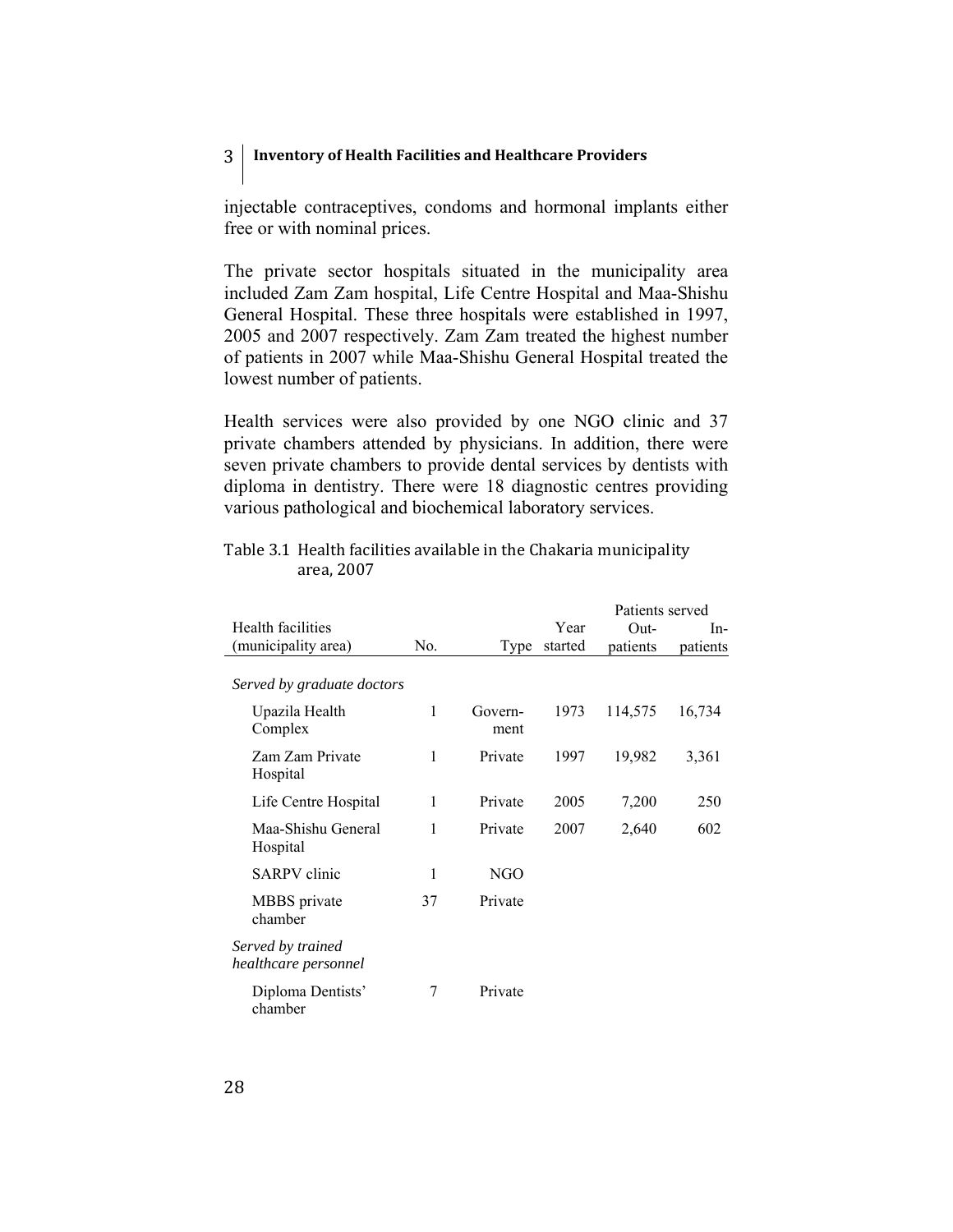injectable contraceptives, condoms and hormonal implants either free or with nominal prices.

The private sector hospitals situated in the municipality area included Zam Zam hospital, Life Centre Hospital and Maa-Shishu General Hospital. These three hospitals were established in 1997, 2005 and 2007 respectively. Zam Zam treated the highest number of patients in 2007 while Maa-Shishu General Hospital treated the lowest number of patients.

Health services were also provided by one NGO clinic and 37 private chambers attended by physicians. In addition, there were seven private chambers to provide dental services by dentists with diploma in dentistry. There were 18 diagnostic centres providing various pathological and biochemical laboratory services.

| Table 3.1 Health facilities available in the Chakaria municipality |  |
|--------------------------------------------------------------------|--|
| area. 2007                                                         |  |
|                                                                    |  |

|                                           |     |                 |         | Patients served |          |
|-------------------------------------------|-----|-----------------|---------|-----------------|----------|
| Health facilities                         |     |                 | Year    | Out-            | $In-$    |
| (municipality area)                       | No. | Type            | started | patients        | patients |
| Served by graduate doctors                |     |                 |         |                 |          |
| Upazila Health<br>Complex                 | 1   | Govern-<br>ment | 1973    | 114,575         | 16,734   |
| Zam Zam Private<br>Hospital               | 1   | Private         | 1997    | 19,982          | 3,361    |
| Life Centre Hospital                      | 1   | Private         | 2005    | 7,200           | 250      |
| Maa-Shishu General<br>Hospital            | 1   | Private         | 2007    | 2,640           | 602      |
| <b>SARPV</b> clinic                       | 1   | NGO             |         |                 |          |
| MBBS private<br>chamber                   | 37  | Private         |         |                 |          |
| Served by trained<br>healthcare personnel |     |                 |         |                 |          |
| Diploma Dentists'<br>chamber              | 7   | Private         |         |                 |          |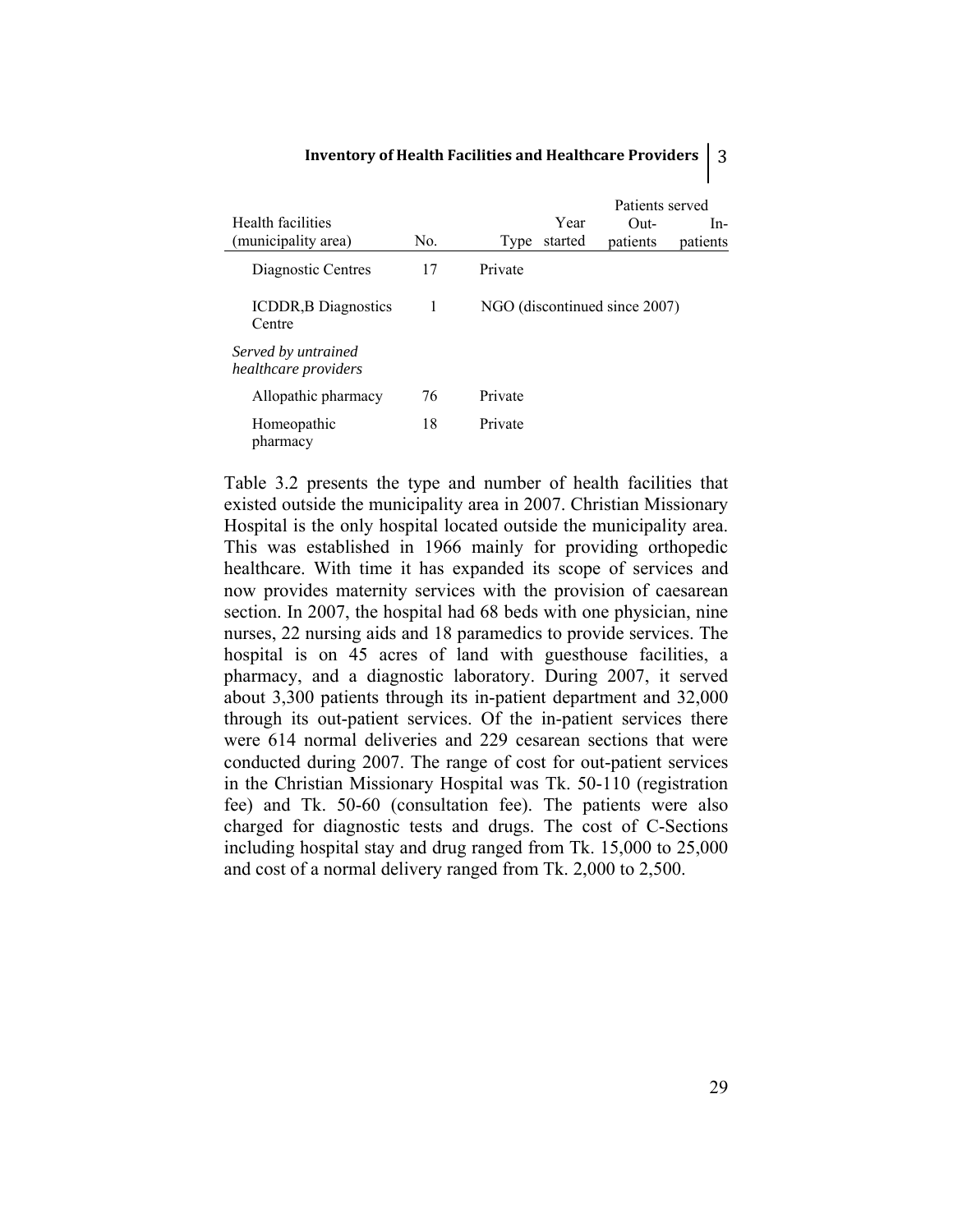|                                             |     | Patients served                         |
|---------------------------------------------|-----|-----------------------------------------|
| Health facilities                           |     | Year<br>In-<br>Out-                     |
| (municipality area)                         | No. | started<br>patients<br>patients<br>Type |
| Diagnostic Centres                          | 17  | Private                                 |
| <b>ICDDR, B Diagnostics</b><br>Centre       | 1   | NGO (discontinued since 2007)           |
| Served by untrained<br>healthcare providers |     |                                         |
| Allopathic pharmacy                         | 76  | Private                                 |
| Homeopathic<br>pharmacy                     | 18  | Private                                 |

Table 3.2 presents the type and number of health facilities that existed outside the municipality area in 2007. Christian Missionary Hospital is the only hospital located outside the municipality area. This was established in 1966 mainly for providing orthopedic healthcare. With time it has expanded its scope of services and now provides maternity services with the provision of caesarean section. In 2007, the hospital had 68 beds with one physician, nine nurses, 22 nursing aids and 18 paramedics to provide services. The hospital is on 45 acres of land with guesthouse facilities, a pharmacy, and a diagnostic laboratory. During 2007, it served about 3,300 patients through its in-patient department and 32,000 through its out-patient services. Of the in-patient services there were 614 normal deliveries and 229 cesarean sections that were conducted during 2007. The range of cost for out-patient services in the Christian Missionary Hospital was Tk. 50-110 (registration fee) and Tk. 50-60 (consultation fee). The patients were also charged for diagnostic tests and drugs. The cost of C-Sections including hospital stay and drug ranged from Tk. 15,000 to 25,000 and cost of a normal delivery ranged from Tk. 2,000 to 2,500.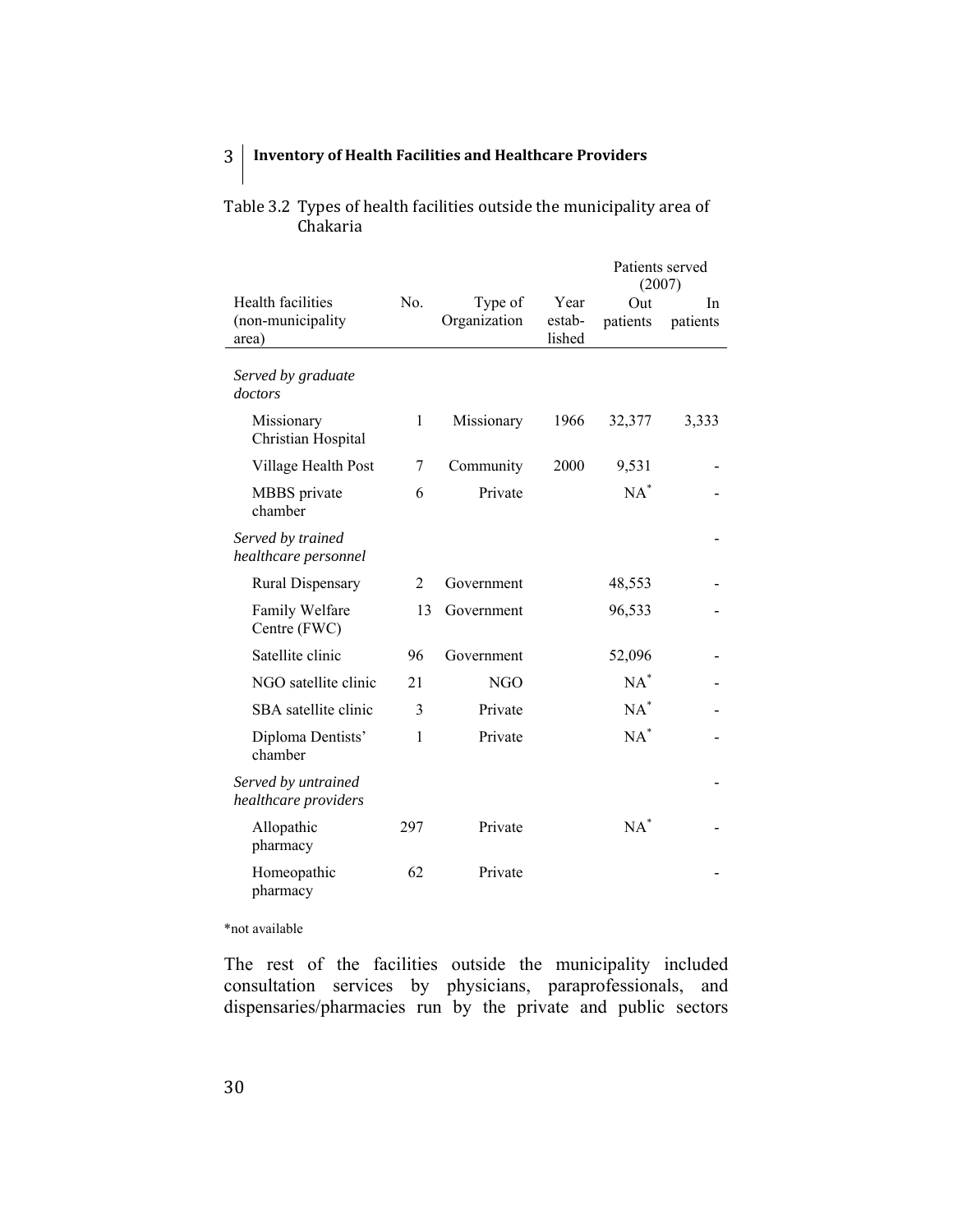|                                                 |     |                         | Patients served<br>(2007) |                 |                |
|-------------------------------------------------|-----|-------------------------|---------------------------|-----------------|----------------|
| Health facilities<br>(non-municipality<br>area) | No. | Type of<br>Organization | Year<br>estab-<br>lished  | Out<br>patients | In<br>patients |
| Served by graduate<br>doctors                   |     |                         |                           |                 |                |
| Missionary<br>Christian Hospital                | 1   | Missionary              | 1966                      | 32,377          | 3,333          |
| Village Health Post                             | 7   | Community               | 2000                      | 9,531           |                |
| MBBS private<br>chamber                         | 6   | Private                 |                           | $NA^*$          |                |
| Served by trained<br>healthcare personnel       |     |                         |                           |                 |                |
| <b>Rural Dispensary</b>                         | 2   | Government              |                           | 48,553          |                |
| Family Welfare<br>Centre (FWC)                  | 13  | Government              |                           | 96,533          |                |
| Satellite clinic                                | 96  | Government              |                           | 52,096          |                |
| NGO satellite clinic                            | 21  | <b>NGO</b>              |                           | $NA^*$          |                |
| SBA satellite clinic                            | 3   | Private                 |                           | $NA^*$          |                |
| Diploma Dentists'<br>chamber                    | 1   | Private                 |                           | $NA^*$          |                |
| Served by untrained<br>healthcare providers     |     |                         |                           |                 |                |
| Allopathic<br>pharmacy                          | 297 | Private                 |                           | $NA^*$          |                |
| Homeopathic<br>pharmacy                         | 62  | Private                 |                           |                 |                |

Table 3.2 Types of health facilities outside the municipality area of

Chakaria

\*not available

The rest of the facilities outside the municipality included consultation services by physicians, paraprofessionals, and dispensaries/pharmacies run by the private and public sectors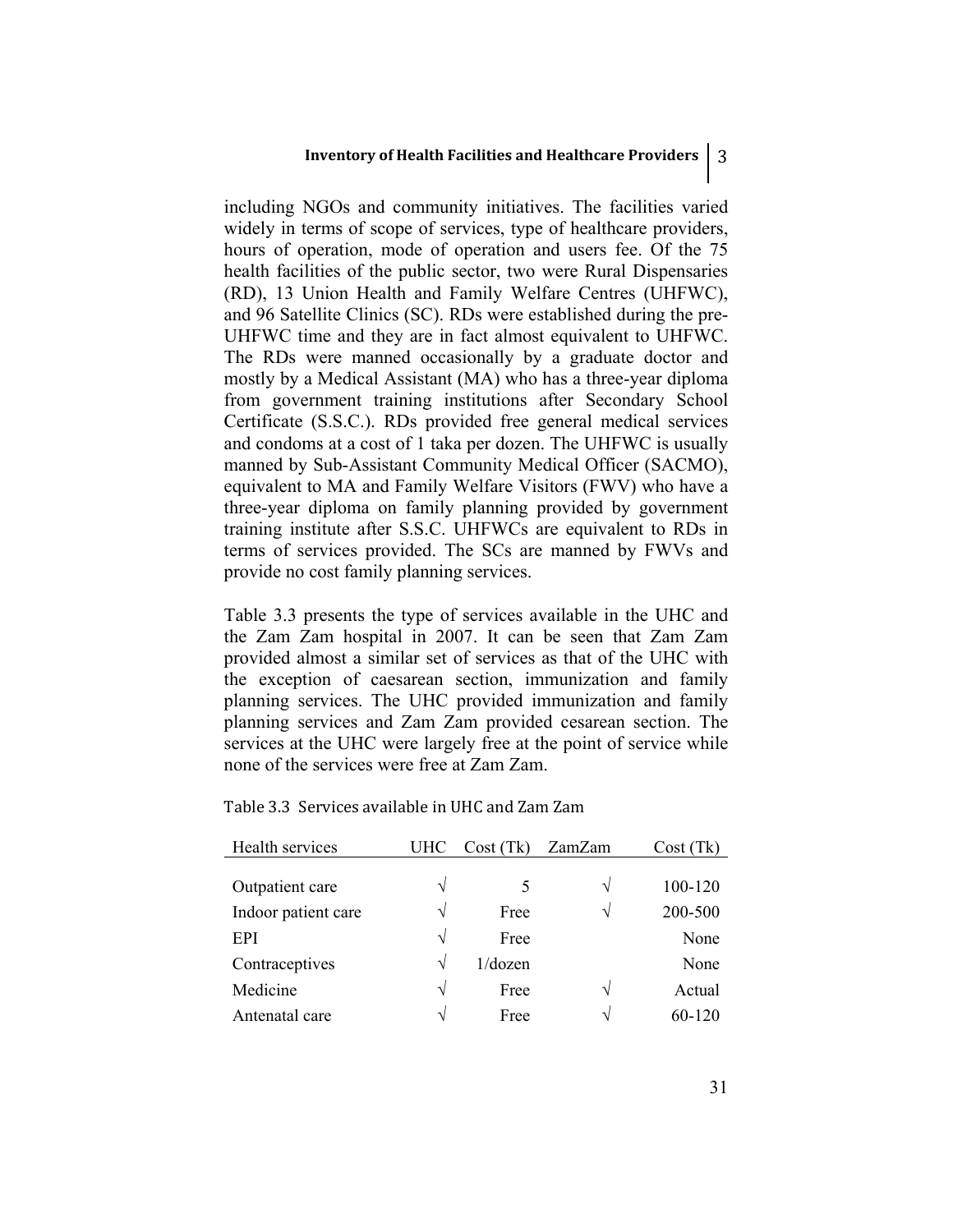including NGOs and community initiatives. The facilities varied widely in terms of scope of services, type of healthcare providers, hours of operation, mode of operation and users fee. Of the 75 health facilities of the public sector, two were Rural Dispensaries (RD), 13 Union Health and Family Welfare Centres (UHFWC), and 96 Satellite Clinics (SC). RDs were established during the pre-UHFWC time and they are in fact almost equivalent to UHFWC. The RDs were manned occasionally by a graduate doctor and mostly by a Medical Assistant (MA) who has a three-year diploma from government training institutions after Secondary School Certificate (S.S.C.). RDs provided free general medical services and condoms at a cost of 1 taka per dozen. The UHFWC is usually manned by Sub-Assistant Community Medical Officer (SACMO), equivalent to MA and Family Welfare Visitors (FWV) who have a three-year diploma on family planning provided by government training institute after S.S.C. UHFWCs are equivalent to RDs in terms of services provided. The SCs are manned by FWVs and provide no cost family planning services.

Table 3.3 presents the type of services available in the UHC and the Zam Zam hospital in 2007. It can be seen that Zam Zam provided almost a similar set of services as that of the UHC with the exception of caesarean section, immunization and family planning services. The UHC provided immunization and family planning services and Zam Zam provided cesarean section. The services at the UHC were largely free at the point of service while none of the services were free at Zam Zam.

| Health services     | UHC        | Cost (Tk) | ZamZam | Cost(Tk)   |
|---------------------|------------|-----------|--------|------------|
|                     |            |           |        |            |
| Outpatient care     | $\sqrt{ }$ | 5         | V      | 100-120    |
| Indoor patient care | $\sqrt{}$  | Free      | V      | 200-500    |
| EPI                 | $\sqrt{ }$ | Free      |        | None       |
| Contraceptives      | $\sqrt{ }$ | 1/dozen   |        | None       |
| Medicine            | $\sqrt{ }$ | Free      | N      | Actual     |
| Antenatal care      | $\sqrt{ }$ | Free      | N      | $60 - 120$ |

Table 3.3 Services available in UHC and Zam Zam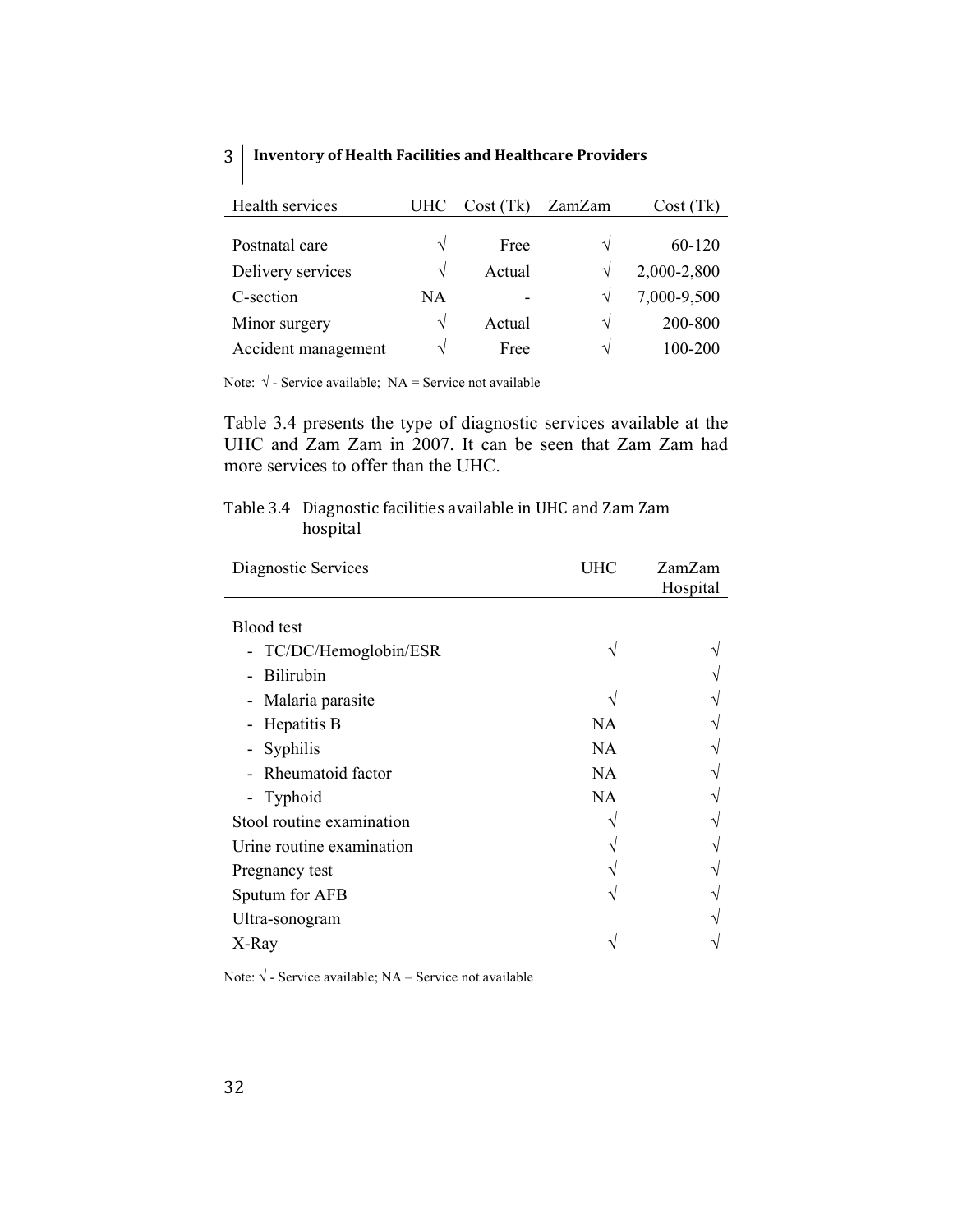| Health services     | UHC           | Cost (Tk) | ZamZam        | Cost(Tk)    |
|---------------------|---------------|-----------|---------------|-------------|
|                     |               |           |               |             |
| Postnatal care      | V             | Free      | N             | 60-120      |
| Delivery services   | N             | Actual    |               | 2,000-2,800 |
| C-section           | NA            |           | $\mathcal{N}$ | 7,000-9,500 |
| Minor surgery       | V             | Actual    | N             | 200-800     |
| Accident management | $\mathcal{N}$ | Free      | اد            | 100-200     |

Note:  $\sqrt{\ }$ - Service available; NA = Service not available

Table 3.4 presents the type of diagnostic services available at the UHC and Zam Zam in 2007. It can be seen that Zam Zam had more services to offer than the UHC.

## Table 3.4 Diagnostic facilities available in UHC and Zam Zam hospital

| UHC       | ZamZam   |
|-----------|----------|
|           | Hospital |
|           |          |
|           |          |
|           |          |
|           |          |
| <b>NA</b> |          |
| NA        |          |
| <b>NA</b> |          |
| <b>NA</b> |          |
|           |          |
|           |          |
|           |          |
|           |          |
|           |          |
|           |          |
|           |          |

Note:  $\sqrt{\ }$ - Service available; NA – Service not available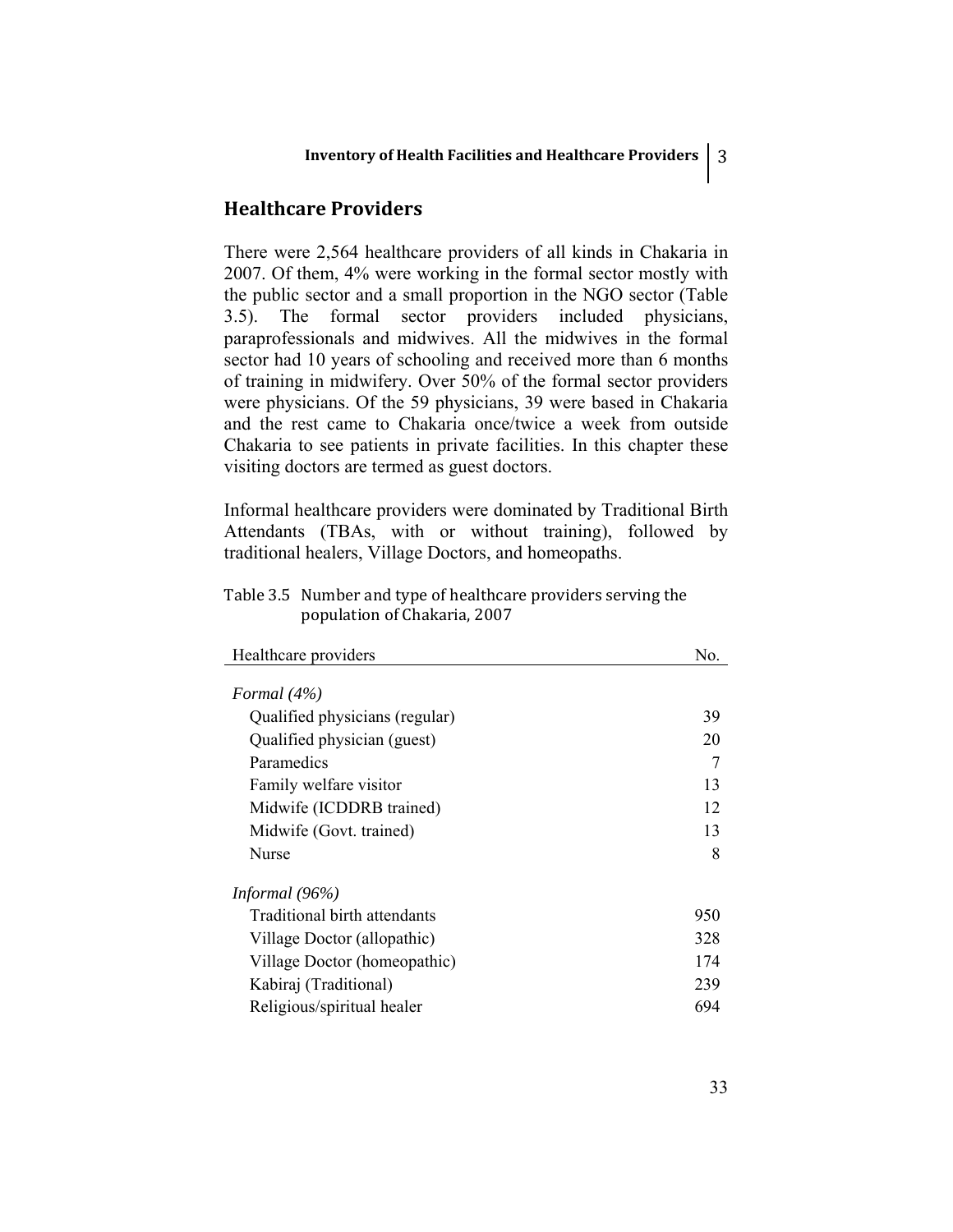## **Healthcare Providers**

There were 2,564 healthcare providers of all kinds in Chakaria in 2007. Of them, 4% were working in the formal sector mostly with the public sector and a small proportion in the NGO sector (Table 3.5). The formal sector providers included physicians, paraprofessionals and midwives. All the midwives in the formal sector had 10 years of schooling and received more than 6 months of training in midwifery. Over 50% of the formal sector providers were physicians. Of the 59 physicians, 39 were based in Chakaria and the rest came to Chakaria once/twice a week from outside Chakaria to see patients in private facilities. In this chapter these visiting doctors are termed as guest doctors.

Informal healthcare providers were dominated by Traditional Birth Attendants (TBAs, with or without training), followed by traditional healers, Village Doctors, and homeopaths.

Table 3.5 Number and type of healthcare providers serving the population of Chakaria, 2007

| Healthcare providers           | No. |
|--------------------------------|-----|
|                                |     |
| Formal $(4%)$                  |     |
| Qualified physicians (regular) | 39  |
| Qualified physician (guest)    | 20  |
| Paramedics                     |     |
| Family welfare visitor         | 13  |
| Midwife (ICDDRB trained)       | 12  |
| Midwife (Govt. trained)        | 13  |
| Nurse                          | 8   |
| Informal $(96\%)$              |     |
| Traditional birth attendants   | 950 |
| Village Doctor (allopathic)    | 328 |
| Village Doctor (homeopathic)   | 174 |
| Kabiraj (Traditional)          | 239 |
| Religious/spiritual healer     | 694 |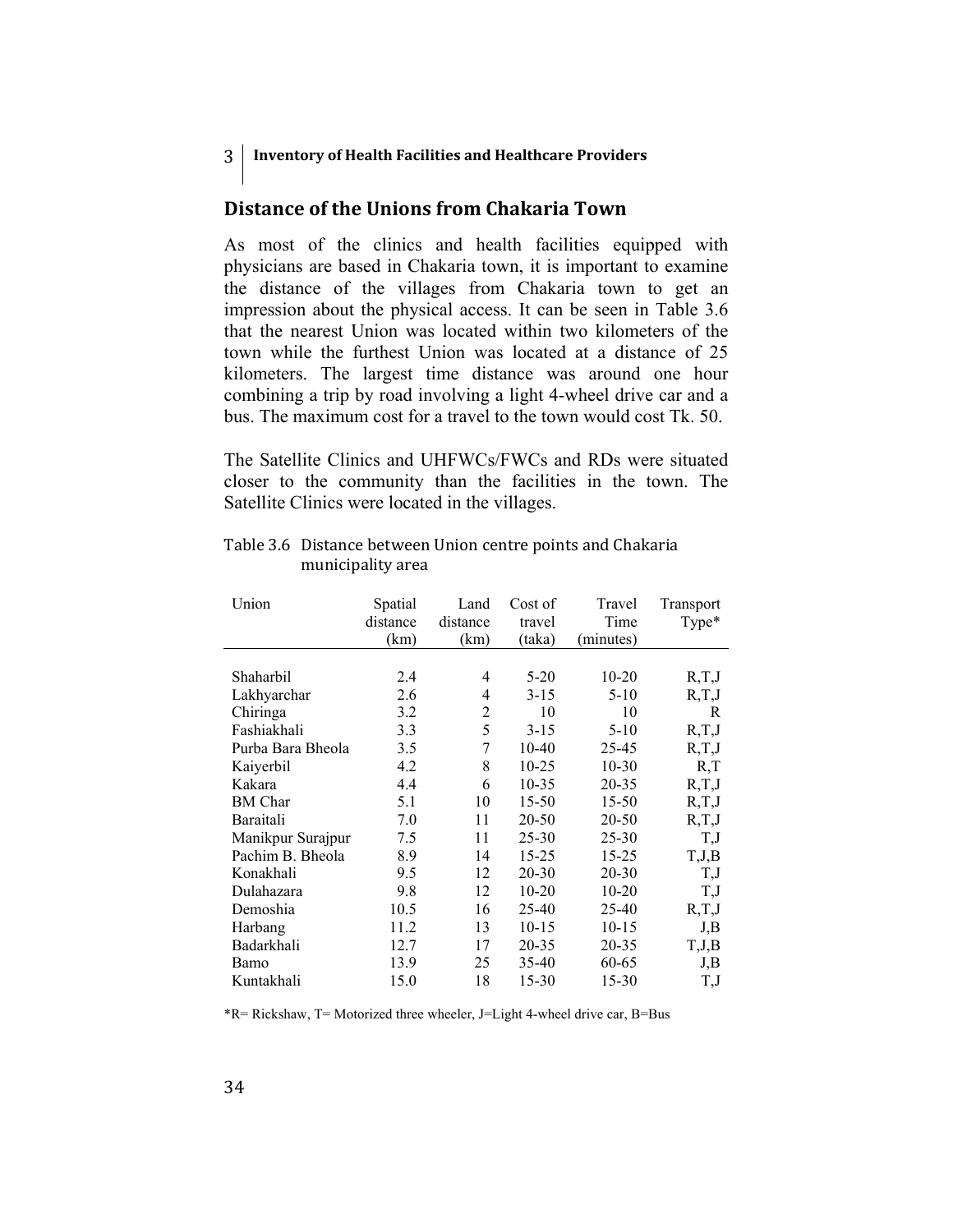## **Distance of the Unions from Chakaria Town**

As most of the clinics and health facilities equipped with physicians are based in Chakaria town, it is important to examine the distance of the villages from Chakaria town to get an impression about the physical access. It can be seen in Table 3.6 that the nearest Union was located within two kilometers of the town while the furthest Union was located at a distance of 25 kilometers. The largest time distance was around one hour combining a trip by road involving a light 4-wheel drive car and a bus. The maximum cost for a travel to the town would cost Tk. 50.

The Satellite Clinics and UHFWCs/FWCs and RDs were situated closer to the community than the facilities in the town. The Satellite Clinics were located in the villages.

| Union             | Spatial<br>distance<br>(km) | Land<br>distance<br>(km) | Cost of<br>travel<br>(taka) | Travel<br>Time<br>(minutes) | Transport<br>Type* |
|-------------------|-----------------------------|--------------------------|-----------------------------|-----------------------------|--------------------|
|                   |                             |                          |                             |                             |                    |
| Shaharbil         | 2.4                         | 4                        | $5-20$                      | $10 - 20$                   | R,T,J              |
| Lakhyarchar       | 2.6                         | 4                        | $3 - 15$                    | $5-10$                      | R,T,J              |
| Chiringa          | 3.2                         | 2                        | 10                          | 10                          | R                  |
| Fashiakhali       | 3.3                         | 5                        | $3 - 15$                    | $5-10$                      | R, T, J            |
| Purba Bara Bheola | 3.5                         | 7                        | 10-40                       | 25-45                       | R, T, J            |
| Kaiyerbil         | 4.2                         | 8                        | 10-25                       | $10-30$                     | R, T               |
| Kakara            | 4.4                         | 6                        | 10-35                       | 20-35                       | R, T, J            |
| <b>BM</b> Char    | 5.1                         | 10                       | 15-50                       | $15 - 50$                   | R, T, J            |
| Baraitali         | 7.0                         | 11                       | 20-50                       | 20-50                       | R, T, J            |
| Manikpur Surajpur | 7.5                         | 11                       | $25 - 30$                   | 25-30                       | T, J               |
| Pachim B. Bheola  | 8.9                         | 14                       | 15-25                       | $15 - 25$                   | T,J,B              |
| Konakhali         | 9.5                         | 12                       | 20-30                       | 20-30                       | T, J               |
| Dulahazara        | 9.8                         | 12                       | $10-20$                     | $10 - 20$                   | T, J               |
| Demoshia          | 10.5                        | 16                       | 25-40                       | 25-40                       | R, T, J            |
| Harbang           | 11.2                        | 13                       | $10 - 15$                   | $10-15$                     | J,B                |
| Badarkhali        | 12.7                        | 17                       | 20-35                       | 20-35                       | $_{\rm T,J,B}$     |
| Bamo              | 13.9                        | 25                       | 35-40                       | 60-65                       | J,B                |
| Kuntakhali        | 15.0                        | 18                       | $15 - 30$                   | 15-30                       | T, J               |

Table 3.6 Distance between Union centre points and Chakaria municipality area

\*R= Rickshaw, T= Motorized three wheeler, J=Light 4-wheel drive car, B=Bus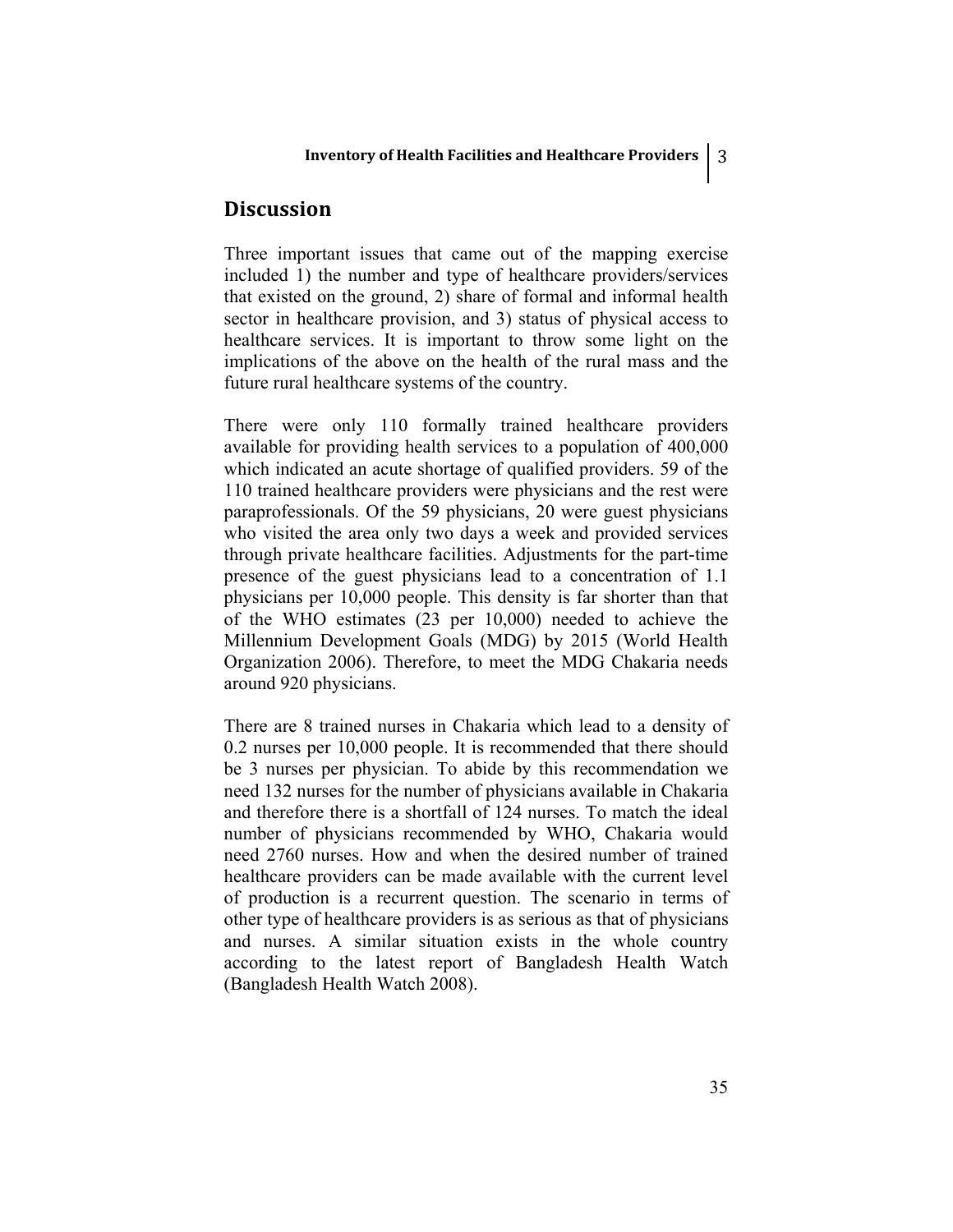## **Discussion**

Three important issues that came out of the mapping exercise included 1) the number and type of healthcare providers/services that existed on the ground, 2) share of formal and informal health sector in healthcare provision, and 3) status of physical access to healthcare services. It is important to throw some light on the implications of the above on the health of the rural mass and the future rural healthcare systems of the country.

There were only 110 formally trained healthcare providers available for providing health services to a population of 400,000 which indicated an acute shortage of qualified providers. 59 of the 110 trained healthcare providers were physicians and the rest were paraprofessionals. Of the 59 physicians, 20 were guest physicians who visited the area only two days a week and provided services through private healthcare facilities. Adjustments for the part-time presence of the guest physicians lead to a concentration of 1.1 physicians per 10,000 people. This density is far shorter than that of the WHO estimates (23 per 10,000) needed to achieve the Millennium Development Goals (MDG) by 2015 (World Health Organization 2006). Therefore, to meet the MDG Chakaria needs around 920 physicians.

There are 8 trained nurses in Chakaria which lead to a density of 0.2 nurses per 10,000 people. It is recommended that there should be 3 nurses per physician. To abide by this recommendation we need 132 nurses for the number of physicians available in Chakaria and therefore there is a shortfall of 124 nurses. To match the ideal number of physicians recommended by WHO, Chakaria would need 2760 nurses. How and when the desired number of trained healthcare providers can be made available with the current level of production is a recurrent question. The scenario in terms of other type of healthcare providers is as serious as that of physicians and nurses. A similar situation exists in the whole country according to the latest report of Bangladesh Health Watch (Bangladesh Health Watch 2008).

35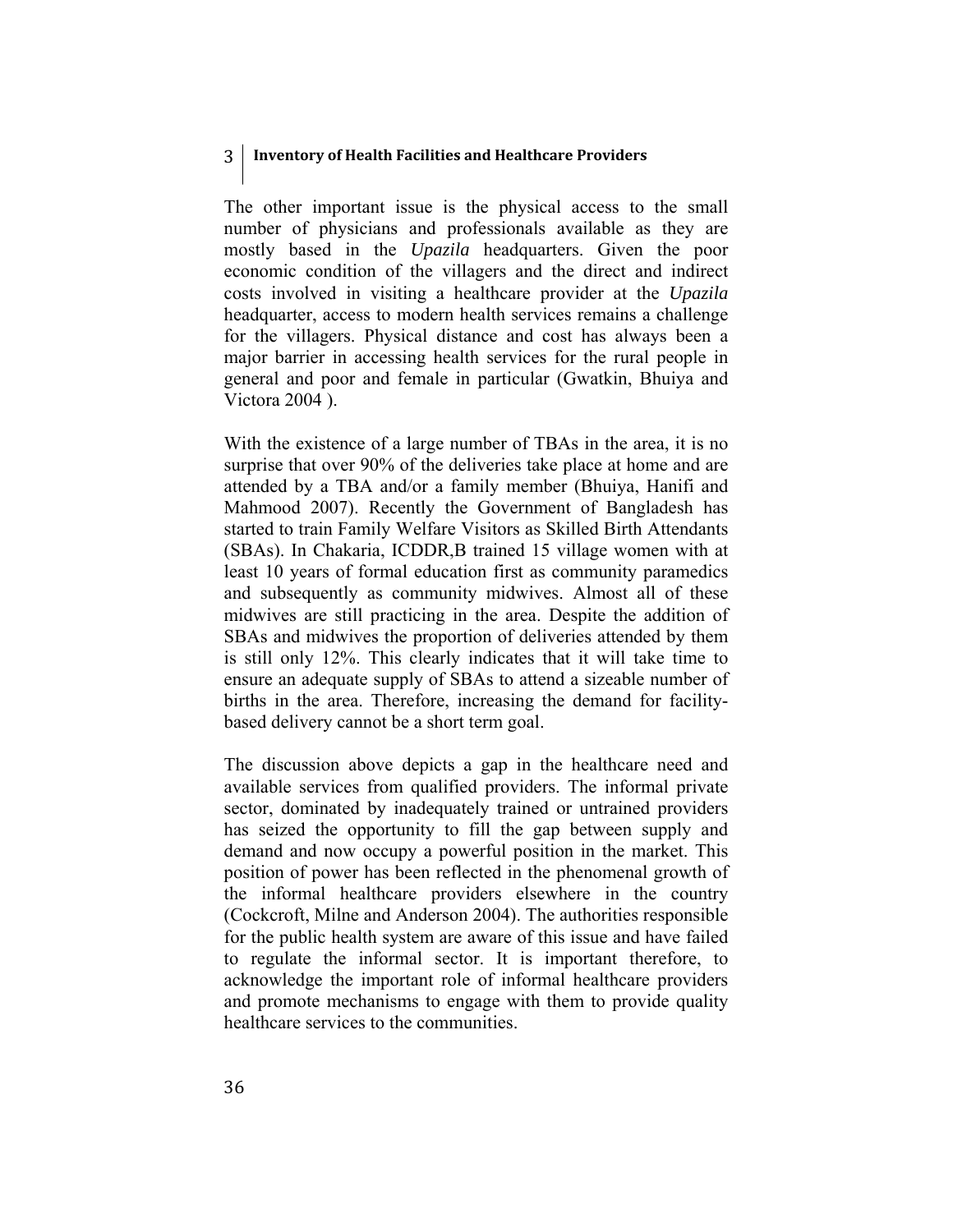The other important issue is the physical access to the small number of physicians and professionals available as they are mostly based in the *Upazila* headquarters. Given the poor economic condition of the villagers and the direct and indirect costs involved in visiting a healthcare provider at the *Upazila* headquarter, access to modern health services remains a challenge for the villagers. Physical distance and cost has always been a major barrier in accessing health services for the rural people in general and poor and female in particular (Gwatkin, Bhuiya and Victora 2004 ).

With the existence of a large number of TBAs in the area, it is no surprise that over 90% of the deliveries take place at home and are attended by a TBA and/or a family member (Bhuiya, Hanifi and Mahmood 2007). Recently the Government of Bangladesh has started to train Family Welfare Visitors as Skilled Birth Attendants (SBAs). In Chakaria, ICDDR,B trained 15 village women with at least 10 years of formal education first as community paramedics and subsequently as community midwives. Almost all of these midwives are still practicing in the area. Despite the addition of SBAs and midwives the proportion of deliveries attended by them is still only 12%. This clearly indicates that it will take time to ensure an adequate supply of SBAs to attend a sizeable number of births in the area. Therefore, increasing the demand for facilitybased delivery cannot be a short term goal.

The discussion above depicts a gap in the healthcare need and available services from qualified providers. The informal private sector, dominated by inadequately trained or untrained providers has seized the opportunity to fill the gap between supply and demand and now occupy a powerful position in the market. This position of power has been reflected in the phenomenal growth of the informal healthcare providers elsewhere in the country (Cockcroft, Milne and Anderson 2004). The authorities responsible for the public health system are aware of this issue and have failed to regulate the informal sector. It is important therefore, to acknowledge the important role of informal healthcare providers and promote mechanisms to engage with them to provide quality healthcare services to the communities.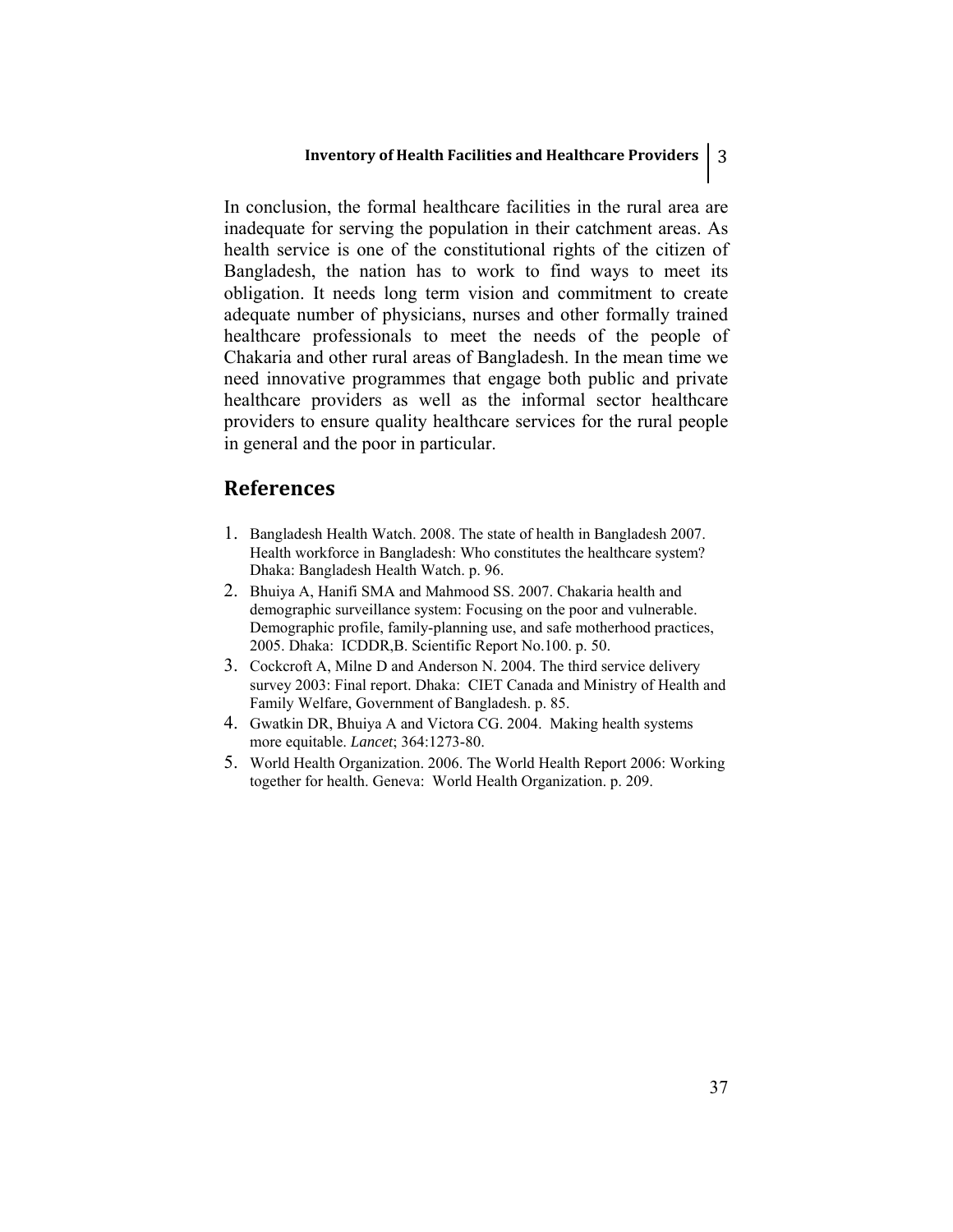In conclusion, the formal healthcare facilities in the rural area are inadequate for serving the population in their catchment areas. As health service is one of the constitutional rights of the citizen of Bangladesh, the nation has to work to find ways to meet its obligation. It needs long term vision and commitment to create adequate number of physicians, nurses and other formally trained healthcare professionals to meet the needs of the people of Chakaria and other rural areas of Bangladesh. In the mean time we need innovative programmes that engage both public and private healthcare providers as well as the informal sector healthcare providers to ensure quality healthcare services for the rural people in general and the poor in particular.

## **References**

- 1. Bangladesh Health Watch. 2008. The state of health in Bangladesh 2007. Health workforce in Bangladesh: Who constitutes the healthcare system? Dhaka: Bangladesh Health Watch. p. 96.
- 2. Bhuiya A, Hanifi SMA and Mahmood SS. 2007. Chakaria health and demographic surveillance system: Focusing on the poor and vulnerable. Demographic profile, family-planning use, and safe motherhood practices, 2005. Dhaka: ICDDR,B. Scientific Report No.100. p. 50.
- 3. Cockcroft A, Milne D and Anderson N. 2004. The third service delivery survey 2003: Final report. Dhaka: CIET Canada and Ministry of Health and Family Welfare, Government of Bangladesh. p. 85.
- 4. Gwatkin DR, Bhuiya A and Victora CG. 2004. Making health systems more equitable. *Lancet*; 364:1273-80.
- 5. World Health Organization. 2006. The World Health Report 2006: Working together for health. Geneva: World Health Organization. p. 209.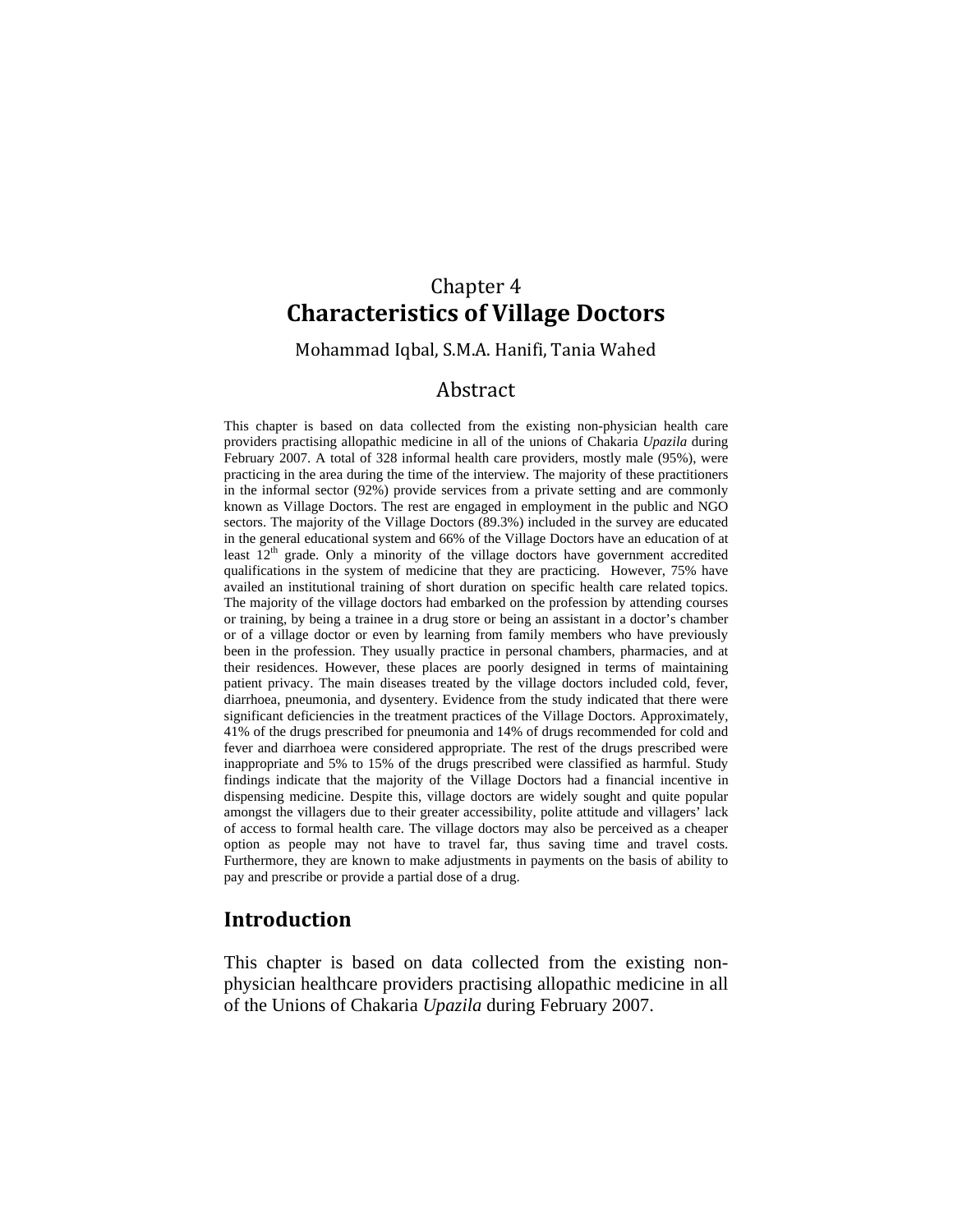# Chapter 4 **Characteristics of Village Doctors**

Mohammad Iqbal, S.M.A. Hanifi, Tania Wahed

## Abstract

This chapter is based on data collected from the existing non-physician health care providers practising allopathic medicine in all of the unions of Chakaria *Upazila* during February 2007. A total of 328 informal health care providers, mostly male (95%), were practicing in the area during the time of the interview. The majority of these practitioners in the informal sector (92%) provide services from a private setting and are commonly known as Village Doctors. The rest are engaged in employment in the public and NGO sectors. The majority of the Village Doctors (89.3%) included in the survey are educated in the general educational system and 66% of the Village Doctors have an education of at least  $12<sup>th</sup>$  grade. Only a minority of the village doctors have government accredited qualifications in the system of medicine that they are practicing. However, 75% have availed an institutional training of short duration on specific health care related topics. The majority of the village doctors had embarked on the profession by attending courses or training, by being a trainee in a drug store or being an assistant in a doctor's chamber or of a village doctor or even by learning from family members who have previously been in the profession. They usually practice in personal chambers, pharmacies, and at their residences. However, these places are poorly designed in terms of maintaining patient privacy. The main diseases treated by the village doctors included cold, fever, diarrhoea, pneumonia, and dysentery. Evidence from the study indicated that there were significant deficiencies in the treatment practices of the Village Doctors. Approximately, 41% of the drugs prescribed for pneumonia and 14% of drugs recommended for cold and fever and diarrhoea were considered appropriate. The rest of the drugs prescribed were inappropriate and 5% to 15% of the drugs prescribed were classified as harmful. Study findings indicate that the majority of the Village Doctors had a financial incentive in dispensing medicine. Despite this, village doctors are widely sought and quite popular amongst the villagers due to their greater accessibility, polite attitude and villagers' lack of access to formal health care. The village doctors may also be perceived as a cheaper option as people may not have to travel far, thus saving time and travel costs. Furthermore, they are known to make adjustments in payments on the basis of ability to pay and prescribe or provide a partial dose of a drug.

## **Introduction**

This chapter is based on data collected from the existing nonphysician healthcare providers practising allopathic medicine in all of the Unions of Chakaria *Upazila* during February 2007.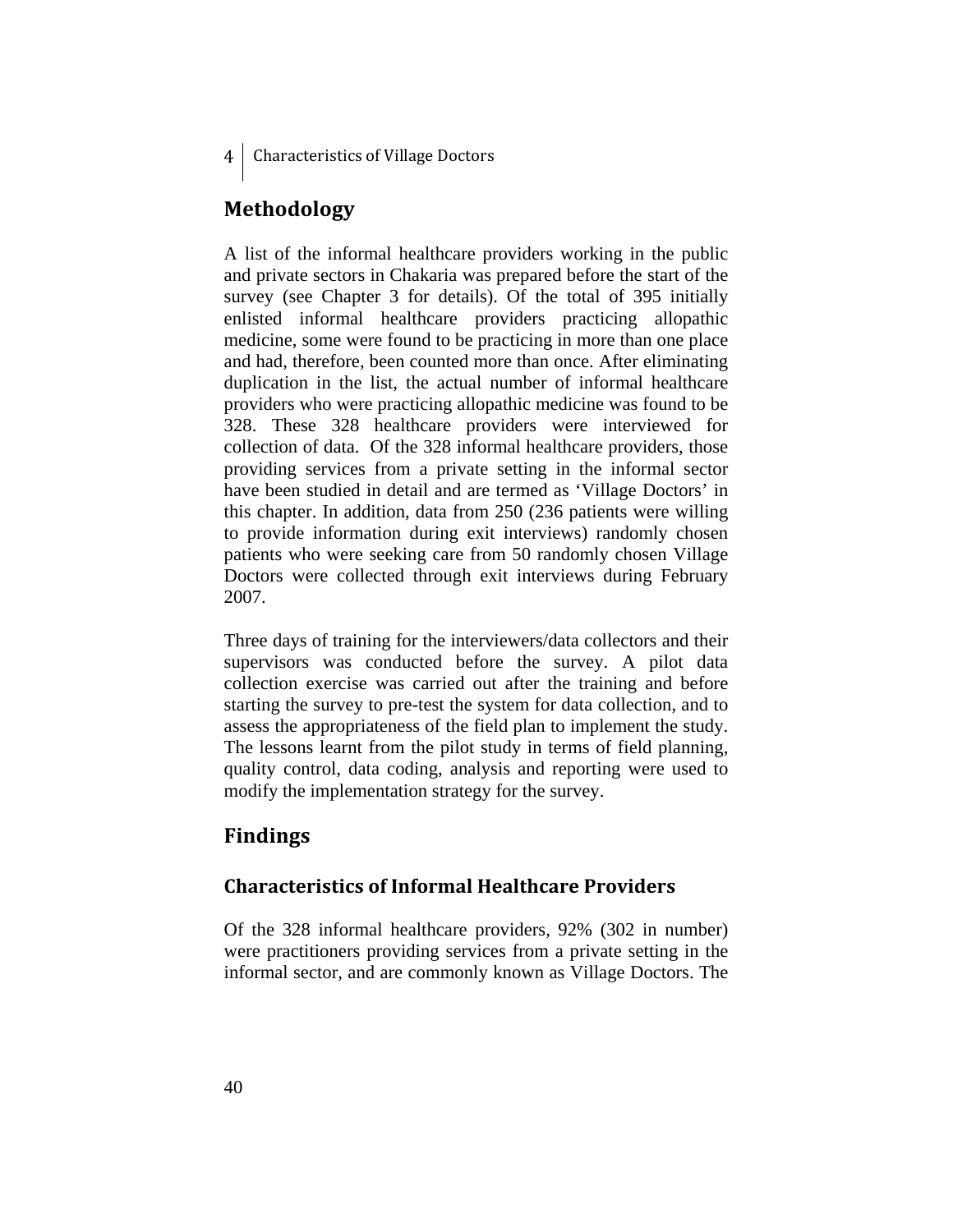## **Methodology**

A list of the informal healthcare providers working in the public and private sectors in Chakaria was prepared before the start of the survey (see Chapter 3 for details). Of the total of 395 initially enlisted informal healthcare providers practicing allopathic medicine, some were found to be practicing in more than one place and had, therefore, been counted more than once. After eliminating duplication in the list, the actual number of informal healthcare providers who were practicing allopathic medicine was found to be 328. These 328 healthcare providers were interviewed for collection of data. Of the 328 informal healthcare providers, those providing services from a private setting in the informal sector have been studied in detail and are termed as 'Village Doctors' in this chapter. In addition, data from 250 (236 patients were willing to provide information during exit interviews) randomly chosen patients who were seeking care from 50 randomly chosen Village Doctors were collected through exit interviews during February 2007.

Three days of training for the interviewers/data collectors and their supervisors was conducted before the survey. A pilot data collection exercise was carried out after the training and before starting the survey to pre-test the system for data collection, and to assess the appropriateness of the field plan to implement the study. The lessons learnt from the pilot study in terms of field planning, quality control, data coding, analysis and reporting were used to modify the implementation strategy for the survey.

# **Findings**

# **Characteristics of Informal Healthcare Providers**

Of the 328 informal healthcare providers, 92% (302 in number) were practitioners providing services from a private setting in the informal sector, and are commonly known as Village Doctors. The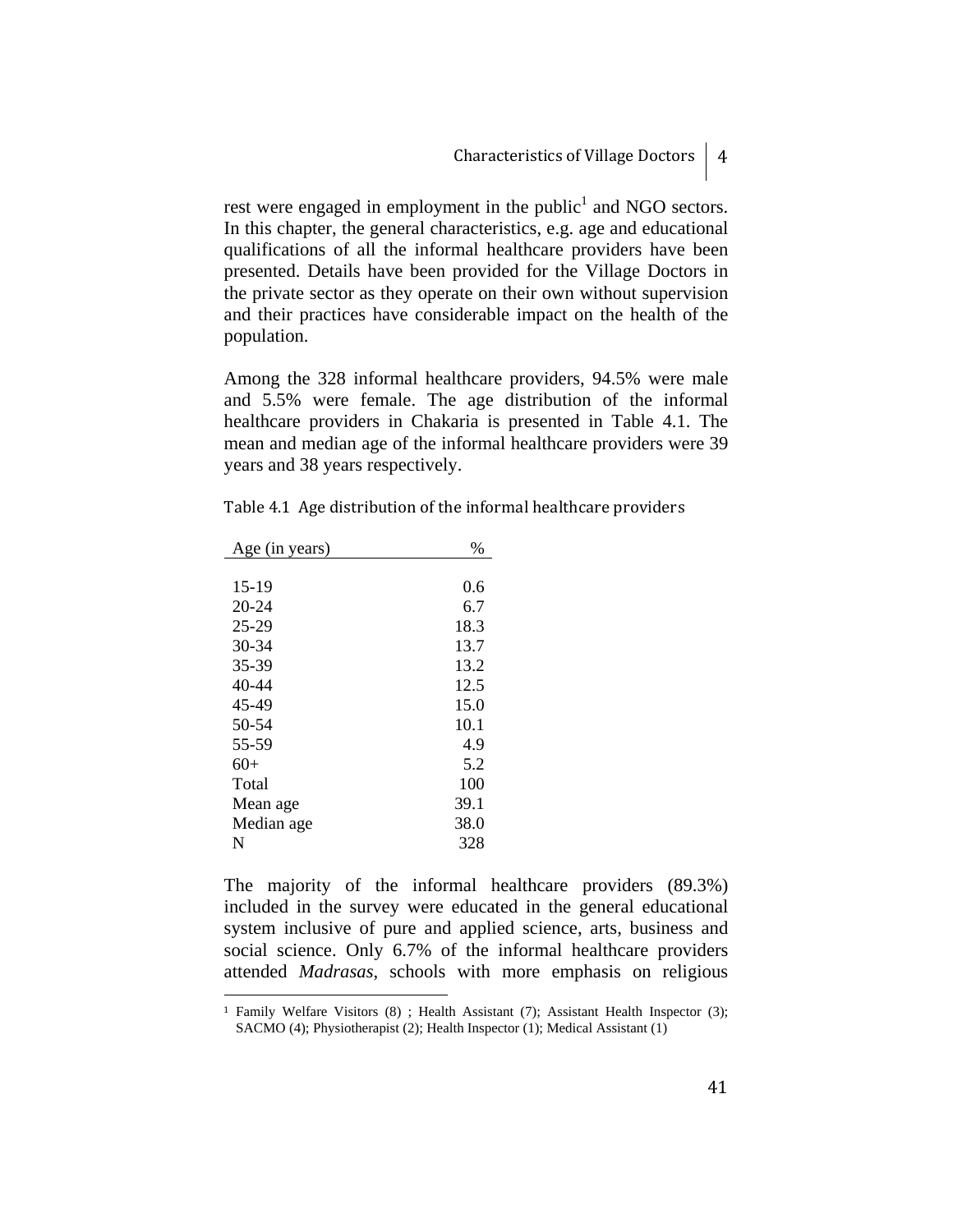rest were engaged in employment in the public<sup>1</sup> and NGO sectors. In this chapter, the general characteristics, e.g. age and educational qualifications of all the informal healthcare providers have been presented. Details have been provided for the Village Doctors in the private sector as they operate on their own without supervision and their practices have considerable impact on the health of the population.

Among the 328 informal healthcare providers, 94.5% were male and 5.5% were female. The age distribution of the informal healthcare providers in Chakaria is presented in Table 4.1. The mean and median age of the informal healthcare providers were 39 years and 38 years respectively.

| Age (in years) | $\%$ |
|----------------|------|
|                |      |
| $15-19$        | 0.6  |
| $20 - 24$      | 6.7  |
| 25-29          | 18.3 |
| $30 - 34$      | 13.7 |
| 35-39          | 13.2 |
| 40-44          | 12.5 |
| 45-49          | 15.0 |
| 50-54          | 10.1 |
| 55-59          | 4.9  |
| $60+$          | 5.2  |
| Total          | 100  |
| Mean age       | 39.1 |
| Median age     | 38.0 |
| N              | 328  |

<u>.</u>

Table 4.1 Age distribution of the informal healthcare providers

The majority of the informal healthcare providers (89.3%) included in the survey were educated in the general educational system inclusive of pure and applied science, arts, business and social science. Only 6.7% of the informal healthcare providers attended *Madrasas*, schools with more emphasis on religious

41

<sup>1</sup> Family Welfare Visitors (8) ; Health Assistant (7); Assistant Health Inspector (3); SACMO (4); Physiotherapist (2); Health Inspector (1); Medical Assistant (1)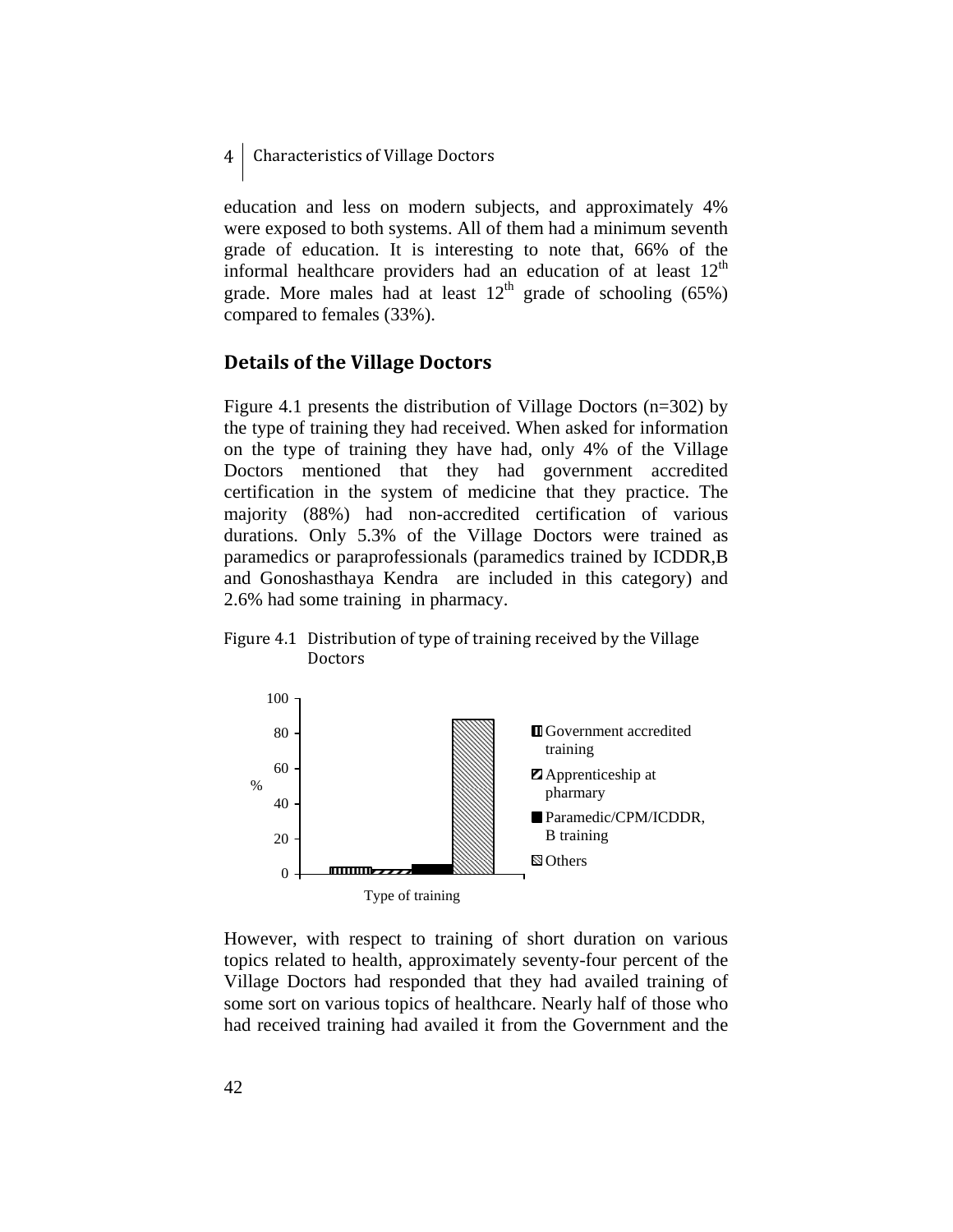education and less on modern subjects, and approximately 4% were exposed to both systems. All of them had a minimum seventh grade of education. It is interesting to note that, 66% of the informal healthcare providers had an education of at least  $12<sup>th</sup>$ grade. More males had at least  $12<sup>th</sup>$  grade of schooling (65%) compared to females (33%).

## **Details of the Village Doctors**

Figure 4.1 presents the distribution of Village Doctors (n=302) by the type of training they had received. When asked for information on the type of training they have had, only 4% of the Village Doctors mentioned that they had government accredited certification in the system of medicine that they practice. The majority (88%) had non-accredited certification of various durations. Only 5.3% of the Village Doctors were trained as paramedics or paraprofessionals (paramedics trained by ICDDR,B and Gonoshasthaya Kendra are included in this category) and 2.6% had some training in pharmacy.

## Figure 4.1 Distribution of type of training received by the Village **Doctors**



However, with respect to training of short duration on various topics related to health, approximately seventy-four percent of the Village Doctors had responded that they had availed training of some sort on various topics of healthcare. Nearly half of those who had received training had availed it from the Government and the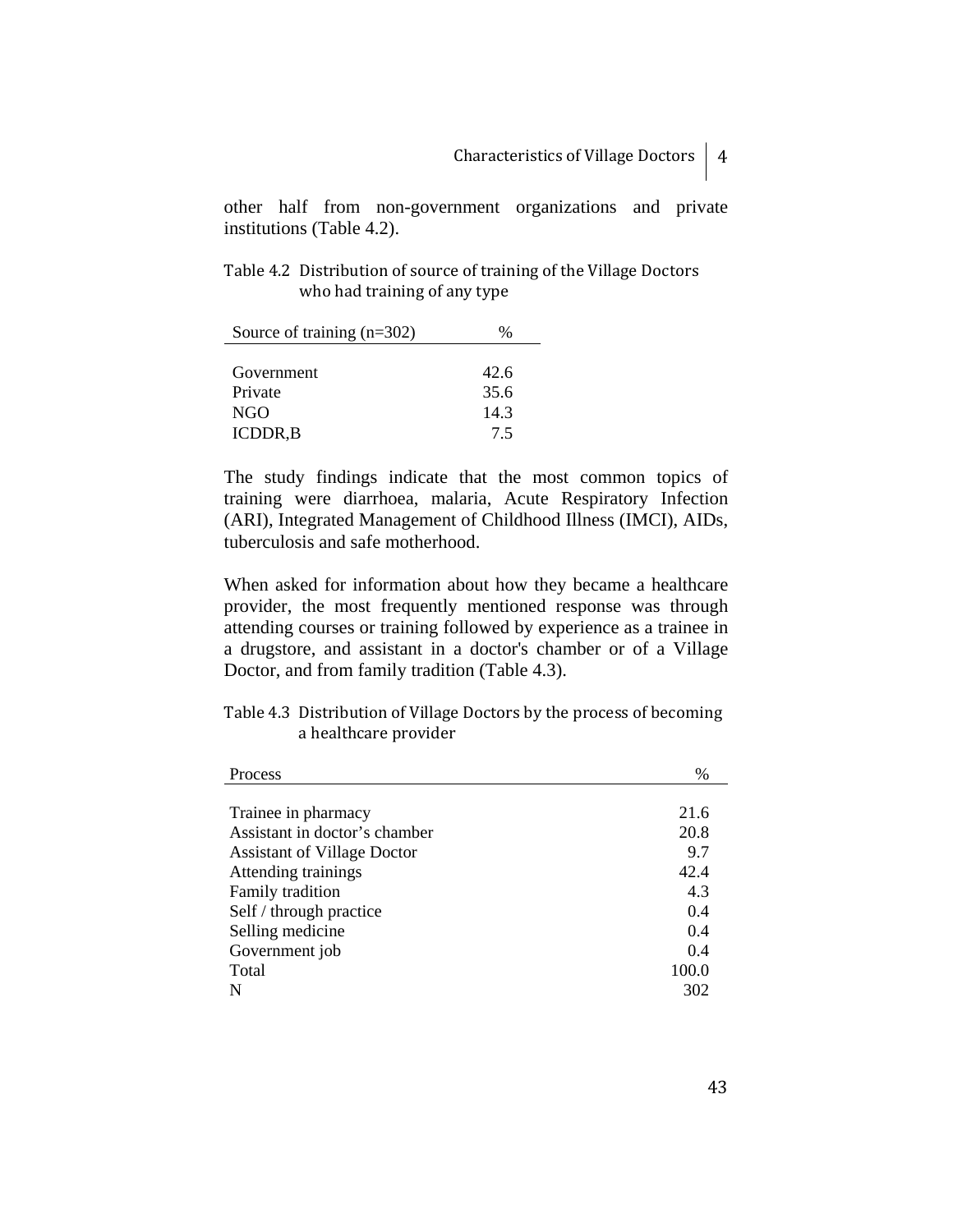other half from non-government organizations and private institutions (Table 4.2).

Table 4.2 Distribution of source of training of the Village Doctors who had training of any type

| Source of training $(n=302)$ | ℅    |
|------------------------------|------|
|                              |      |
| Government                   | 42.6 |
| Private                      | 35.6 |
| NGO                          | 14.3 |
| <b>ICDDR,B</b>               | 75   |

The study findings indicate that the most common topics of training were diarrhoea, malaria, Acute Respiratory Infection (ARI), Integrated Management of Childhood Illness (IMCI), AIDs, tuberculosis and safe motherhood.

When asked for information about how they became a healthcare provider, the most frequently mentioned response was through attending courses or training followed by experience as a trainee in a drugstore, and assistant in a doctor's chamber or of a Village Doctor, and from family tradition (Table 4.3).

| Table 4.3 Distribution of Village Doctors by the process of becoming |  |  |  |
|----------------------------------------------------------------------|--|--|--|
| a healthcare provider                                                |  |  |  |

| Process                            | $\frac{0}{0}$ |
|------------------------------------|---------------|
|                                    |               |
| Trainee in pharmacy                | 21.6          |
| Assistant in doctor's chamber      | 20.8          |
| <b>Assistant of Village Doctor</b> | 9.7           |
| Attending trainings                | 42.4          |
| Family tradition                   | 4.3           |
| Self / through practice            | 0.4           |
| Selling medicine                   | 0.4           |
| Government job                     | 0.4           |
| Total                              | 100.0         |
| N                                  | 302           |

43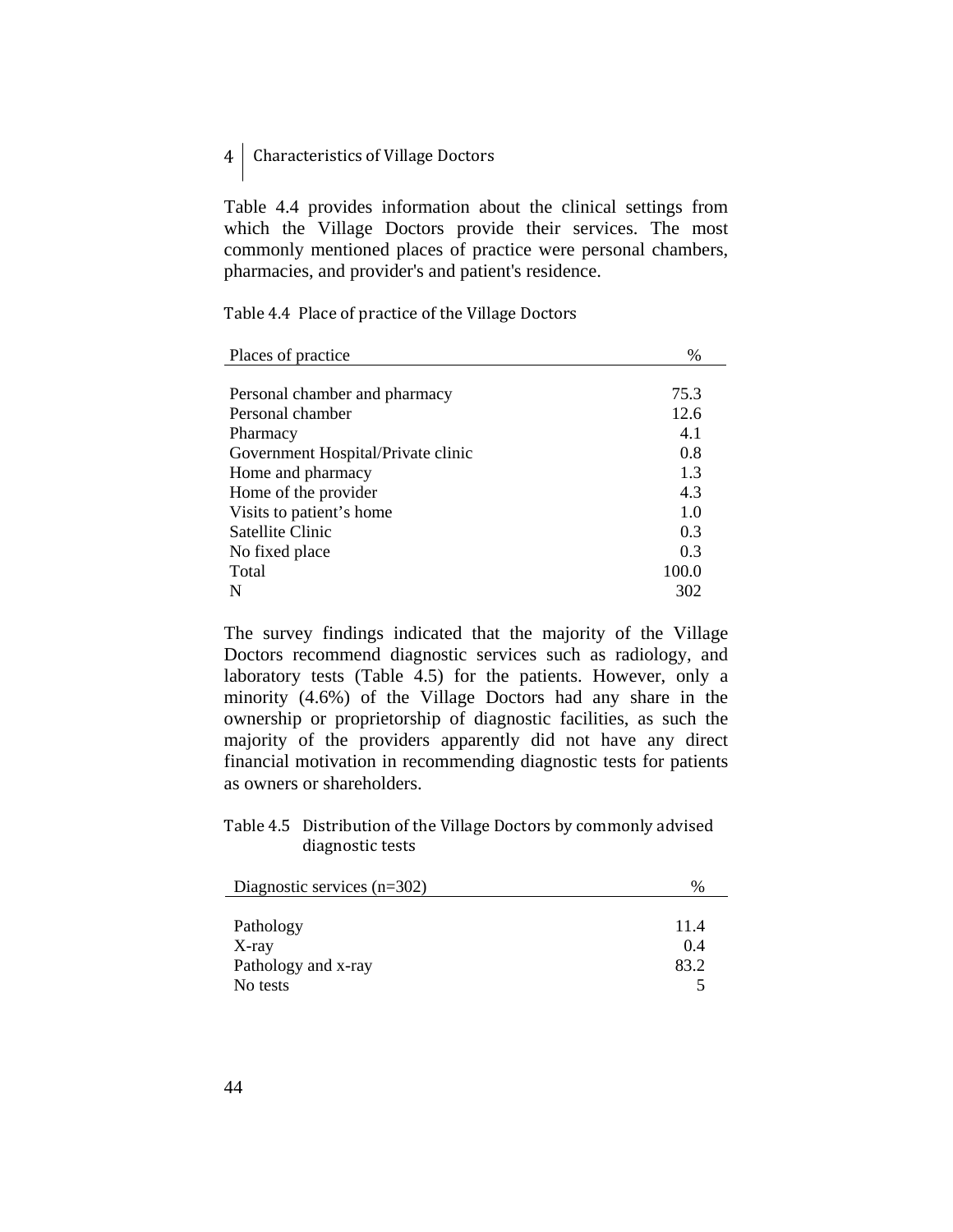Table 4.4 provides information about the clinical settings from which the Village Doctors provide their services. The most commonly mentioned places of practice were personal chambers, pharmacies, and provider's and patient's residence.

Table 4.4 Place of practice of the Village Doctors

| Places of practice                 | $\%$  |
|------------------------------------|-------|
|                                    |       |
| Personal chamber and pharmacy      | 75.3  |
| Personal chamber                   | 12.6  |
| Pharmacy                           | 4.1   |
| Government Hospital/Private clinic | 0.8   |
| Home and pharmacy                  | 1.3   |
| Home of the provider               | 4.3   |
| Visits to patient's home           | 1.0   |
| Satellite Clinic                   | 0.3   |
| No fixed place                     | 0.3   |
| Total                              | 100.0 |
| N                                  | 302   |

The survey findings indicated that the majority of the Village Doctors recommend diagnostic services such as radiology, and laboratory tests (Table 4.5) for the patients. However, only a minority (4.6%) of the Village Doctors had any share in the ownership or proprietorship of diagnostic facilities, as such the majority of the providers apparently did not have any direct financial motivation in recommending diagnostic tests for patients as owners or shareholders.

Table 4.5 Distribution of the Village Doctors by commonly advised diagnostic tests

| Diagnostic services $(n=302)$ | %    |
|-------------------------------|------|
|                               |      |
| Pathology                     | 11.4 |
| $X$ -ray                      | 0.4  |
| Pathology and x-ray           | 83.2 |
| No tests                      |      |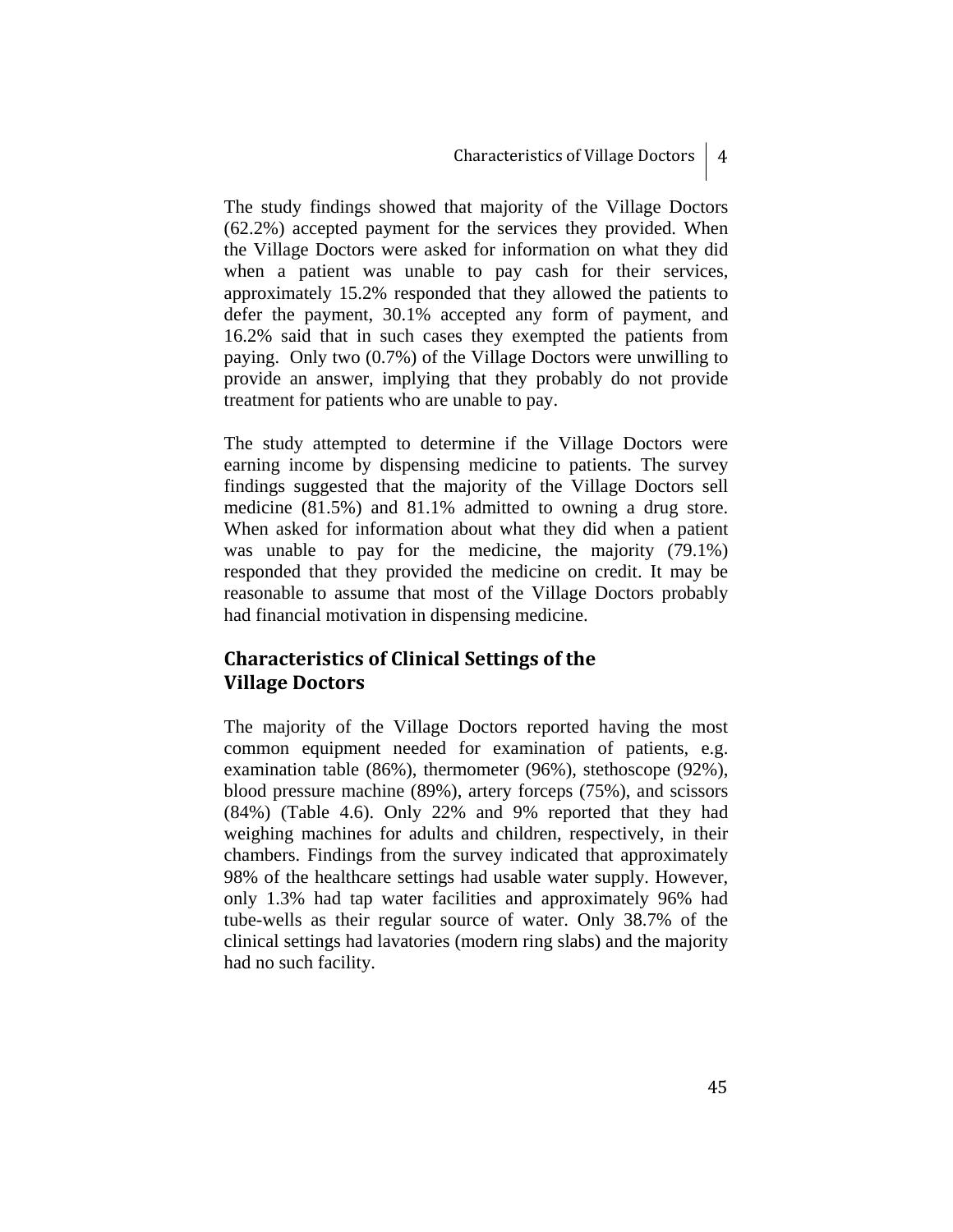The study findings showed that majority of the Village Doctors (62.2%) accepted payment for the services they provided. When the Village Doctors were asked for information on what they did when a patient was unable to pay cash for their services, approximately 15.2% responded that they allowed the patients to defer the payment, 30.1% accepted any form of payment, and 16.2% said that in such cases they exempted the patients from paying. Only two (0.7%) of the Village Doctors were unwilling to provide an answer, implying that they probably do not provide treatment for patients who are unable to pay.

The study attempted to determine if the Village Doctors were earning income by dispensing medicine to patients. The survey findings suggested that the majority of the Village Doctors sell medicine (81.5%) and 81.1% admitted to owning a drug store. When asked for information about what they did when a patient was unable to pay for the medicine, the majority (79.1%) responded that they provided the medicine on credit. It may be reasonable to assume that most of the Village Doctors probably had financial motivation in dispensing medicine.

## **Characteristics of Clinical Settings of the Village Doctors**

The majority of the Village Doctors reported having the most common equipment needed for examination of patients, e.g. examination table (86%), thermometer (96%), stethoscope (92%), blood pressure machine (89%), artery forceps (75%), and scissors (84%) (Table 4.6). Only 22% and 9% reported that they had weighing machines for adults and children, respectively, in their chambers. Findings from the survey indicated that approximately 98% of the healthcare settings had usable water supply. However, only 1.3% had tap water facilities and approximately 96% had tube-wells as their regular source of water. Only 38.7% of the clinical settings had lavatories (modern ring slabs) and the majority had no such facility.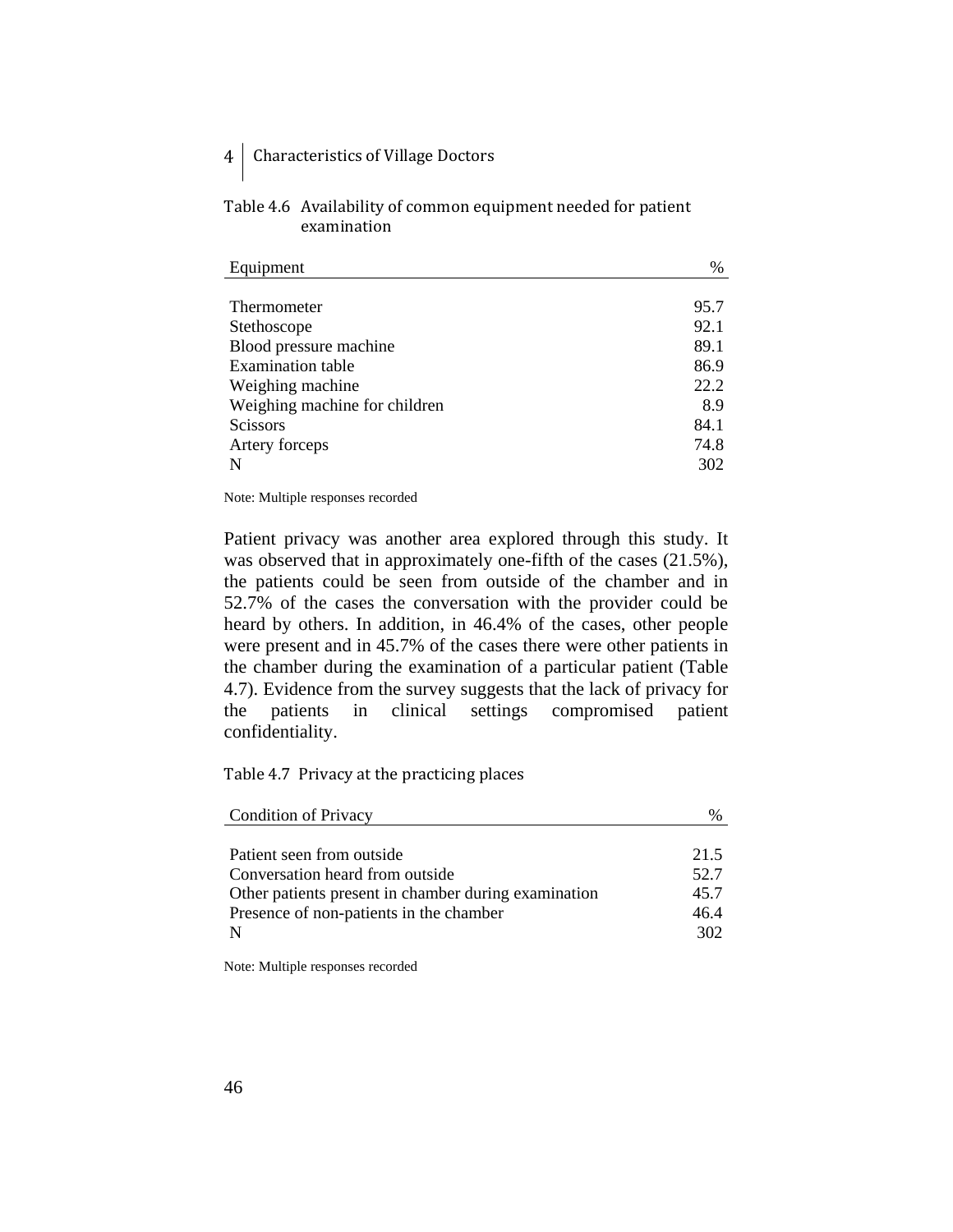| Table 4.6 Availability of common equipment needed for patient |
|---------------------------------------------------------------|
| examination                                                   |

| 95.7 |
|------|
| 92.1 |
| 89.1 |
| 86.9 |
| 22.2 |
| 8.9  |
| 84.1 |
| 74.8 |
| 302  |
|      |

Note: Multiple responses recorded

Patient privacy was another area explored through this study. It was observed that in approximately one-fifth of the cases (21.5%), the patients could be seen from outside of the chamber and in 52.7% of the cases the conversation with the provider could be heard by others. In addition, in 46.4% of the cases, other people were present and in 45.7% of the cases there were other patients in the chamber during the examination of a particular patient (Table 4.7). Evidence from the survey suggests that the lack of privacy for the patients in clinical settings compromised patient confidentiality.

Table 4.7 Privacy at the practicing places

| <b>Condition of Privacy</b>                          |      |
|------------------------------------------------------|------|
|                                                      |      |
| Patient seen from outside                            | 21.5 |
| Conversation heard from outside                      | 52.7 |
| Other patients present in chamber during examination | 45.7 |
| Presence of non-patients in the chamber              | 46.4 |
| N                                                    | 302  |
|                                                      |      |

Note: Multiple responses recorded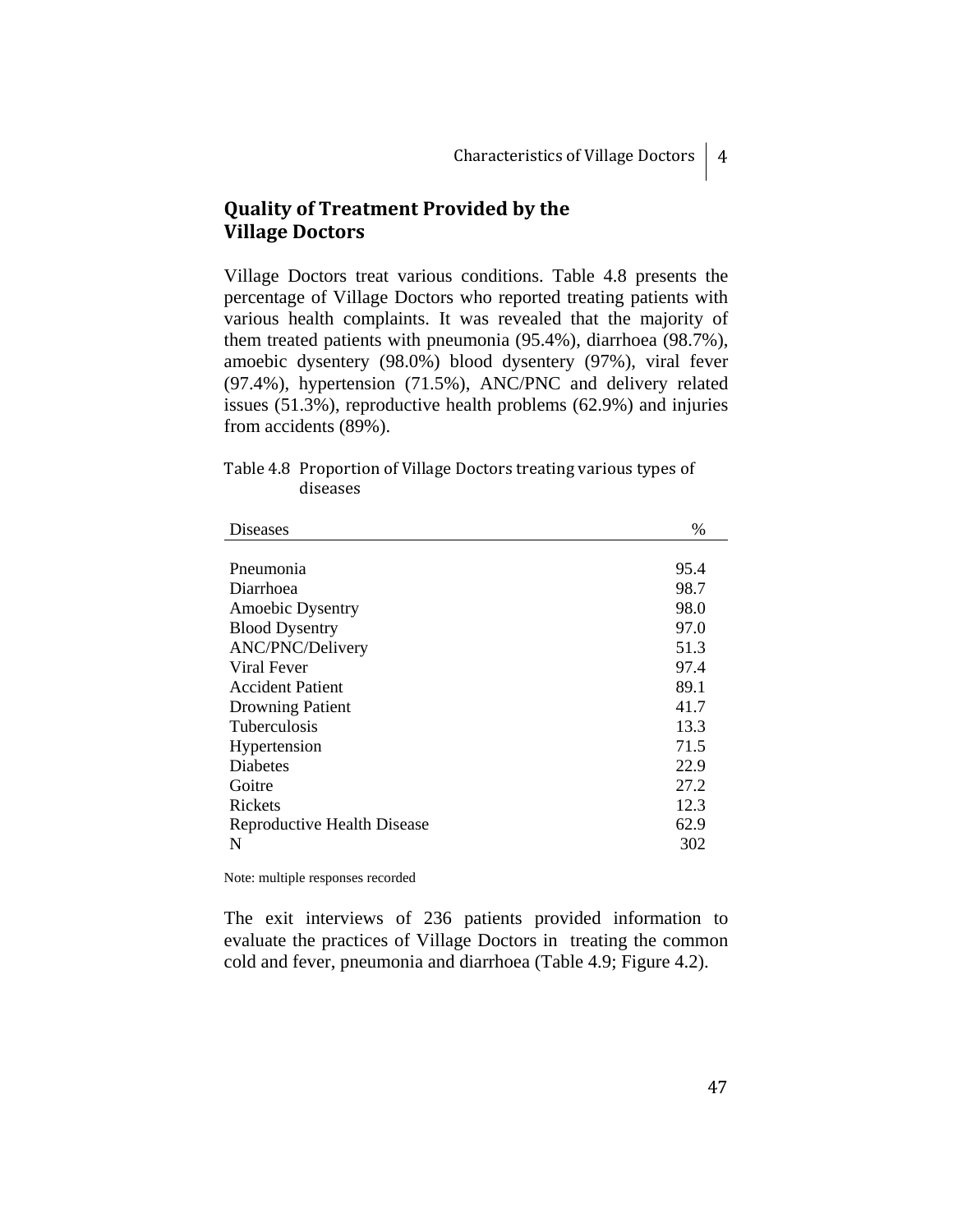# **Quality of Treatment Provided by the Village Doctors**

Village Doctors treat various conditions. Table 4.8 presents the percentage of Village Doctors who reported treating patients with various health complaints. It was revealed that the majority of them treated patients with pneumonia (95.4%), diarrhoea (98.7%), amoebic dysentery (98.0%) blood dysentery (97%), viral fever (97.4%), hypertension (71.5%), ANC/PNC and delivery related issues (51.3%), reproductive health problems (62.9%) and injuries from accidents (89%).

| Table 4.8 Proportion of Village Doctors treating various types of |
|-------------------------------------------------------------------|
| diseases                                                          |

| <b>Diseases</b>             | %    |
|-----------------------------|------|
|                             |      |
| Pneumonia                   | 95.4 |
| Diarrhoea                   | 98.7 |
| Amoebic Dysentry            | 98.0 |
| <b>Blood Dysentry</b>       | 97.0 |
| ANC/PNC/Delivery            | 51.3 |
| Viral Fever                 | 97.4 |
| <b>Accident Patient</b>     | 89.1 |
| <b>Drowning Patient</b>     | 41.7 |
| <b>Tuberculosis</b>         | 13.3 |
| Hypertension                | 71.5 |
| <b>Diabetes</b>             | 22.9 |
| Goitre                      | 27.2 |
| Rickets                     | 12.3 |
| Reproductive Health Disease | 62.9 |
| N                           | 302  |

Note: multiple responses recorded

The exit interviews of 236 patients provided information to evaluate the practices of Village Doctors in treating the common cold and fever, pneumonia and diarrhoea (Table 4.9; Figure 4.2).

47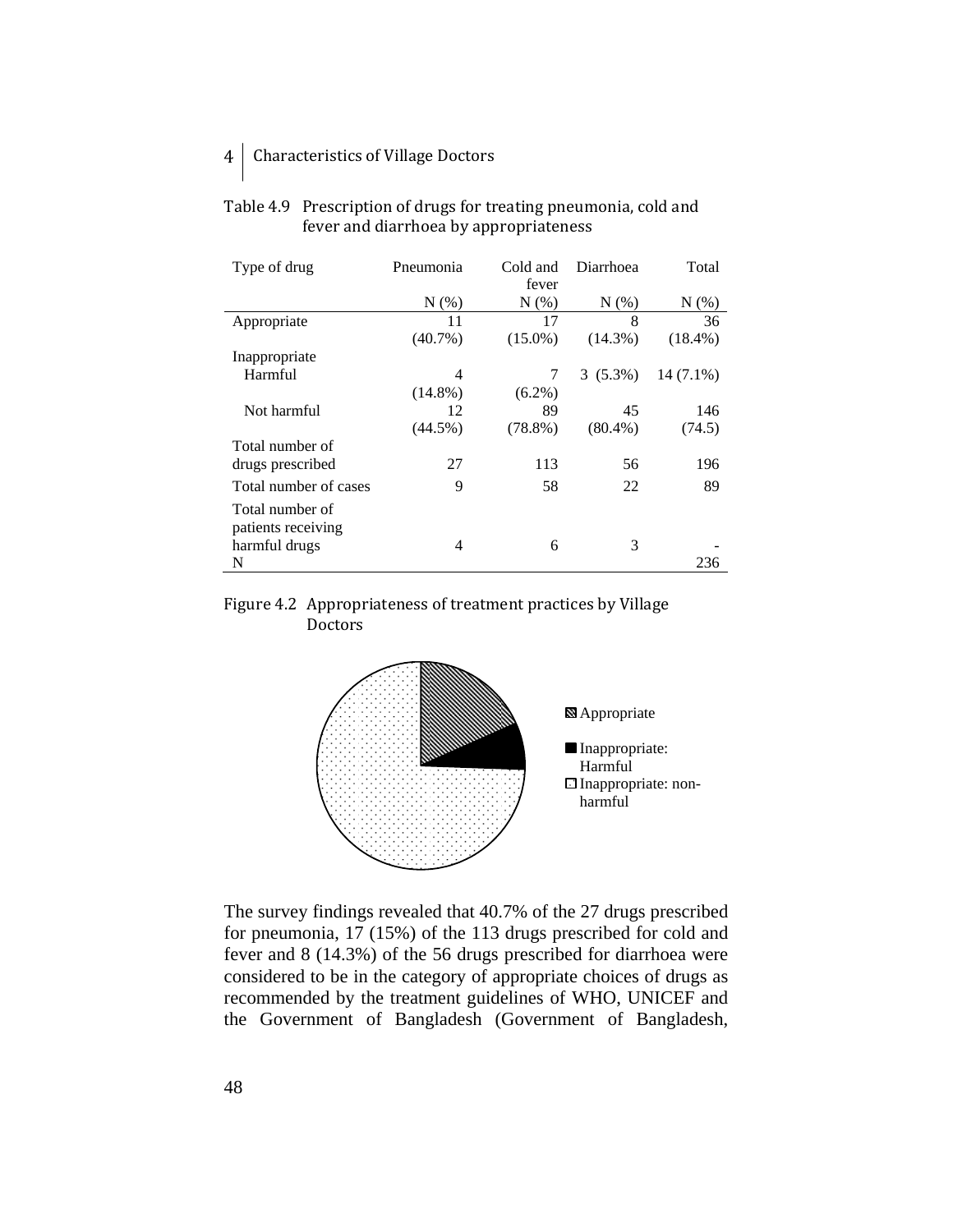| Type of drug          | Pneumonia  | Cold and   | Diarrhoea  | Total       |
|-----------------------|------------|------------|------------|-------------|
|                       |            | fever      |            |             |
|                       | $N(\%)$    | $N(\%)$    | $N(\%)$    | $N(\%)$     |
| Appropriate           | 11         | 17         | 8          | 36          |
|                       | $(40.7\%)$ | $(15.0\%)$ | $(14.3\%)$ | $(18.4\%)$  |
| Inappropriate         |            |            |            |             |
| Harmful               | 4          | 7          | $3(5.3\%)$ | $14(7.1\%)$ |
|                       | $(14.8\%)$ | $(6.2\%)$  |            |             |
| Not harmful           | 12         | 89         | 45         | 146         |
|                       | $(44.5\%)$ | $(78.8\%)$ | $(80.4\%)$ | (74.5)      |
| Total number of       |            |            |            |             |
| drugs prescribed      | 27         | 113        | 56         | 196         |
| Total number of cases | 9          | 58         | 22         | 89          |
| Total number of       |            |            |            |             |
| patients receiving    |            |            |            |             |
| harmful drugs         | 4          | 6          | 3          |             |
| N                     |            |            |            | 236         |

## Table 4.9 Prescription of drugs for treating pneumonia, cold and fever and diarrhoea by appropriateness





The survey findings revealed that 40.7% of the 27 drugs prescribed for pneumonia, 17 (15%) of the 113 drugs prescribed for cold and fever and 8 (14.3%) of the 56 drugs prescribed for diarrhoea were considered to be in the category of appropriate choices of drugs as recommended by the treatment guidelines of WHO, UNICEF and the Government of Bangladesh (Government of Bangladesh,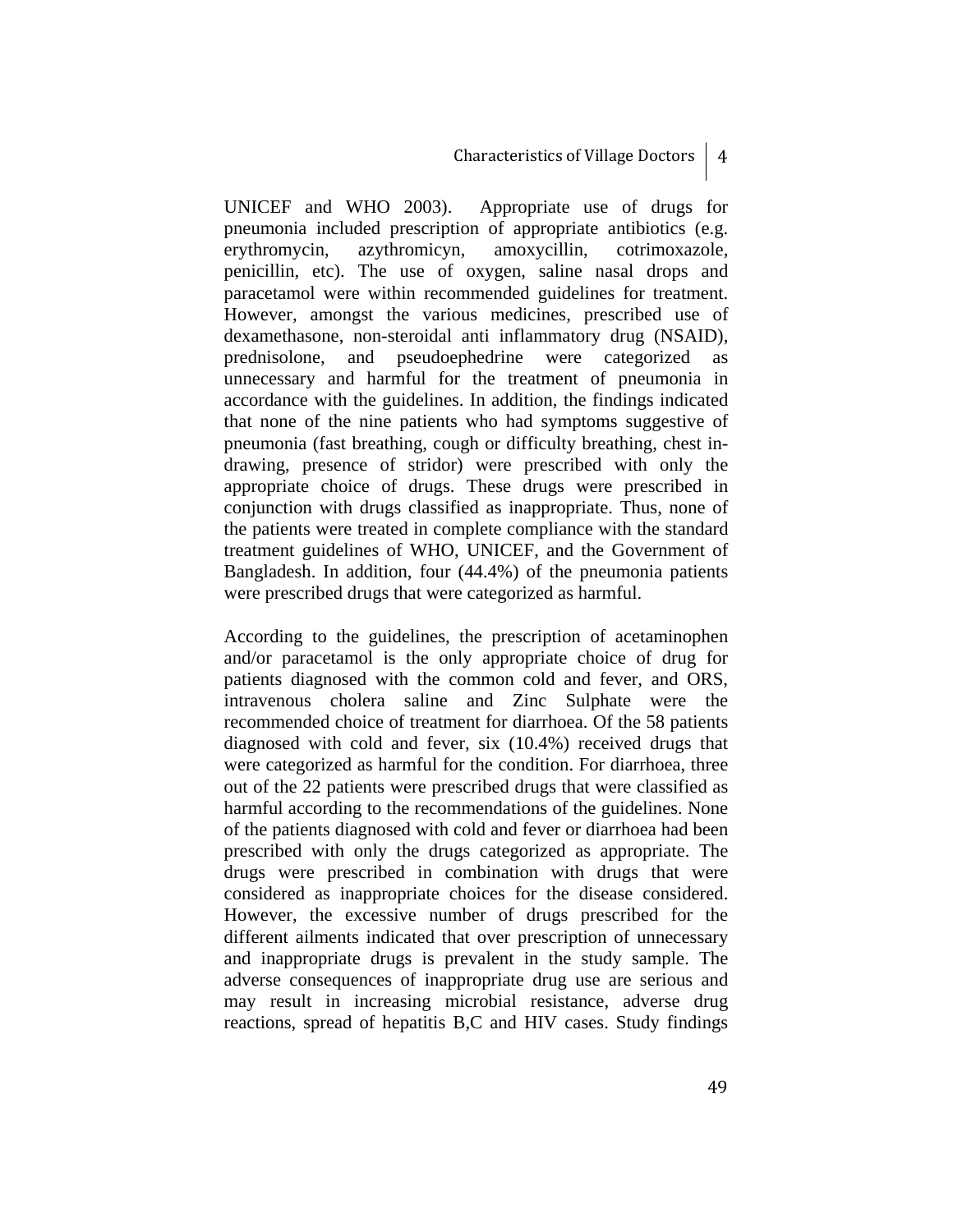UNICEF and WHO 2003). Appropriate use of drugs for pneumonia included prescription of appropriate antibiotics (e.g. erythromycin, azythromicyn, amoxycillin, cotrimoxazole, penicillin, etc). The use of oxygen, saline nasal drops and paracetamol were within recommended guidelines for treatment. However, amongst the various medicines, prescribed use of dexamethasone, non-steroidal anti inflammatory drug (NSAID), prednisolone, and pseudoephedrine were categorized as unnecessary and harmful for the treatment of pneumonia in accordance with the guidelines. In addition, the findings indicated that none of the nine patients who had symptoms suggestive of pneumonia (fast breathing, cough or difficulty breathing, chest indrawing, presence of stridor) were prescribed with only the appropriate choice of drugs. These drugs were prescribed in conjunction with drugs classified as inappropriate. Thus, none of the patients were treated in complete compliance with the standard treatment guidelines of WHO, UNICEF, and the Government of Bangladesh. In addition, four (44.4%) of the pneumonia patients were prescribed drugs that were categorized as harmful.

According to the guidelines, the prescription of acetaminophen and/or paracetamol is the only appropriate choice of drug for patients diagnosed with the common cold and fever, and ORS, intravenous cholera saline and Zinc Sulphate were the recommended choice of treatment for diarrhoea. Of the 58 patients diagnosed with cold and fever, six (10.4%) received drugs that were categorized as harmful for the condition. For diarrhoea, three out of the 22 patients were prescribed drugs that were classified as harmful according to the recommendations of the guidelines. None of the patients diagnosed with cold and fever or diarrhoea had been prescribed with only the drugs categorized as appropriate. The drugs were prescribed in combination with drugs that were considered as inappropriate choices for the disease considered. However, the excessive number of drugs prescribed for the different ailments indicated that over prescription of unnecessary and inappropriate drugs is prevalent in the study sample. The adverse consequences of inappropriate drug use are serious and may result in increasing microbial resistance, adverse drug reactions, spread of hepatitis B,C and HIV cases. Study findings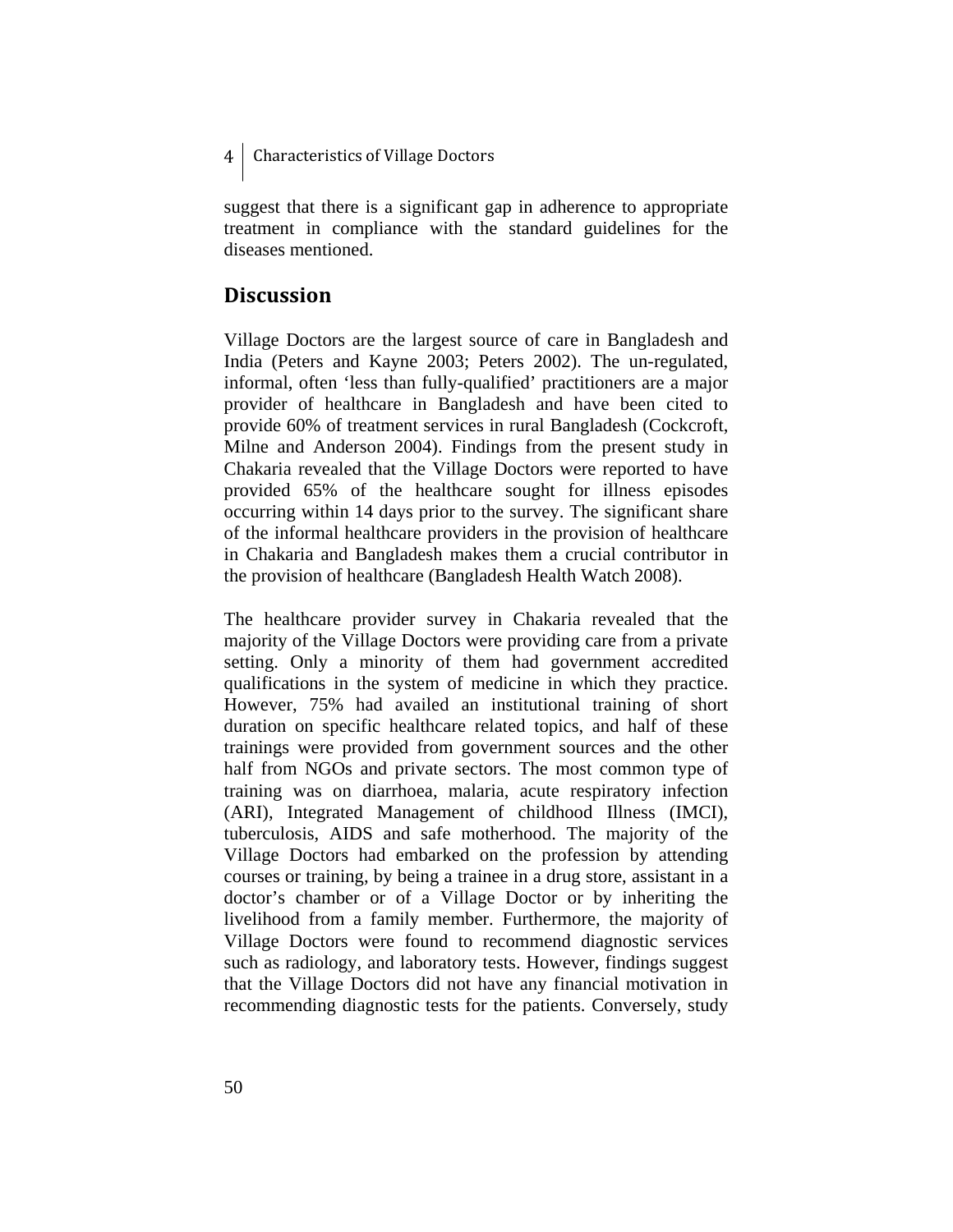suggest that there is a significant gap in adherence to appropriate treatment in compliance with the standard guidelines for the diseases mentioned.

# **Discussion**

Village Doctors are the largest source of care in Bangladesh and India (Peters and Kayne 2003; Peters 2002). The un-regulated, informal, often 'less than fully-qualified' practitioners are a major provider of healthcare in Bangladesh and have been cited to provide 60% of treatment services in rural Bangladesh (Cockcroft, Milne and Anderson 2004). Findings from the present study in Chakaria revealed that the Village Doctors were reported to have provided 65% of the healthcare sought for illness episodes occurring within 14 days prior to the survey. The significant share of the informal healthcare providers in the provision of healthcare in Chakaria and Bangladesh makes them a crucial contributor in the provision of healthcare (Bangladesh Health Watch 2008).

The healthcare provider survey in Chakaria revealed that the majority of the Village Doctors were providing care from a private setting. Only a minority of them had government accredited qualifications in the system of medicine in which they practice. However, 75% had availed an institutional training of short duration on specific healthcare related topics, and half of these trainings were provided from government sources and the other half from NGOs and private sectors. The most common type of training was on diarrhoea, malaria, acute respiratory infection (ARI), Integrated Management of childhood Illness (IMCI), tuberculosis, AIDS and safe motherhood. The majority of the Village Doctors had embarked on the profession by attending courses or training, by being a trainee in a drug store, assistant in a doctor's chamber or of a Village Doctor or by inheriting the livelihood from a family member. Furthermore, the majority of Village Doctors were found to recommend diagnostic services such as radiology, and laboratory tests. However, findings suggest that the Village Doctors did not have any financial motivation in recommending diagnostic tests for the patients. Conversely, study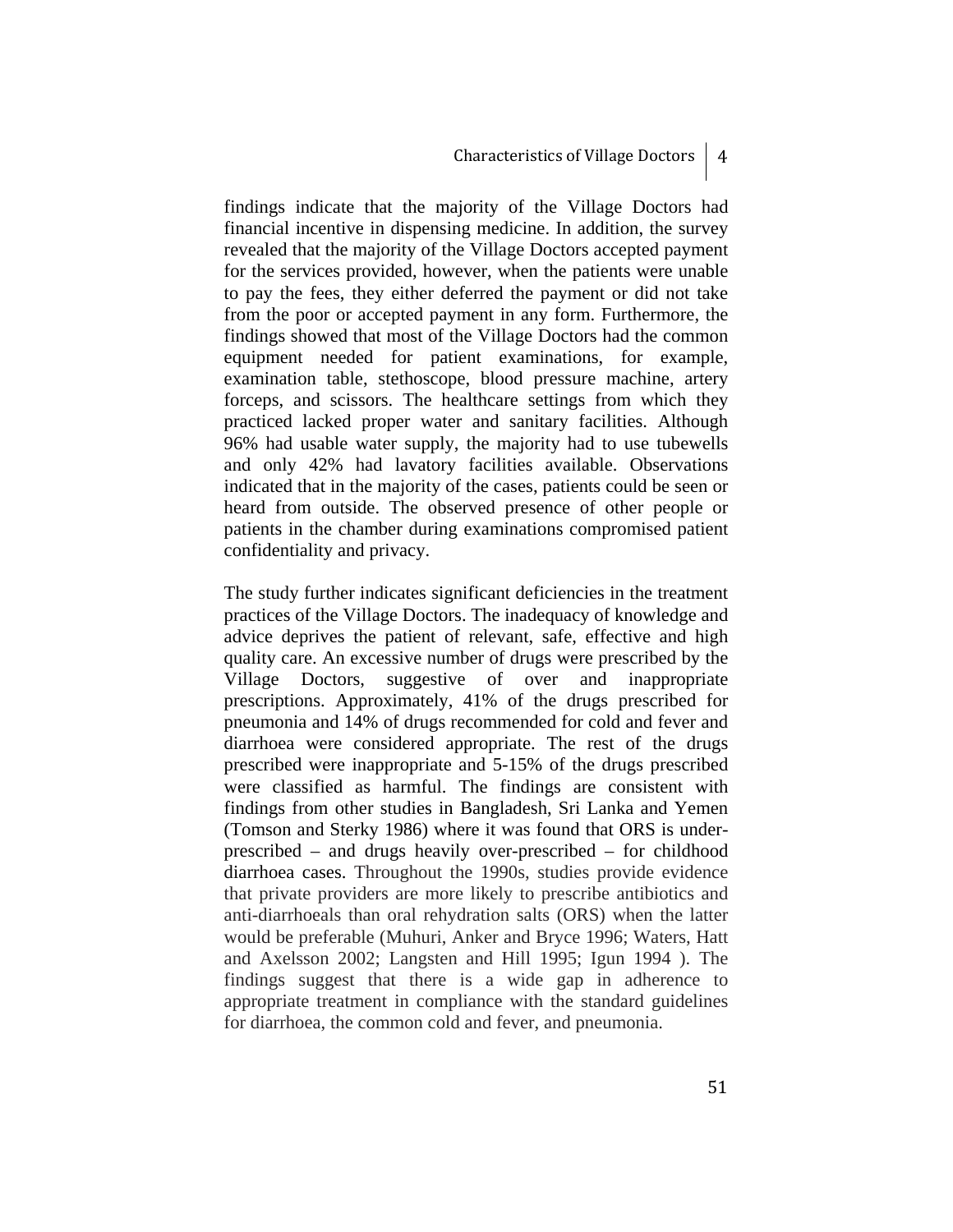findings indicate that the majority of the Village Doctors had financial incentive in dispensing medicine. In addition, the survey revealed that the majority of the Village Doctors accepted payment for the services provided, however, when the patients were unable to pay the fees, they either deferred the payment or did not take from the poor or accepted payment in any form. Furthermore, the findings showed that most of the Village Doctors had the common equipment needed for patient examinations, for example, examination table, stethoscope, blood pressure machine, artery forceps, and scissors. The healthcare settings from which they practiced lacked proper water and sanitary facilities. Although 96% had usable water supply, the majority had to use tubewells and only 42% had lavatory facilities available. Observations indicated that in the majority of the cases, patients could be seen or heard from outside. The observed presence of other people or patients in the chamber during examinations compromised patient confidentiality and privacy.

The study further indicates significant deficiencies in the treatment practices of the Village Doctors. The inadequacy of knowledge and advice deprives the patient of relevant, safe, effective and high quality care. An excessive number of drugs were prescribed by the Village Doctors, suggestive of over and inappropriate prescriptions. Approximately, 41% of the drugs prescribed for pneumonia and 14% of drugs recommended for cold and fever and diarrhoea were considered appropriate. The rest of the drugs prescribed were inappropriate and 5-15% of the drugs prescribed were classified as harmful. The findings are consistent with findings from other studies in Bangladesh, Sri Lanka and Yemen (Tomson and Sterky 1986) where it was found that ORS is underprescribed – and drugs heavily over-prescribed – for childhood diarrhoea cases. Throughout the 1990s, studies provide evidence that private providers are more likely to prescribe antibiotics and anti-diarrhoeals than oral rehydration salts (ORS) when the latter would be preferable (Muhuri, Anker and Bryce 1996; Waters, Hatt and Axelsson 2002; Langsten and Hill 1995; Igun 1994 ). The findings suggest that there is a wide gap in adherence to appropriate treatment in compliance with the standard guidelines for diarrhoea, the common cold and fever, and pneumonia.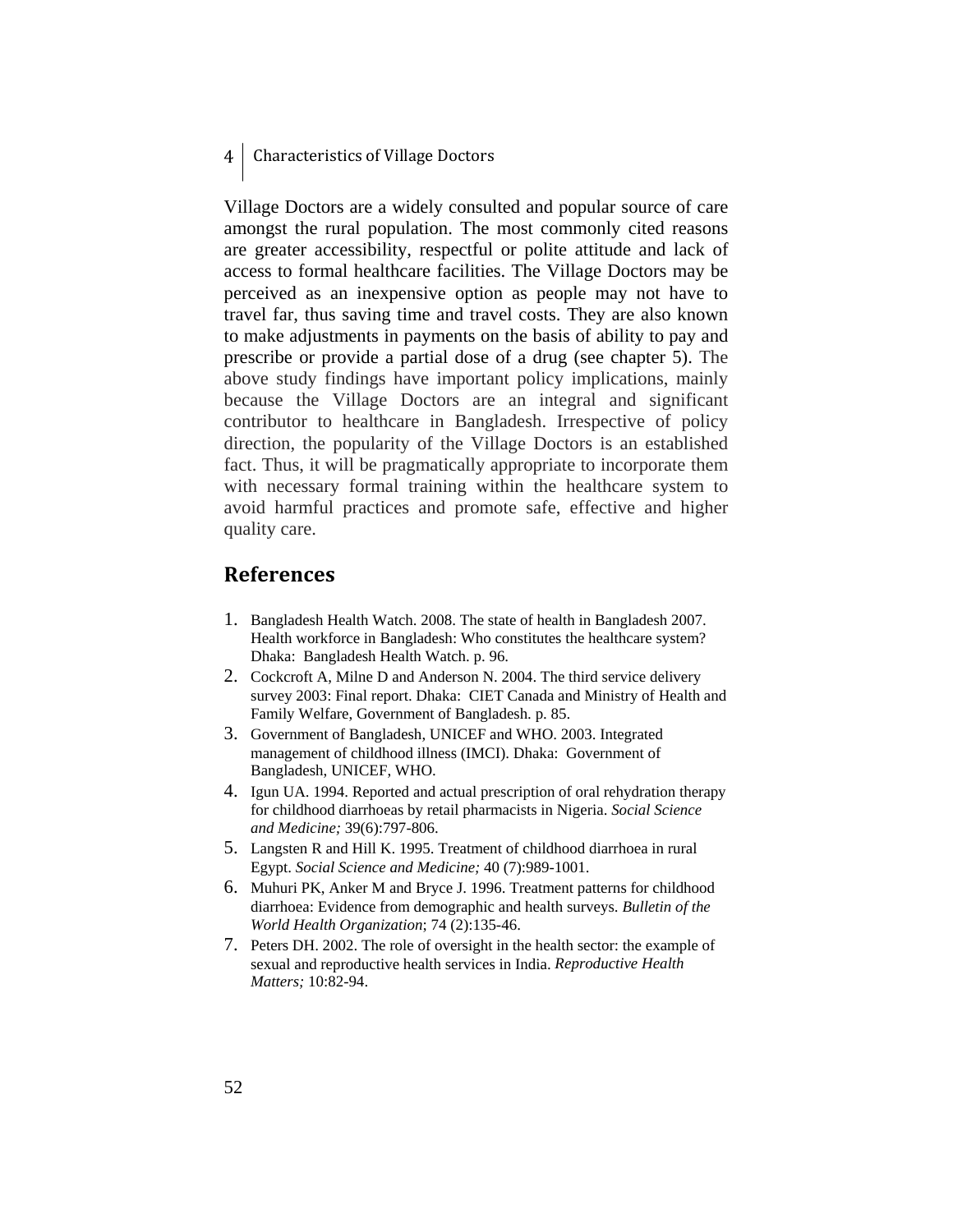Village Doctors are a widely consulted and popular source of care amongst the rural population. The most commonly cited reasons are greater accessibility, respectful or polite attitude and lack of access to formal healthcare facilities. The Village Doctors may be perceived as an inexpensive option as people may not have to travel far, thus saving time and travel costs. They are also known to make adjustments in payments on the basis of ability to pay and prescribe or provide a partial dose of a drug (see chapter 5). The above study findings have important policy implications, mainly because the Village Doctors are an integral and significant contributor to healthcare in Bangladesh. Irrespective of policy direction, the popularity of the Village Doctors is an established fact. Thus, it will be pragmatically appropriate to incorporate them with necessary formal training within the healthcare system to avoid harmful practices and promote safe, effective and higher quality care.

## **References**

- 1. Bangladesh Health Watch. 2008. The state of health in Bangladesh 2007. Health workforce in Bangladesh: Who constitutes the healthcare system? Dhaka: Bangladesh Health Watch. p. 96.
- 2. Cockcroft A, Milne D and Anderson N. 2004. The third service delivery survey 2003: Final report. Dhaka: CIET Canada and Ministry of Health and Family Welfare, Government of Bangladesh. p. 85.
- 3. Government of Bangladesh, UNICEF and WHO. 2003. Integrated management of childhood illness (IMCI). Dhaka: Government of Bangladesh, UNICEF, WHO.
- 4. Igun UA. 1994. Reported and actual prescription of oral rehydration therapy for childhood diarrhoeas by retail pharmacists in Nigeria. *Social Science and Medicine;* 39(6):797-806.
- 5. Langsten R and Hill K. 1995. Treatment of childhood diarrhoea in rural Egypt. *Social Science and Medicine;* 40 (7):989-1001.
- 6. Muhuri PK, Anker M and Bryce J. 1996. Treatment patterns for childhood diarrhoea: Evidence from demographic and health surveys. *Bulletin of the World Health Organization*; 74 (2):135-46.
- 7. Peters DH. 2002. The role of oversight in the health sector: the example of sexual and reproductive health services in India. *Reproductive Health Matters;* 10:82-94.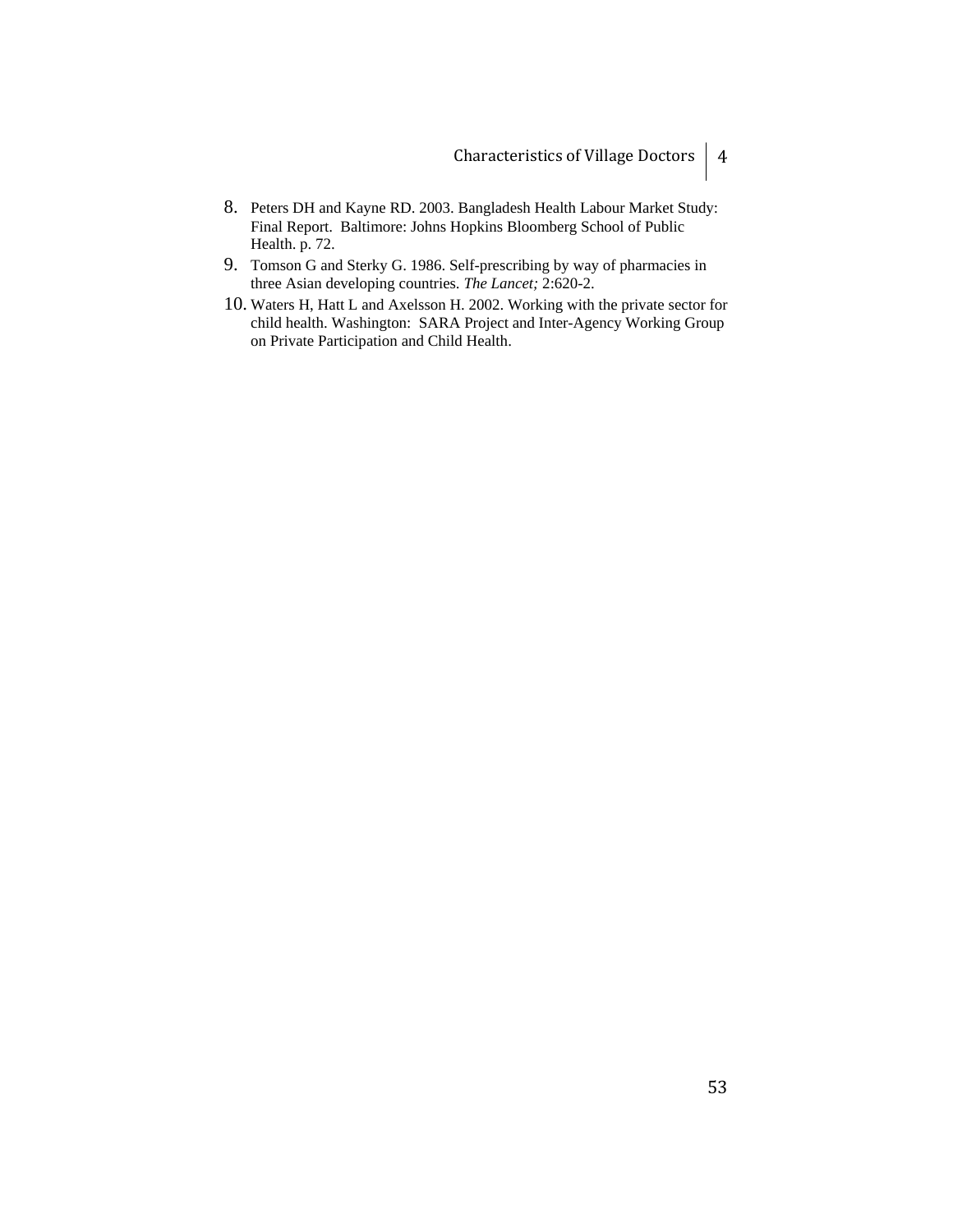- 8. Peters DH and Kayne RD. 2003. Bangladesh Health Labour Market Study: Final Report. Baltimore: Johns Hopkins Bloomberg School of Public Health. p. 72.
- 9. Tomson G and Sterky G. 1986. Self-prescribing by way of pharmacies in three Asian developing countries. *The Lancet;* 2:620-2.
- 10. Waters H, Hatt L and Axelsson H. 2002. Working with the private sector for child health. Washington: SARA Project and Inter-Agency Working Group on Private Participation and Child Health.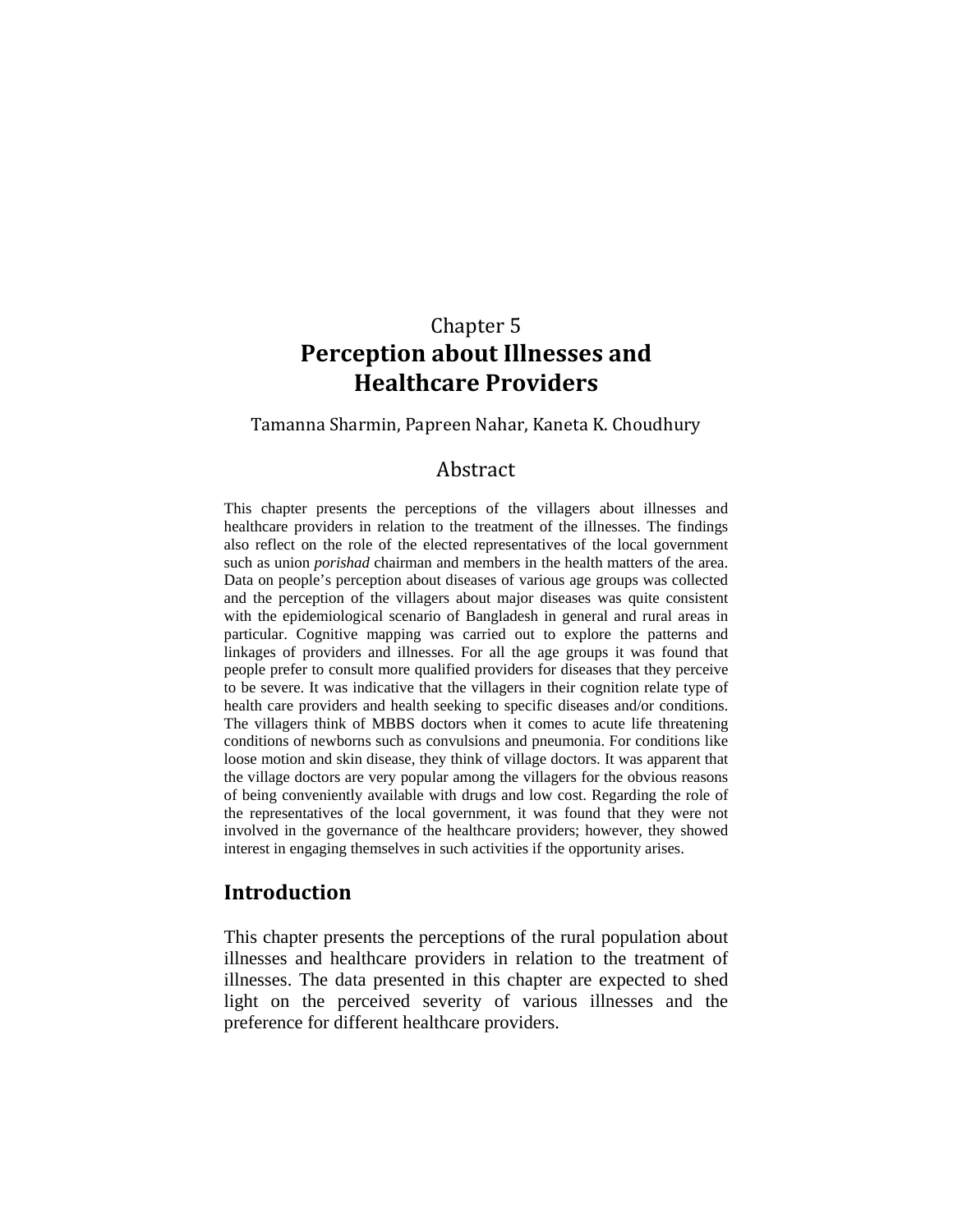# Chapter 5 **Perception about Illnesses and Healthcare Providers**

#### Tamanna Sharmin, Papreen Nahar, Kaneta K. Choudhury

## Abstract

This chapter presents the perceptions of the villagers about illnesses and healthcare providers in relation to the treatment of the illnesses. The findings also reflect on the role of the elected representatives of the local government such as union *porishad* chairman and members in the health matters of the area. Data on people's perception about diseases of various age groups was collected and the perception of the villagers about major diseases was quite consistent with the epidemiological scenario of Bangladesh in general and rural areas in particular. Cognitive mapping was carried out to explore the patterns and linkages of providers and illnesses. For all the age groups it was found that people prefer to consult more qualified providers for diseases that they perceive to be severe. It was indicative that the villagers in their cognition relate type of health care providers and health seeking to specific diseases and/or conditions. The villagers think of MBBS doctors when it comes to acute life threatening conditions of newborns such as convulsions and pneumonia. For conditions like loose motion and skin disease, they think of village doctors. It was apparent that the village doctors are very popular among the villagers for the obvious reasons of being conveniently available with drugs and low cost. Regarding the role of the representatives of the local government, it was found that they were not involved in the governance of the healthcare providers; however, they showed interest in engaging themselves in such activities if the opportunity arises.

## **Introduction**

This chapter presents the perceptions of the rural population about illnesses and healthcare providers in relation to the treatment of illnesses. The data presented in this chapter are expected to shed light on the perceived severity of various illnesses and the preference for different healthcare providers.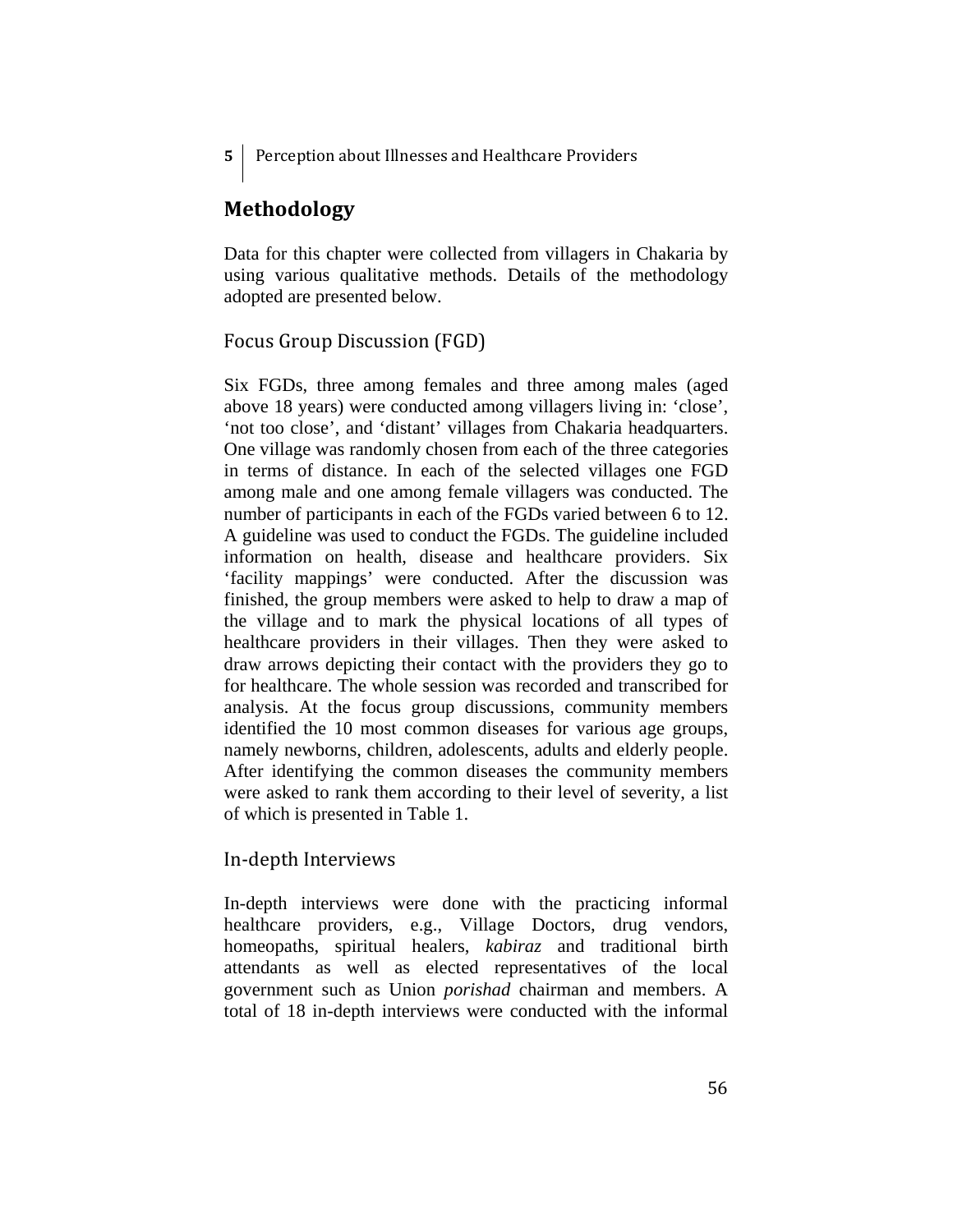**5**  Perception about Illnesses and Healthcare Providers

## **Methodology**

Data for this chapter were collected from villagers in Chakaria by using various qualitative methods. Details of the methodology adopted are presented below.

## Focus Group Discussion (FGD)

Six FGDs, three among females and three among males (aged above 18 years) were conducted among villagers living in: 'close', 'not too close', and 'distant' villages from Chakaria headquarters. One village was randomly chosen from each of the three categories in terms of distance. In each of the selected villages one FGD among male and one among female villagers was conducted. The number of participants in each of the FGDs varied between 6 to 12. A guideline was used to conduct the FGDs. The guideline included information on health, disease and healthcare providers. Six 'facility mappings' were conducted. After the discussion was finished, the group members were asked to help to draw a map of the village and to mark the physical locations of all types of healthcare providers in their villages. Then they were asked to draw arrows depicting their contact with the providers they go to for healthcare. The whole session was recorded and transcribed for analysis. At the focus group discussions, community members identified the 10 most common diseases for various age groups, namely newborns, children, adolescents, adults and elderly people. After identifying the common diseases the community members were asked to rank them according to their level of severity, a list of which is presented in Table 1.

## In‐depth Interviews

In-depth interviews were done with the practicing informal healthcare providers, e.g., Village Doctors, drug vendors, homeopaths, spiritual healers, *kabiraz* and traditional birth attendants as well as elected representatives of the local government such as Union *porishad* chairman and members. A total of 18 in-depth interviews were conducted with the informal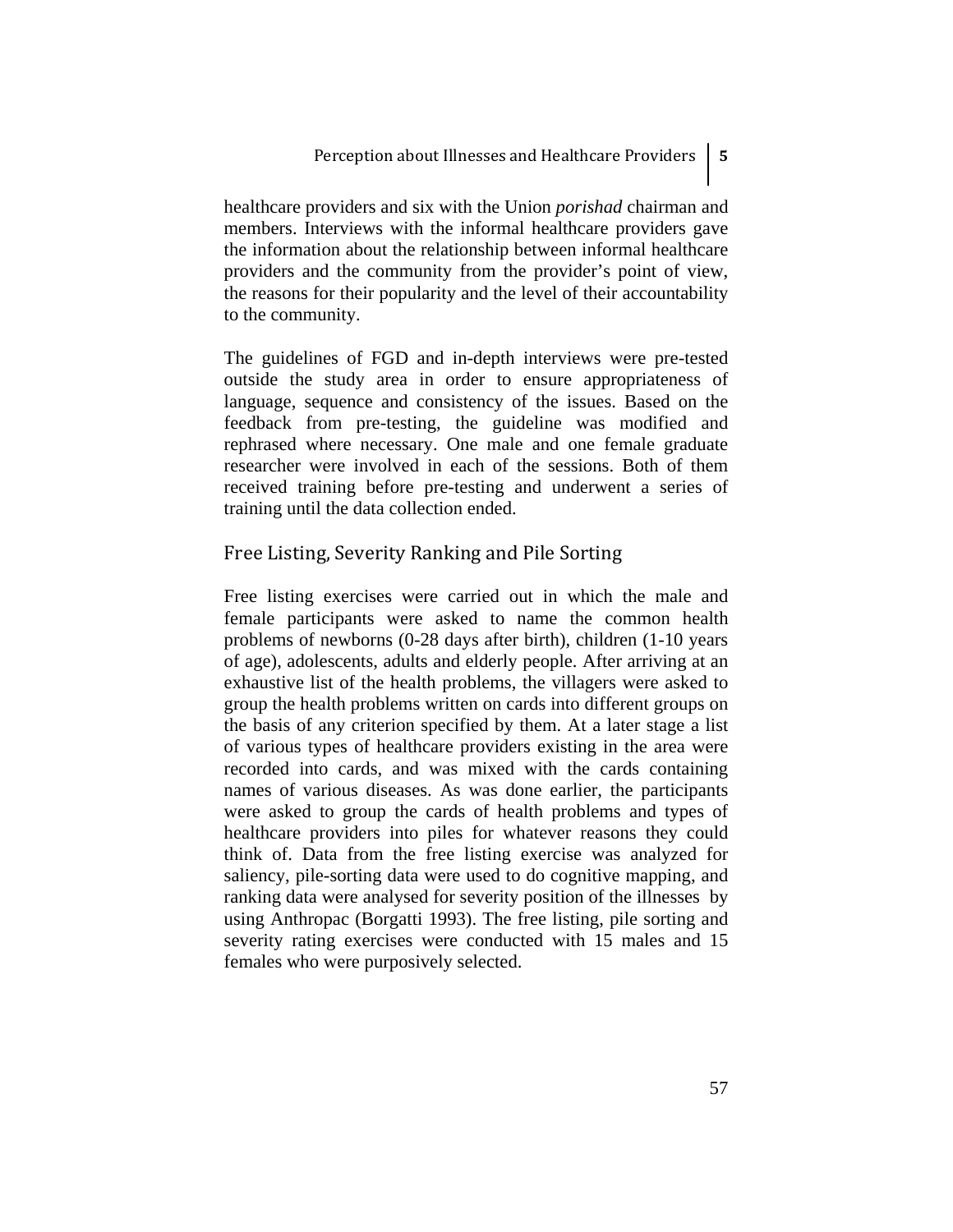healthcare providers and six with the Union *porishad* chairman and members. Interviews with the informal healthcare providers gave the information about the relationship between informal healthcare providers and the community from the provider's point of view, the reasons for their popularity and the level of their accountability to the community.

The guidelines of FGD and in-depth interviews were pre-tested outside the study area in order to ensure appropriateness of language, sequence and consistency of the issues. Based on the feedback from pre-testing, the guideline was modified and rephrased where necessary. One male and one female graduate researcher were involved in each of the sessions. Both of them received training before pre-testing and underwent a series of training until the data collection ended.

## Free Listing, Severity Ranking and Pile Sorting

Free listing exercises were carried out in which the male and female participants were asked to name the common health problems of newborns (0-28 days after birth), children (1-10 years of age), adolescents, adults and elderly people. After arriving at an exhaustive list of the health problems, the villagers were asked to group the health problems written on cards into different groups on the basis of any criterion specified by them. At a later stage a list of various types of healthcare providers existing in the area were recorded into cards, and was mixed with the cards containing names of various diseases. As was done earlier, the participants were asked to group the cards of health problems and types of healthcare providers into piles for whatever reasons they could think of. Data from the free listing exercise was analyzed for saliency, pile-sorting data were used to do cognitive mapping, and ranking data were analysed for severity position of the illnesses by using Anthropac (Borgatti 1993). The free listing, pile sorting and severity rating exercises were conducted with 15 males and 15 females who were purposively selected.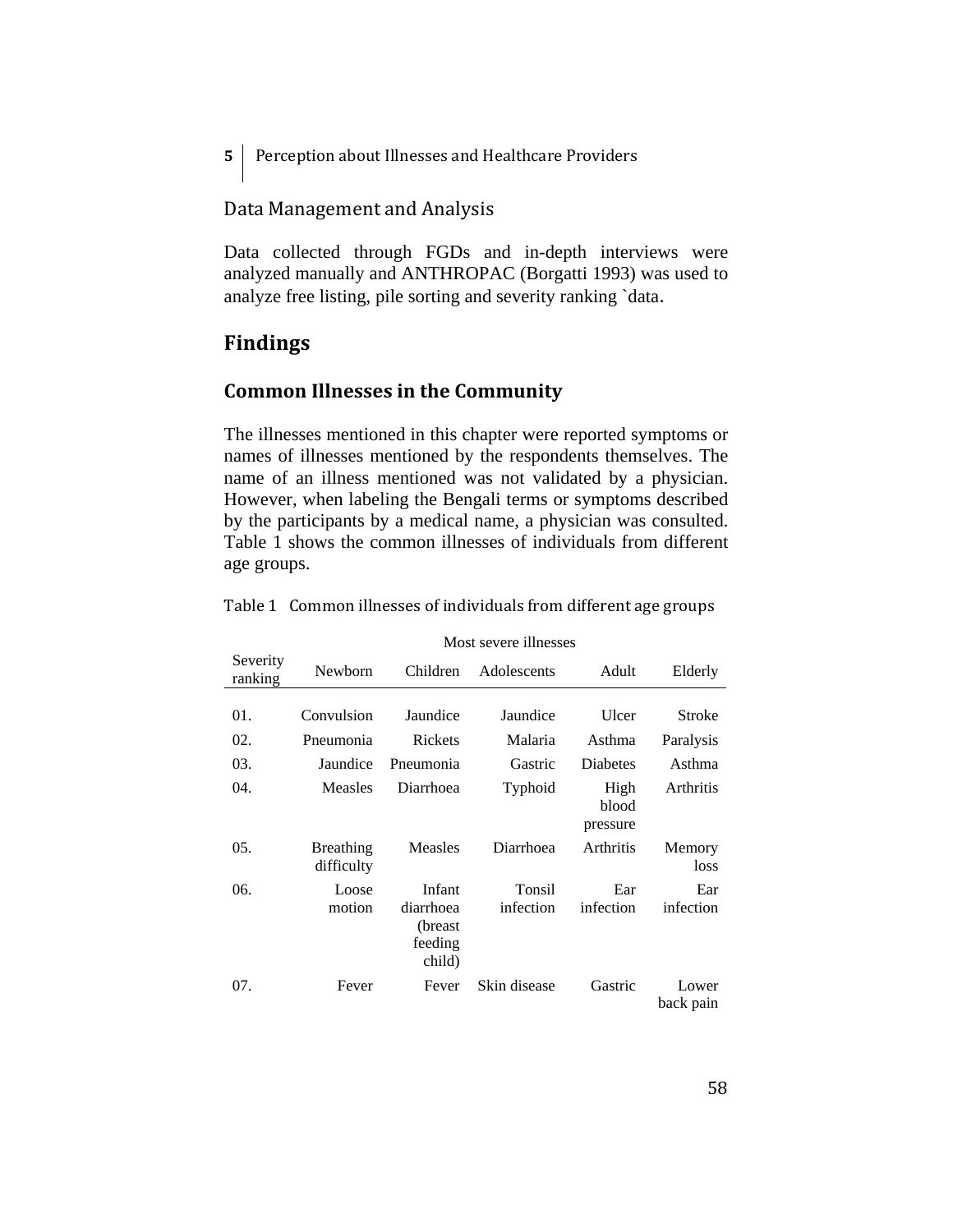**5 Perception about Illnesses and Healthcare Providers** 

## Data Management and Analysis

Data collected through FGDs and in-depth interviews were analyzed manually and ANTHROPAC (Borgatti 1993) was used to analyze free listing, pile sorting and severity ranking `data.

## **Findings**

## **Common Illnesses in the Community**

The illnesses mentioned in this chapter were reported symptoms or names of illnesses mentioned by the respondents themselves. The name of an illness mentioned was not validated by a physician. However, when labeling the Bengali terms or symptoms described by the participants by a medical name, a physician was consulted. Table 1 shows the common illnesses of individuals from different age groups.

|                     | Most severe illnesses          |                                                      |                     |                           |                    |
|---------------------|--------------------------------|------------------------------------------------------|---------------------|---------------------------|--------------------|
| Severity<br>ranking | Newborn                        | Children                                             | Adolescents         | Adult                     | Elderly            |
|                     |                                |                                                      |                     |                           |                    |
| 01.                 | Convulsion                     | Jaundice                                             | Jaundice            | Ulcer                     | Stroke             |
| 02.                 | Pneumonia                      | <b>Rickets</b>                                       | Malaria             | Asthma                    | Paralysis          |
| 03.                 | Jaundice                       | Pneumonia                                            | Gastric             | <b>Diabetes</b>           | Asthma             |
| 04.                 | <b>Measles</b>                 | Diarrhoea                                            | Typhoid             | High<br>blood<br>pressure | Arthritis          |
| 05.                 | <b>Breathing</b><br>difficulty | Measles                                              | Diarrhoea           | Arthritis                 | Memory<br>loss     |
| 06.                 | Loose<br>motion                | Infant<br>diarrhoea<br>(breast)<br>feeding<br>child) | Tonsil<br>infection | Ear<br>infection          | Ear<br>infection   |
| 07.                 | Fever                          | Fever                                                | Skin disease        | Gastric                   | Lower<br>back pain |

Table 1 Common illnesses of individuals from different age groups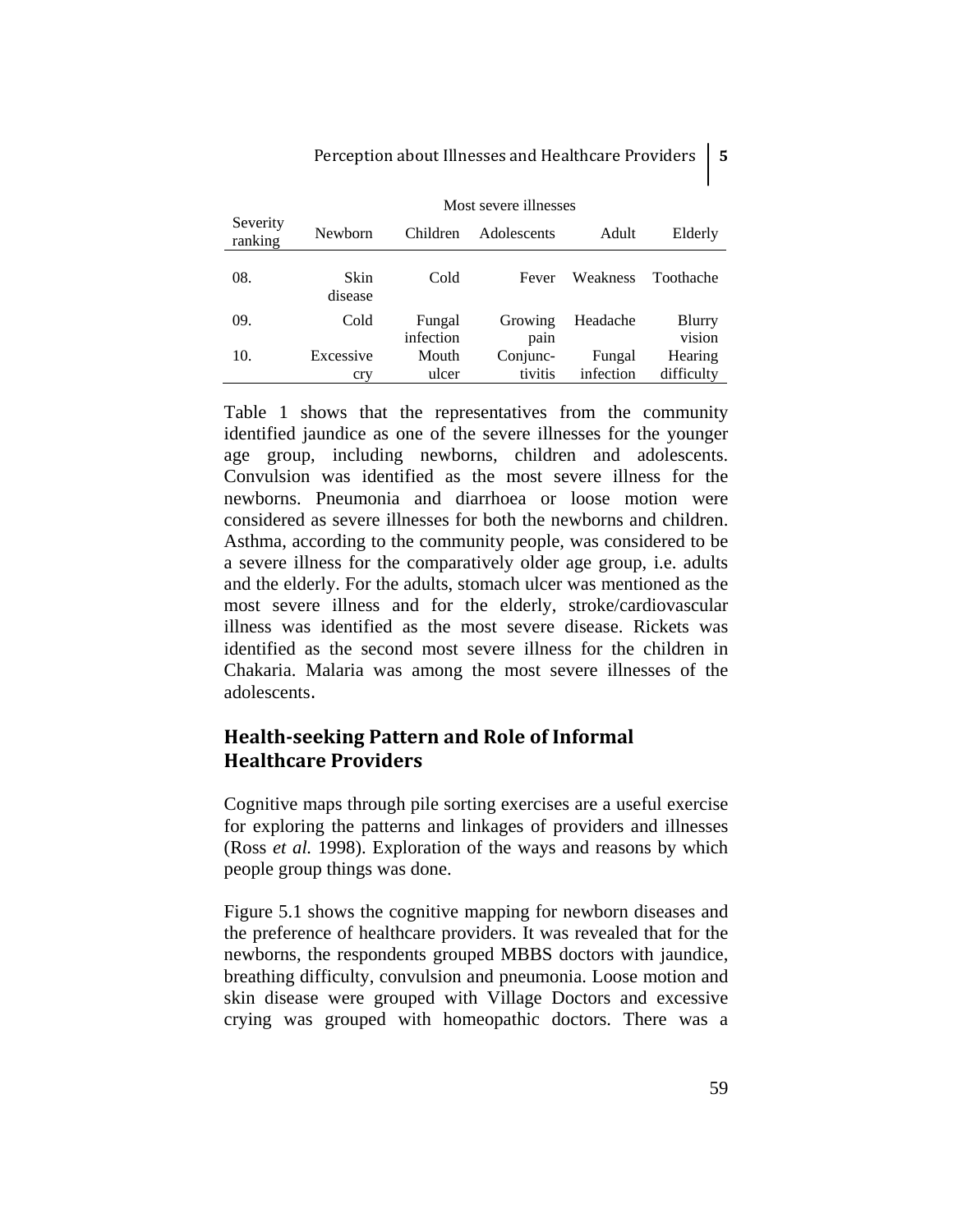| Severity<br>ranking | Newborn         | Children            | Adolescents     | Adult     | Elderly          |
|---------------------|-----------------|---------------------|-----------------|-----------|------------------|
| 08.                 | Skin<br>disease | Cold                | Fever           | Weakness  | Toothache        |
| 09.                 | Cold            | Fungal<br>infection | Growing<br>pain | Headache  | Blurry<br>vision |
| 10.                 | Excessive       | Mouth               | Conjunc-        | Fungal    | Hearing          |
|                     | cry             | ulcer               | tivitis         | infection | difficulty       |

Most severe illnesses

Table 1 shows that the representatives from the community identified jaundice as one of the severe illnesses for the younger age group, including newborns, children and adolescents. Convulsion was identified as the most severe illness for the newborns. Pneumonia and diarrhoea or loose motion were considered as severe illnesses for both the newborns and children. Asthma, according to the community people, was considered to be a severe illness for the comparatively older age group, i.e. adults and the elderly. For the adults, stomach ulcer was mentioned as the most severe illness and for the elderly, stroke/cardiovascular illness was identified as the most severe disease. Rickets was identified as the second most severe illness for the children in Chakaria. Malaria was among the most severe illnesses of the adolescents.

## **Healthseeking Pattern and Role of Informal Healthcare Providers**

Cognitive maps through pile sorting exercises are a useful exercise for exploring the patterns and linkages of providers and illnesses (Ross *et al.* 1998). Exploration of the ways and reasons by which people group things was done.

Figure 5.1 shows the cognitive mapping for newborn diseases and the preference of healthcare providers. It was revealed that for the newborns, the respondents grouped MBBS doctors with jaundice, breathing difficulty, convulsion and pneumonia. Loose motion and skin disease were grouped with Village Doctors and excessive crying was grouped with homeopathic doctors. There was a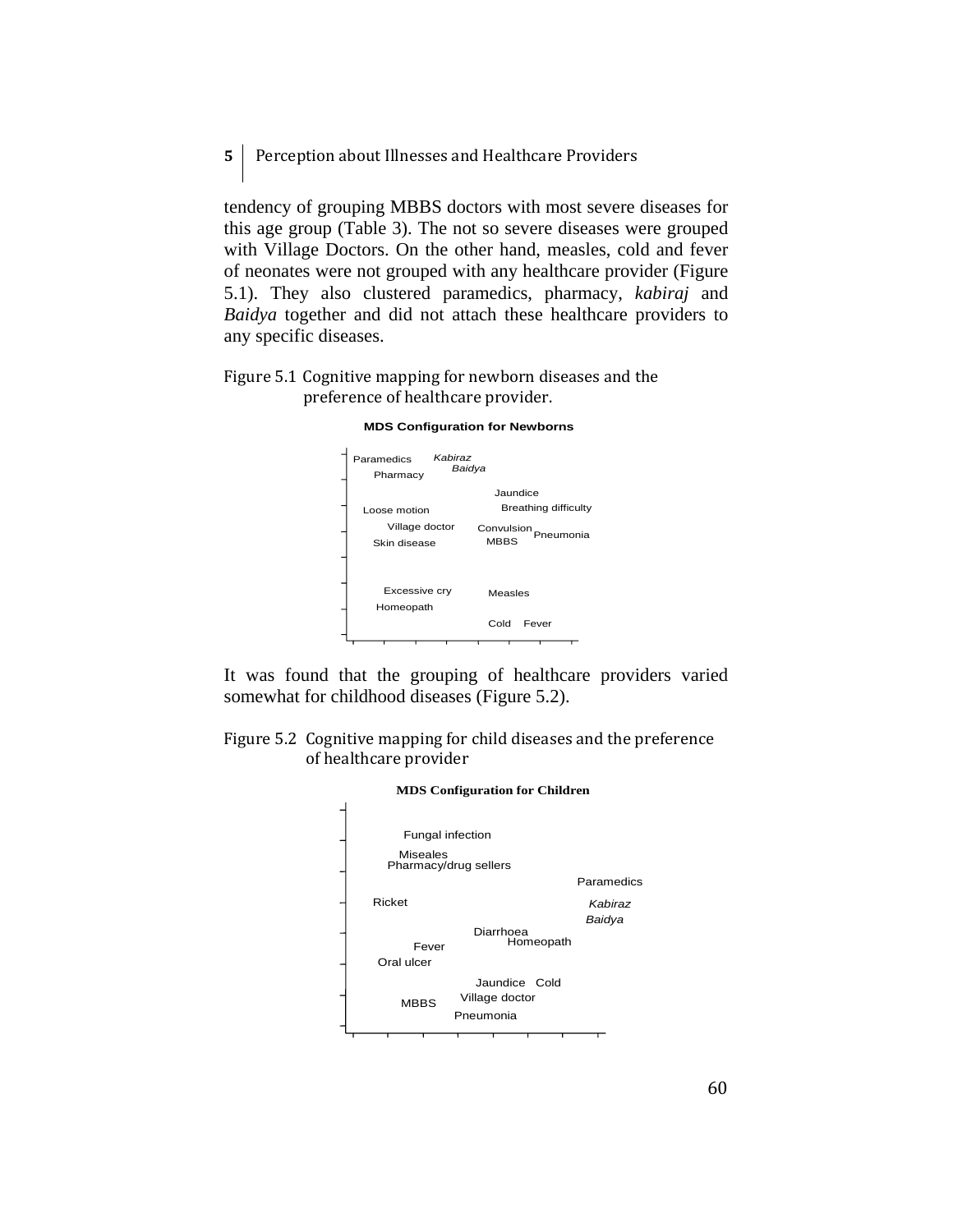**5 Perception about Illnesses and Healthcare Providers** 

tendency of grouping MBBS doctors with most severe diseases for this age group (Table 3). The not so severe diseases were grouped with Village Doctors. On the other hand, measles, cold and fever of neonates were not grouped with any healthcare provider (Figure 5.1). They also clustered paramedics, pharmacy, *kabiraj* and *Baidya* together and did not attach these healthcare providers to any specific diseases.

Figure 5.1 Cognitive mapping for newborn diseases and the preference of healthcare provider.



**MDS Configuration for Newborns** 

It was found that the grouping of healthcare providers varied somewhat for childhood diseases (Figure 5.2).

Figure 5.2 Cognitive mapping for child diseases and the preference of healthcare provider

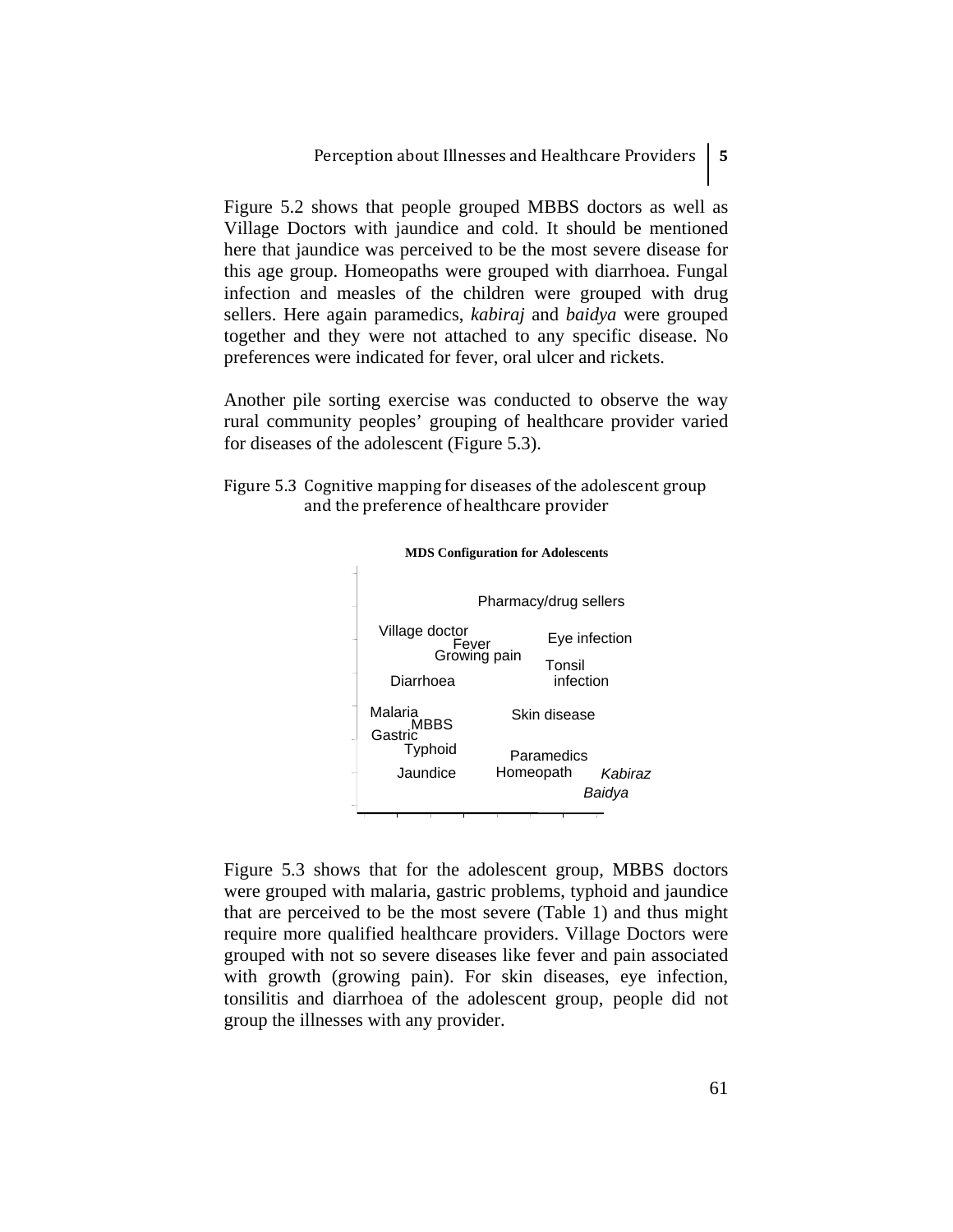Figure 5.2 shows that people grouped MBBS doctors as well as Village Doctors with jaundice and cold. It should be mentioned here that jaundice was perceived to be the most severe disease for this age group. Homeopaths were grouped with diarrhoea. Fungal infection and measles of the children were grouped with drug sellers. Here again paramedics, *kabiraj* and *baidya* were grouped together and they were not attached to any specific disease. No preferences were indicated for fever, oral ulcer and rickets.

Another pile sorting exercise was conducted to observe the way rural community peoples' grouping of healthcare provider varied for diseases of the adolescent (Figure 5.3).

Figure 5.3 Cognitive mapping for diseases of the adolescent group and the preference of healthcare provider





Figure 5.3 shows that for the adolescent group, MBBS doctors were grouped with malaria, gastric problems, typhoid and jaundice that are perceived to be the most severe (Table 1) and thus might require more qualified healthcare providers. Village Doctors were grouped with not so severe diseases like fever and pain associated with growth (growing pain). For skin diseases, eye infection, tonsilitis and diarrhoea of the adolescent group, people did not group the illnesses with any provider.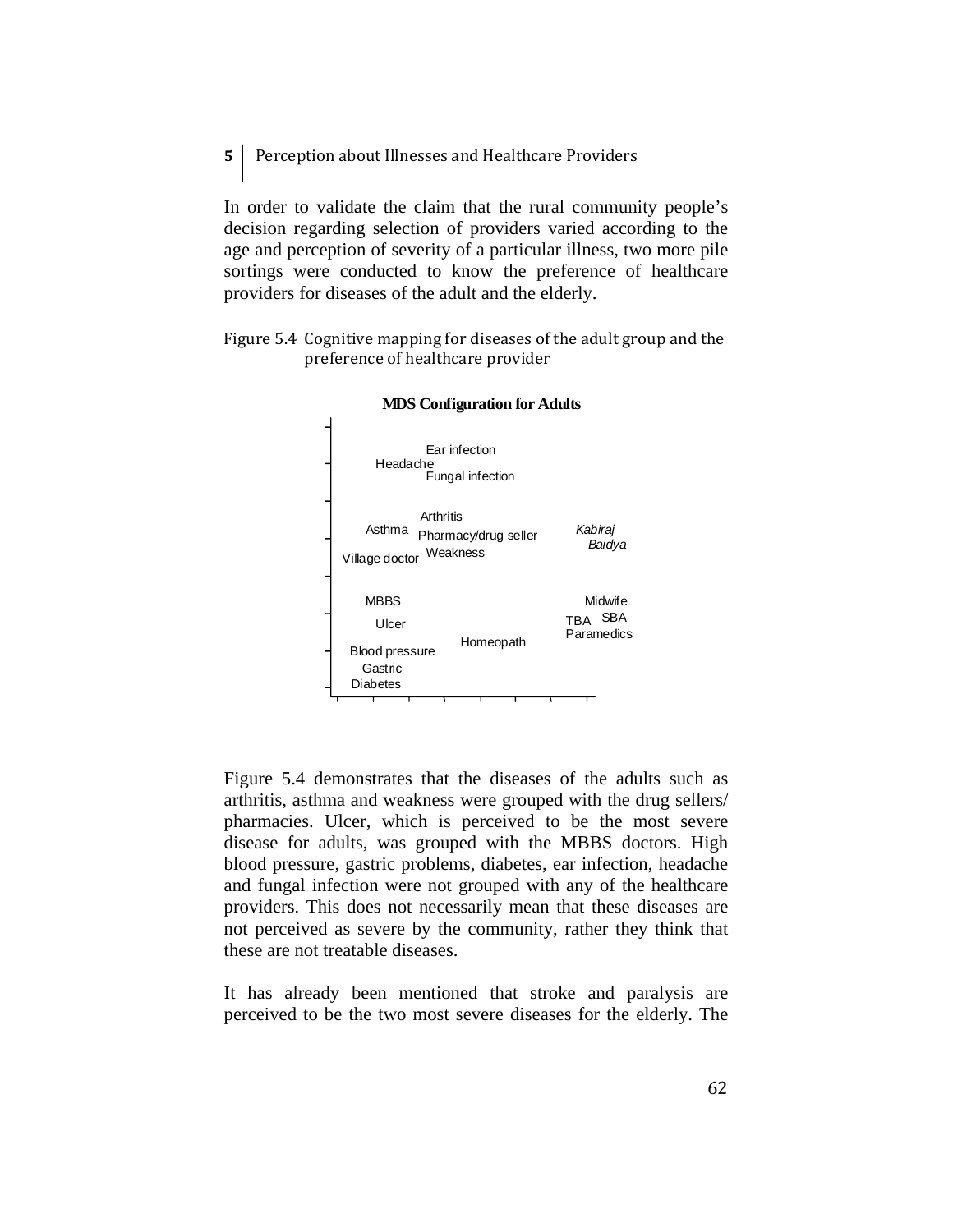**5**  Perception about Illnesses and Healthcare Providers

In order to validate the claim that the rural community people's decision regarding selection of providers varied according to the age and perception of severity of a particular illness, two more pile sortings were conducted to know the preference of healthcare providers for diseases of the adult and the elderly.

Figure 5.4 Cognitive mapping for diseases of the adult group and the preference of healthcare provider



#### **MDS Configuration for Adults**

Figure 5.4 demonstrates that the diseases of the adults such as arthritis, asthma and weakness were grouped with the drug sellers/ pharmacies. Ulcer, which is perceived to be the most severe disease for adults, was grouped with the MBBS doctors. High blood pressure, gastric problems, diabetes, ear infection, headache and fungal infection were not grouped with any of the healthcare providers. This does not necessarily mean that these diseases are not perceived as severe by the community, rather they think that these are not treatable diseases.

It has already been mentioned that stroke and paralysis are perceived to be the two most severe diseases for the elderly. The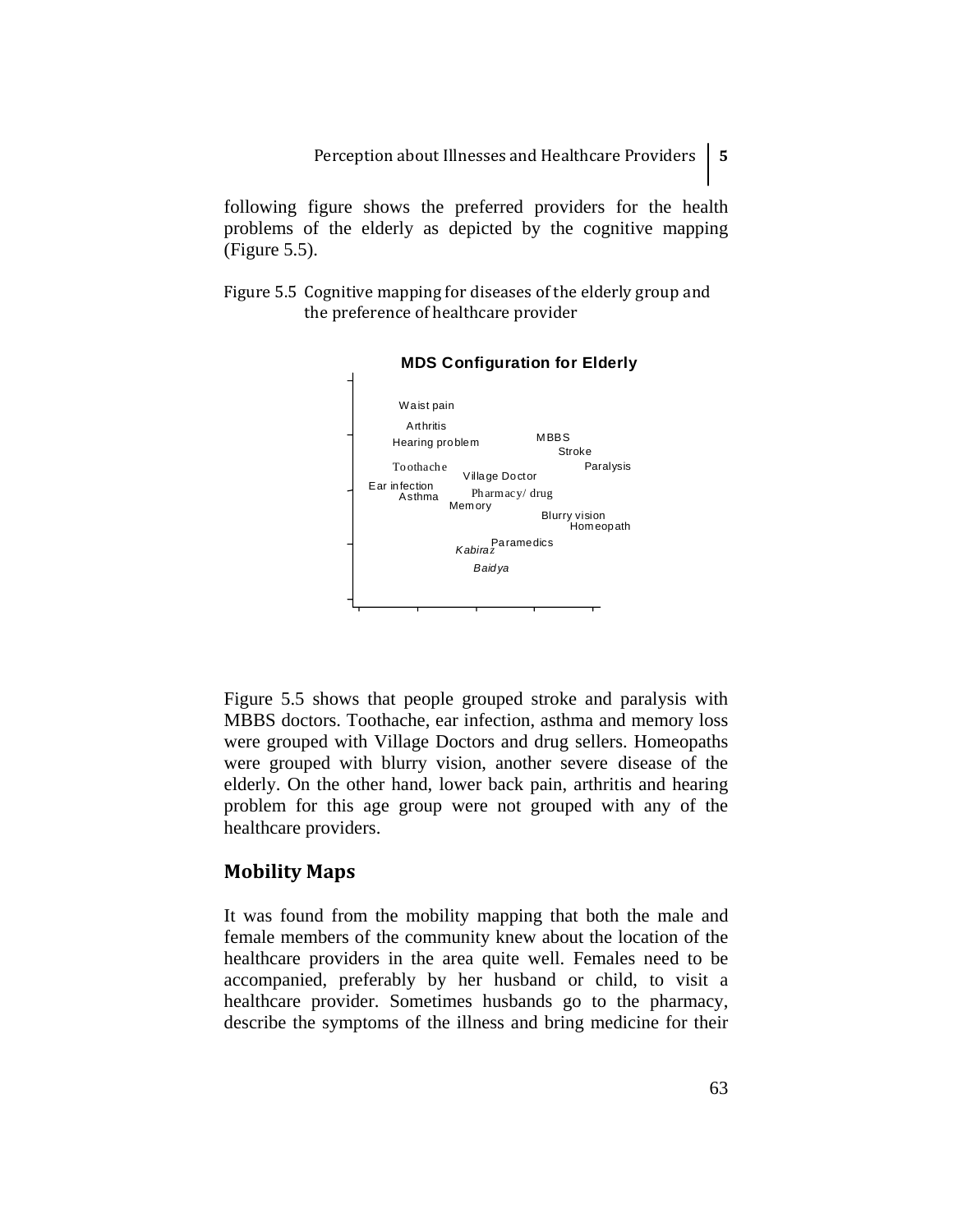following figure shows the preferred providers for the health problems of the elderly as depicted by the cognitive mapping (Figure 5.5).

Figure 5.5 Cognitive mapping for diseases of the elderly group and the preference of healthcare provider



#### **MDS Configuration for Elderly**

Figure 5.5 shows that people grouped stroke and paralysis with MBBS doctors. Toothache, ear infection, asthma and memory loss were grouped with Village Doctors and drug sellers. Homeopaths were grouped with blurry vision, another severe disease of the elderly. On the other hand, lower back pain, arthritis and hearing problem for this age group were not grouped with any of the healthcare providers.

## **Mobility Maps**

It was found from the mobility mapping that both the male and female members of the community knew about the location of the healthcare providers in the area quite well. Females need to be accompanied, preferably by her husband or child, to visit a healthcare provider. Sometimes husbands go to the pharmacy, describe the symptoms of the illness and bring medicine for their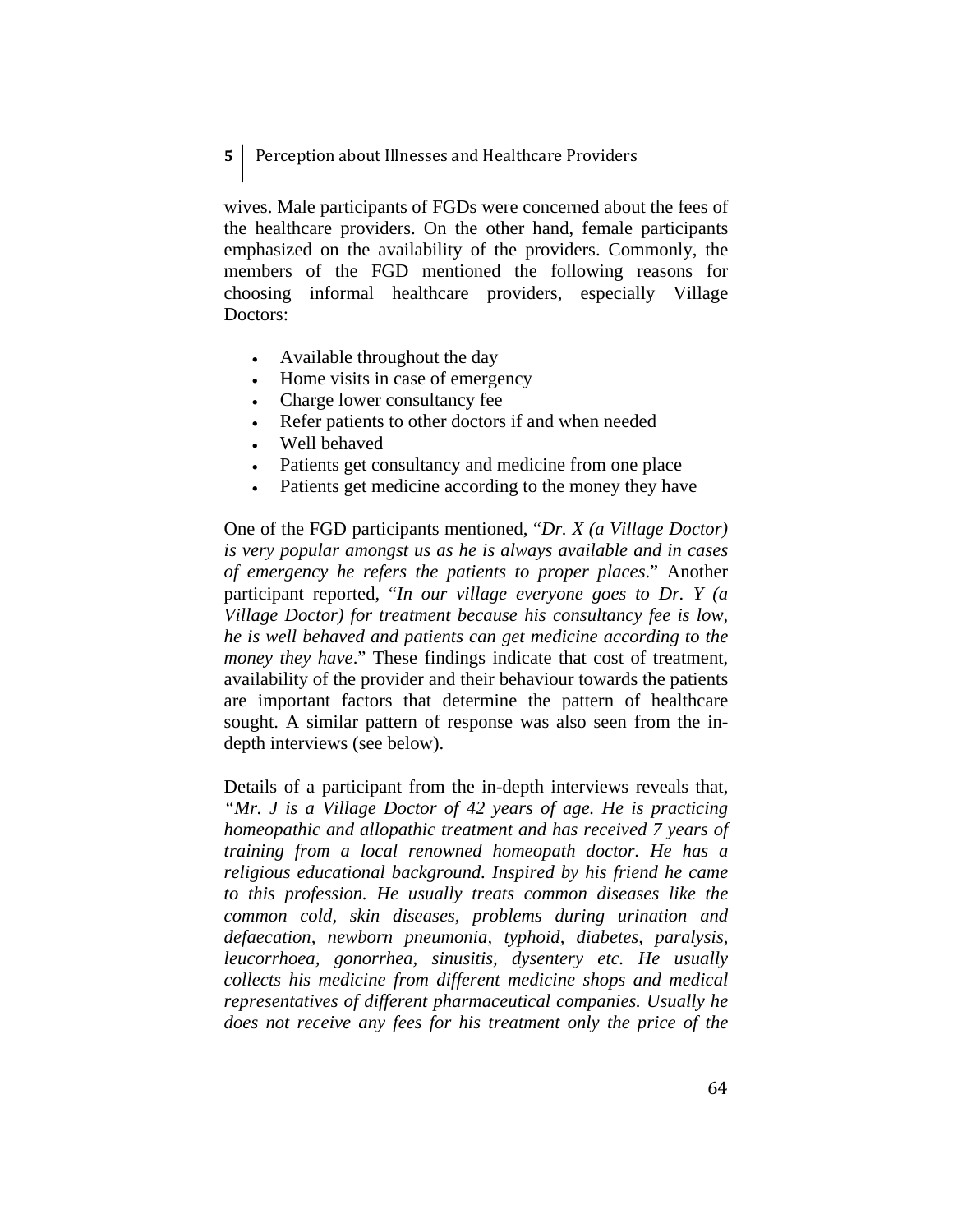## **5**  Perception about Illnesses and Healthcare Providers

wives. Male participants of FGDs were concerned about the fees of the healthcare providers. On the other hand, female participants emphasized on the availability of the providers. Commonly, the members of the FGD mentioned the following reasons for choosing informal healthcare providers, especially Village Doctors:

- Available throughout the day
- Home visits in case of emergency
- Charge lower consultancy fee
- Refer patients to other doctors if and when needed
- Well behaved
- Patients get consultancy and medicine from one place
- Patients get medicine according to the money they have

One of the FGD participants mentioned, "*Dr. X (a Village Doctor) is very popular amongst us as he is always available and in cases of emergency he refers the patients to proper places*." Another participant reported, "*In our village everyone goes to Dr. Y (a Village Doctor) for treatment because his consultancy fee is low, he is well behaved and patients can get medicine according to the money they have*." These findings indicate that cost of treatment, availability of the provider and their behaviour towards the patients are important factors that determine the pattern of healthcare sought. A similar pattern of response was also seen from the indepth interviews (see below).

Details of a participant from the in-depth interviews reveals that, *"Mr. J is a Village Doctor of 42 years of age. He is practicing homeopathic and allopathic treatment and has received 7 years of training from a local renowned homeopath doctor. He has a religious educational background. Inspired by his friend he came to this profession. He usually treats common diseases like the common cold, skin diseases, problems during urination and defaecation, newborn pneumonia, typhoid, diabetes, paralysis, leucorrhoea, gonorrhea, sinusitis, dysentery etc. He usually collects his medicine from different medicine shops and medical representatives of different pharmaceutical companies. Usually he does not receive any fees for his treatment only the price of the*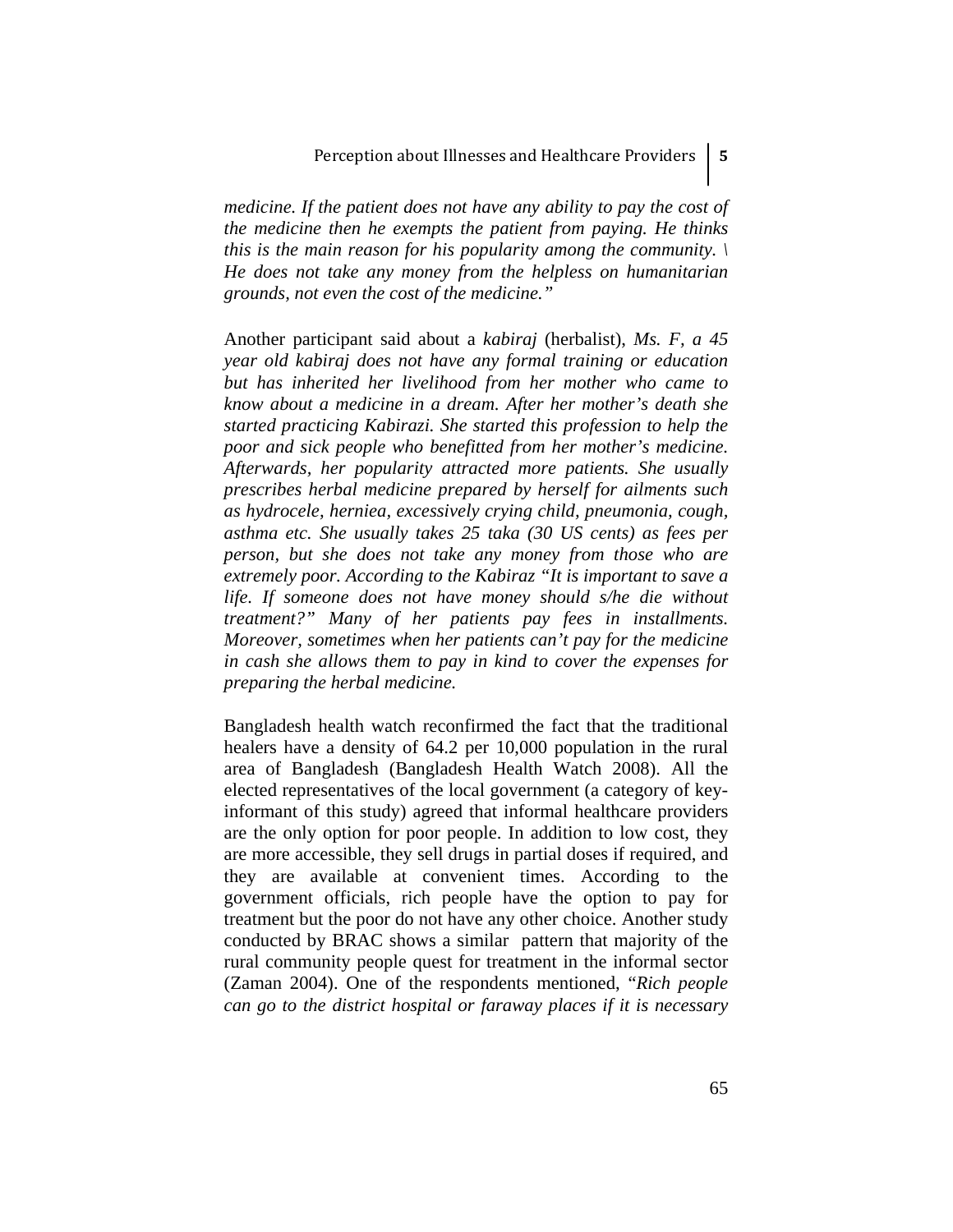*medicine. If the patient does not have any ability to pay the cost of the medicine then he exempts the patient from paying. He thinks this is the main reason for his popularity among the community. \ He does not take any money from the helpless on humanitarian grounds, not even the cost of the medicine."* 

Another participant said about a *kabiraj* (herbalist), *Ms. F, a 45 year old kabiraj does not have any formal training or education but has inherited her livelihood from her mother who came to know about a medicine in a dream. After her mother's death she started practicing Kabirazi. She started this profession to help the poor and sick people who benefitted from her mother's medicine. Afterwards, her popularity attracted more patients. She usually prescribes herbal medicine prepared by herself for ailments such as hydrocele, herniea, excessively crying child, pneumonia, cough, asthma etc. She usually takes 25 taka (30 US cents) as fees per person, but she does not take any money from those who are extremely poor. According to the Kabiraz "It is important to save a life. If someone does not have money should s/he die without treatment?" Many of her patients pay fees in installments. Moreover, sometimes when her patients can't pay for the medicine in cash she allows them to pay in kind to cover the expenses for preparing the herbal medicine.* 

Bangladesh health watch reconfirmed the fact that the traditional healers have a density of 64.2 per 10,000 population in the rural area of Bangladesh (Bangladesh Health Watch 2008). All the elected representatives of the local government (a category of keyinformant of this study) agreed that informal healthcare providers are the only option for poor people. In addition to low cost, they are more accessible, they sell drugs in partial doses if required, and they are available at convenient times. According to the government officials, rich people have the option to pay for treatment but the poor do not have any other choice. Another study conducted by BRAC shows a similar pattern that majority of the rural community people quest for treatment in the informal sector (Zaman 2004). One of the respondents mentioned, "*Rich people can go to the district hospital or faraway places if it is necessary*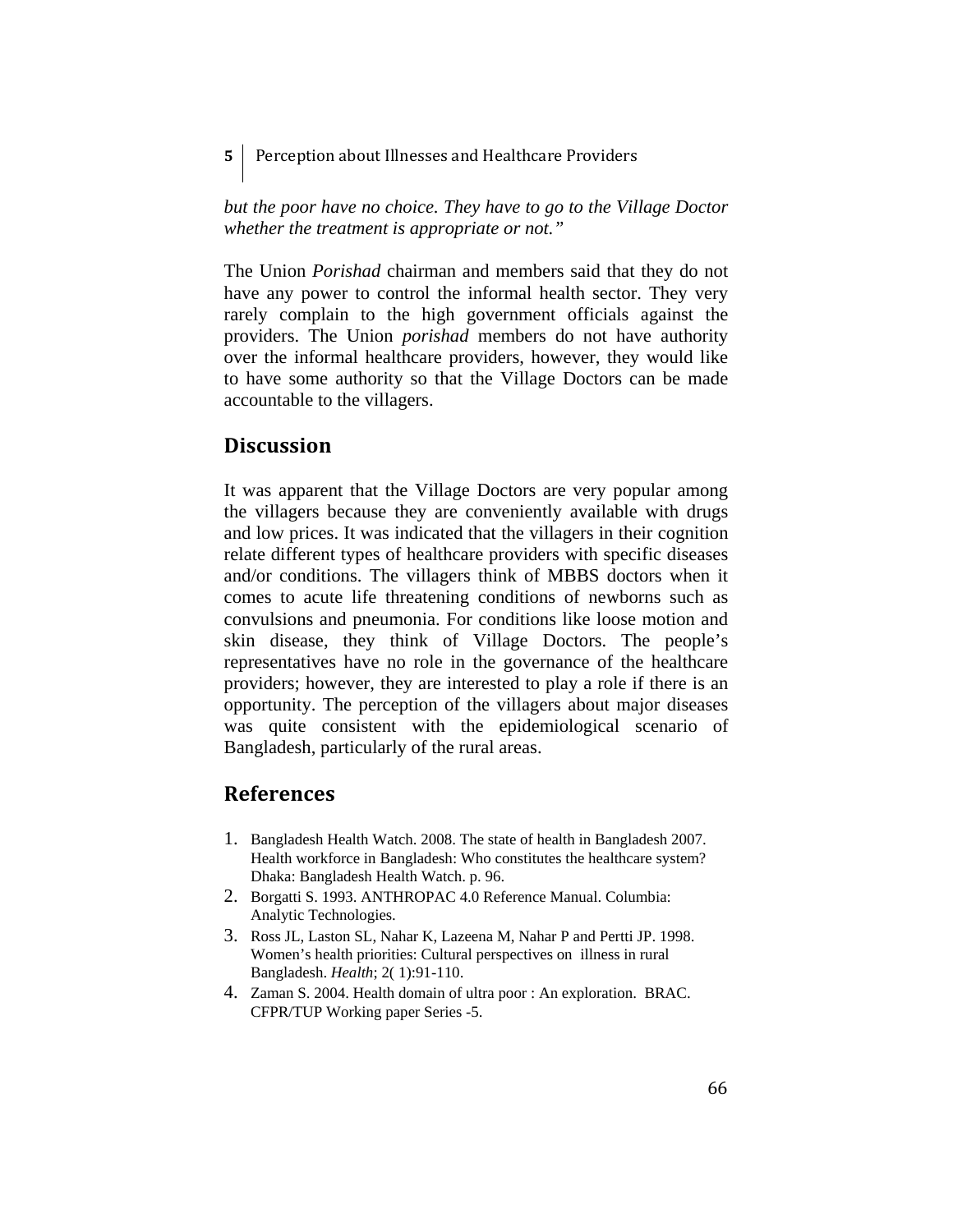**5**  Perception about Illnesses and Healthcare Providers

*but the poor have no choice. They have to go to the Village Doctor whether the treatment is appropriate or not."* 

The Union *Porishad* chairman and members said that they do not have any power to control the informal health sector. They very rarely complain to the high government officials against the providers. The Union *porishad* members do not have authority over the informal healthcare providers, however, they would like to have some authority so that the Village Doctors can be made accountable to the villagers.

## **Discussion**

It was apparent that the Village Doctors are very popular among the villagers because they are conveniently available with drugs and low prices. It was indicated that the villagers in their cognition relate different types of healthcare providers with specific diseases and/or conditions. The villagers think of MBBS doctors when it comes to acute life threatening conditions of newborns such as convulsions and pneumonia. For conditions like loose motion and skin disease, they think of Village Doctors. The people's representatives have no role in the governance of the healthcare providers; however, they are interested to play a role if there is an opportunity. The perception of the villagers about major diseases was quite consistent with the epidemiological scenario of Bangladesh, particularly of the rural areas.

# **References**

- 1. Bangladesh Health Watch. 2008. The state of health in Bangladesh 2007. Health workforce in Bangladesh: Who constitutes the healthcare system? Dhaka: Bangladesh Health Watch. p. 96.
- 2. Borgatti S. 1993. ANTHROPAC 4.0 Reference Manual. Columbia: Analytic Technologies.
- 3. Ross JL, Laston SL, Nahar K, Lazeena M, Nahar P and Pertti JP. 1998. Women's health priorities: Cultural perspectives on illness in rural Bangladesh. *Health*; 2( 1):91-110.
- 4. Zaman S. 2004. Health domain of ultra poor : An exploration. BRAC. CFPR/TUP Working paper Series -5.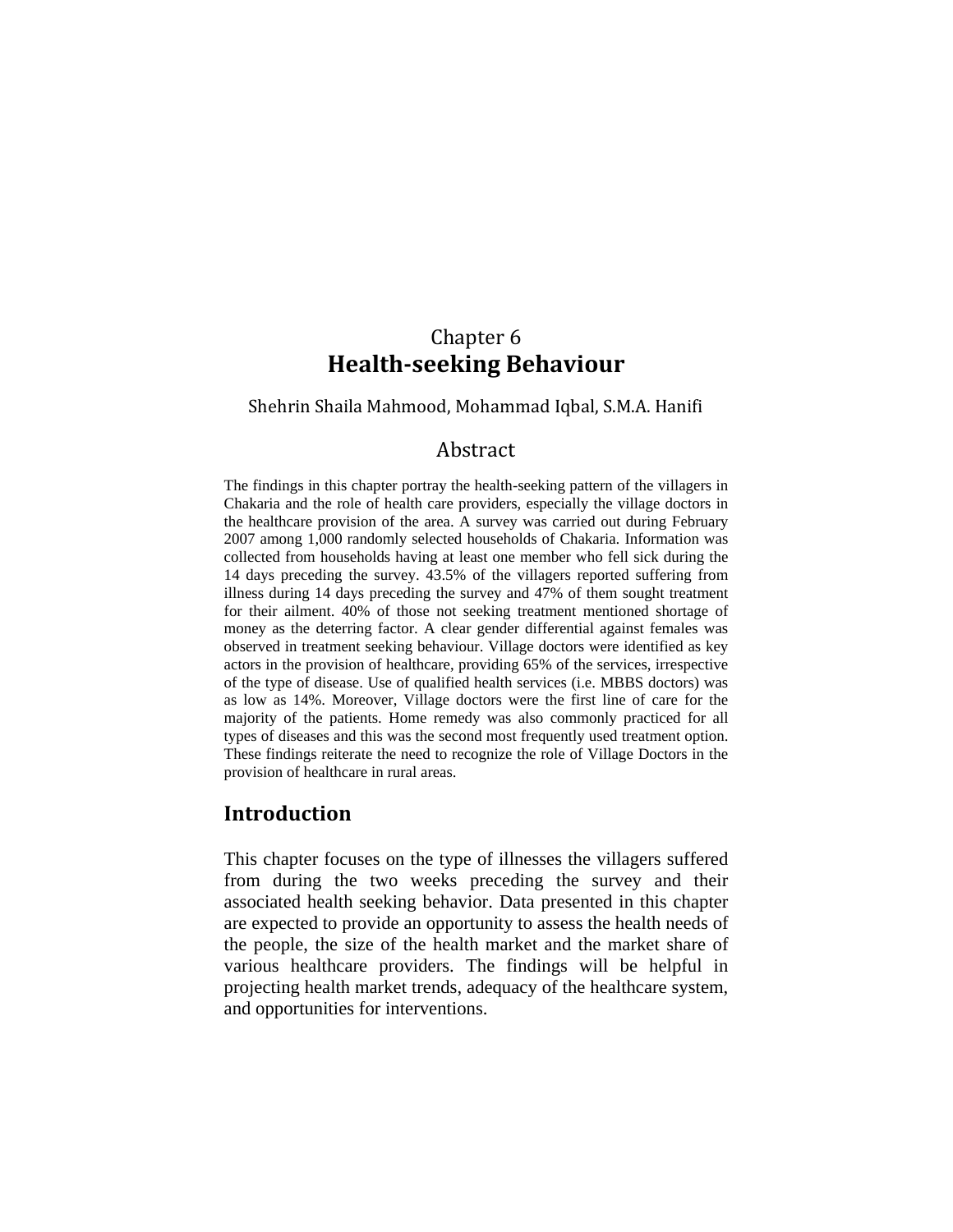# Chapter 6 **Healthseeking Behaviour**

Shehrin Shaila Mahmood, Mohammad Iqbal, S.M.A. Hanifi

## Abstract

The findings in this chapter portray the health-seeking pattern of the villagers in Chakaria and the role of health care providers, especially the village doctors in the healthcare provision of the area. A survey was carried out during February 2007 among 1,000 randomly selected households of Chakaria. Information was collected from households having at least one member who fell sick during the 14 days preceding the survey. 43.5% of the villagers reported suffering from illness during 14 days preceding the survey and 47% of them sought treatment for their ailment. 40% of those not seeking treatment mentioned shortage of money as the deterring factor. A clear gender differential against females was observed in treatment seeking behaviour. Village doctors were identified as key actors in the provision of healthcare, providing 65% of the services, irrespective of the type of disease. Use of qualified health services (i.e. MBBS doctors) was as low as 14%. Moreover, Village doctors were the first line of care for the majority of the patients. Home remedy was also commonly practiced for all types of diseases and this was the second most frequently used treatment option. These findings reiterate the need to recognize the role of Village Doctors in the provision of healthcare in rural areas.

# **Introduction**

This chapter focuses on the type of illnesses the villagers suffered from during the two weeks preceding the survey and their associated health seeking behavior. Data presented in this chapter are expected to provide an opportunity to assess the health needs of the people, the size of the health market and the market share of various healthcare providers. The findings will be helpful in projecting health market trends, adequacy of the healthcare system, and opportunities for interventions.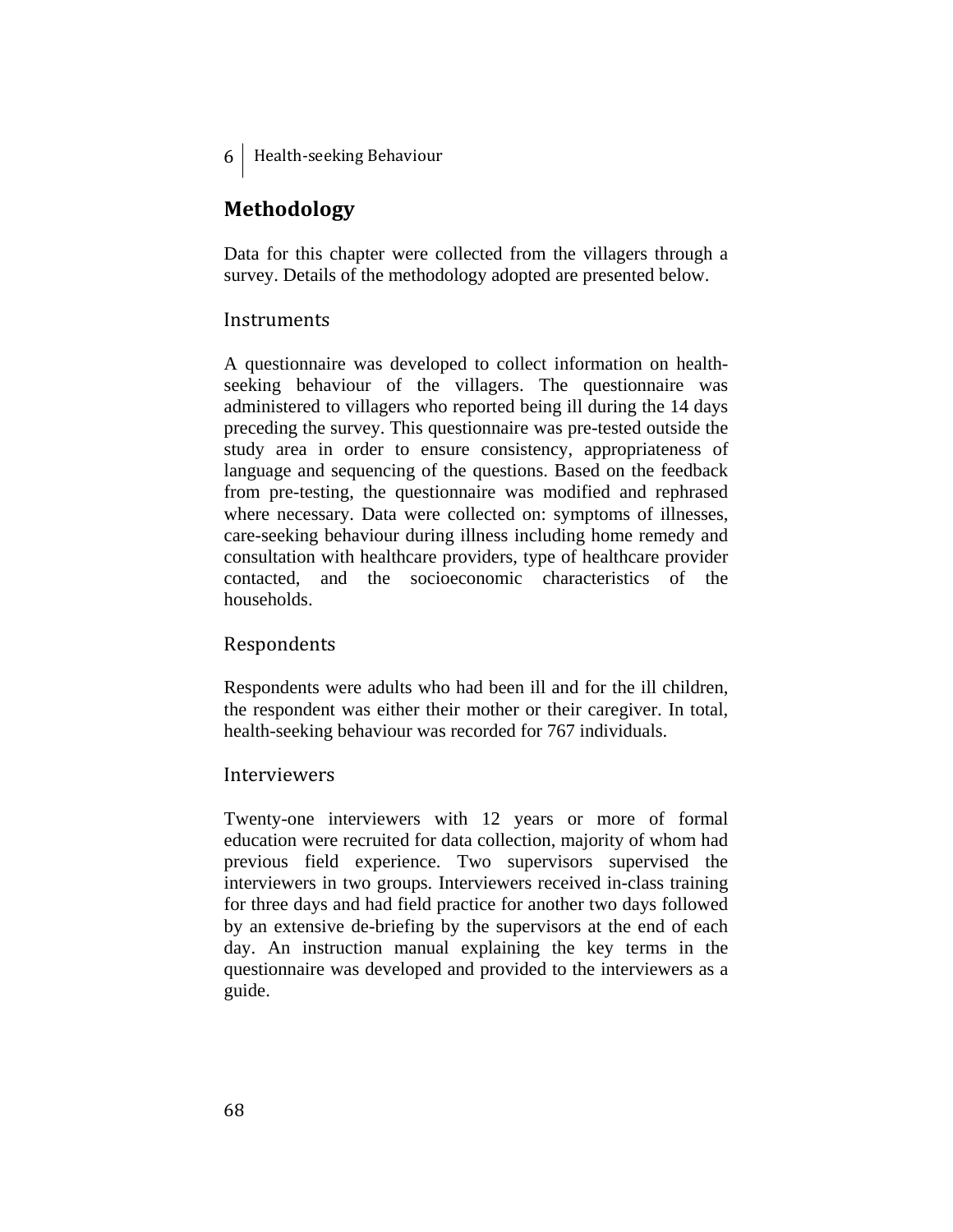# **Methodology**

Data for this chapter were collected from the villagers through a survey. Details of the methodology adopted are presented below.

## **Instruments**

A questionnaire was developed to collect information on healthseeking behaviour of the villagers. The questionnaire was administered to villagers who reported being ill during the 14 days preceding the survey. This questionnaire was pre-tested outside the study area in order to ensure consistency, appropriateness of language and sequencing of the questions. Based on the feedback from pre-testing, the questionnaire was modified and rephrased where necessary. Data were collected on: symptoms of illnesses, care-seeking behaviour during illness including home remedy and consultation with healthcare providers, type of healthcare provider contacted, and the socioeconomic characteristics of the households.

## Respondents

Respondents were adults who had been ill and for the ill children, the respondent was either their mother or their caregiver. In total, health-seeking behaviour was recorded for 767 individuals.

#### Interviewers

Twenty-one interviewers with 12 years or more of formal education were recruited for data collection, majority of whom had previous field experience. Two supervisors supervised the interviewers in two groups. Interviewers received in-class training for three days and had field practice for another two days followed by an extensive de-briefing by the supervisors at the end of each day. An instruction manual explaining the key terms in the questionnaire was developed and provided to the interviewers as a guide.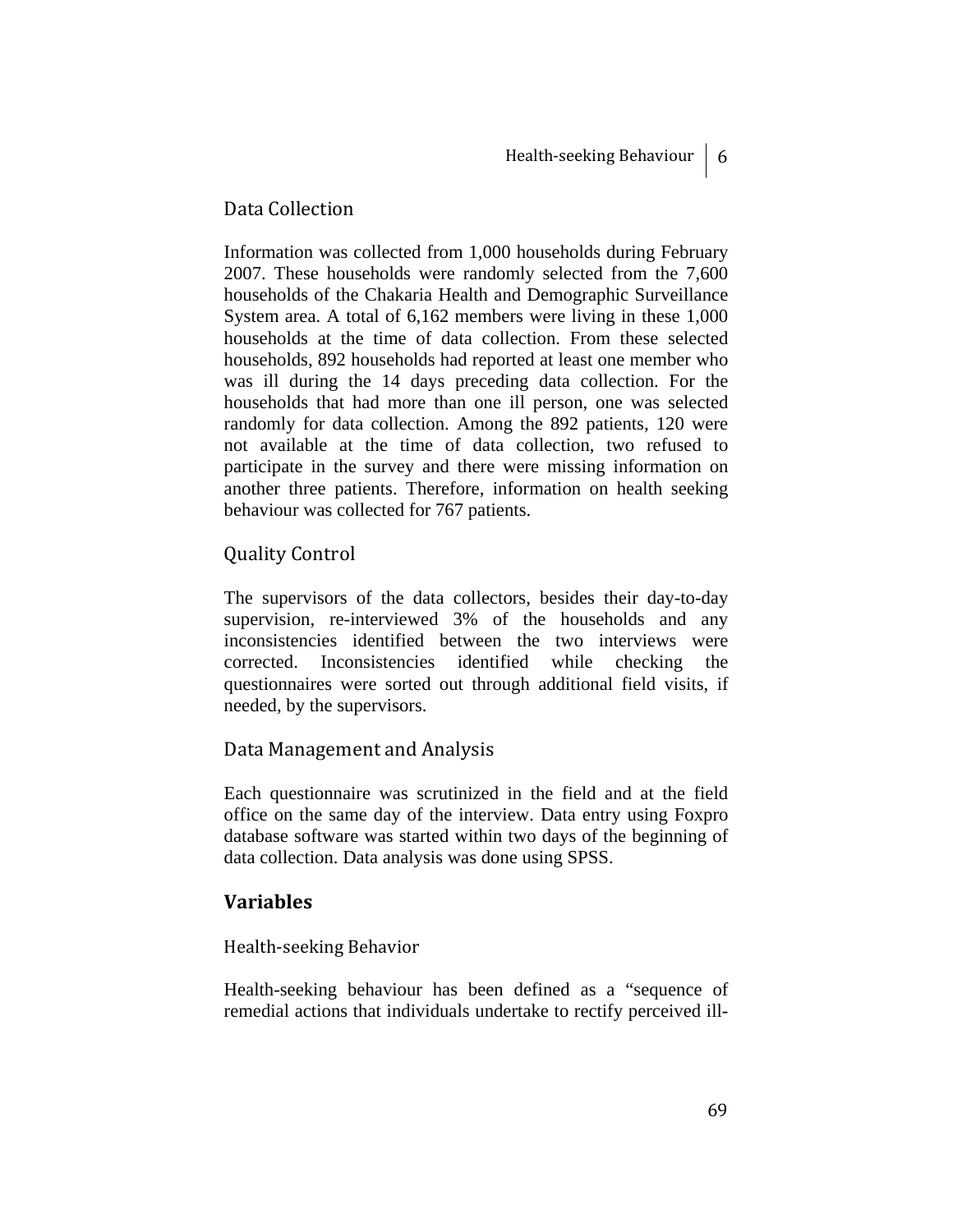## Data Collection

Information was collected from 1,000 households during February 2007. These households were randomly selected from the 7,600 households of the Chakaria Health and Demographic Surveillance System area. A total of 6,162 members were living in these 1,000 households at the time of data collection. From these selected households, 892 households had reported at least one member who was ill during the 14 days preceding data collection. For the households that had more than one ill person, one was selected randomly for data collection. Among the 892 patients, 120 were not available at the time of data collection, two refused to participate in the survey and there were missing information on another three patients. Therefore, information on health seeking behaviour was collected for 767 patients.

# Quality Control

The supervisors of the data collectors, besides their day-to-day supervision, re-interviewed 3% of the households and any inconsistencies identified between the two interviews were corrected. Inconsistencies identified while checking the questionnaires were sorted out through additional field visits, if needed, by the supervisors.

## Data Management and Analysis

Each questionnaire was scrutinized in the field and at the field office on the same day of the interview. Data entry using Foxpro database software was started within two days of the beginning of data collection. Data analysis was done using SPSS.

## **Variables**

#### Health‐seeking Behavior

Health-seeking behaviour has been defined as a "sequence of remedial actions that individuals undertake to rectify perceived ill-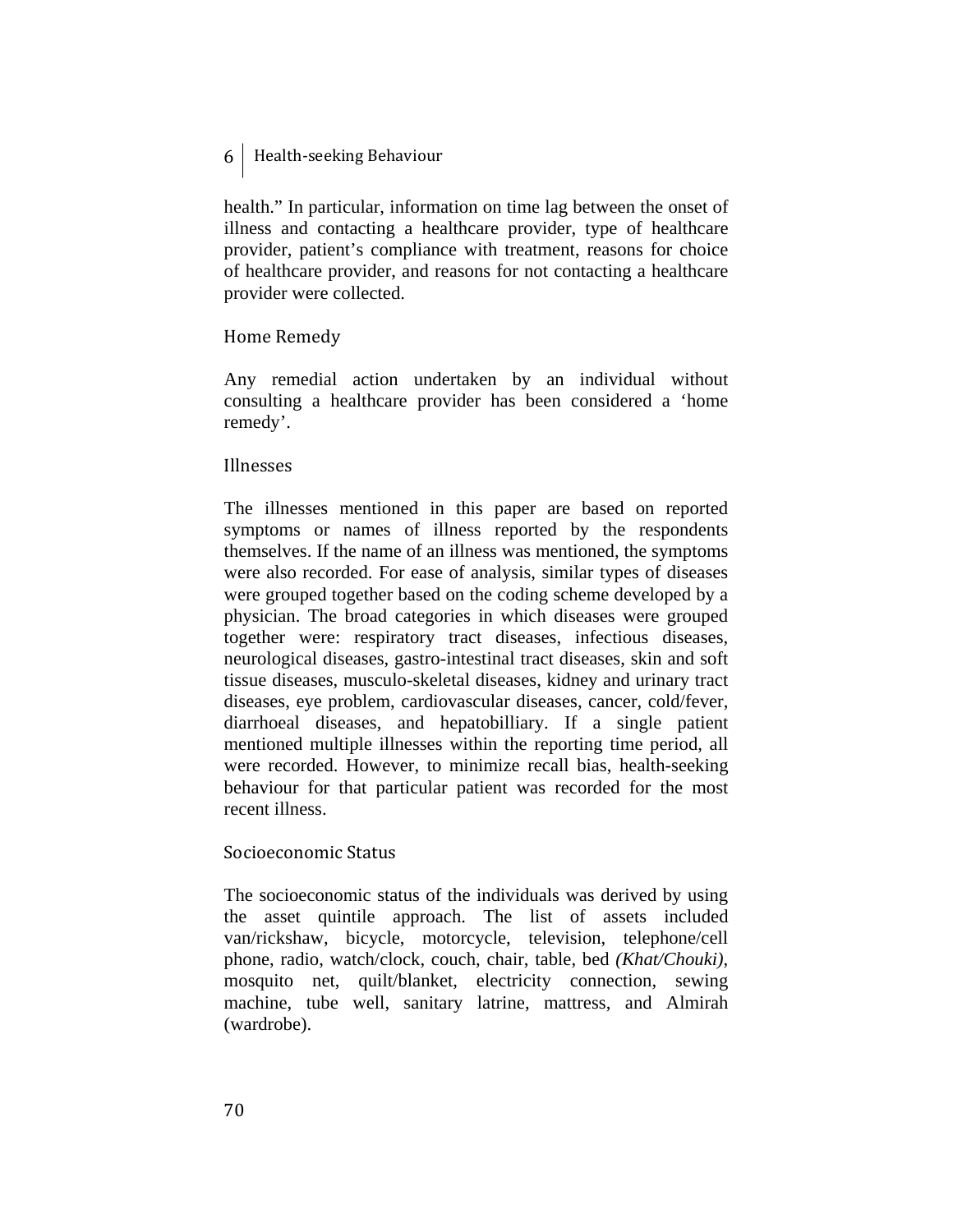health." In particular, information on time lag between the onset of illness and contacting a healthcare provider, type of healthcare provider, patient's compliance with treatment, reasons for choice of healthcare provider, and reasons for not contacting a healthcare provider were collected.

#### Home Remedy

Any remedial action undertaken by an individual without consulting a healthcare provider has been considered a 'home remedy'.

#### Illnesses

The illnesses mentioned in this paper are based on reported symptoms or names of illness reported by the respondents themselves. If the name of an illness was mentioned, the symptoms were also recorded. For ease of analysis, similar types of diseases were grouped together based on the coding scheme developed by a physician. The broad categories in which diseases were grouped together were: respiratory tract diseases, infectious diseases, neurological diseases, gastro-intestinal tract diseases, skin and soft tissue diseases, musculo-skeletal diseases, kidney and urinary tract diseases, eye problem, cardiovascular diseases, cancer, cold/fever, diarrhoeal diseases, and hepatobilliary. If a single patient mentioned multiple illnesses within the reporting time period, all were recorded. However, to minimize recall bias, health-seeking behaviour for that particular patient was recorded for the most recent illness.

## Socioeconomic Status

The socioeconomic status of the individuals was derived by using the asset quintile approach. The list of assets included van/rickshaw, bicycle, motorcycle, television, telephone/cell phone, radio, watch/clock, couch, chair, table, bed *(Khat/Chouki)*, mosquito net, quilt/blanket, electricity connection, sewing machine, tube well, sanitary latrine, mattress, and Almirah (wardrobe).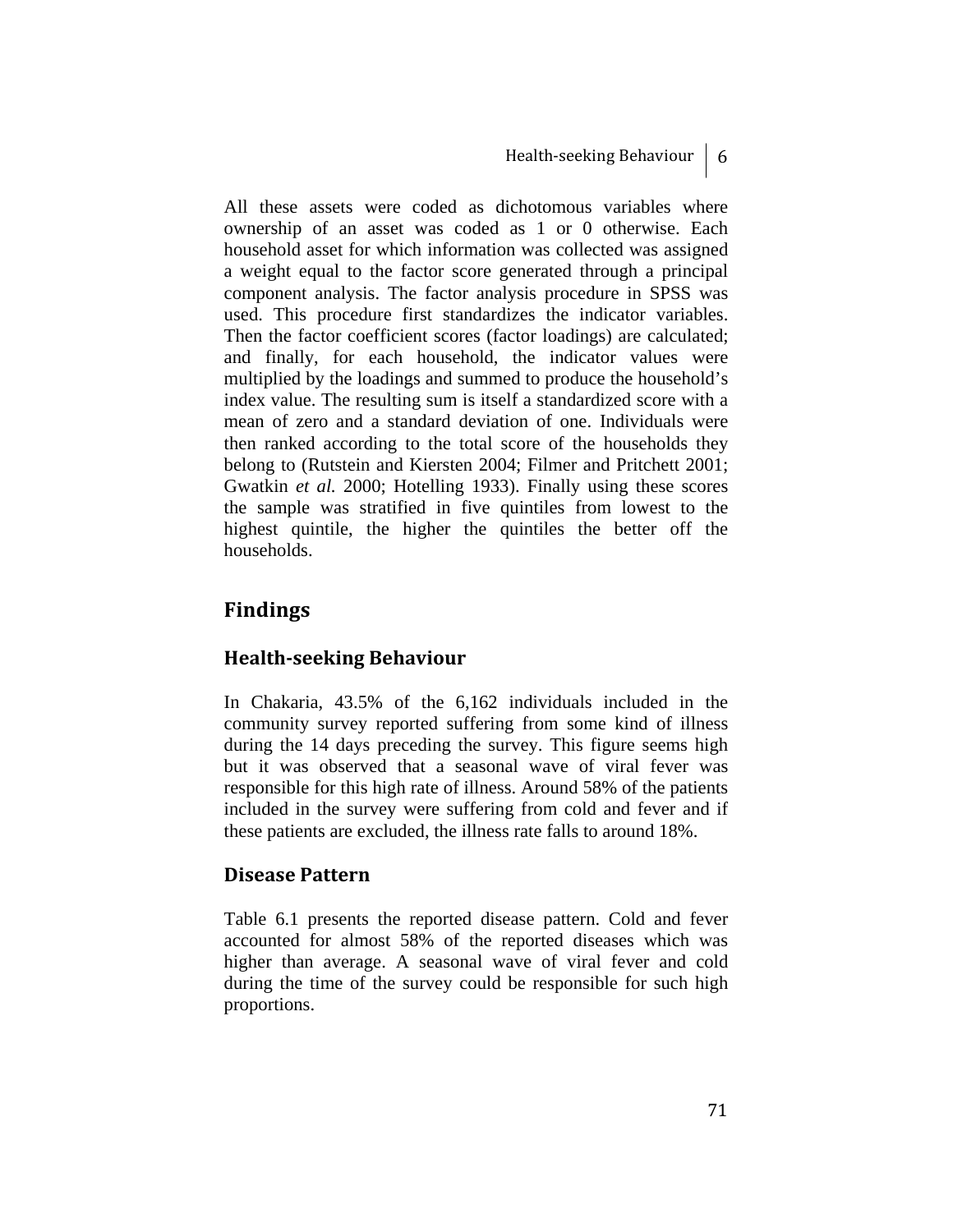All these assets were coded as dichotomous variables where ownership of an asset was coded as 1 or 0 otherwise. Each household asset for which information was collected was assigned a weight equal to the factor score generated through a principal component analysis. The factor analysis procedure in SPSS was used. This procedure first standardizes the indicator variables. Then the factor coefficient scores (factor loadings) are calculated; and finally, for each household, the indicator values were multiplied by the loadings and summed to produce the household's index value. The resulting sum is itself a standardized score with a mean of zero and a standard deviation of one. Individuals were then ranked according to the total score of the households they belong to (Rutstein and Kiersten 2004; Filmer and Pritchett 2001; Gwatkin *et al.* 2000; Hotelling 1933). Finally using these scores the sample was stratified in five quintiles from lowest to the highest quintile, the higher the quintiles the better off the households.

# **Findings**

# **Healthseeking Behaviour**

In Chakaria, 43.5% of the 6,162 individuals included in the community survey reported suffering from some kind of illness during the 14 days preceding the survey. This figure seems high but it was observed that a seasonal wave of viral fever was responsible for this high rate of illness. Around 58% of the patients included in the survey were suffering from cold and fever and if these patients are excluded, the illness rate falls to around 18%.

# **Disease Pattern**

Table 6.1 presents the reported disease pattern. Cold and fever accounted for almost 58% of the reported diseases which was higher than average. A seasonal wave of viral fever and cold during the time of the survey could be responsible for such high proportions.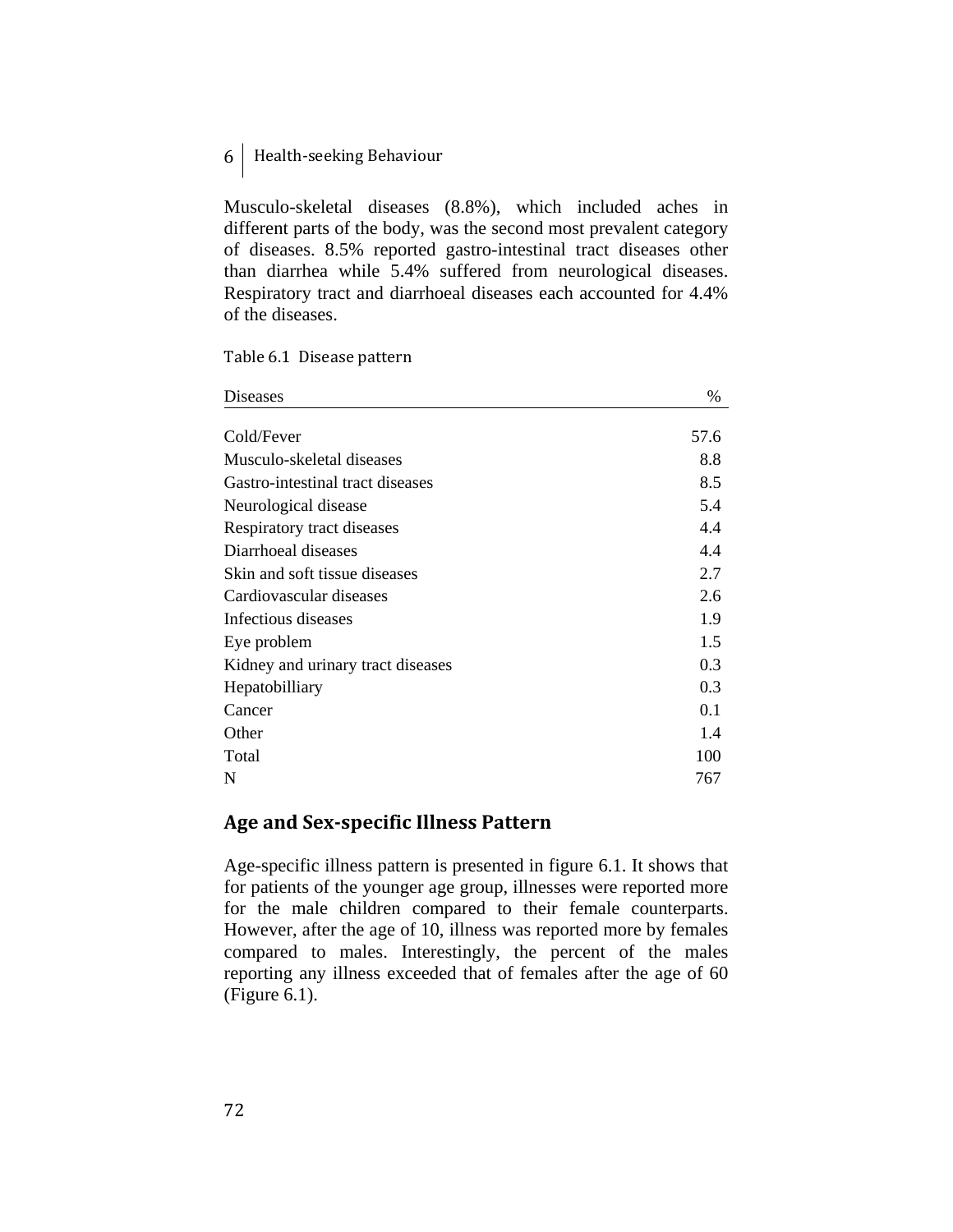Musculo-skeletal diseases (8.8%), which included aches in different parts of the body, was the second most prevalent category of diseases. 8.5% reported gastro-intestinal tract diseases other than diarrhea while 5.4% suffered from neurological diseases. Respiratory tract and diarrhoeal diseases each accounted for 4.4% of the diseases.

Table 6.1 Disease pattern

| <b>Diseases</b>                   | $\%$ |
|-----------------------------------|------|
|                                   |      |
| Cold/Fever                        | 57.6 |
| Musculo-skeletal diseases         | 8.8  |
| Gastro-intestinal tract diseases  | 8.5  |
| Neurological disease              | 5.4  |
| Respiratory tract diseases        | 4.4  |
| Diarrhoeal diseases               | 4.4  |
| Skin and soft tissue diseases     | 2.7  |
| Cardiovascular diseases           | 2.6  |
| Infectious diseases               | 1.9  |
| Eye problem                       | 1.5  |
| Kidney and urinary tract diseases | 0.3  |
| Hepatobilliary                    | 0.3  |
| Cancer                            | 0.1  |
| Other                             | 1.4  |
| Total                             | 100  |
| N                                 | 767  |

## **Age and Sexspecific Illness Pattern**

Age-specific illness pattern is presented in figure 6.1. It shows that for patients of the younger age group, illnesses were reported more for the male children compared to their female counterparts. However, after the age of 10, illness was reported more by females compared to males. Interestingly, the percent of the males reporting any illness exceeded that of females after the age of 60 (Figure 6.1).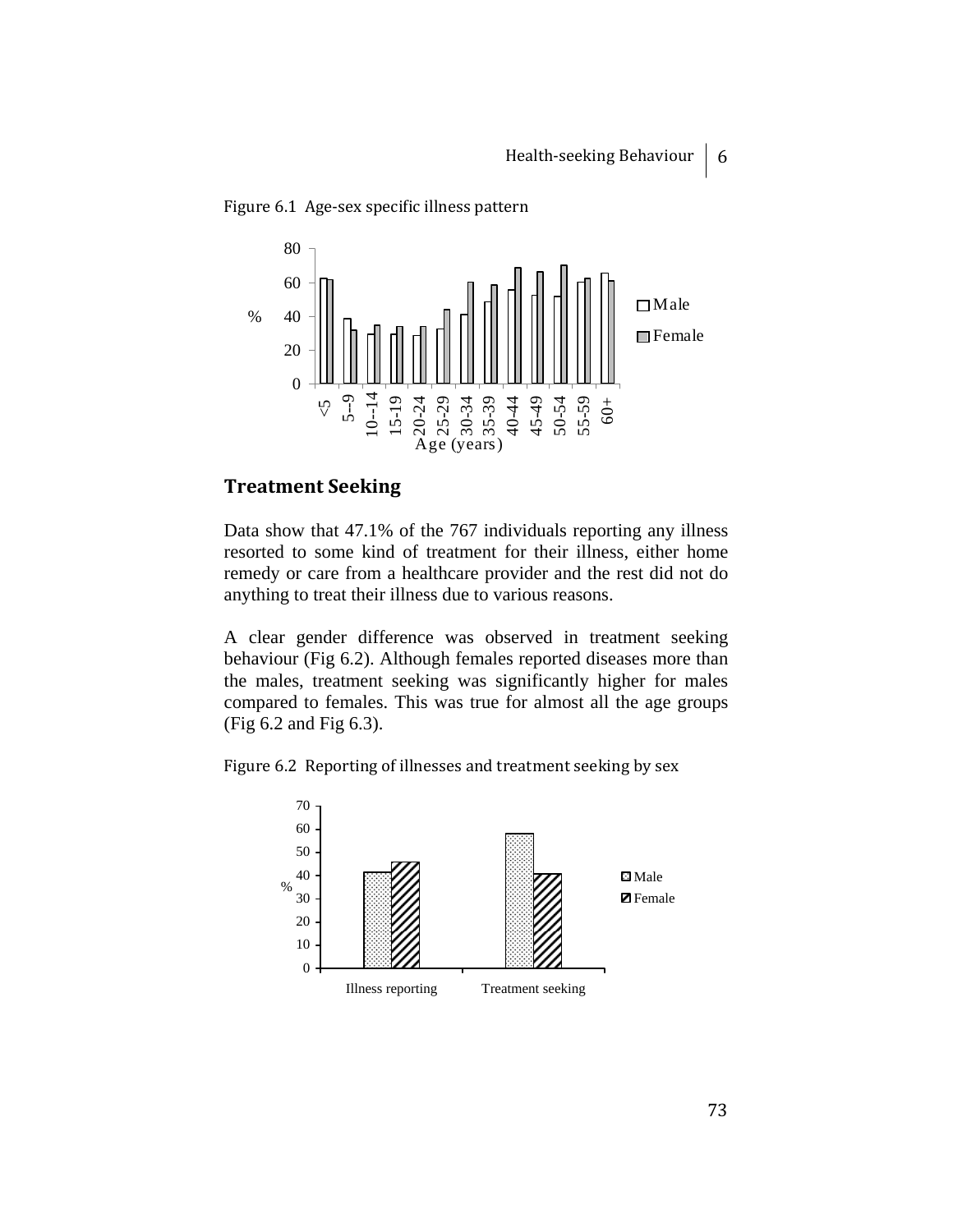



## **Treatment Seeking**

Data show that 47.1% of the 767 individuals reporting any illness resorted to some kind of treatment for their illness, either home remedy or care from a healthcare provider and the rest did not do anything to treat their illness due to various reasons.

A clear gender difference was observed in treatment seeking behaviour (Fig 6.2). Although females reported diseases more than the males, treatment seeking was significantly higher for males compared to females. This was true for almost all the age groups (Fig 6.2 and Fig 6.3).

Figure 6.2 Reporting of illnesses and treatment seeking by sex

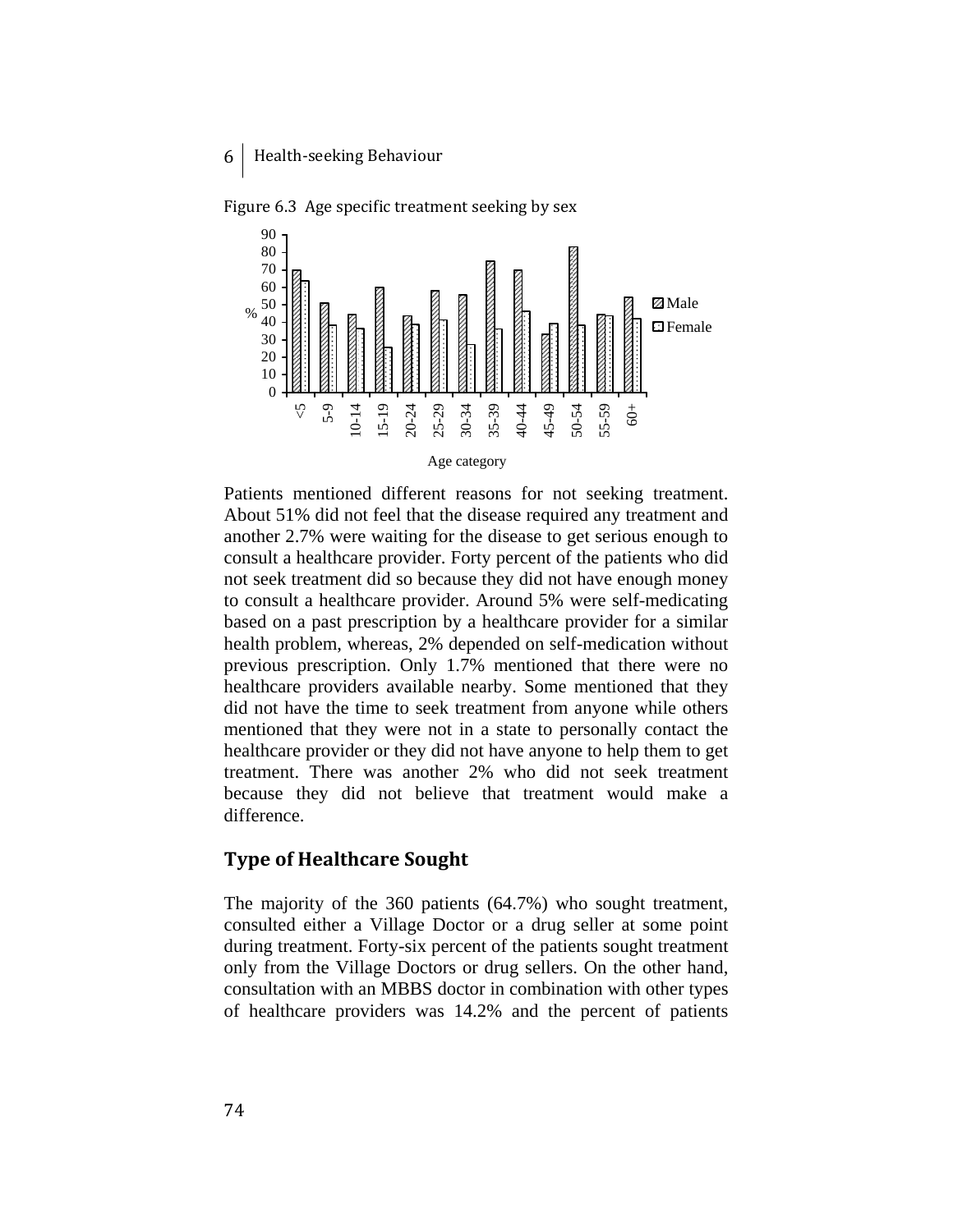

Figure 6.3 Age specific treatment seeking by sex

Patients mentioned different reasons for not seeking treatment. About 51% did not feel that the disease required any treatment and another 2.7% were waiting for the disease to get serious enough to consult a healthcare provider. Forty percent of the patients who did not seek treatment did so because they did not have enough money to consult a healthcare provider. Around 5% were self-medicating based on a past prescription by a healthcare provider for a similar health problem, whereas, 2% depended on self-medication without previous prescription. Only 1.7% mentioned that there were no healthcare providers available nearby. Some mentioned that they did not have the time to seek treatment from anyone while others mentioned that they were not in a state to personally contact the healthcare provider or they did not have anyone to help them to get treatment. There was another 2% who did not seek treatment because they did not believe that treatment would make a difference.

#### **Type of Healthcare Sought**

The majority of the 360 patients (64.7%) who sought treatment, consulted either a Village Doctor or a drug seller at some point during treatment. Forty-six percent of the patients sought treatment only from the Village Doctors or drug sellers. On the other hand, consultation with an MBBS doctor in combination with other types of healthcare providers was 14.2% and the percent of patients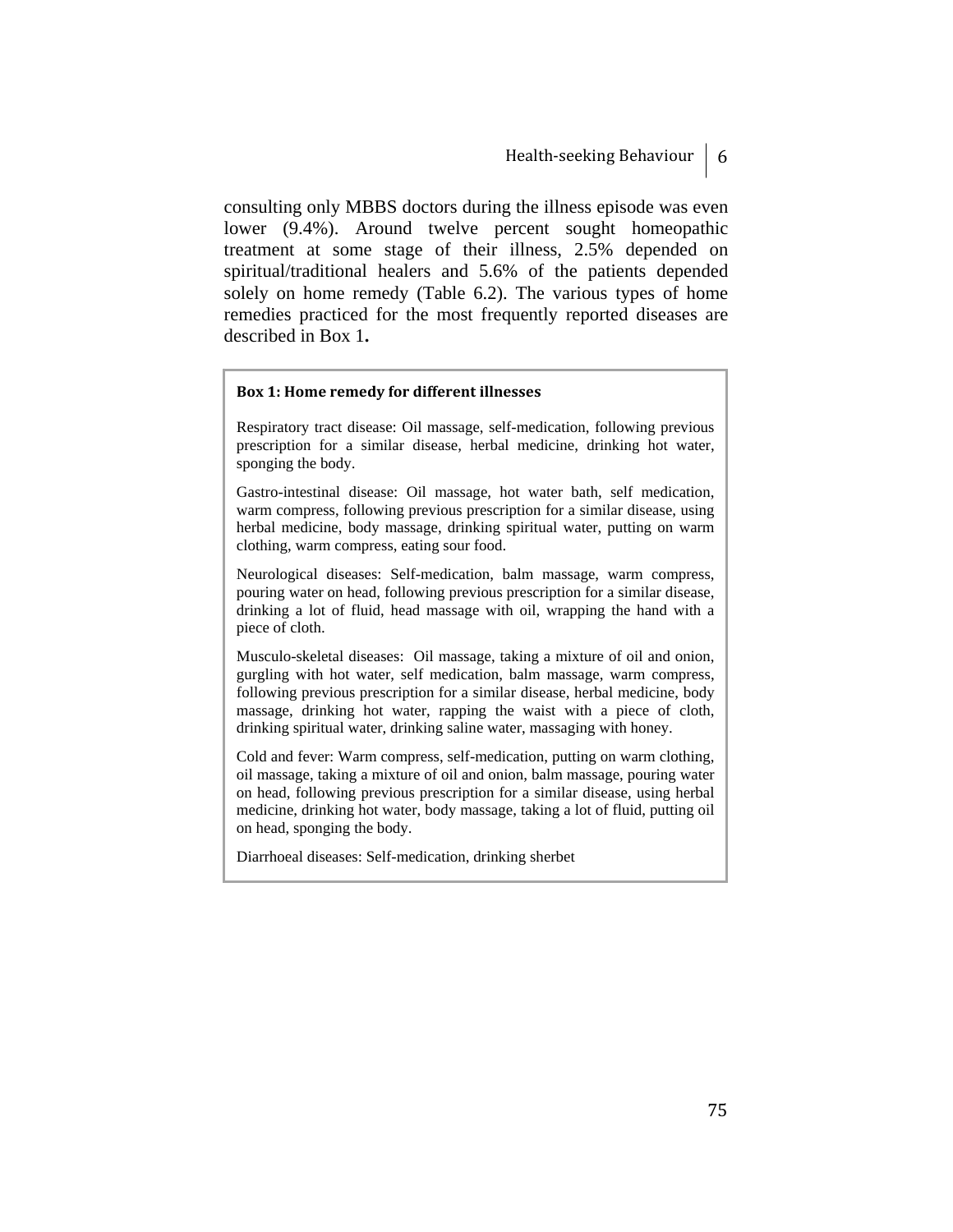consulting only MBBS doctors during the illness episode was even lower (9.4%). Around twelve percent sought homeopathic treatment at some stage of their illness, 2.5% depended on spiritual/traditional healers and 5.6% of the patients depended solely on home remedy (Table 6.2). The various types of home remedies practiced for the most frequently reported diseases are described in Box 1**.**

#### **Box 1: Home remedy for different illnesses**

Respiratory tract disease: Oil massage, self-medication, following previous prescription for a similar disease, herbal medicine, drinking hot water, sponging the body.

Gastro-intestinal disease: Oil massage, hot water bath, self medication, warm compress, following previous prescription for a similar disease, using herbal medicine, body massage, drinking spiritual water, putting on warm clothing, warm compress, eating sour food.

Neurological diseases: Self-medication, balm massage, warm compress, pouring water on head, following previous prescription for a similar disease, drinking a lot of fluid, head massage with oil, wrapping the hand with a piece of cloth.

Musculo-skeletal diseases: Oil massage, taking a mixture of oil and onion, gurgling with hot water, self medication, balm massage, warm compress, following previous prescription for a similar disease, herbal medicine, body massage, drinking hot water, rapping the waist with a piece of cloth, drinking spiritual water, drinking saline water, massaging with honey.

Cold and fever: Warm compress, self-medication, putting on warm clothing, oil massage, taking a mixture of oil and onion, balm massage, pouring water on head, following previous prescription for a similar disease, using herbal medicine, drinking hot water, body massage, taking a lot of fluid, putting oil on head, sponging the body.

Diarrhoeal diseases: Self-medication, drinking sherbet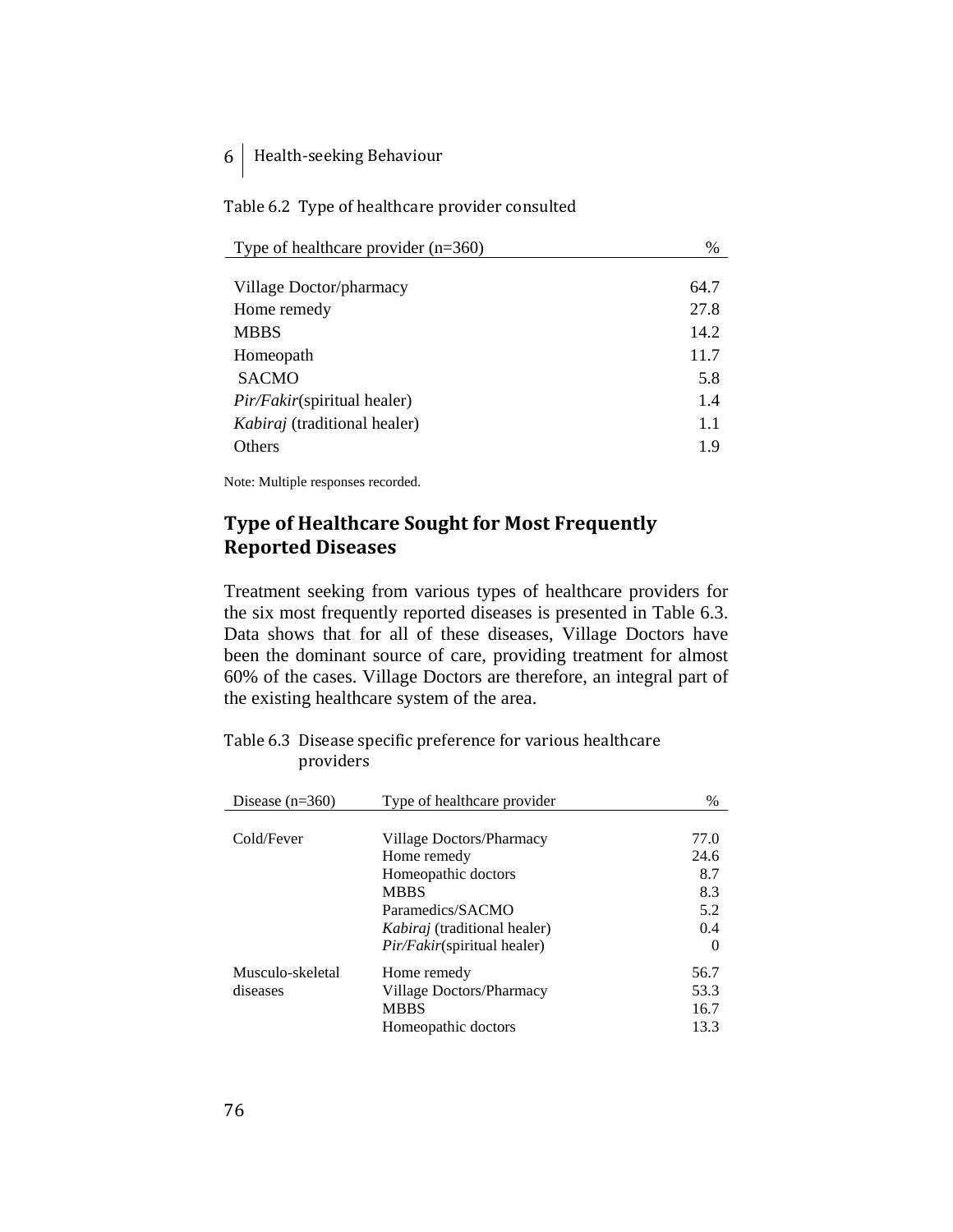Table 6.2 Type of healthcare provider consulted

| %    |
|------|
|      |
| 64.7 |
| 27.8 |
| 14.2 |
| 11.7 |
| 5.8  |
| 1.4  |
| 1.1  |
| 19   |
|      |

Note: Multiple responses recorded.

# **Type of Healthcare Sought for Most Frequently Reported Diseases**

Treatment seeking from various types of healthcare providers for the six most frequently reported diseases is presented in Table 6.3. Data shows that for all of these diseases, Village Doctors have been the dominant source of care, providing treatment for almost 60% of the cases. Village Doctors are therefore, an integral part of the existing healthcare system of the area.

Table 6.3 Disease specific preference for various healthcare providers

| Disease $(n=360)$ | Type of healthcare provider         | $\%$     |
|-------------------|-------------------------------------|----------|
|                   |                                     |          |
| Cold/Fever        | Village Doctors/Pharmacy            | 77.0     |
|                   | Home remedy                         | 24.6     |
|                   | Homeopathic doctors                 | 8.7      |
|                   | <b>MBBS</b>                         | 8.3      |
|                   | Paramedics/SACMO                    | 5.2      |
|                   | <i>Kabiraj</i> (traditional healer) | 0.4      |
|                   | <i>Pir/Fakir</i> (spiritual healer) | $\theta$ |
| Musculo-skeletal  | Home remedy                         | 56.7     |
| diseases          | Village Doctors/Pharmacy            | 53.3     |
|                   | <b>MBBS</b>                         | 16.7     |
|                   | Homeopathic doctors                 | 13.3     |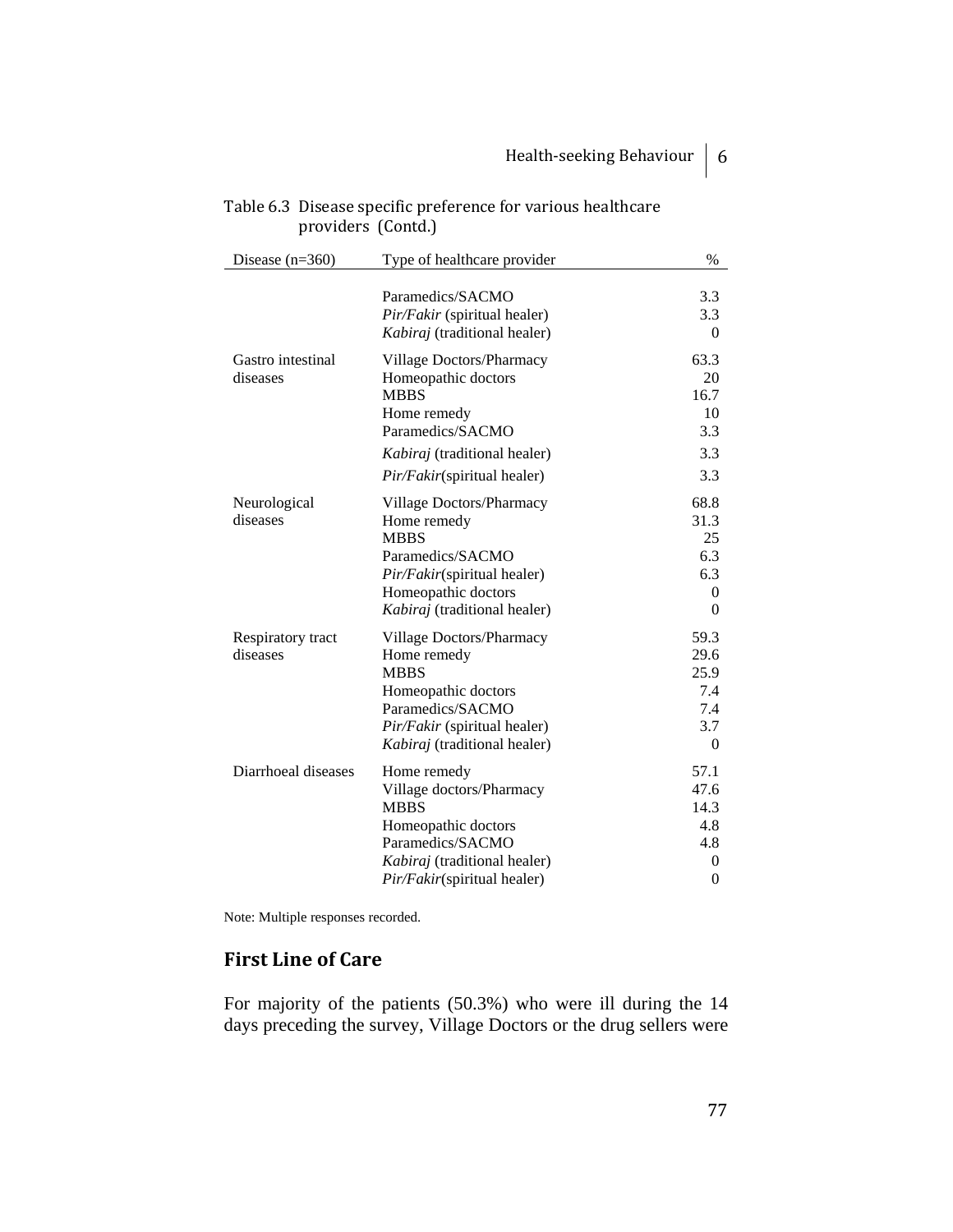| Disease $(n=360)$             | Type of healthcare provider                                                                                                                                       | $\%$                                                             |
|-------------------------------|-------------------------------------------------------------------------------------------------------------------------------------------------------------------|------------------------------------------------------------------|
|                               | Paramedics/SACMO<br>Pir/Fakir (spiritual healer)<br>Kabiraj (traditional healer)                                                                                  | 3.3<br>3.3<br>$\theta$                                           |
| Gastro intestinal<br>diseases | Village Doctors/Pharmacy<br>Homeopathic doctors<br><b>MBBS</b><br>Home remedy<br>Paramedics/SACMO                                                                 | 63.3<br>20<br>16.7<br>10<br>3.3                                  |
|                               | Kabiraj (traditional healer)<br>Pir/Fakir(spiritual healer)                                                                                                       | 3.3<br>3.3                                                       |
| Neurological<br>diseases      | Village Doctors/Pharmacy<br>Home remedy<br><b>MBBS</b><br>Paramedics/SACMO<br>Pir/Fakir(spiritual healer)<br>Homeopathic doctors<br>Kabiraj (traditional healer)  | 68.8<br>31.3<br>25<br>6.3<br>6.3<br>$\Omega$<br>$\theta$         |
| Respiratory tract<br>diseases | Village Doctors/Pharmacy<br>Home remedy<br><b>MBBS</b><br>Homeopathic doctors<br>Paramedics/SACMO<br>Pir/Fakir (spiritual healer)<br>Kabiraj (traditional healer) | 59.3<br>29.6<br>25.9<br>7.4<br>7.4<br>3.7<br>$\overline{0}$      |
| Diarrhoeal diseases           | Home remedy<br>Village doctors/Pharmacy<br><b>MBBS</b><br>Homeopathic doctors<br>Paramedics/SACMO<br>Kabiraj (traditional healer)<br>Pir/Fakir(spiritual healer)  | 57.1<br>47.6<br>14.3<br>4.8<br>4.8<br>$\theta$<br>$\overline{0}$ |

## Table 6.3 Disease specific preference for various healthcare providers (Contd.)

Note: Multiple responses recorded.

# **First Line of Care**

For majority of the patients (50.3%) who were ill during the 14 days preceding the survey, Village Doctors or the drug sellers were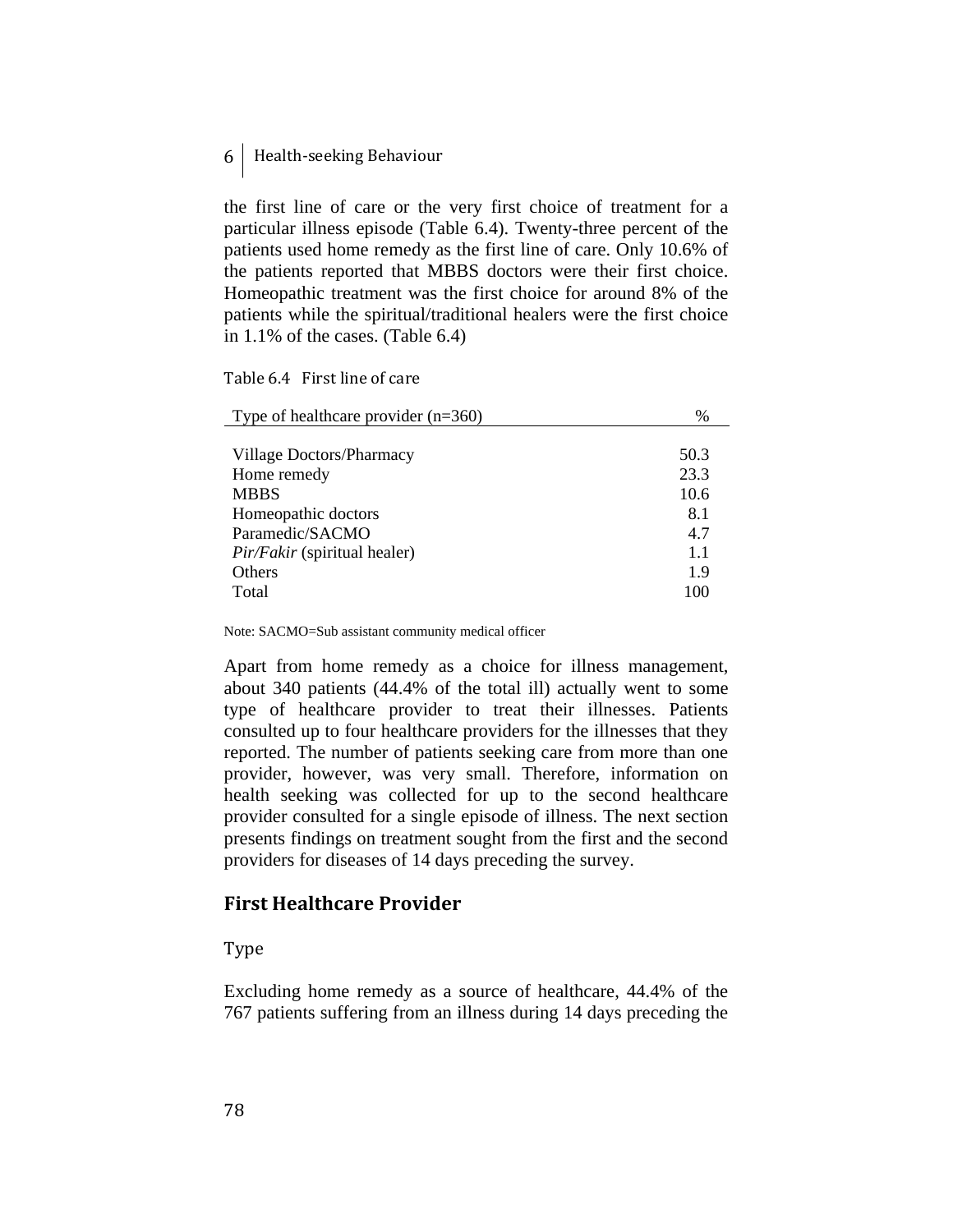the first line of care or the very first choice of treatment for a particular illness episode (Table 6.4). Twenty-three percent of the patients used home remedy as the first line of care. Only 10.6% of the patients reported that MBBS doctors were their first choice. Homeopathic treatment was the first choice for around 8% of the patients while the spiritual/traditional healers were the first choice in 1.1% of the cases. (Table 6.4)

Table 6.4 First line of care

| Type of healthcare provider $(n=360)$ | $\%$ |
|---------------------------------------|------|
|                                       |      |
| Village Doctors/Pharmacy              | 50.3 |
| Home remedy                           | 23.3 |
| <b>MBBS</b>                           | 10.6 |
| Homeopathic doctors                   | 8.1  |
| Paramedic/SACMO                       | 4.7  |
| <i>Pir/Fakir</i> (spiritual healer)   | 1.1  |
| <b>Others</b>                         | 19   |
| Total                                 | 100  |

Note: SACMO=Sub assistant community medical officer

Apart from home remedy as a choice for illness management, about 340 patients (44.4% of the total ill) actually went to some type of healthcare provider to treat their illnesses. Patients consulted up to four healthcare providers for the illnesses that they reported. The number of patients seeking care from more than one provider, however, was very small. Therefore, information on health seeking was collected for up to the second healthcare provider consulted for a single episode of illness. The next section presents findings on treatment sought from the first and the second providers for diseases of 14 days preceding the survey.

## **First Healthcare Provider**

Type

Excluding home remedy as a source of healthcare, 44.4% of the 767 patients suffering from an illness during 14 days preceding the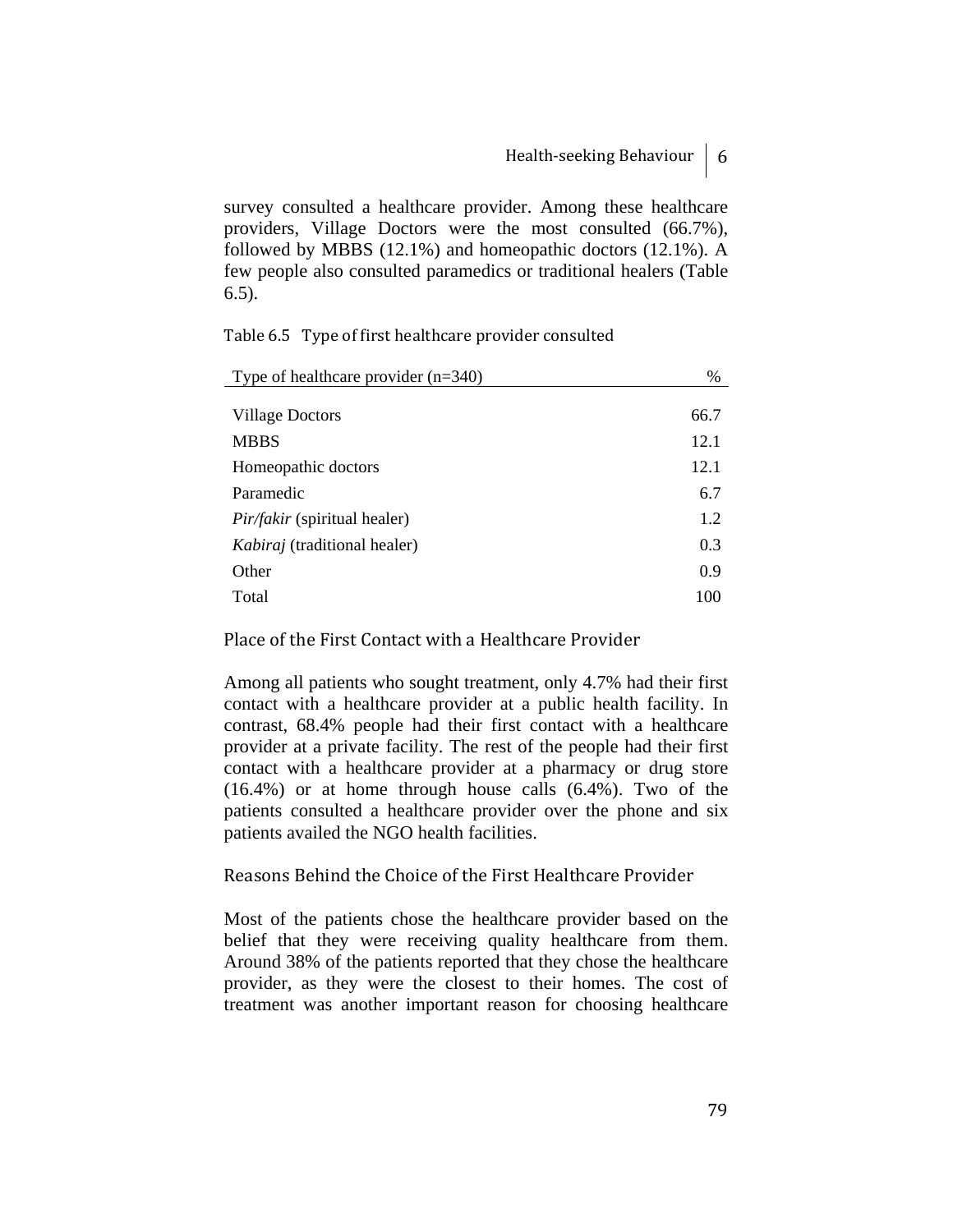survey consulted a healthcare provider. Among these healthcare providers, Village Doctors were the most consulted (66.7%), followed by MBBS (12.1%) and homeopathic doctors (12.1%). A few people also consulted paramedics or traditional healers (Table 6.5).

Table 6.5 Type of first healthcare provider consulted

| Type of healthcare provider $(n=340)$ | $\%$ |
|---------------------------------------|------|
|                                       |      |
| Village Doctors                       | 66.7 |
| <b>MBBS</b>                           | 12.1 |
| Homeopathic doctors                   | 12.1 |
| Paramedic                             | 6.7  |
| <i>Pir/fakir</i> (spiritual healer)   | 1.2  |
| <i>Kabiraj</i> (traditional healer)   | 0.3  |
| Other                                 | 0.9  |
| Total                                 | 100  |

Place of the First Contact with a Healthcare Provider

Among all patients who sought treatment, only 4.7% had their first contact with a healthcare provider at a public health facility. In contrast, 68.4% people had their first contact with a healthcare provider at a private facility. The rest of the people had their first contact with a healthcare provider at a pharmacy or drug store (16.4%) or at home through house calls (6.4%). Two of the patients consulted a healthcare provider over the phone and six patients availed the NGO health facilities.

#### Reasons Behind the Choice of the First Healthcare Provider

Most of the patients chose the healthcare provider based on the belief that they were receiving quality healthcare from them. Around 38% of the patients reported that they chose the healthcare provider, as they were the closest to their homes. The cost of treatment was another important reason for choosing healthcare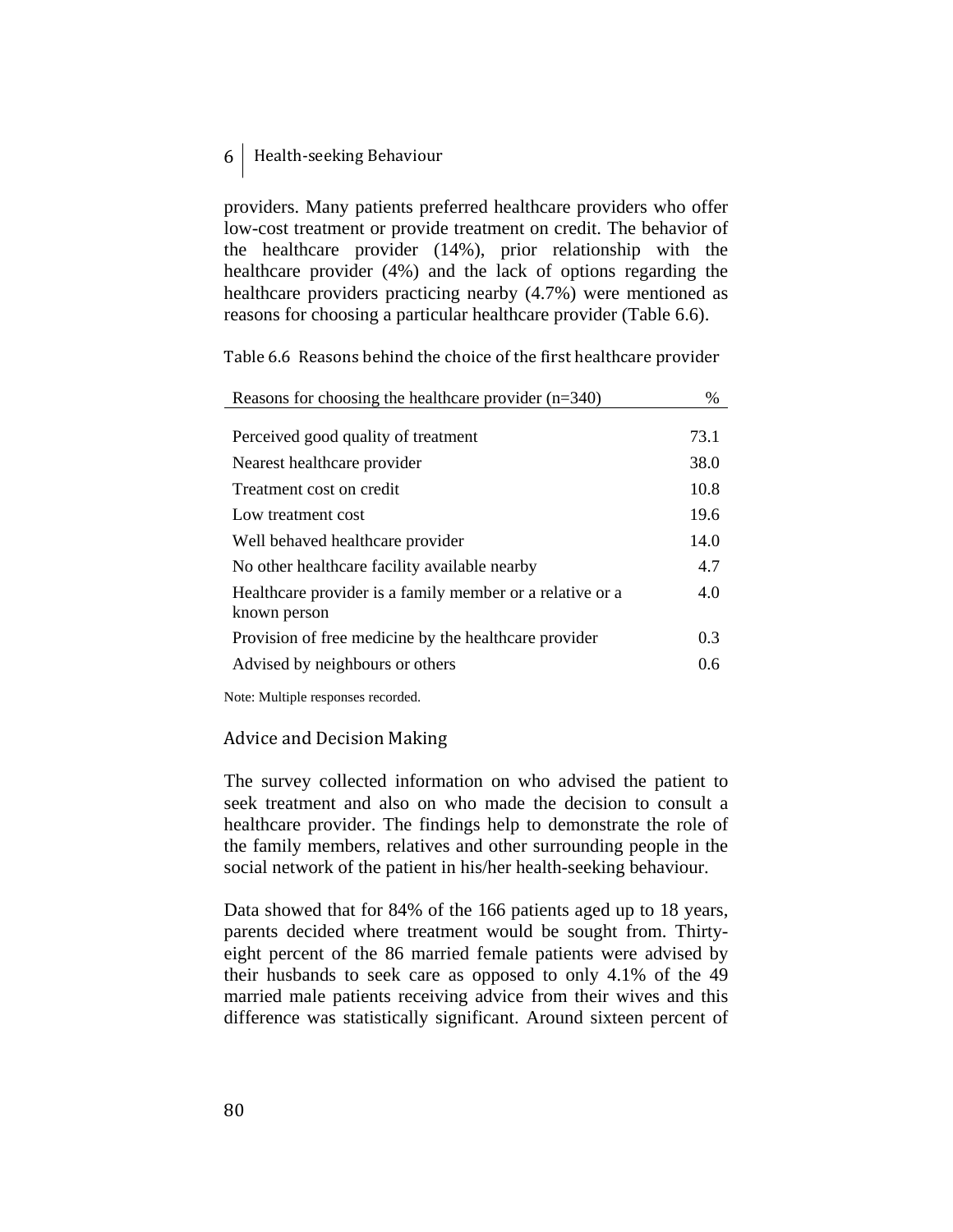providers. Many patients preferred healthcare providers who offer low-cost treatment or provide treatment on credit. The behavior of the healthcare provider (14%), prior relationship with the healthcare provider (4%) and the lack of options regarding the healthcare providers practicing nearby (4.7%) were mentioned as reasons for choosing a particular healthcare provider (Table 6.6).

Table 6.6 Reasons behind the choice of the first healthcare provider

| Reasons for choosing the healthcare provider $(n=340)$    | $\%$ |
|-----------------------------------------------------------|------|
|                                                           |      |
| Perceived good quality of treatment                       | 73.1 |
| Nearest healthcare provider                               | 38.0 |
| Treatment cost on credit                                  | 10.8 |
| Low treatment cost                                        | 19.6 |
| Well behaved healthcare provider                          | 14.0 |
| No other healthcare facility available nearby             | 4.7  |
| Healthcare provider is a family member or a relative or a | 4.0  |
| known person                                              |      |
| Provision of free medicine by the healthcare provider     | 0.3  |
| Advised by neighbours or others                           | 0.6  |

Note: Multiple responses recorded.

#### Advice and Decision Making

The survey collected information on who advised the patient to seek treatment and also on who made the decision to consult a healthcare provider. The findings help to demonstrate the role of the family members, relatives and other surrounding people in the social network of the patient in his/her health-seeking behaviour.

Data showed that for 84% of the 166 patients aged up to 18 years, parents decided where treatment would be sought from. Thirtyeight percent of the 86 married female patients were advised by their husbands to seek care as opposed to only 4.1% of the 49 married male patients receiving advice from their wives and this difference was statistically significant. Around sixteen percent of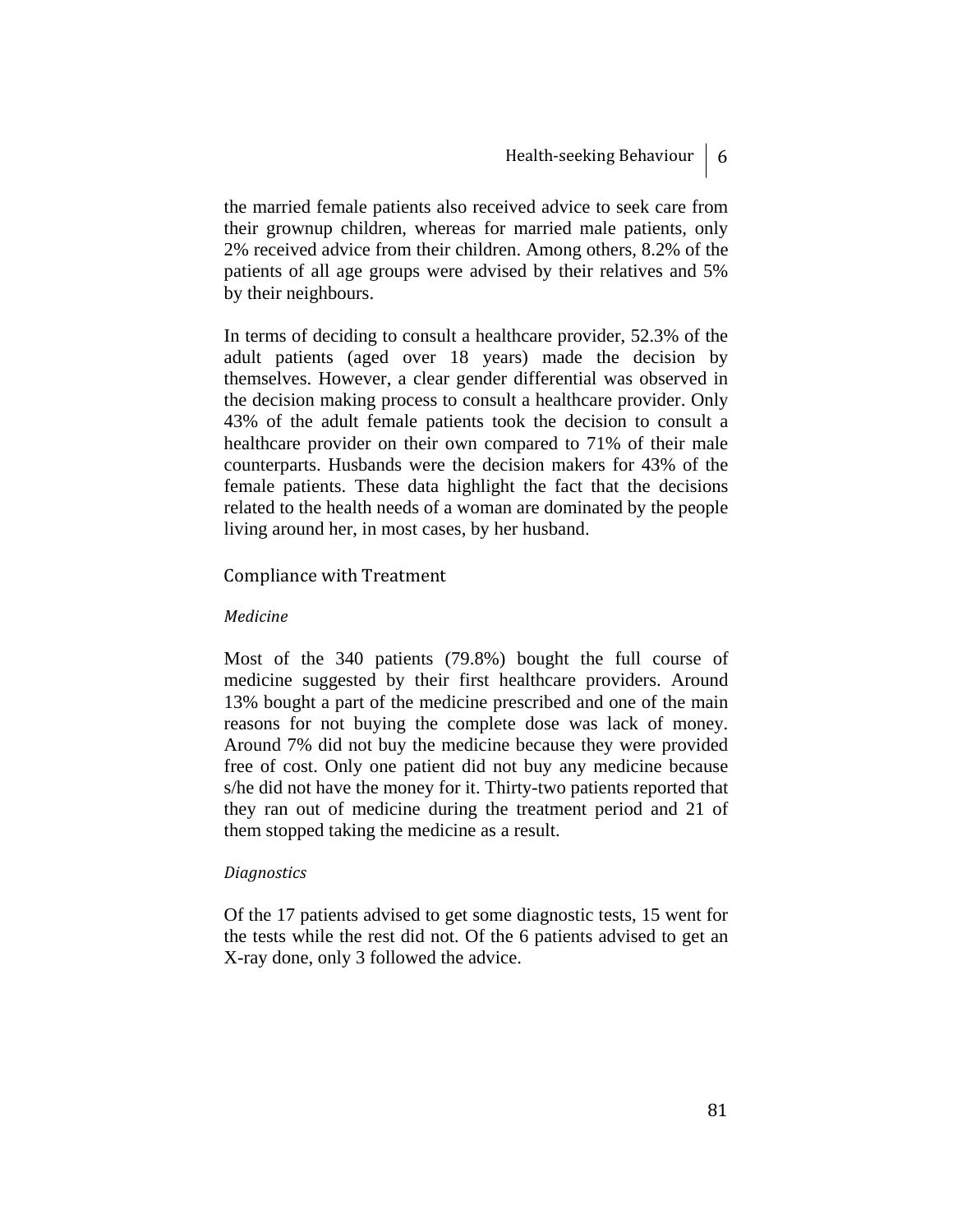the married female patients also received advice to seek care from their grownup children, whereas for married male patients, only 2% received advice from their children. Among others, 8.2% of the patients of all age groups were advised by their relatives and 5% by their neighbours.

In terms of deciding to consult a healthcare provider, 52.3% of the adult patients (aged over 18 years) made the decision by themselves. However, a clear gender differential was observed in the decision making process to consult a healthcare provider. Only 43% of the adult female patients took the decision to consult a healthcare provider on their own compared to 71% of their male counterparts. Husbands were the decision makers for 43% of the female patients. These data highlight the fact that the decisions related to the health needs of a woman are dominated by the people living around her, in most cases, by her husband.

#### Compliance with Treatment

#### *Medicine*

Most of the 340 patients (79.8%) bought the full course of medicine suggested by their first healthcare providers. Around 13% bought a part of the medicine prescribed and one of the main reasons for not buying the complete dose was lack of money. Around 7% did not buy the medicine because they were provided free of cost. Only one patient did not buy any medicine because s/he did not have the money for it. Thirty-two patients reported that they ran out of medicine during the treatment period and 21 of them stopped taking the medicine as a result.

#### *Diagnostics*

Of the 17 patients advised to get some diagnostic tests, 15 went for the tests while the rest did not. Of the 6 patients advised to get an X-ray done, only 3 followed the advice.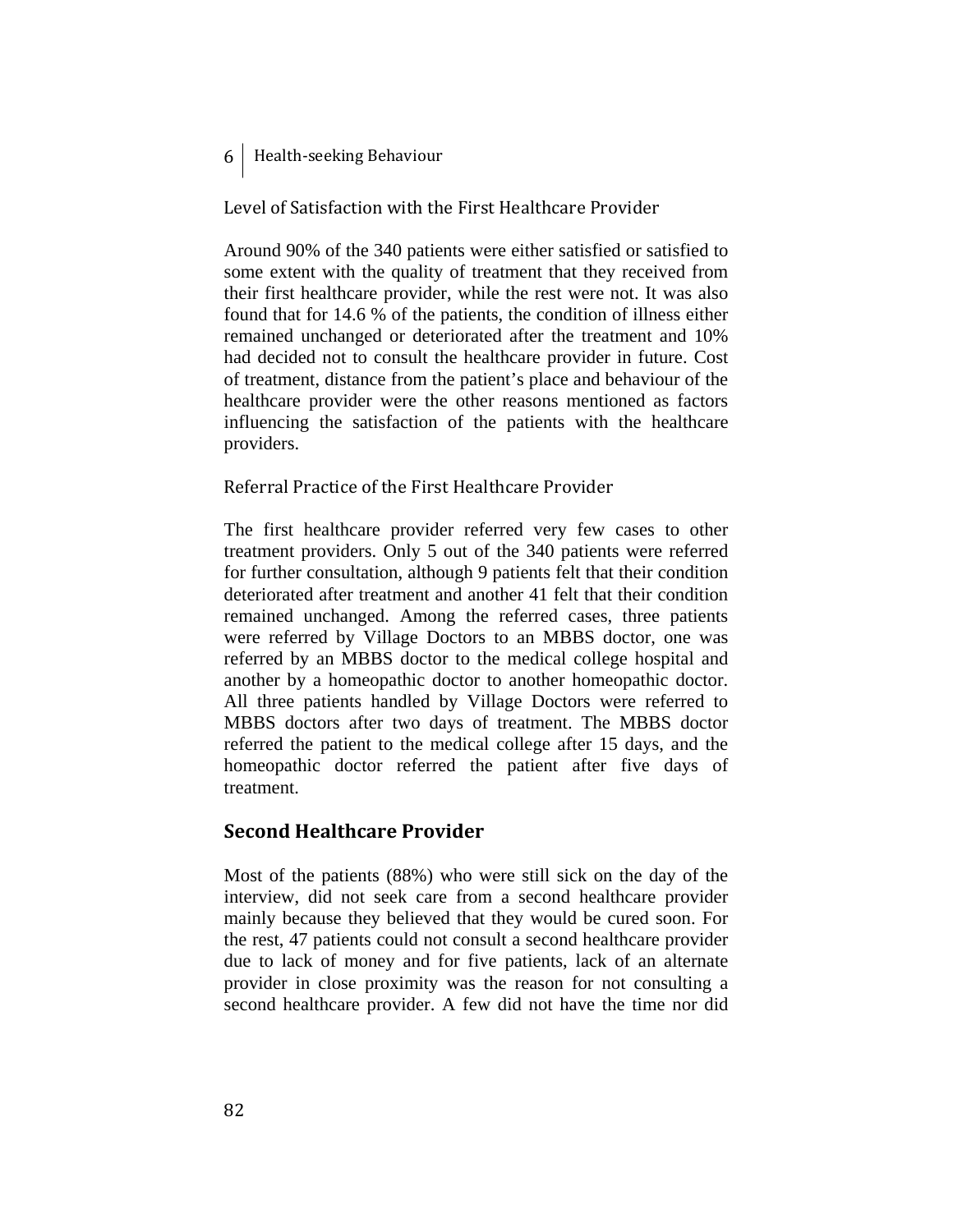Level of Satisfaction with the First Healthcare Provider

Around 90% of the 340 patients were either satisfied or satisfied to some extent with the quality of treatment that they received from their first healthcare provider, while the rest were not. It was also found that for 14.6 % of the patients, the condition of illness either remained unchanged or deteriorated after the treatment and 10% had decided not to consult the healthcare provider in future. Cost of treatment, distance from the patient's place and behaviour of the healthcare provider were the other reasons mentioned as factors influencing the satisfaction of the patients with the healthcare providers.

Referral Practice of the First Healthcare Provider

The first healthcare provider referred very few cases to other treatment providers. Only 5 out of the 340 patients were referred for further consultation, although 9 patients felt that their condition deteriorated after treatment and another 41 felt that their condition remained unchanged. Among the referred cases, three patients were referred by Village Doctors to an MBBS doctor, one was referred by an MBBS doctor to the medical college hospital and another by a homeopathic doctor to another homeopathic doctor. All three patients handled by Village Doctors were referred to MBBS doctors after two days of treatment. The MBBS doctor referred the patient to the medical college after 15 days, and the homeopathic doctor referred the patient after five days of treatment.

# **Second Healthcare Provider**

Most of the patients (88%) who were still sick on the day of the interview, did not seek care from a second healthcare provider mainly because they believed that they would be cured soon. For the rest, 47 patients could not consult a second healthcare provider due to lack of money and for five patients, lack of an alternate provider in close proximity was the reason for not consulting a second healthcare provider. A few did not have the time nor did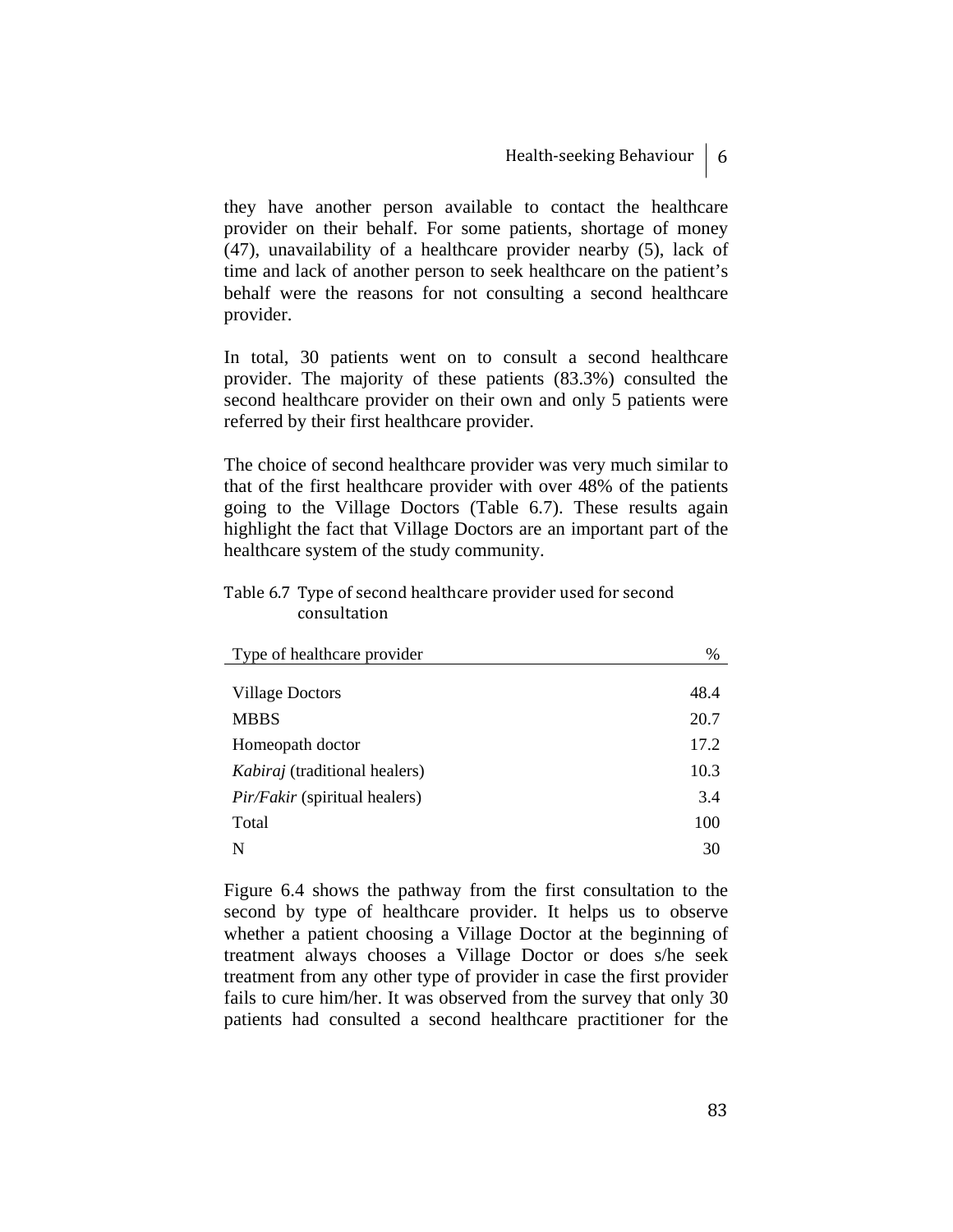they have another person available to contact the healthcare provider on their behalf. For some patients, shortage of money (47), unavailability of a healthcare provider nearby (5), lack of time and lack of another person to seek healthcare on the patient's behalf were the reasons for not consulting a second healthcare provider.

In total, 30 patients went on to consult a second healthcare provider. The majority of these patients (83.3%) consulted the second healthcare provider on their own and only 5 patients were referred by their first healthcare provider.

The choice of second healthcare provider was very much similar to that of the first healthcare provider with over 48% of the patients going to the Village Doctors (Table 6.7). These results again highlight the fact that Village Doctors are an important part of the healthcare system of the study community.

#### Table 6.7 Type of second healthcare provider used for second consultation

| Type of healthcare provider          | %    |
|--------------------------------------|------|
|                                      |      |
| <b>Village Doctors</b>               | 48.4 |
| <b>MBBS</b>                          | 20.7 |
| Homeopath doctor                     | 17.2 |
| <i>Kabiraj</i> (traditional healers) | 10.3 |
| <i>Pir/Fakir</i> (spiritual healers) | 3.4  |
| Total                                | 100  |
| N                                    | 30   |

Figure 6.4 shows the pathway from the first consultation to the second by type of healthcare provider. It helps us to observe whether a patient choosing a Village Doctor at the beginning of treatment always chooses a Village Doctor or does s/he seek treatment from any other type of provider in case the first provider fails to cure him/her. It was observed from the survey that only 30 patients had consulted a second healthcare practitioner for the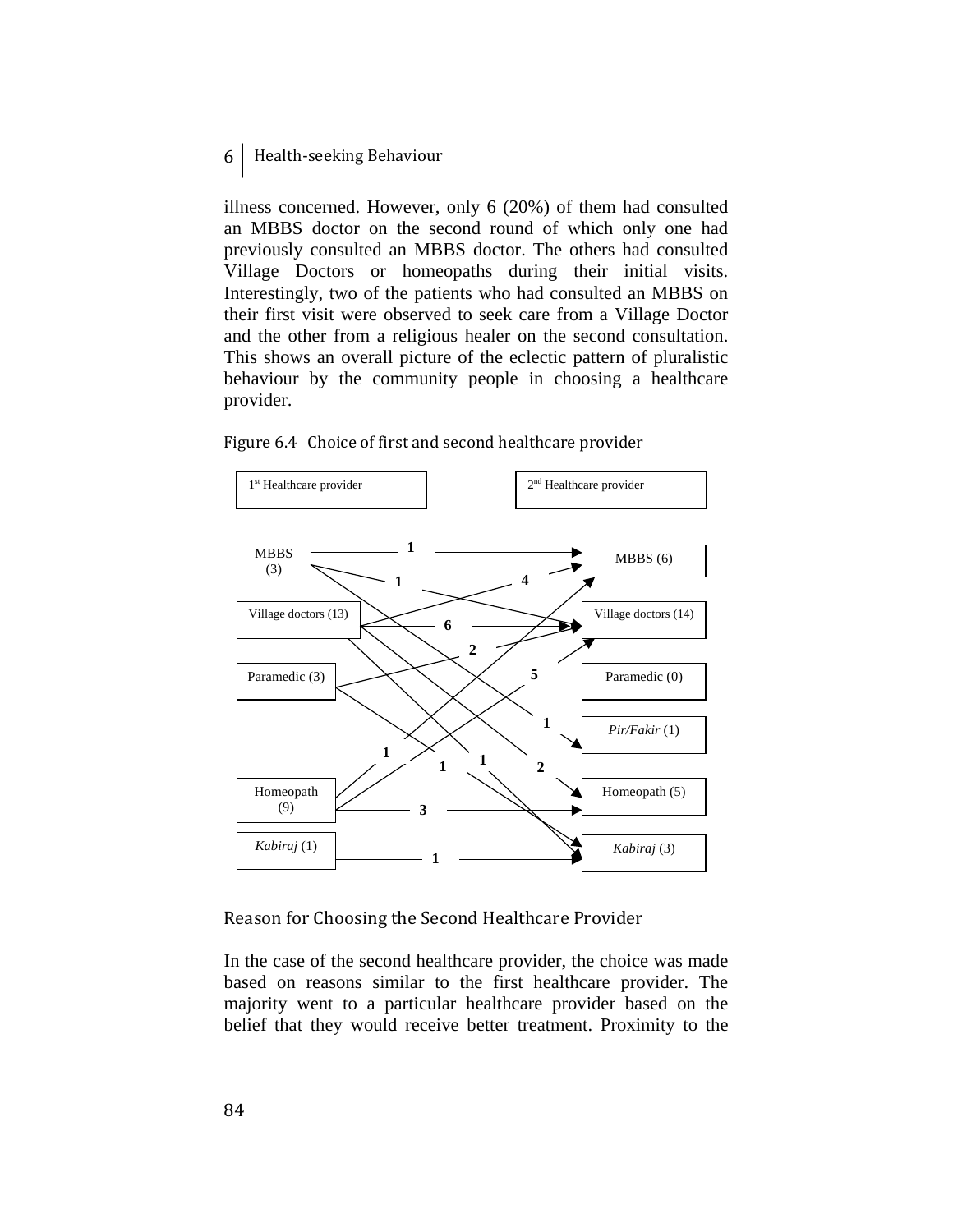illness concerned. However, only 6 (20%) of them had consulted an MBBS doctor on the second round of which only one had previously consulted an MBBS doctor. The others had consulted Village Doctors or homeopaths during their initial visits. Interestingly, two of the patients who had consulted an MBBS on their first visit were observed to seek care from a Village Doctor and the other from a religious healer on the second consultation. This shows an overall picture of the eclectic pattern of pluralistic behaviour by the community people in choosing a healthcare provider.



Figure 6.4 Choice of first and second healthcare provider

Reason for Choosing the Second Healthcare Provider

In the case of the second healthcare provider, the choice was made based on reasons similar to the first healthcare provider. The majority went to a particular healthcare provider based on the belief that they would receive better treatment. Proximity to the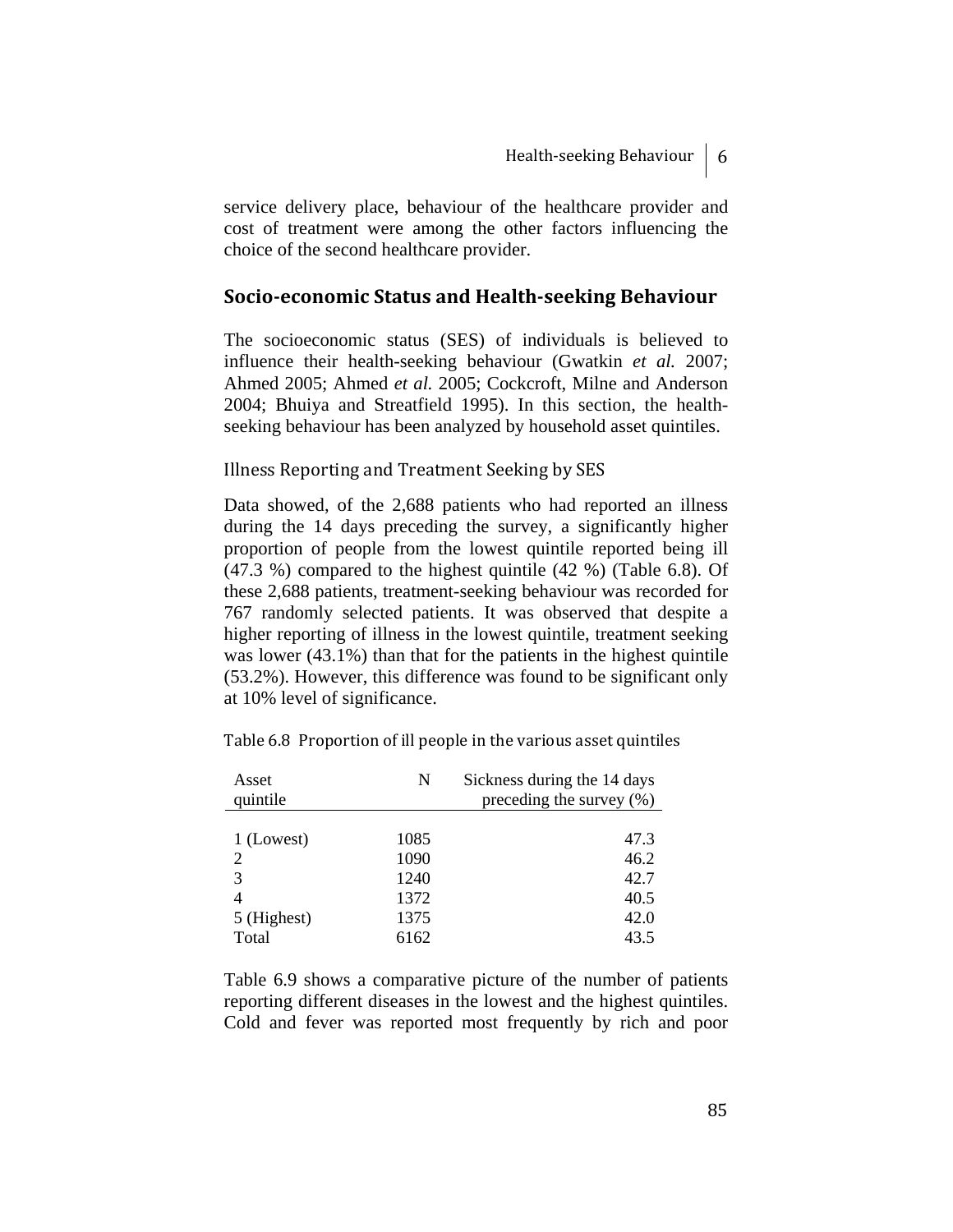service delivery place, behaviour of the healthcare provider and cost of treatment were among the other factors influencing the choice of the second healthcare provider.

#### **Socioeconomic Status and Healthseeking Behaviour**

The socioeconomic status (SES) of individuals is believed to influence their health-seeking behaviour (Gwatkin *et al.* 2007; Ahmed 2005; Ahmed *et al.* 2005; Cockcroft, Milne and Anderson 2004; Bhuiya and Streatfield 1995). In this section, the healthseeking behaviour has been analyzed by household asset quintiles.

#### Illness Reporting and Treatment Seeking by SES

Data showed, of the 2,688 patients who had reported an illness during the 14 days preceding the survey, a significantly higher proportion of people from the lowest quintile reported being ill (47.3 %) compared to the highest quintile (42 %) (Table 6.8). Of these 2,688 patients, treatment-seeking behaviour was recorded for 767 randomly selected patients. It was observed that despite a higher reporting of illness in the lowest quintile, treatment seeking was lower (43.1%) than that for the patients in the highest quintile (53.2%). However, this difference was found to be significant only at 10% level of significance.

| Asset       | N    | Sickness during the 14 days  |
|-------------|------|------------------------------|
| quintile    |      | preceding the survey $(\% )$ |
|             |      |                              |
| 1 (Lowest)  | 1085 | 47.3                         |
| 2           | 1090 | 46.2                         |
| 3           | 1240 | 42.7                         |
| 4           | 1372 | 40.5                         |
| 5 (Highest) | 1375 | 42.0                         |
| Total       | 6162 | 43.5                         |

Table 6.8 Proportion of ill people in the various asset quintiles

Table 6.9 shows a comparative picture of the number of patients reporting different diseases in the lowest and the highest quintiles. Cold and fever was reported most frequently by rich and poor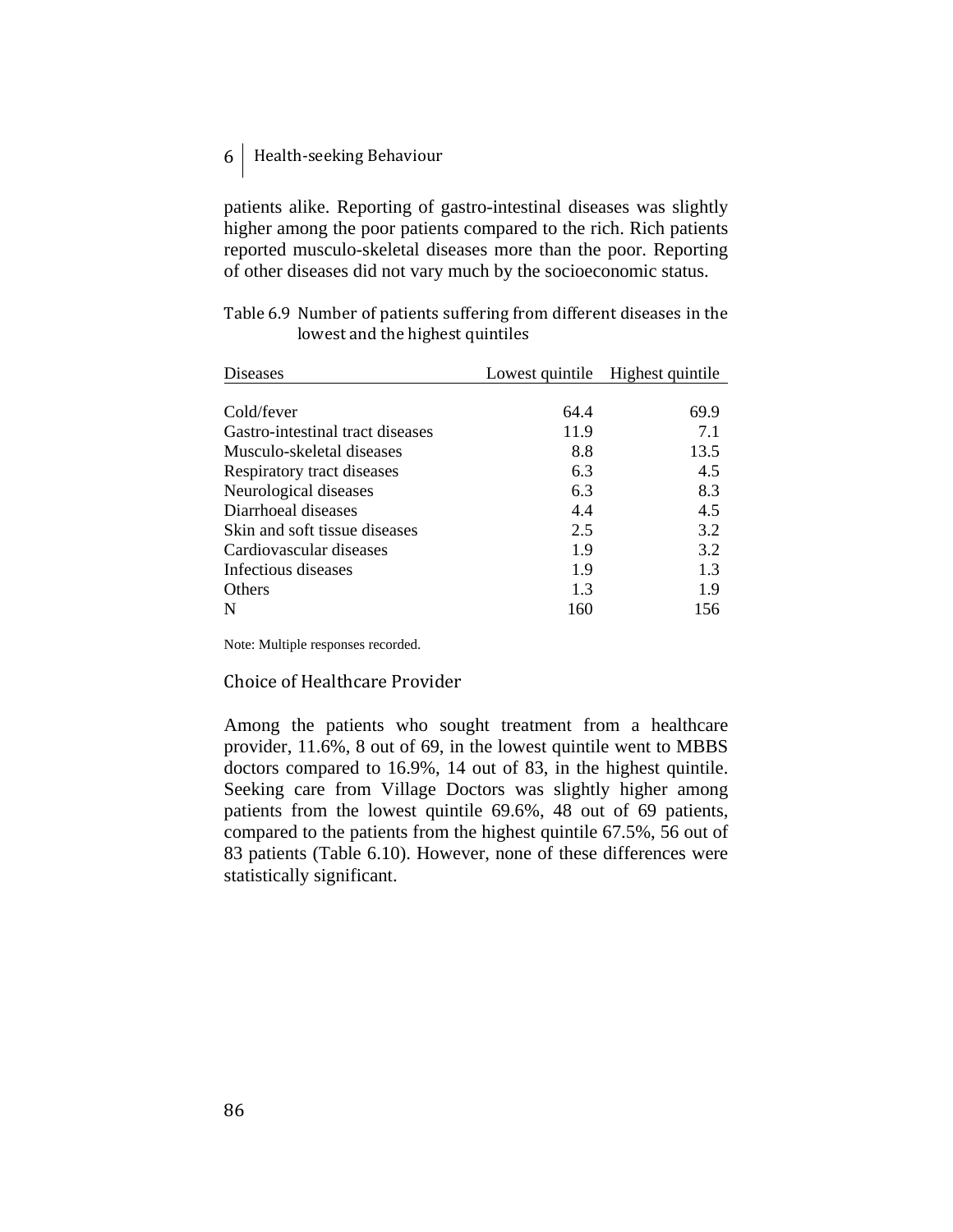patients alike. Reporting of gastro-intestinal diseases was slightly higher among the poor patients compared to the rich. Rich patients reported musculo-skeletal diseases more than the poor. Reporting of other diseases did not vary much by the socioeconomic status.

| Table 6.9 Number of patients suffering from different diseases in the |
|-----------------------------------------------------------------------|
| lowest and the highest quintiles                                      |

| Diseases                         |      | Lowest quintile Highest quintile |
|----------------------------------|------|----------------------------------|
|                                  |      |                                  |
| Cold/fever                       | 64.4 | 69.9                             |
| Gastro-intestinal tract diseases | 11.9 | 7.1                              |
| Musculo-skeletal diseases        | 8.8  | 13.5                             |
| Respiratory tract diseases       | 6.3  | 4.5                              |
| Neurological diseases            | 6.3  | 8.3                              |
| Diarrhoeal diseases              | 4.4  | 4.5                              |
| Skin and soft tissue diseases    | 2.5  | 3.2                              |
| Cardiovascular diseases          | 1.9  | 3.2                              |
| Infectious diseases              | 1.9  | 1.3                              |
| <b>Others</b>                    | 1.3  | 1.9                              |
| N                                | 160  | 156                              |

Note: Multiple responses recorded.

#### Choice of Healthcare Provider

Among the patients who sought treatment from a healthcare provider, 11.6%, 8 out of 69, in the lowest quintile went to MBBS doctors compared to 16.9%, 14 out of 83, in the highest quintile. Seeking care from Village Doctors was slightly higher among patients from the lowest quintile 69.6%, 48 out of 69 patients, compared to the patients from the highest quintile 67.5%, 56 out of 83 patients (Table 6.10). However, none of these differences were statistically significant.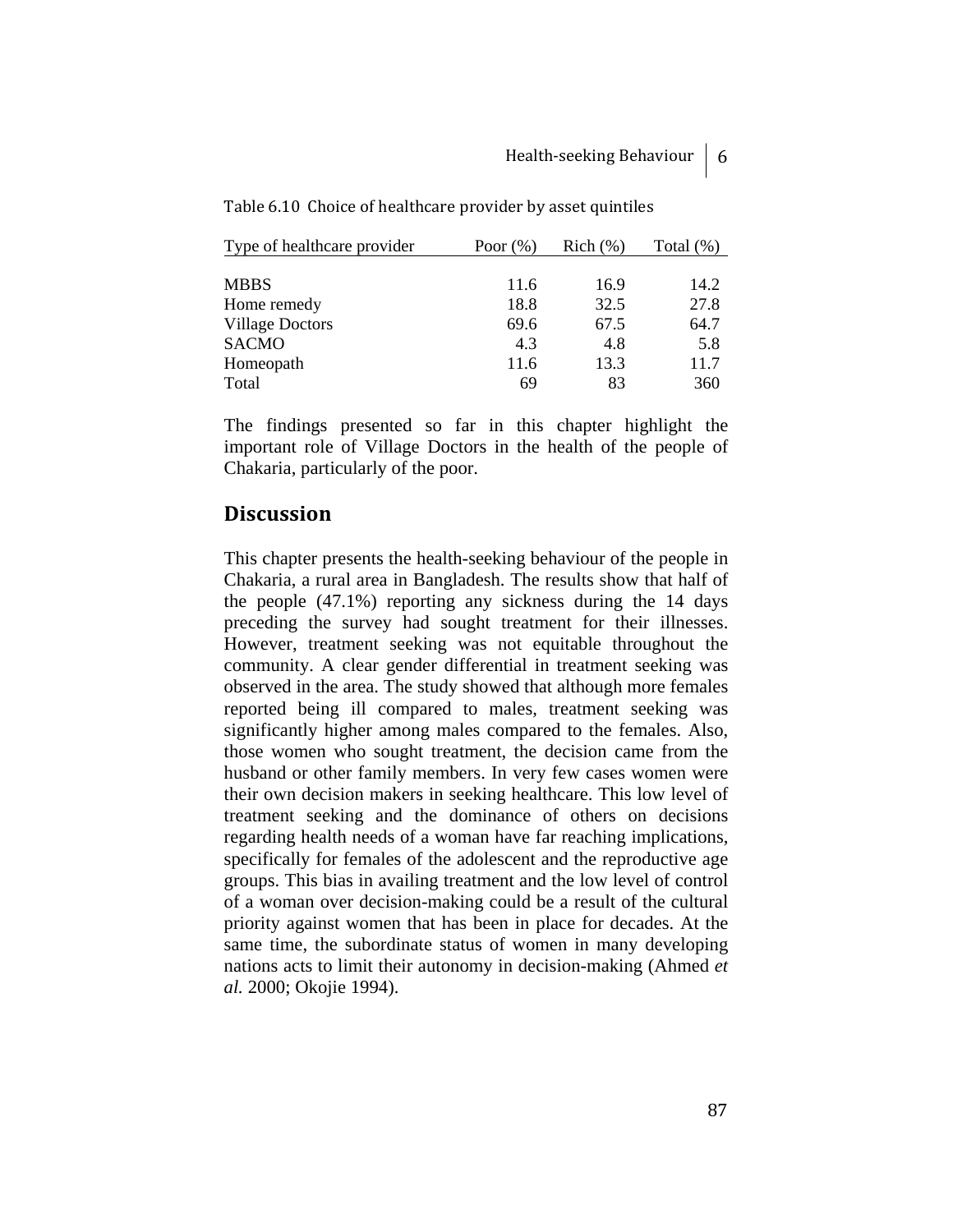| Type of healthcare provider | Poor $(\%)$ | Rich(%) | Total $(\%)$ |
|-----------------------------|-------------|---------|--------------|
|                             |             |         |              |
| <b>MBBS</b>                 | 11.6        | 16.9    | 14.2         |
| Home remedy                 | 18.8        | 32.5    | 27.8         |
| <b>Village Doctors</b>      | 69.6        | 67.5    | 64.7         |
| <b>SACMO</b>                | 4.3         | 4.8     | 5.8          |
| Homeopath                   | 11.6        | 13.3    | 11.7         |
| Total                       | 69          | 83      | 360          |

Table 6.10 Choice of healthcare provider by asset quintiles

The findings presented so far in this chapter highlight the important role of Village Doctors in the health of the people of Chakaria, particularly of the poor.

# **Discussion**

This chapter presents the health-seeking behaviour of the people in Chakaria, a rural area in Bangladesh. The results show that half of the people (47.1%) reporting any sickness during the 14 days preceding the survey had sought treatment for their illnesses. However, treatment seeking was not equitable throughout the community. A clear gender differential in treatment seeking was observed in the area. The study showed that although more females reported being ill compared to males, treatment seeking was significantly higher among males compared to the females. Also, those women who sought treatment, the decision came from the husband or other family members. In very few cases women were their own decision makers in seeking healthcare. This low level of treatment seeking and the dominance of others on decisions regarding health needs of a woman have far reaching implications, specifically for females of the adolescent and the reproductive age groups. This bias in availing treatment and the low level of control of a woman over decision-making could be a result of the cultural priority against women that has been in place for decades. At the same time, the subordinate status of women in many developing nations acts to limit their autonomy in decision-making (Ahmed *et al.* 2000; Okojie 1994).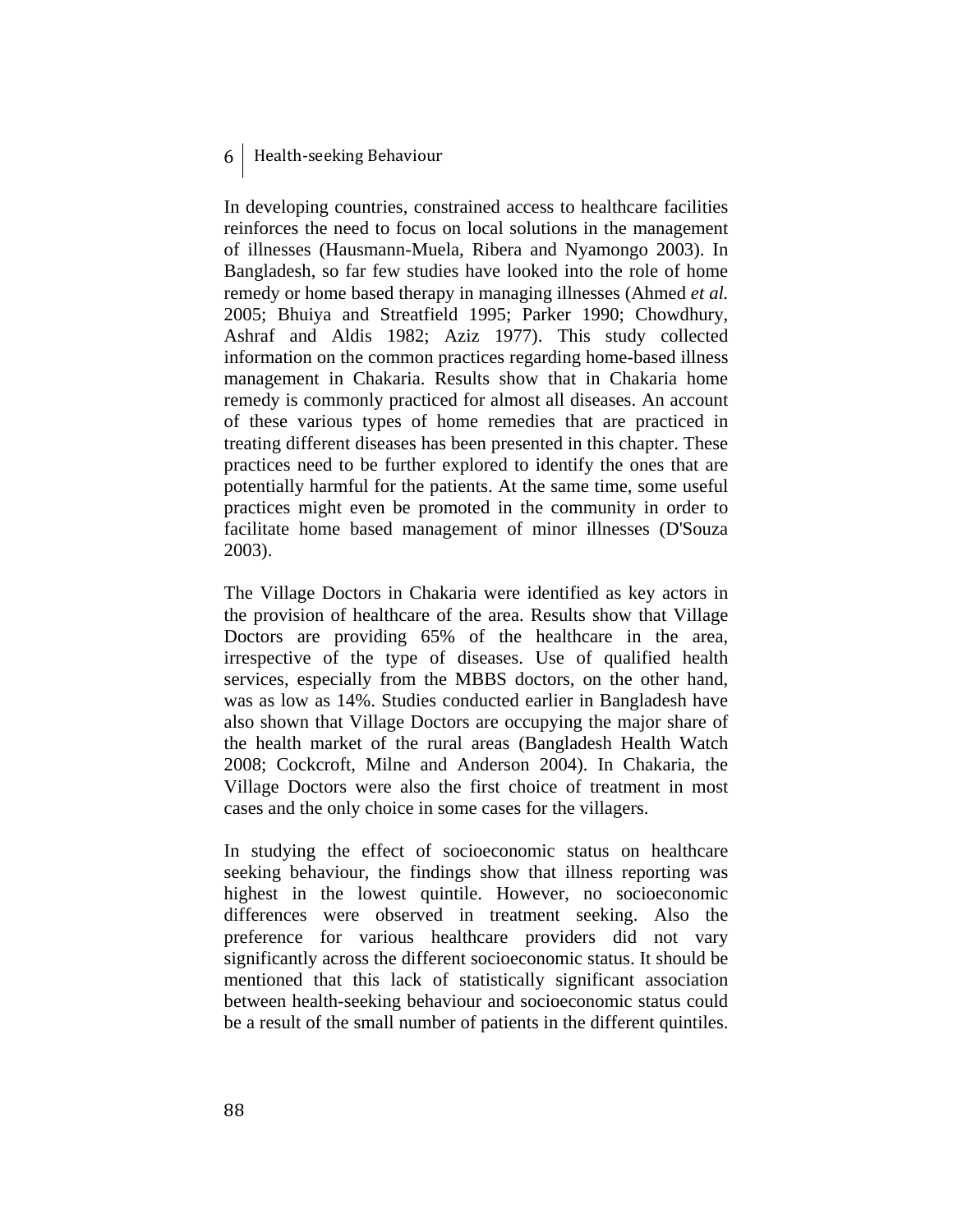In developing countries, constrained access to healthcare facilities reinforces the need to focus on local solutions in the management of illnesses (Hausmann-Muela, Ribera and Nyamongo 2003). In Bangladesh, so far few studies have looked into the role of home remedy or home based therapy in managing illnesses (Ahmed *et al.*  2005; Bhuiya and Streatfield 1995; Parker 1990; Chowdhury, Ashraf and Aldis 1982; Aziz 1977). This study collected information on the common practices regarding home-based illness management in Chakaria. Results show that in Chakaria home remedy is commonly practiced for almost all diseases. An account of these various types of home remedies that are practiced in treating different diseases has been presented in this chapter. These practices need to be further explored to identify the ones that are potentially harmful for the patients. At the same time, some useful practices might even be promoted in the community in order to facilitate home based management of minor illnesses (D'Souza 2003).

The Village Doctors in Chakaria were identified as key actors in the provision of healthcare of the area. Results show that Village Doctors are providing 65% of the healthcare in the area, irrespective of the type of diseases. Use of qualified health services, especially from the MBBS doctors, on the other hand, was as low as 14%. Studies conducted earlier in Bangladesh have also shown that Village Doctors are occupying the major share of the health market of the rural areas (Bangladesh Health Watch 2008; Cockcroft, Milne and Anderson 2004). In Chakaria, the Village Doctors were also the first choice of treatment in most cases and the only choice in some cases for the villagers.

In studying the effect of socioeconomic status on healthcare seeking behaviour, the findings show that illness reporting was highest in the lowest quintile. However, no socioeconomic differences were observed in treatment seeking. Also the preference for various healthcare providers did not vary significantly across the different socioeconomic status. It should be mentioned that this lack of statistically significant association between health-seeking behaviour and socioeconomic status could be a result of the small number of patients in the different quintiles.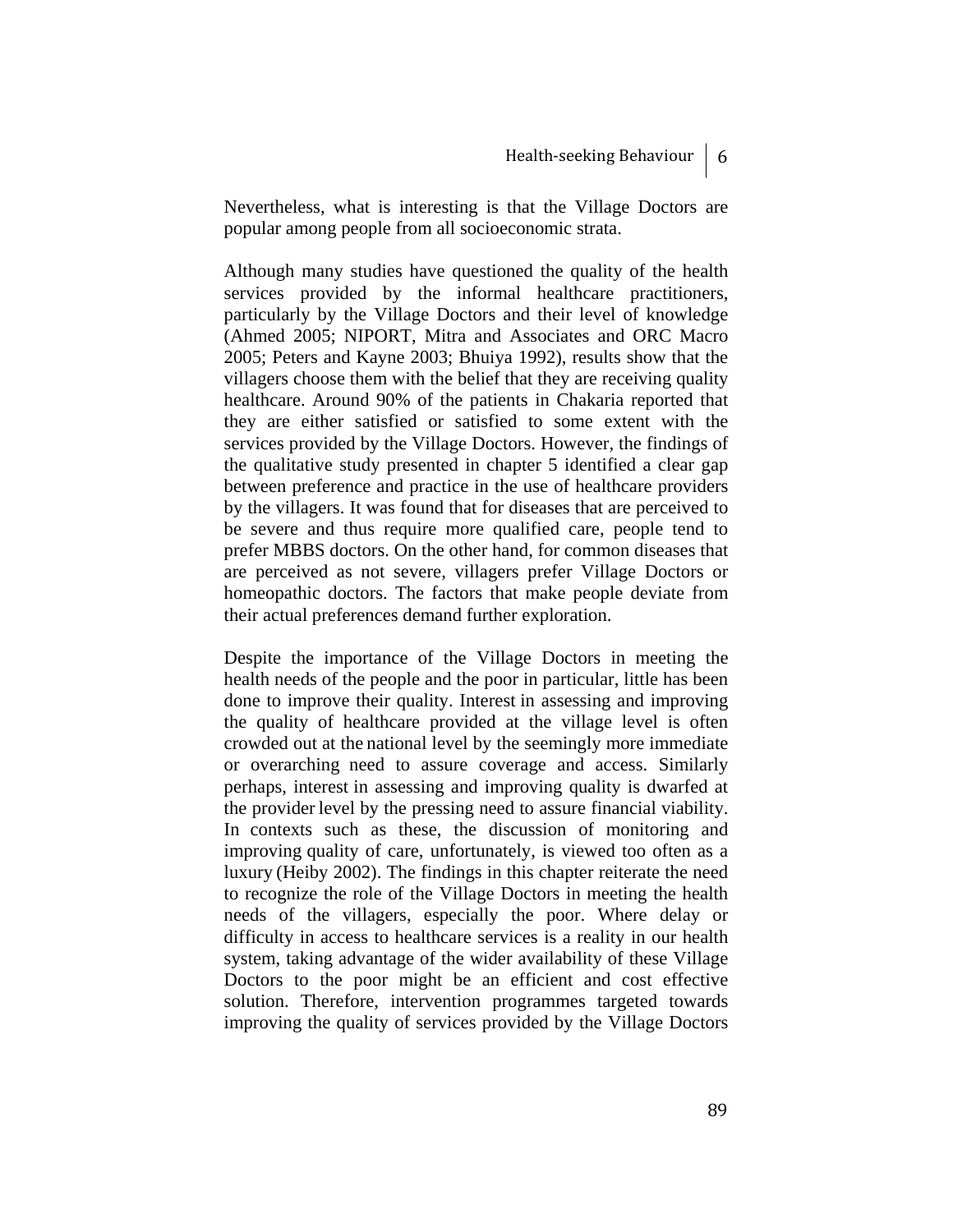Nevertheless, what is interesting is that the Village Doctors are popular among people from all socioeconomic strata.

Although many studies have questioned the quality of the health services provided by the informal healthcare practitioners, particularly by the Village Doctors and their level of knowledge (Ahmed 2005; NIPORT, Mitra and Associates and ORC Macro 2005; Peters and Kayne 2003; Bhuiya 1992), results show that the villagers choose them with the belief that they are receiving quality healthcare. Around 90% of the patients in Chakaria reported that they are either satisfied or satisfied to some extent with the services provided by the Village Doctors. However, the findings of the qualitative study presented in chapter 5 identified a clear gap between preference and practice in the use of healthcare providers by the villagers. It was found that for diseases that are perceived to be severe and thus require more qualified care, people tend to prefer MBBS doctors. On the other hand, for common diseases that are perceived as not severe, villagers prefer Village Doctors or homeopathic doctors. The factors that make people deviate from their actual preferences demand further exploration.

Despite the importance of the Village Doctors in meeting the health needs of the people and the poor in particular, little has been done to improve their quality. Interest in assessing and improving the quality of healthcare provided at the village level is often crowded out at the national level by the seemingly more immediate or overarching need to assure coverage and access. Similarly perhaps, interest in assessing and improving quality is dwarfed at the provider level by the pressing need to assure financial viability. In contexts such as these, the discussion of monitoring and improving quality of care, unfortunately, is viewed too often as a luxury (Heiby 2002). The findings in this chapter reiterate the need to recognize the role of the Village Doctors in meeting the health needs of the villagers, especially the poor. Where delay or difficulty in access to healthcare services is a reality in our health system, taking advantage of the wider availability of these Village Doctors to the poor might be an efficient and cost effective solution. Therefore, intervention programmes targeted towards improving the quality of services provided by the Village Doctors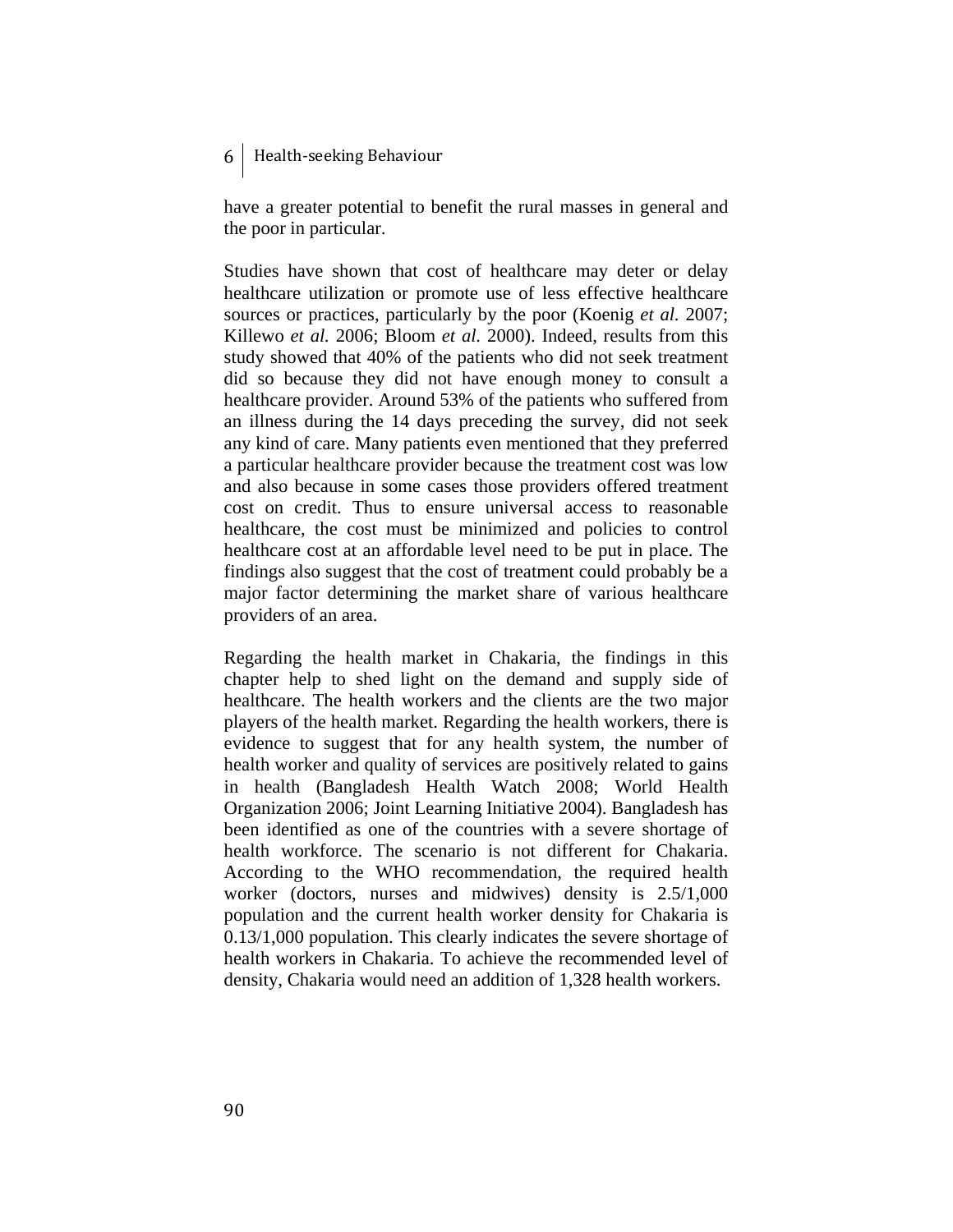have a greater potential to benefit the rural masses in general and the poor in particular.

Studies have shown that cost of healthcare may deter or delay healthcare utilization or promote use of less effective healthcare sources or practices, particularly by the poor (Koenig *et al.* 2007; Killewo *et al.* 2006; Bloom *et al.* 2000). Indeed, results from this study showed that 40% of the patients who did not seek treatment did so because they did not have enough money to consult a healthcare provider. Around 53% of the patients who suffered from an illness during the 14 days preceding the survey, did not seek any kind of care. Many patients even mentioned that they preferred a particular healthcare provider because the treatment cost was low and also because in some cases those providers offered treatment cost on credit. Thus to ensure universal access to reasonable healthcare, the cost must be minimized and policies to control healthcare cost at an affordable level need to be put in place. The findings also suggest that the cost of treatment could probably be a major factor determining the market share of various healthcare providers of an area.

Regarding the health market in Chakaria, the findings in this chapter help to shed light on the demand and supply side of healthcare. The health workers and the clients are the two major players of the health market. Regarding the health workers, there is evidence to suggest that for any health system, the number of health worker and quality of services are positively related to gains in health (Bangladesh Health Watch 2008; World Health Organization 2006; Joint Learning Initiative 2004). Bangladesh has been identified as one of the countries with a severe shortage of health workforce. The scenario is not different for Chakaria. According to the WHO recommendation, the required health worker (doctors, nurses and midwives) density is 2.5/1,000 population and the current health worker density for Chakaria is 0.13/1,000 population. This clearly indicates the severe shortage of health workers in Chakaria. To achieve the recommended level of density, Chakaria would need an addition of 1,328 health workers.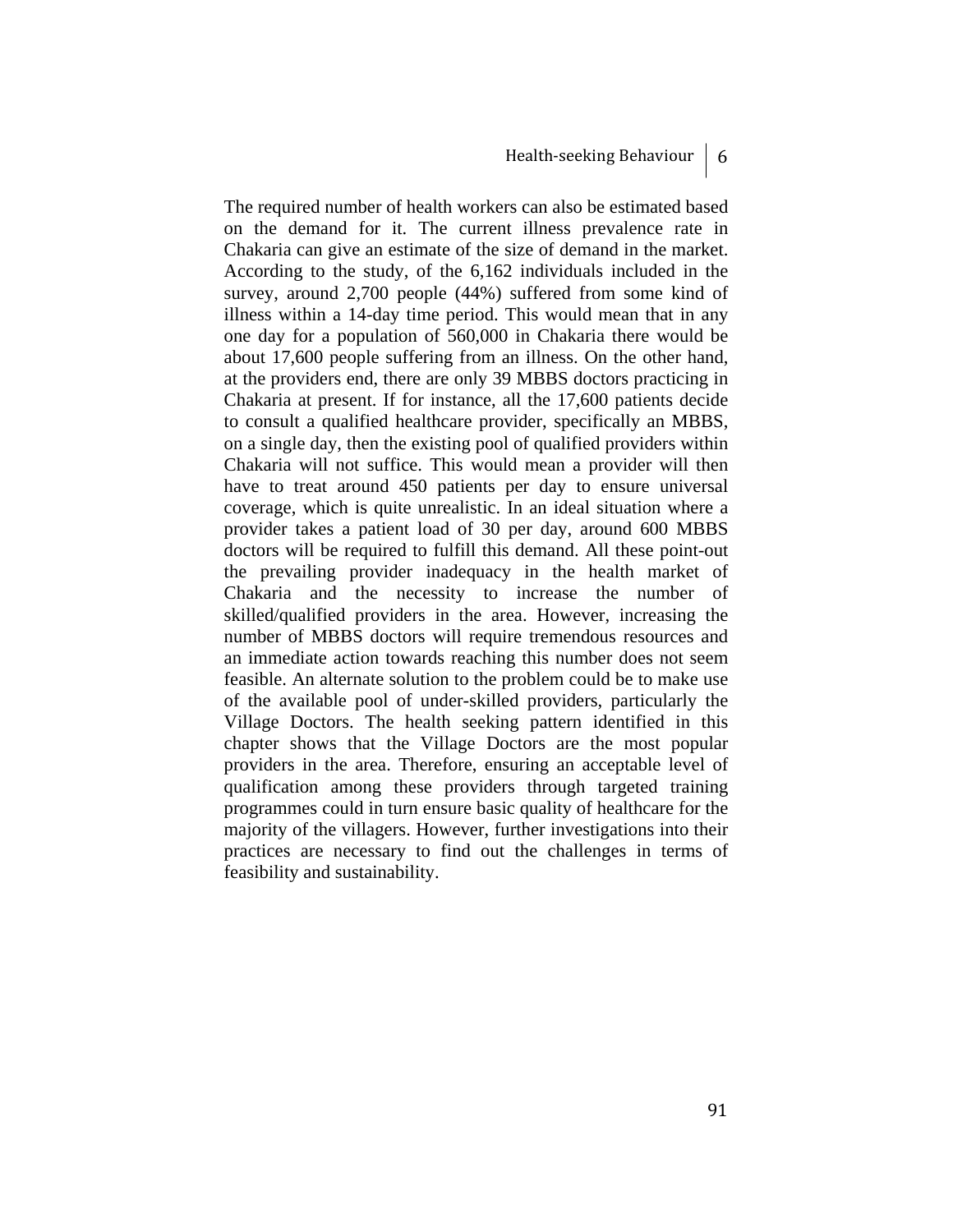The required number of health workers can also be estimated based on the demand for it. The current illness prevalence rate in Chakaria can give an estimate of the size of demand in the market. According to the study, of the 6,162 individuals included in the survey, around 2,700 people (44%) suffered from some kind of illness within a 14-day time period. This would mean that in any one day for a population of 560,000 in Chakaria there would be about 17,600 people suffering from an illness. On the other hand, at the providers end, there are only 39 MBBS doctors practicing in Chakaria at present. If for instance, all the 17,600 patients decide to consult a qualified healthcare provider, specifically an MBBS, on a single day, then the existing pool of qualified providers within Chakaria will not suffice. This would mean a provider will then have to treat around 450 patients per day to ensure universal coverage, which is quite unrealistic. In an ideal situation where a provider takes a patient load of 30 per day, around 600 MBBS doctors will be required to fulfill this demand. All these point-out the prevailing provider inadequacy in the health market of Chakaria and the necessity to increase the number of skilled/qualified providers in the area. However, increasing the number of MBBS doctors will require tremendous resources and an immediate action towards reaching this number does not seem feasible. An alternate solution to the problem could be to make use of the available pool of under-skilled providers, particularly the Village Doctors. The health seeking pattern identified in this chapter shows that the Village Doctors are the most popular providers in the area. Therefore, ensuring an acceptable level of qualification among these providers through targeted training programmes could in turn ensure basic quality of healthcare for the majority of the villagers. However, further investigations into their practices are necessary to find out the challenges in terms of feasibility and sustainability.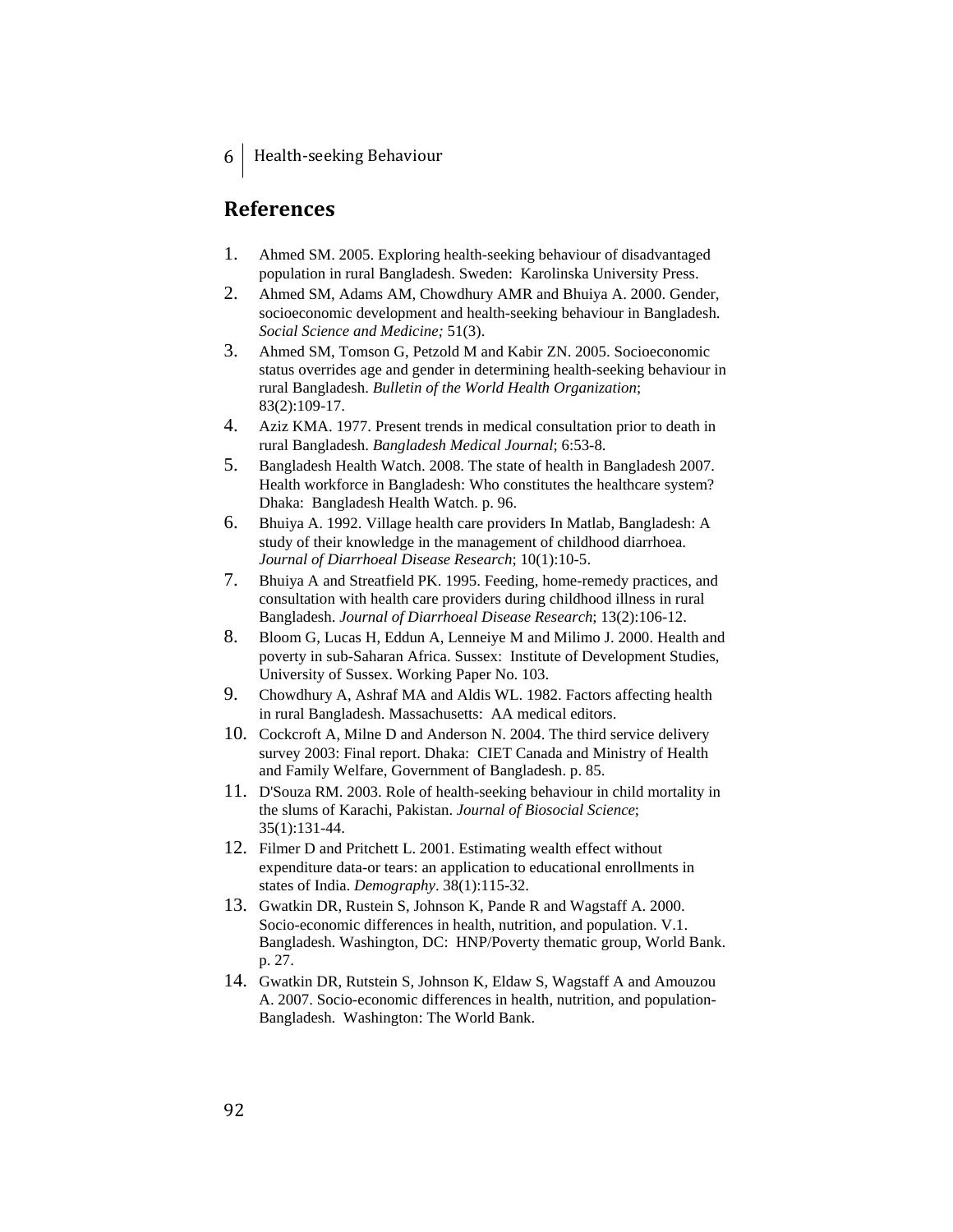# **References**

- 1. Ahmed SM. 2005. Exploring health-seeking behaviour of disadvantaged population in rural Bangladesh. Sweden: Karolinska University Press.
- 2. Ahmed SM, Adams AM, Chowdhury AMR and Bhuiya A. 2000. Gender, socioeconomic development and health-seeking behaviour in Bangladesh. *Social Science and Medicine;* 51(3).
- 3. Ahmed SM, Tomson G, Petzold M and Kabir ZN. 2005. Socioeconomic status overrides age and gender in determining health-seeking behaviour in rural Bangladesh. *Bulletin of the World Health Organization*; 83(2):109-17.
- 4. Aziz KMA. 1977. Present trends in medical consultation prior to death in rural Bangladesh. *Bangladesh Medical Journal*; 6:53-8.
- 5. Bangladesh Health Watch. 2008. The state of health in Bangladesh 2007. Health workforce in Bangladesh: Who constitutes the healthcare system? Dhaka: Bangladesh Health Watch. p. 96.
- 6. Bhuiya A. 1992. Village health care providers In Matlab, Bangladesh: A study of their knowledge in the management of childhood diarrhoea. *Journal of Diarrhoeal Disease Research*; 10(1):10-5.
- 7. Bhuiya A and Streatfield PK. 1995. Feeding, home-remedy practices, and consultation with health care providers during childhood illness in rural Bangladesh. *Journal of Diarrhoeal Disease Research*; 13(2):106-12.
- 8. Bloom G, Lucas H, Eddun A, Lenneiye M and Milimo J. 2000. Health and poverty in sub-Saharan Africa. Sussex: Institute of Development Studies, University of Sussex. Working Paper No. 103.
- 9. Chowdhury A, Ashraf MA and Aldis WL. 1982. Factors affecting health in rural Bangladesh. Massachusetts: AA medical editors.
- 10. Cockcroft A, Milne D and Anderson N. 2004. The third service delivery survey 2003: Final report. Dhaka: CIET Canada and Ministry of Health and Family Welfare, Government of Bangladesh. p. 85.
- 11. D'Souza RM. 2003. Role of health-seeking behaviour in child mortality in the slums of Karachi, Pakistan. *Journal of Biosocial Science*; 35(1):131-44.
- 12. Filmer D and Pritchett L. 2001. Estimating wealth effect without expenditure data-or tears: an application to educational enrollments in states of India. *Demography*. 38(1):115-32.
- 13. Gwatkin DR, Rustein S, Johnson K, Pande R and Wagstaff A. 2000. Socio-economic differences in health, nutrition, and population. V.1. Bangladesh. Washington, DC: HNP/Poverty thematic group, World Bank. p. 27.
- 14. Gwatkin DR, Rutstein S, Johnson K, Eldaw S, Wagstaff A and Amouzou A. 2007. Socio-economic differences in health, nutrition, and population-Bangladesh. Washington: The World Bank.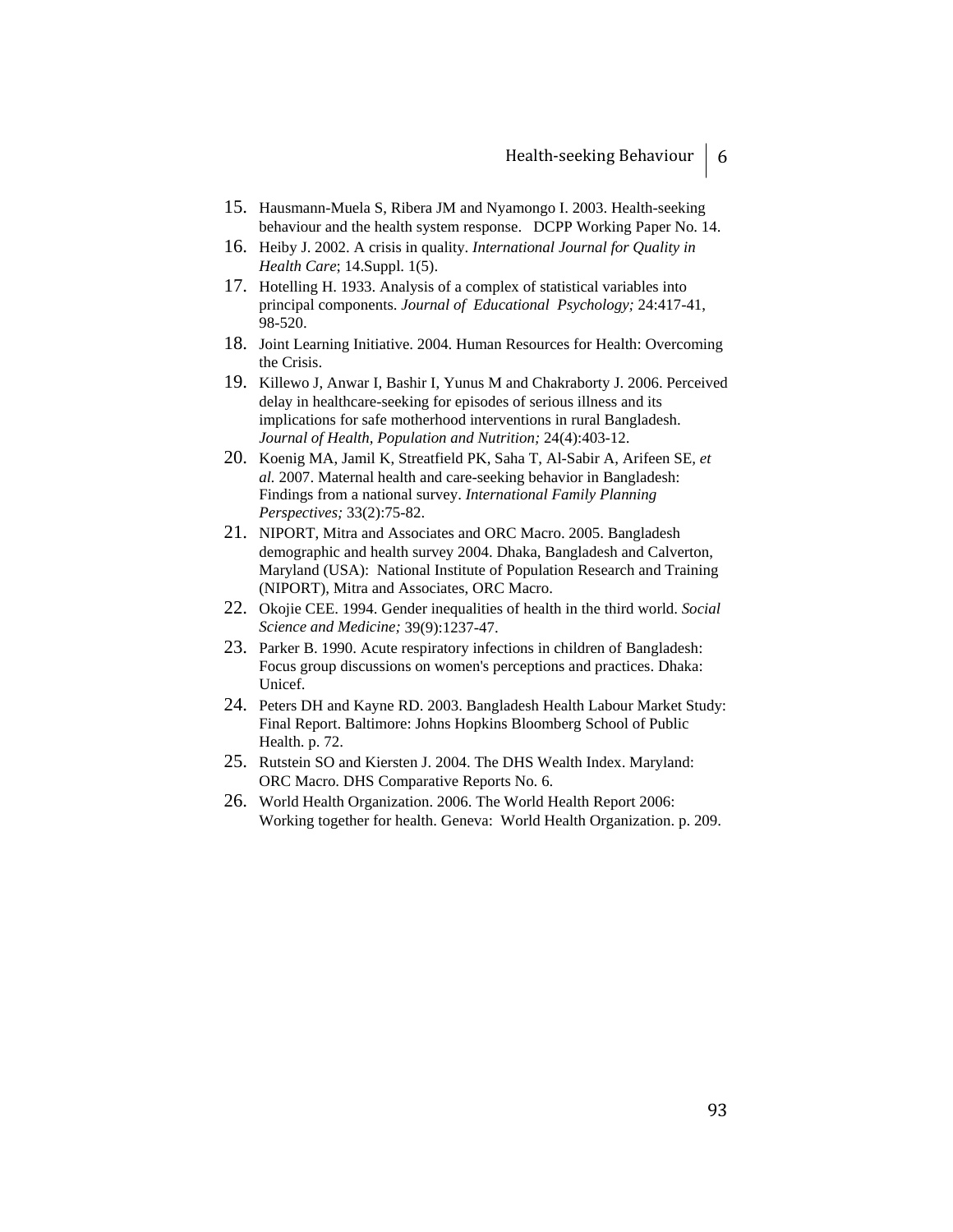- 15. Hausmann-Muela S, Ribera JM and Nyamongo I. 2003. Health-seeking behaviour and the health system response. DCPP Working Paper No. 14.
- 16. Heiby J. 2002. A crisis in quality. *International Journal for Quality in Health Care*; 14.Suppl. 1(5).
- 17. Hotelling H. 1933. Analysis of a complex of statistical variables into principal components. *Journal of Educational Psychology;* 24:417-41, 98-520.
- 18. Joint Learning Initiative. 2004. Human Resources for Health: Overcoming the Crisis.
- 19. Killewo J, Anwar I, Bashir I, Yunus M and Chakraborty J. 2006. Perceived delay in healthcare-seeking for episodes of serious illness and its implications for safe motherhood interventions in rural Bangladesh. *Journal of Health, Population and Nutrition;* 24(4):403-12.
- 20. Koenig MA, Jamil K, Streatfield PK, Saha T, Al-Sabir A, Arifeen SE*, et al.* 2007. Maternal health and care-seeking behavior in Bangladesh: Findings from a national survey. *International Family Planning Perspectives;* 33(2):75-82.
- 21. NIPORT, Mitra and Associates and ORC Macro. 2005. Bangladesh demographic and health survey 2004. Dhaka, Bangladesh and Calverton, Maryland (USA): National Institute of Population Research and Training (NIPORT), Mitra and Associates, ORC Macro.
- 22. Okojie CEE. 1994. Gender inequalities of health in the third world. *Social Science and Medicine;* 39(9):1237-47.
- 23. Parker B. 1990. Acute respiratory infections in children of Bangladesh: Focus group discussions on women's perceptions and practices. Dhaka: Unicef.
- 24. Peters DH and Kayne RD. 2003. Bangladesh Health Labour Market Study: Final Report. Baltimore: Johns Hopkins Bloomberg School of Public Health. p. 72.
- 25. Rutstein SO and Kiersten J. 2004. The DHS Wealth Index. Maryland: ORC Macro. DHS Comparative Reports No. 6.
- 26. World Health Organization. 2006. The World Health Report 2006: Working together for health. Geneva: World Health Organization. p. 209.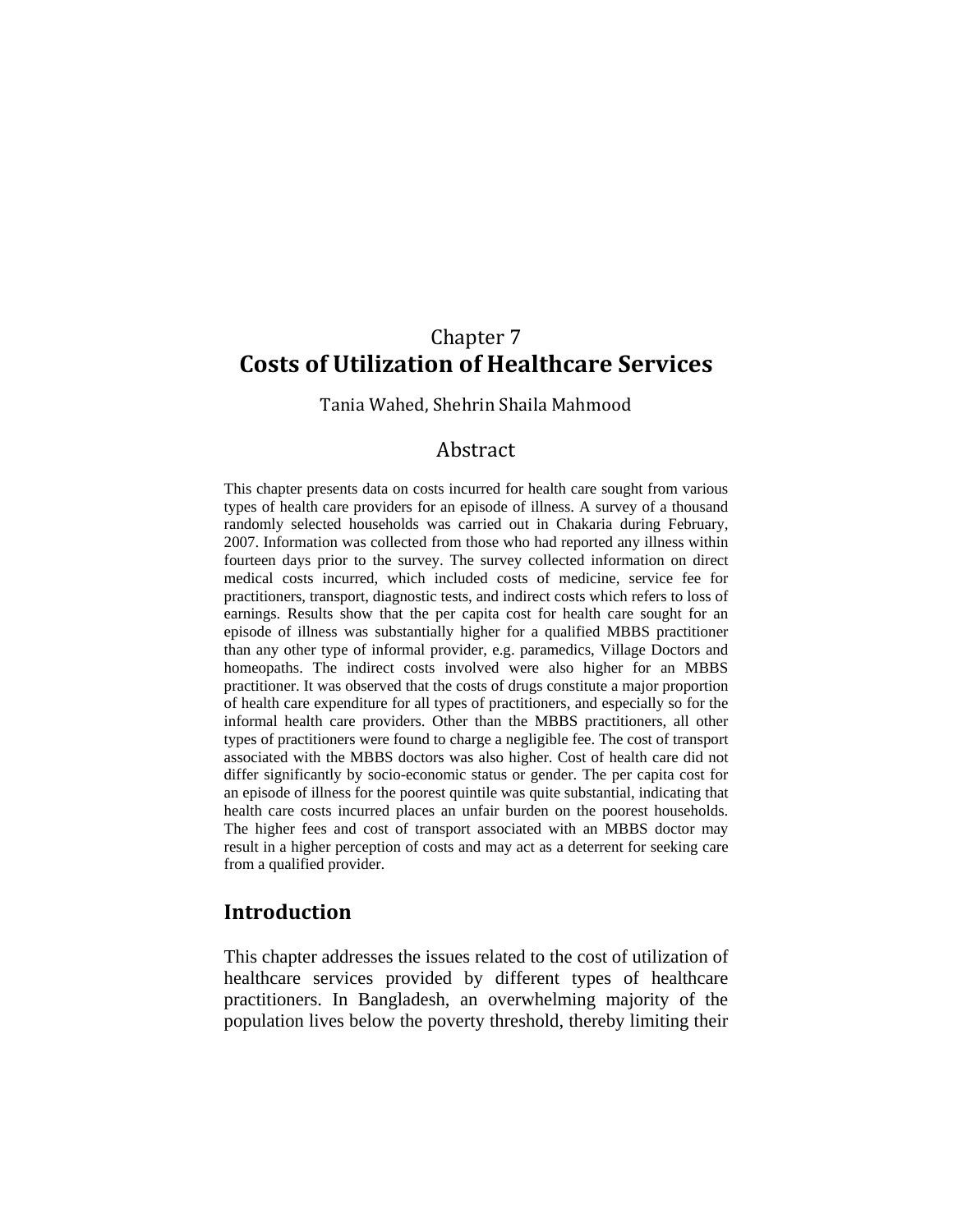# Chapter 7 **Costs of Utilization of Healthcare Services**

Tania Wahed, Shehrin Shaila Mahmood

# Abstract

This chapter presents data on costs incurred for health care sought from various types of health care providers for an episode of illness. A survey of a thousand randomly selected households was carried out in Chakaria during February, 2007. Information was collected from those who had reported any illness within fourteen days prior to the survey. The survey collected information on direct medical costs incurred, which included costs of medicine, service fee for practitioners, transport, diagnostic tests, and indirect costs which refers to loss of earnings. Results show that the per capita cost for health care sought for an episode of illness was substantially higher for a qualified MBBS practitioner than any other type of informal provider, e.g. paramedics, Village Doctors and homeopaths. The indirect costs involved were also higher for an MBBS practitioner. It was observed that the costs of drugs constitute a major proportion of health care expenditure for all types of practitioners, and especially so for the informal health care providers. Other than the MBBS practitioners, all other types of practitioners were found to charge a negligible fee. The cost of transport associated with the MBBS doctors was also higher. Cost of health care did not differ significantly by socio-economic status or gender. The per capita cost for an episode of illness for the poorest quintile was quite substantial, indicating that health care costs incurred places an unfair burden on the poorest households. The higher fees and cost of transport associated with an MBBS doctor may result in a higher perception of costs and may act as a deterrent for seeking care from a qualified provider.

# **Introduction**

This chapter addresses the issues related to the cost of utilization of healthcare services provided by different types of healthcare practitioners. In Bangladesh, an overwhelming majority of the population lives below the poverty threshold, thereby limiting their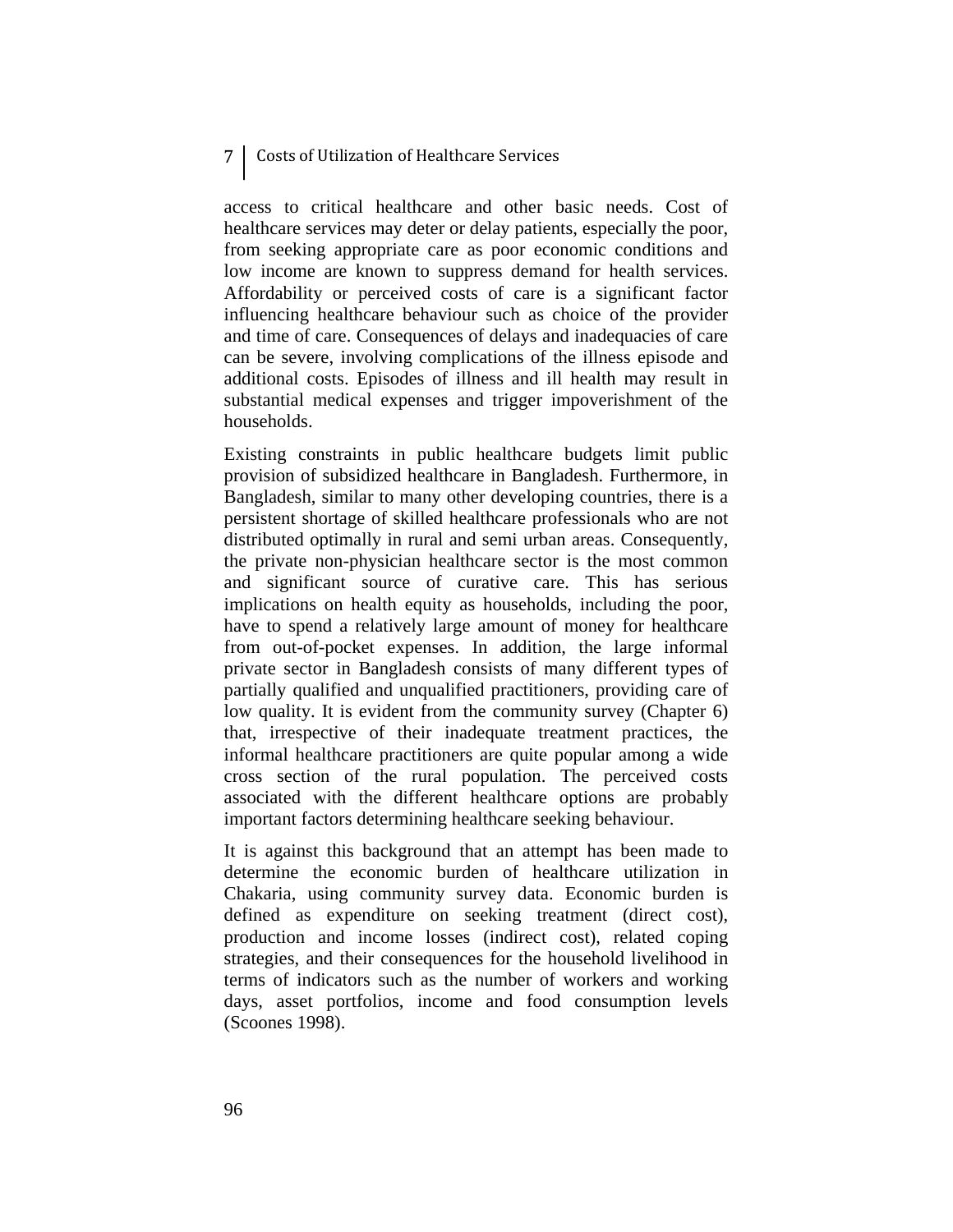# 7 Costs of Utilization of Healthcare Services

access to critical healthcare and other basic needs. Cost of healthcare services may deter or delay patients, especially the poor, from seeking appropriate care as poor economic conditions and low income are known to suppress demand for health services. Affordability or perceived costs of care is a significant factor influencing healthcare behaviour such as choice of the provider and time of care. Consequences of delays and inadequacies of care can be severe, involving complications of the illness episode and additional costs. Episodes of illness and ill health may result in substantial medical expenses and trigger impoverishment of the households.

Existing constraints in public healthcare budgets limit public provision of subsidized healthcare in Bangladesh. Furthermore, in Bangladesh, similar to many other developing countries, there is a persistent shortage of skilled healthcare professionals who are not distributed optimally in rural and semi urban areas. Consequently, the private non-physician healthcare sector is the most common and significant source of curative care. This has serious implications on health equity as households, including the poor, have to spend a relatively large amount of money for healthcare from out-of-pocket expenses. In addition, the large informal private sector in Bangladesh consists of many different types of partially qualified and unqualified practitioners, providing care of low quality. It is evident from the community survey (Chapter 6) that, irrespective of their inadequate treatment practices, the informal healthcare practitioners are quite popular among a wide cross section of the rural population. The perceived costs associated with the different healthcare options are probably important factors determining healthcare seeking behaviour.

It is against this background that an attempt has been made to determine the economic burden of healthcare utilization in Chakaria, using community survey data. Economic burden is defined as expenditure on seeking treatment (direct cost), production and income losses (indirect cost), related coping strategies, and their consequences for the household livelihood in terms of indicators such as the number of workers and working days, asset portfolios, income and food consumption levels (Scoones 1998).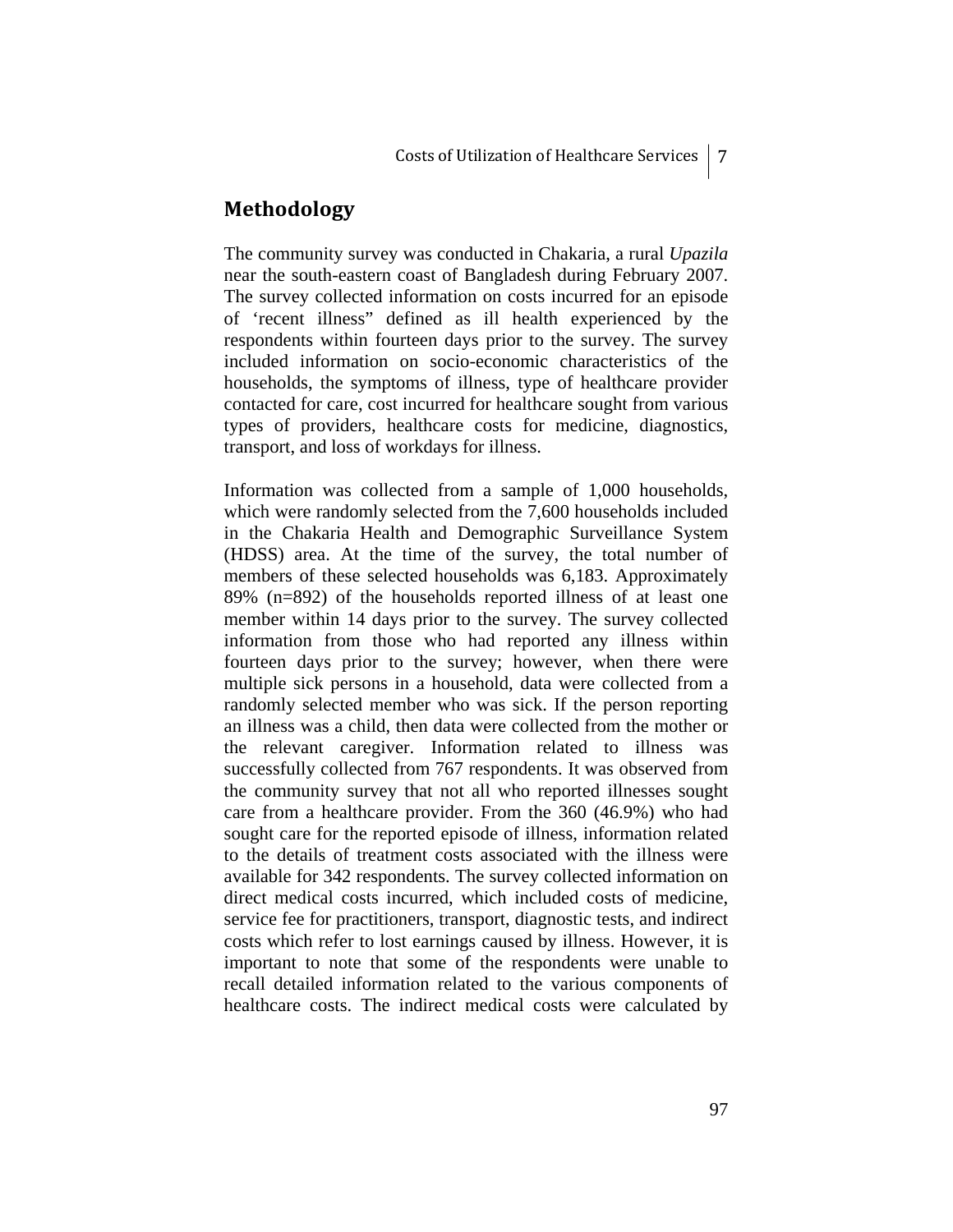# **Methodology**

The community survey was conducted in Chakaria, a rural *Upazila* near the south-eastern coast of Bangladesh during February 2007. The survey collected information on costs incurred for an episode of 'recent illness" defined as ill health experienced by the respondents within fourteen days prior to the survey. The survey included information on socio-economic characteristics of the households, the symptoms of illness, type of healthcare provider contacted for care, cost incurred for healthcare sought from various types of providers, healthcare costs for medicine, diagnostics, transport, and loss of workdays for illness.

Information was collected from a sample of 1,000 households, which were randomly selected from the 7,600 households included in the Chakaria Health and Demographic Surveillance System (HDSS) area. At the time of the survey, the total number of members of these selected households was 6,183. Approximately 89% (n=892) of the households reported illness of at least one member within 14 days prior to the survey. The survey collected information from those who had reported any illness within fourteen days prior to the survey; however, when there were multiple sick persons in a household, data were collected from a randomly selected member who was sick. If the person reporting an illness was a child, then data were collected from the mother or the relevant caregiver. Information related to illness was successfully collected from 767 respondents. It was observed from the community survey that not all who reported illnesses sought care from a healthcare provider. From the 360 (46.9%) who had sought care for the reported episode of illness, information related to the details of treatment costs associated with the illness were available for 342 respondents. The survey collected information on direct medical costs incurred, which included costs of medicine, service fee for practitioners, transport, diagnostic tests, and indirect costs which refer to lost earnings caused by illness. However, it is important to note that some of the respondents were unable to recall detailed information related to the various components of healthcare costs. The indirect medical costs were calculated by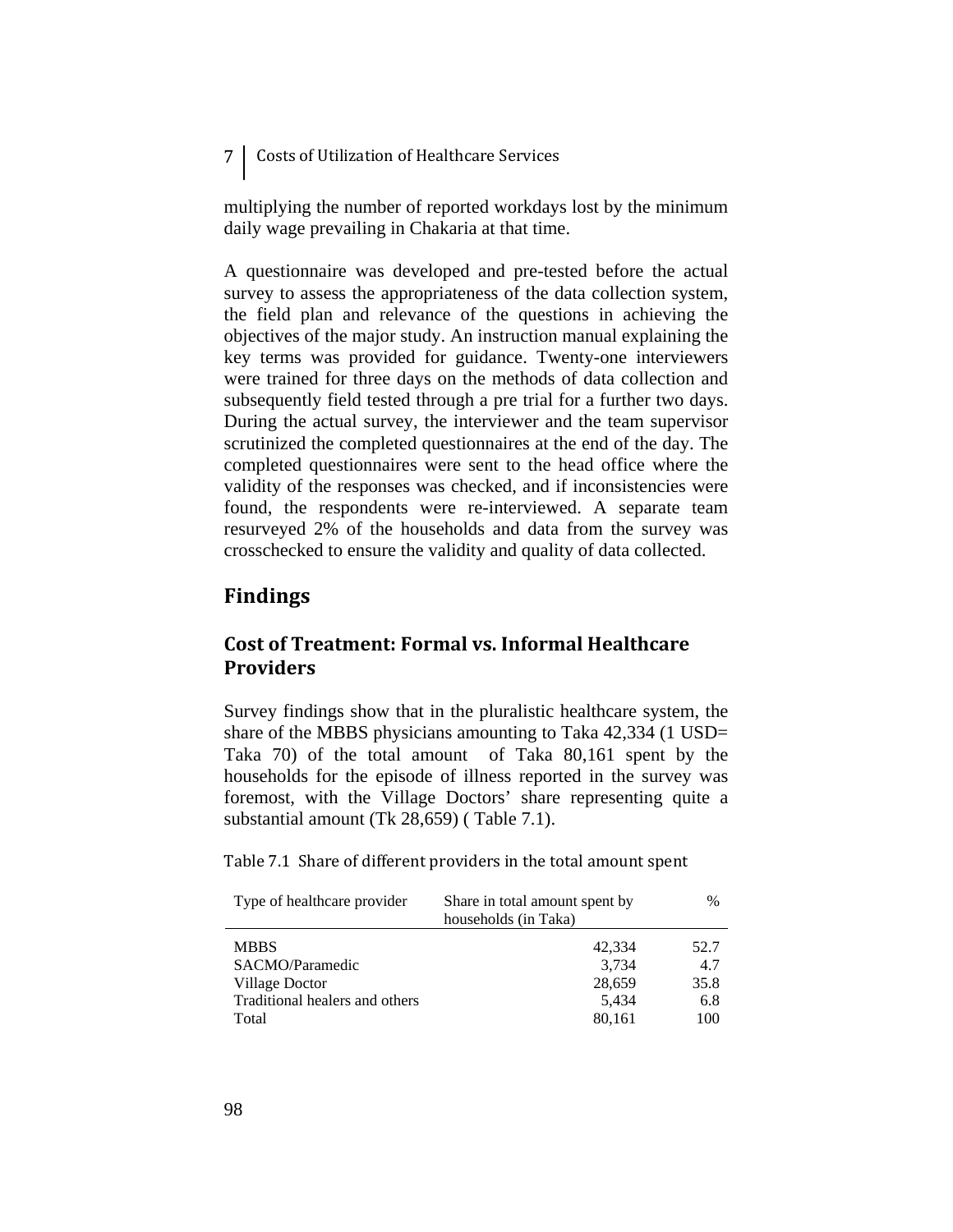7 Costs of Utilization of Healthcare Services

multiplying the number of reported workdays lost by the minimum daily wage prevailing in Chakaria at that time.

A questionnaire was developed and pre-tested before the actual survey to assess the appropriateness of the data collection system, the field plan and relevance of the questions in achieving the objectives of the major study. An instruction manual explaining the key terms was provided for guidance. Twenty-one interviewers were trained for three days on the methods of data collection and subsequently field tested through a pre trial for a further two days. During the actual survey, the interviewer and the team supervisor scrutinized the completed questionnaires at the end of the day. The completed questionnaires were sent to the head office where the validity of the responses was checked, and if inconsistencies were found, the respondents were re-interviewed. A separate team resurveyed 2% of the households and data from the survey was crosschecked to ensure the validity and quality of data collected.

# **Findings**

# **Cost of Treatment: Formal vs. Informal Healthcare Providers**

Survey findings show that in the pluralistic healthcare system, the share of the MBBS physicians amounting to Taka 42,334 (1 USD= Taka 70) of the total amount of Taka 80,161 spent by the households for the episode of illness reported in the survey was foremost, with the Village Doctors' share representing quite a substantial amount (Tk 28,659) ( Table 7.1).

Table 7.1 Share of different providers in the total amount spent

| Type of healthcare provider    | Share in total amount spent by<br>households (in Taka) | $\%$ |
|--------------------------------|--------------------------------------------------------|------|
| <b>MBBS</b>                    | 42,334                                                 | 52.7 |
| SACMO/Paramedic                | 3,734                                                  | 4.7  |
| Village Doctor                 | 28,659                                                 | 35.8 |
| Traditional healers and others | 5,434                                                  | 6.8  |
| Total                          | 80,161                                                 | 100  |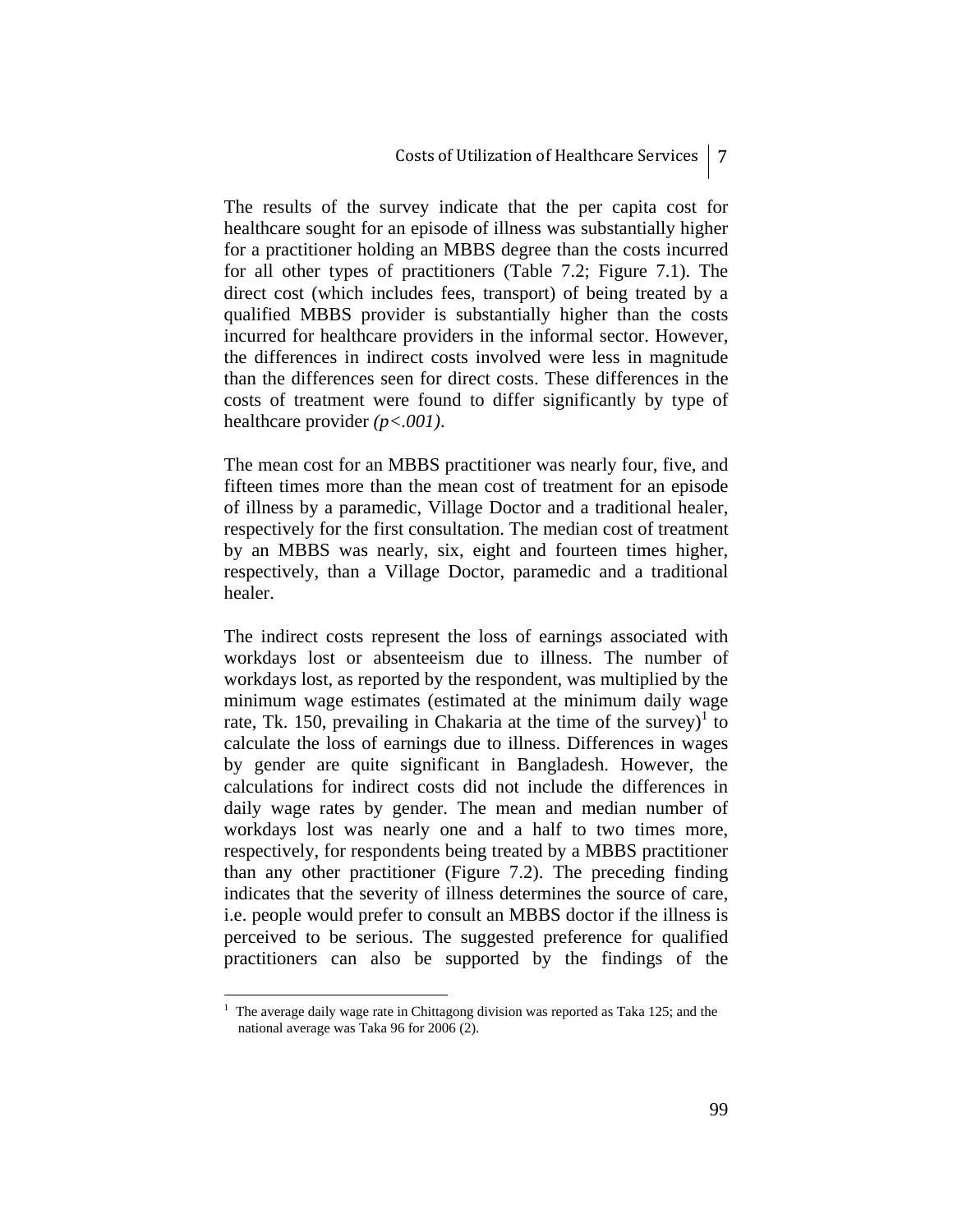The results of the survey indicate that the per capita cost for healthcare sought for an episode of illness was substantially higher for a practitioner holding an MBBS degree than the costs incurred for all other types of practitioners (Table 7.2; Figure 7.1). The direct cost (which includes fees, transport) of being treated by a qualified MBBS provider is substantially higher than the costs incurred for healthcare providers in the informal sector. However, the differences in indirect costs involved were less in magnitude than the differences seen for direct costs. These differences in the costs of treatment were found to differ significantly by type of healthcare provider *(p<.001)*.

The mean cost for an MBBS practitioner was nearly four, five, and fifteen times more than the mean cost of treatment for an episode of illness by a paramedic, Village Doctor and a traditional healer, respectively for the first consultation. The median cost of treatment by an MBBS was nearly, six, eight and fourteen times higher, respectively, than a Village Doctor, paramedic and a traditional healer.

The indirect costs represent the loss of earnings associated with workdays lost or absenteeism due to illness. The number of workdays lost, as reported by the respondent, was multiplied by the minimum wage estimates (estimated at the minimum daily wage rate, Tk. 150, prevailing in Chakaria at the time of the survey)<sup>1</sup> to calculate the loss of earnings due to illness. Differences in wages by gender are quite significant in Bangladesh. However, the calculations for indirect costs did not include the differences in daily wage rates by gender. The mean and median number of workdays lost was nearly one and a half to two times more, respectively, for respondents being treated by a MBBS practitioner than any other practitioner (Figure 7.2). The preceding finding indicates that the severity of illness determines the source of care, i.e. people would prefer to consult an MBBS doctor if the illness is perceived to be serious. The suggested preference for qualified practitioners can also be supported by the findings of the

1

<sup>1</sup> The average daily wage rate in Chittagong division was reported as Taka 125; and the national average was Taka 96 for 2006 (2).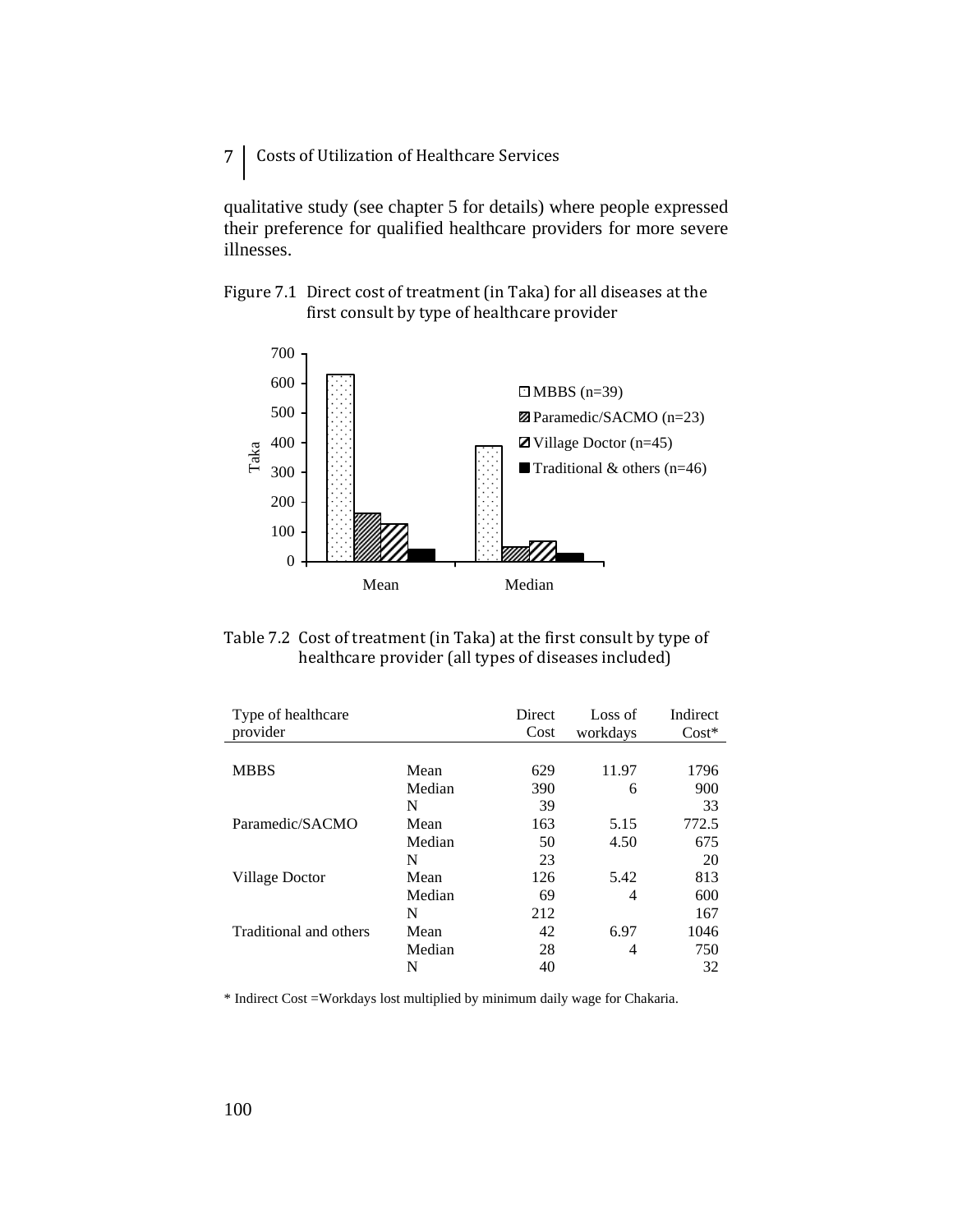7 | Costs of Utilization of Healthcare Services

qualitative study (see chapter 5 for details) where people expressed their preference for qualified healthcare providers for more severe illnesses.





Table 7.2 Cost of treatment (in Taka) at the first consult by type of healthcare provider (all types of diseases included)

| Type of healthcare<br>provider |        | Direct<br>Cost | Loss of<br>workdays | Indirect<br>$Cost*$ |
|--------------------------------|--------|----------------|---------------------|---------------------|
|                                |        |                |                     |                     |
| <b>MBBS</b>                    | Mean   | 629            | 11.97               | 1796                |
|                                | Median | 390            | 6                   | 900                 |
|                                | N      | 39             |                     | 33                  |
| Paramedic/SACMO                | Mean   | 163            | 5.15                | 772.5               |
|                                | Median | 50             | 4.50                | 675                 |
|                                | N      | 23             |                     | 20                  |
| Village Doctor                 | Mean   | 126            | 5.42                | 813                 |
|                                | Median | 69             | 4                   | 600                 |
|                                | N      | 212            |                     | 167                 |
| Traditional and others         | Mean   | 42             | 6.97                | 1046                |
|                                | Median | 28             | 4                   | 750                 |
|                                | N      | 40             |                     | 32                  |

\* Indirect Cost =Workdays lost multiplied by minimum daily wage for Chakaria.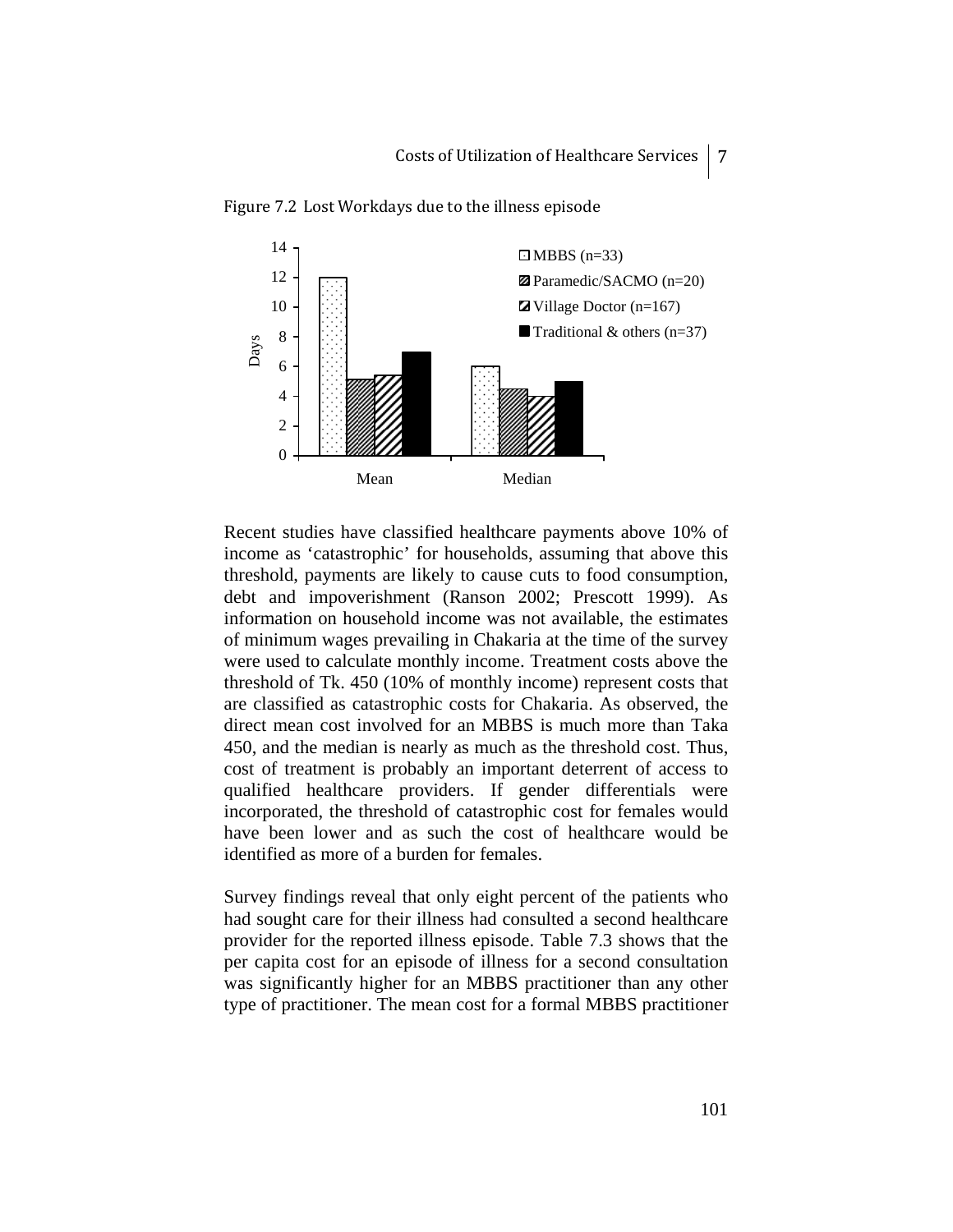

Figure 7.2 Lost Workdays due to the illness episode

Recent studies have classified healthcare payments above 10% of income as 'catastrophic' for households, assuming that above this threshold, payments are likely to cause cuts to food consumption, debt and impoverishment (Ranson 2002; Prescott 1999). As information on household income was not available, the estimates of minimum wages prevailing in Chakaria at the time of the survey were used to calculate monthly income. Treatment costs above the threshold of Tk. 450 (10% of monthly income) represent costs that are classified as catastrophic costs for Chakaria. As observed, the direct mean cost involved for an MBBS is much more than Taka 450, and the median is nearly as much as the threshold cost. Thus, cost of treatment is probably an important deterrent of access to qualified healthcare providers. If gender differentials were incorporated, the threshold of catastrophic cost for females would have been lower and as such the cost of healthcare would be identified as more of a burden for females.

Survey findings reveal that only eight percent of the patients who had sought care for their illness had consulted a second healthcare provider for the reported illness episode. Table 7.3 shows that the per capita cost for an episode of illness for a second consultation was significantly higher for an MBBS practitioner than any other type of practitioner. The mean cost for a formal MBBS practitioner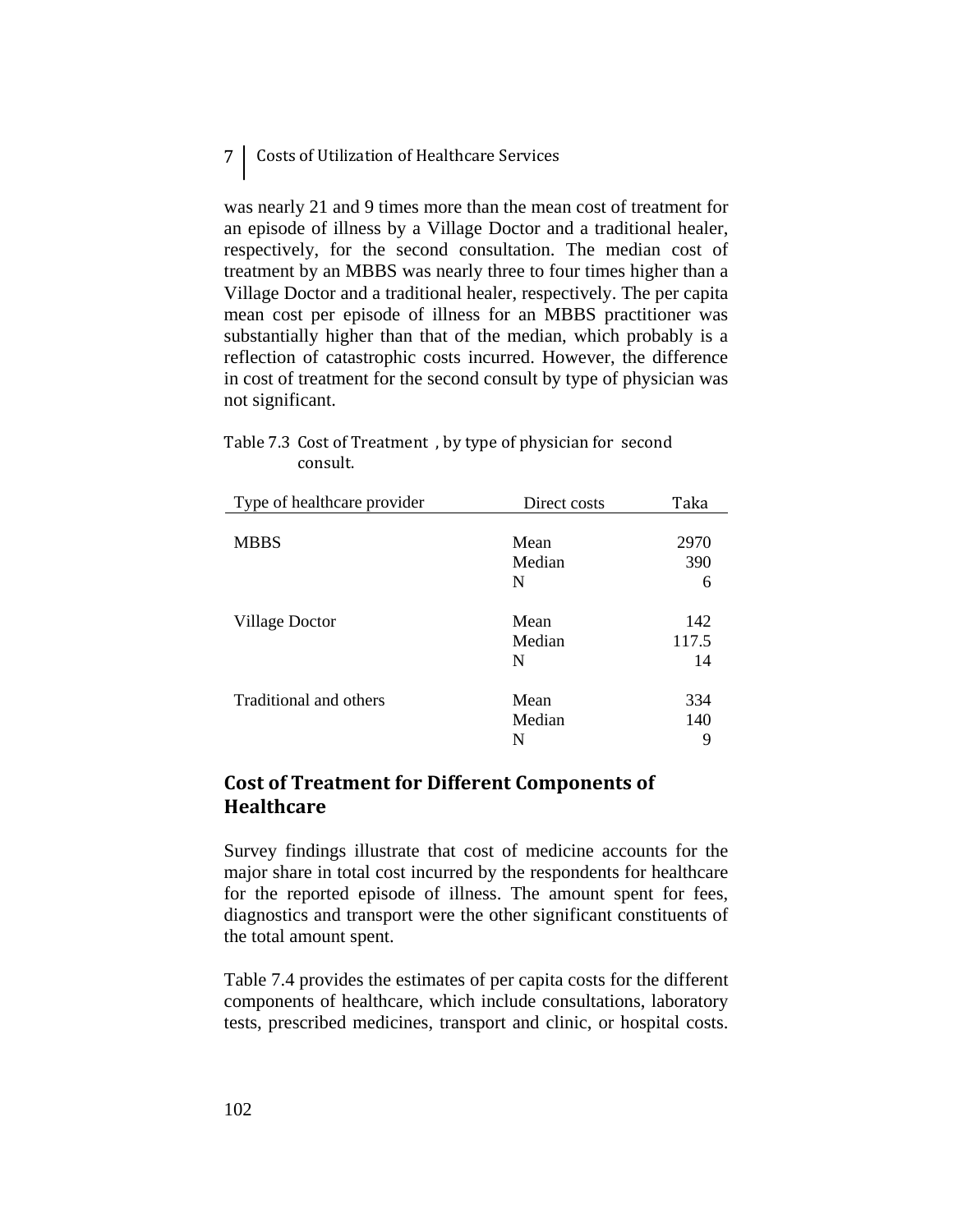# 7 Costs of Utilization of Healthcare Services

was nearly 21 and 9 times more than the mean cost of treatment for an episode of illness by a Village Doctor and a traditional healer, respectively, for the second consultation. The median cost of treatment by an MBBS was nearly three to four times higher than a Village Doctor and a traditional healer, respectively. The per capita mean cost per episode of illness for an MBBS practitioner was substantially higher than that of the median, which probably is a reflection of catastrophic costs incurred. However, the difference in cost of treatment for the second consult by type of physician was not significant.

#### Table 7.3 Cost of Treatment , by type of physician for second consult.

| Type of healthcare provider | Direct costs | Taka  |
|-----------------------------|--------------|-------|
|                             |              |       |
| <b>MBBS</b>                 | Mean         | 2970  |
|                             | Median       | 390   |
|                             | N            | 6     |
| Village Doctor              | Mean         | 142   |
|                             | Median       | 117.5 |
|                             | N            | 14    |
| Traditional and others      | Mean         | 334   |
|                             | Median       | 140   |
|                             | N            | 9     |

# **Cost of Treatment for Different Components of Healthcare**

Survey findings illustrate that cost of medicine accounts for the major share in total cost incurred by the respondents for healthcare for the reported episode of illness. The amount spent for fees, diagnostics and transport were the other significant constituents of the total amount spent.

Table 7.4 provides the estimates of per capita costs for the different components of healthcare, which include consultations, laboratory tests, prescribed medicines, transport and clinic, or hospital costs.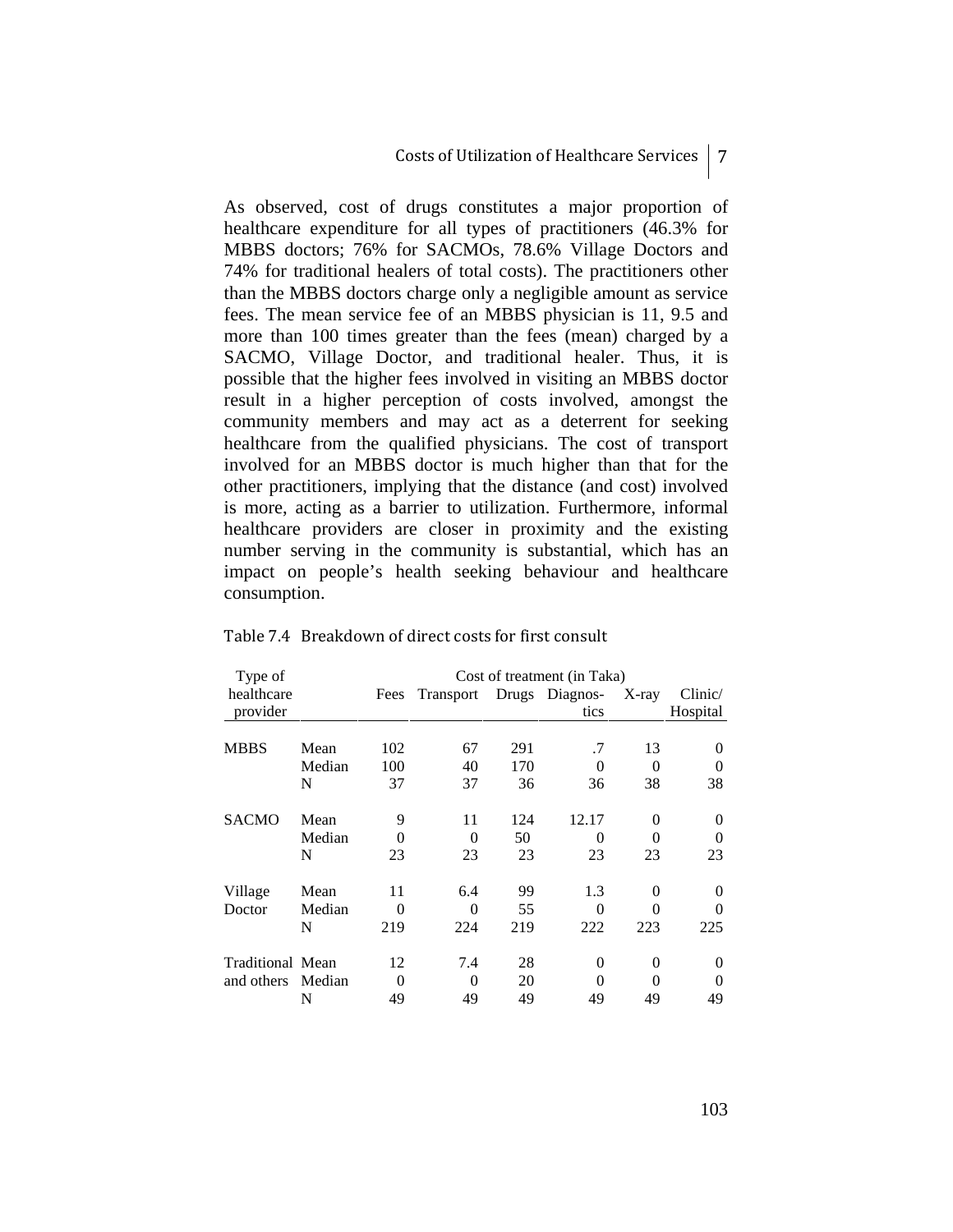As observed, cost of drugs constitutes a major proportion of healthcare expenditure for all types of practitioners (46.3% for MBBS doctors; 76% for SACMOs, 78.6% Village Doctors and 74% for traditional healers of total costs). The practitioners other than the MBBS doctors charge only a negligible amount as service fees. The mean service fee of an MBBS physician is 11, 9.5 and more than 100 times greater than the fees (mean) charged by a SACMO, Village Doctor, and traditional healer. Thus, it is possible that the higher fees involved in visiting an MBBS doctor result in a higher perception of costs involved, amongst the community members and may act as a deterrent for seeking healthcare from the qualified physicians. The cost of transport involved for an MBBS doctor is much higher than that for the other practitioners, implying that the distance (and cost) involved is more, acting as a barrier to utilization. Furthermore, informal healthcare providers are closer in proximity and the existing number serving in the community is substantial, which has an impact on people's health seeking behaviour and healthcare consumption.

| Type of          |        |      | Cost of treatment (in Taka) |     |                |              |          |
|------------------|--------|------|-----------------------------|-----|----------------|--------------|----------|
| healthcare       |        | Fees | Transport                   |     | Drugs Diagnos- | $X$ -ray     | Clinic/  |
| provider         |        |      |                             |     | tics           |              | Hospital |
|                  |        |      |                             |     |                |              |          |
| <b>MBBS</b>      | Mean   | 102  | 67                          | 291 | .7             | 13           | $\Omega$ |
|                  | Median | 100  | 40                          | 170 | 0              | 0            | ∩        |
|                  | N      | 37   | 37                          | 36  | 36             | 38           | 38       |
| <b>SACMO</b>     | Mean   | 9    | 11                          | 124 | 12.17          | 0            | 0        |
|                  | Median | 0    | $\Omega$                    | 50  | 0              | $\Omega$     | ∩        |
|                  | N      | 23   | 23                          | 23  | 23             | 23           | 23       |
| Village          | Mean   | 11   | 6.4                         | 99  | 1.3            | 0            | 0        |
| Doctor           | Median | 0    | 0                           | 55  | 0              | $\Omega$     |          |
|                  | N      | 219  | 224                         | 219 | 222            | 223          | 225      |
| Traditional Mean |        | 12   | 7.4                         | 28  | $\Omega$       | 0            | $\Omega$ |
| and others       | Median | 0    | 0                           | 20  | $\Omega$       | $\mathbf{0}$ | $\Omega$ |
|                  | N      | 49   | 49                          | 49  | 49             | 49           | 49       |

#### Table 7.4 Breakdown of direct costs for first consult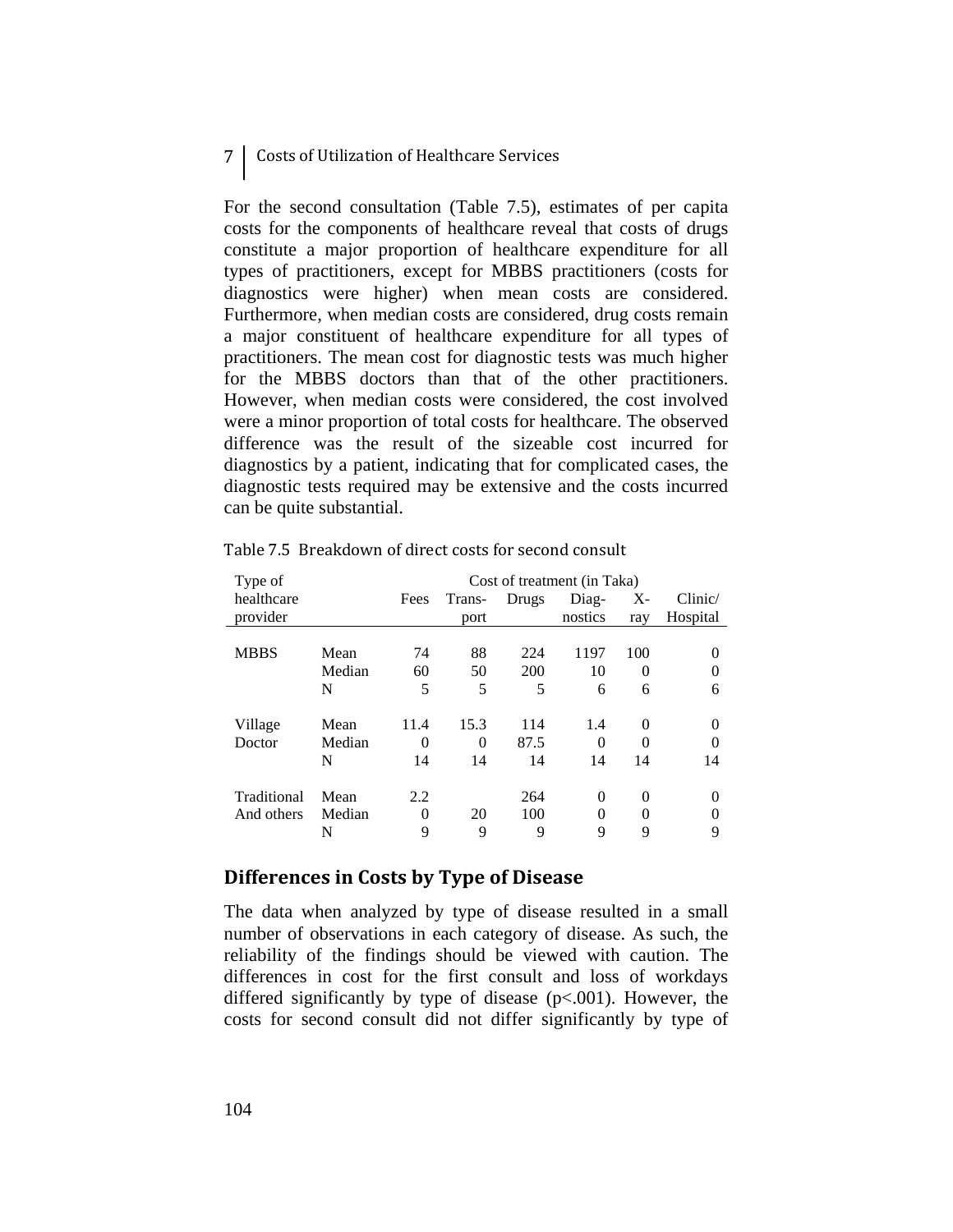## 7 Costs of Utilization of Healthcare Services

For the second consultation (Table 7.5), estimates of per capita costs for the components of healthcare reveal that costs of drugs constitute a major proportion of healthcare expenditure for all types of practitioners, except for MBBS practitioners (costs for diagnostics were higher) when mean costs are considered. Furthermore, when median costs are considered, drug costs remain a major constituent of healthcare expenditure for all types of practitioners. The mean cost for diagnostic tests was much higher for the MBBS doctors than that of the other practitioners. However, when median costs were considered, the cost involved were a minor proportion of total costs for healthcare. The observed difference was the result of the sizeable cost incurred for diagnostics by a patient, indicating that for complicated cases, the diagnostic tests required may be extensive and the costs incurred can be quite substantial.

|        | Cost of treatment (in Taka) |          |       |          |          |          |  |
|--------|-----------------------------|----------|-------|----------|----------|----------|--|
|        | Fees                        | Trans-   | Drugs | Diag-    | $X -$    | Clinic/  |  |
|        |                             | port     |       | nostics  | ray      | Hospital |  |
|        |                             |          |       |          |          |          |  |
| Mean   | 74                          | 88       | 224   | 1197     | 100      | $\Omega$ |  |
| Median | 60                          | 50       | 200   | 10       | $\Omega$ |          |  |
| N      | 5                           | 5        | 5     | 6        | 6        | 6        |  |
|        |                             |          |       |          |          |          |  |
| Mean   | 11.4                        | 15.3     | 114   | 1.4      | 0        | $\Omega$ |  |
| Median | 0                           | $\theta$ | 87.5  | $\Omega$ | 0        | $\Omega$ |  |
| N      | 14                          | 14       | 14    | 14       | 14       | 14       |  |
|        |                             |          |       |          |          |          |  |
| Mean   | 2.2                         |          | 264   | $\Omega$ | 0        | $\Omega$ |  |
| Median | 0                           | 20       | 100   | 0        | 0        | $\Omega$ |  |
| N      | 9                           | 9        | 9     | 9        | 9        | 9        |  |
|        |                             |          |       |          |          |          |  |

Table 7.5 Breakdown of direct costs for second consult

### **Differences in Costs by Type of Disease**

The data when analyzed by type of disease resulted in a small number of observations in each category of disease. As such, the reliability of the findings should be viewed with caution. The differences in cost for the first consult and loss of workdays differed significantly by type of disease  $(p<.001)$ . However, the costs for second consult did not differ significantly by type of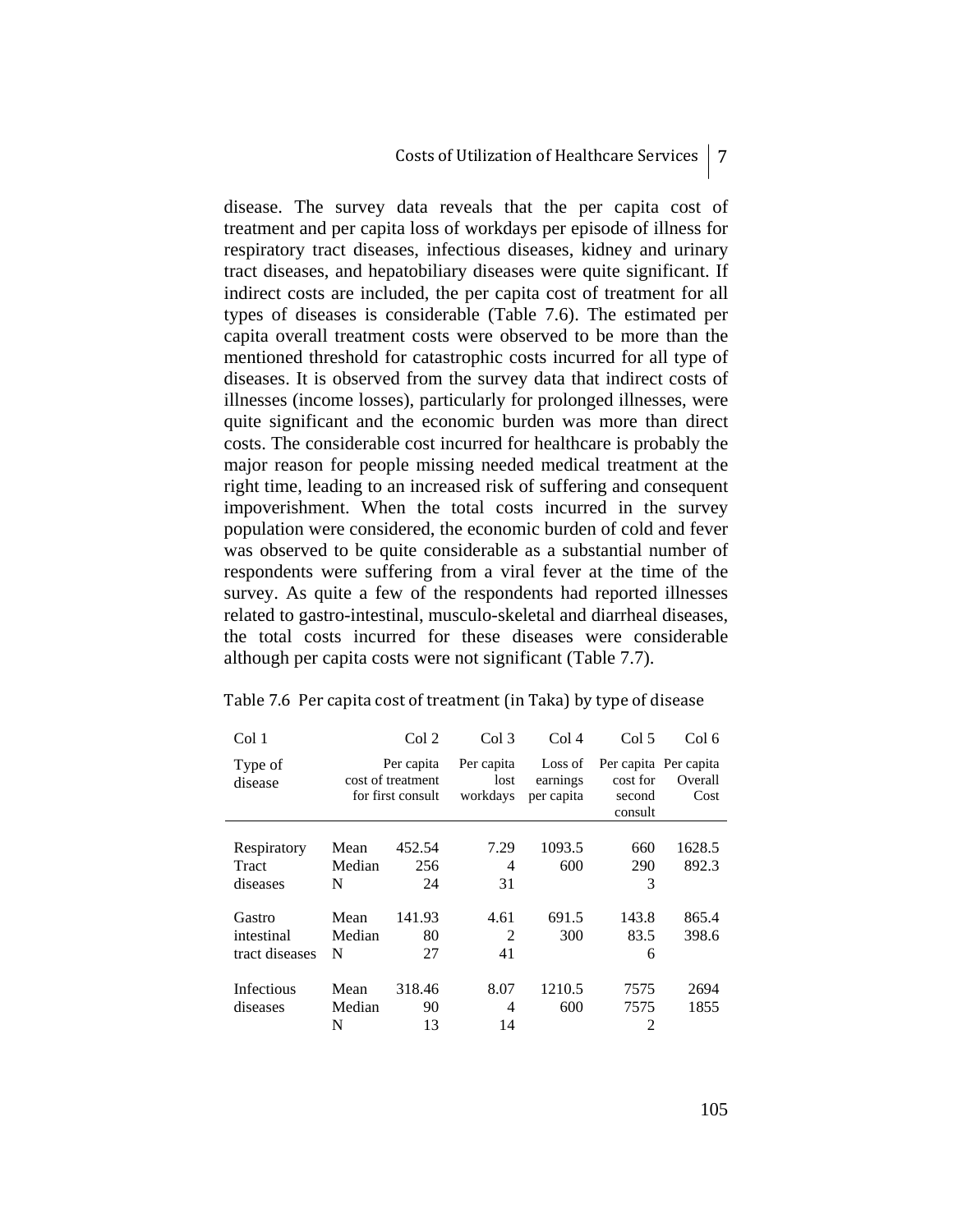disease. The survey data reveals that the per capita cost of treatment and per capita loss of workdays per episode of illness for respiratory tract diseases, infectious diseases, kidney and urinary tract diseases, and hepatobiliary diseases were quite significant. If indirect costs are included, the per capita cost of treatment for all types of diseases is considerable (Table 7.6). The estimated per capita overall treatment costs were observed to be more than the mentioned threshold for catastrophic costs incurred for all type of diseases. It is observed from the survey data that indirect costs of illnesses (income losses), particularly for prolonged illnesses, were quite significant and the economic burden was more than direct costs. The considerable cost incurred for healthcare is probably the major reason for people missing needed medical treatment at the right time, leading to an increased risk of suffering and consequent impoverishment. When the total costs incurred in the survey population were considered, the economic burden of cold and fever was observed to be quite considerable as a substantial number of respondents were suffering from a viral fever at the time of the survey. As quite a few of the respondents had reported illnesses related to gastro-intestinal, musculo-skeletal and diarrheal diseases, the total costs incurred for these diseases were considerable although per capita costs were not significant (Table 7.7).

| Col 1              |                                                      | Col 2  | Col <sub>3</sub>               | Col <sub>4</sub>                  | Col 5                         | Col 6                                    |
|--------------------|------------------------------------------------------|--------|--------------------------------|-----------------------------------|-------------------------------|------------------------------------------|
| Type of<br>disease | Per capita<br>cost of treatment<br>for first consult |        | Per capita<br>lost<br>workdays | Loss of<br>earnings<br>per capita | cost for<br>second<br>consult | Per capita Per capita<br>Overall<br>Cost |
|                    |                                                      |        | 7.29                           | 1093.5                            |                               | 1628.5                                   |
| Respiratory        | Mean                                                 | 452.54 |                                |                                   | 660                           |                                          |
| Tract              | Median                                               | 256    | 4                              | 600                               | 290                           | 892.3                                    |
| diseases           | N                                                    | 24     | 31                             |                                   | 3                             |                                          |
| Gastro             | Mean                                                 | 141.93 | 4.61                           | 691.5                             | 143.8                         | 865.4                                    |
| intestinal         | Median                                               | 80     | 2                              | 300                               | 83.5                          | 398.6                                    |
| tract diseases     | N                                                    | 27     | 41                             |                                   | 6                             |                                          |
| Infectious         | Mean                                                 | 318.46 | 8.07                           | 1210.5                            | 7575                          | 2694                                     |
| diseases           | Median                                               | 90     | 4                              | 600                               | 7575                          | 1855                                     |
|                    | N                                                    | 13     | 14                             |                                   | 2                             |                                          |

#### Table 7.6 Per capita cost of treatment (in Taka) by type of disease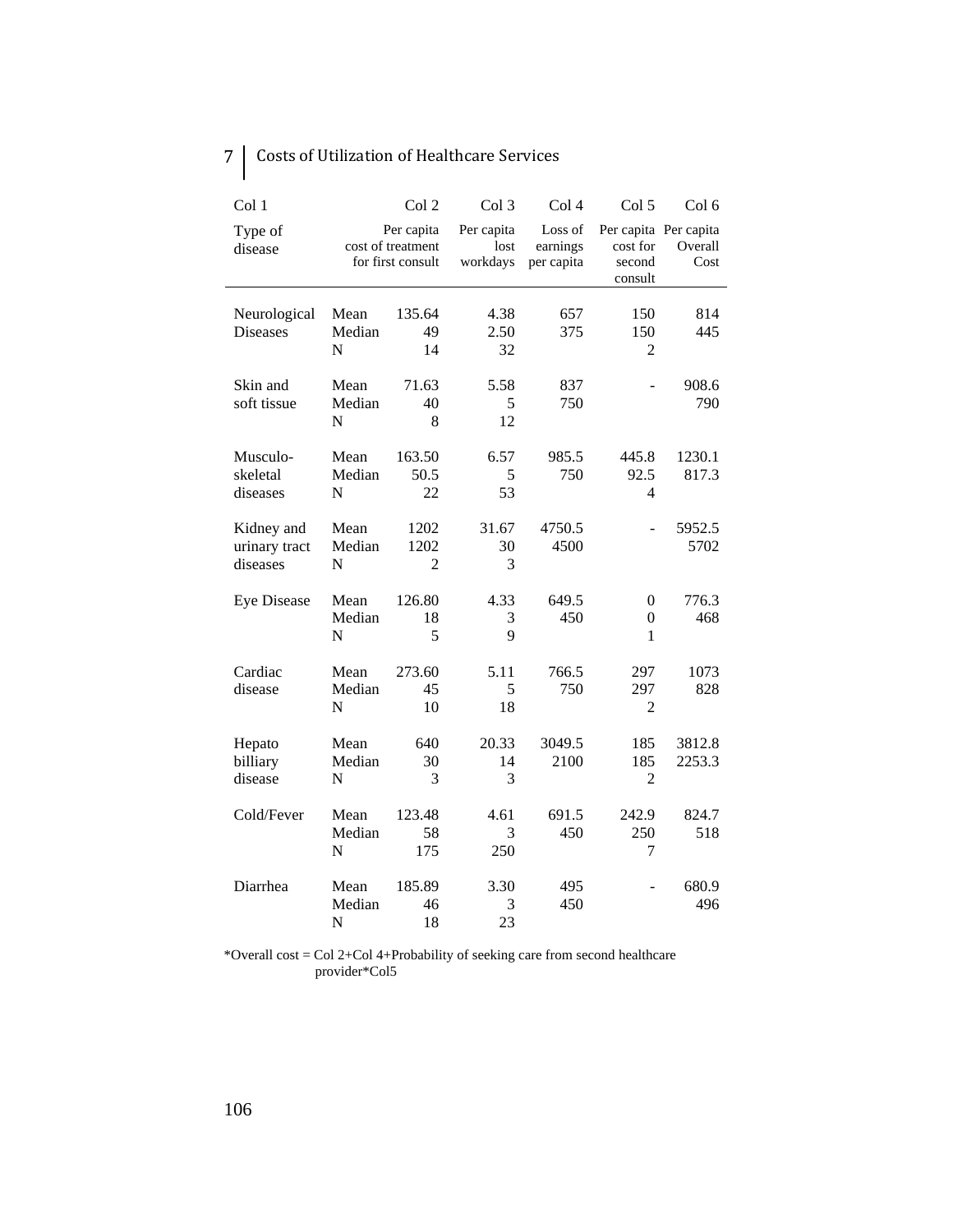| 7   Costs of Utilization of Healthcare Services |
|-------------------------------------------------|
|-------------------------------------------------|

| Col 1                                   |                                                      | Col 2                          | Col 3                          | Col 4                             | Col 5                                                  | Col 6            |
|-----------------------------------------|------------------------------------------------------|--------------------------------|--------------------------------|-----------------------------------|--------------------------------------------------------|------------------|
| Type of<br>disease                      | Per capita<br>cost of treatment<br>for first consult |                                | Per capita<br>lost<br>workdays | Loss of<br>earnings<br>per capita | Per capita Per capita<br>cost for<br>second<br>consult | Overall<br>Cost  |
| Neurological<br><b>Diseases</b>         | Mean<br>Median<br>N                                  | 135.64<br>49<br>14             | 4.38<br>2.50<br>32             | 657<br>375                        | 150<br>150<br>2                                        | 814<br>445       |
| Skin and<br>soft tissue                 | Mean<br>Median<br>N                                  | 71.63<br>40<br>8               | 5.58<br>5<br>12                | 837<br>750                        |                                                        | 908.6<br>790     |
| Musculo-<br>skeletal<br>diseases        | Mean<br>Median<br>N                                  | 163.50<br>50.5<br>22           | 6.57<br>5<br>53                | 985.5<br>750                      | 445.8<br>92.5<br>4                                     | 1230.1<br>817.3  |
| Kidney and<br>urinary tract<br>diseases | Mean<br>Median<br>N                                  | 1202<br>1202<br>$\overline{2}$ | 31.67<br>30<br>3               | 4750.5<br>4500                    |                                                        | 5952.5<br>5702   |
| <b>Eye Disease</b>                      | Mean<br>Median<br>N                                  | 126.80<br>18<br>5              | 4.33<br>3<br>9                 | 649.5<br>450                      | $\theta$<br>$\boldsymbol{0}$<br>1                      | 776.3<br>468     |
| Cardiac<br>disease                      | Mean<br>Median<br>N                                  | 273.60<br>45<br>10             | 5.11<br>5<br>18                | 766.5<br>750                      | 297<br>297<br>$\overline{2}$                           | 1073<br>828      |
| Hepato<br>billiary<br>disease           | Mean<br>Median<br>N                                  | 640<br>30<br>3                 | 20.33<br>14<br>3               | 3049.5<br>2100                    | 185<br>185<br>$\overline{2}$                           | 3812.8<br>2253.3 |
| Cold/Fever                              | Mean<br>Median<br>$\mathbf N$                        | 123.48<br>58<br>175            | 4.61<br>3<br>250               | 691.5<br>450                      | 242.9<br>250<br>7                                      | 824.7<br>518     |
| Diarrhea                                | Mean<br>Median<br>N                                  | 185.89<br>46<br>18             | 3.30<br>3<br>23                | 495<br>450                        |                                                        | 680.9<br>496     |

\*Overall cost = Col 2+Col 4+Probability of seeking care from second healthcare provider\*Col5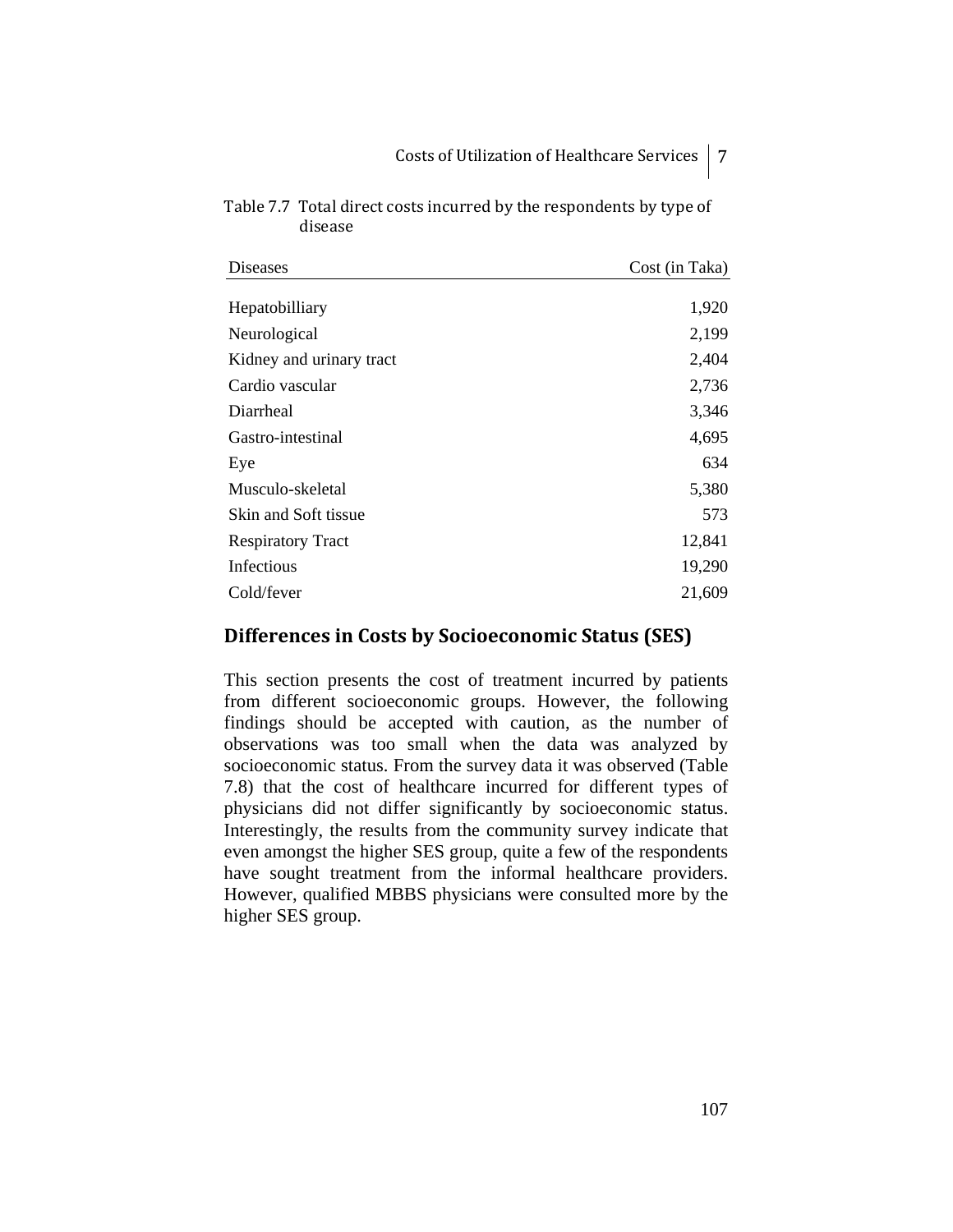| Diseases                 | Cost (in Taka) |
|--------------------------|----------------|
| Hepatobilliary           | 1,920          |
| Neurological             | 2,199          |
| Kidney and urinary tract | 2,404          |
| Cardio vascular          | 2,736          |
| Diarrheal                | 3,346          |
| Gastro-intestinal        | 4,695          |
| Eye                      | 634            |
| Musculo-skeletal         | 5,380          |
| Skin and Soft tissue     | 573            |
| <b>Respiratory Tract</b> | 12,841         |
| Infectious               | 19,290         |
| Cold/fever               | 21,609         |

Table 7.7 Total direct costs incurred by the respondents by type of disease

## **Differences in Costs by Socioeconomic Status (SES)**

This section presents the cost of treatment incurred by patients from different socioeconomic groups. However, the following findings should be accepted with caution, as the number of observations was too small when the data was analyzed by socioeconomic status. From the survey data it was observed (Table 7.8) that the cost of healthcare incurred for different types of physicians did not differ significantly by socioeconomic status. Interestingly, the results from the community survey indicate that even amongst the higher SES group, quite a few of the respondents have sought treatment from the informal healthcare providers. However, qualified MBBS physicians were consulted more by the higher SES group.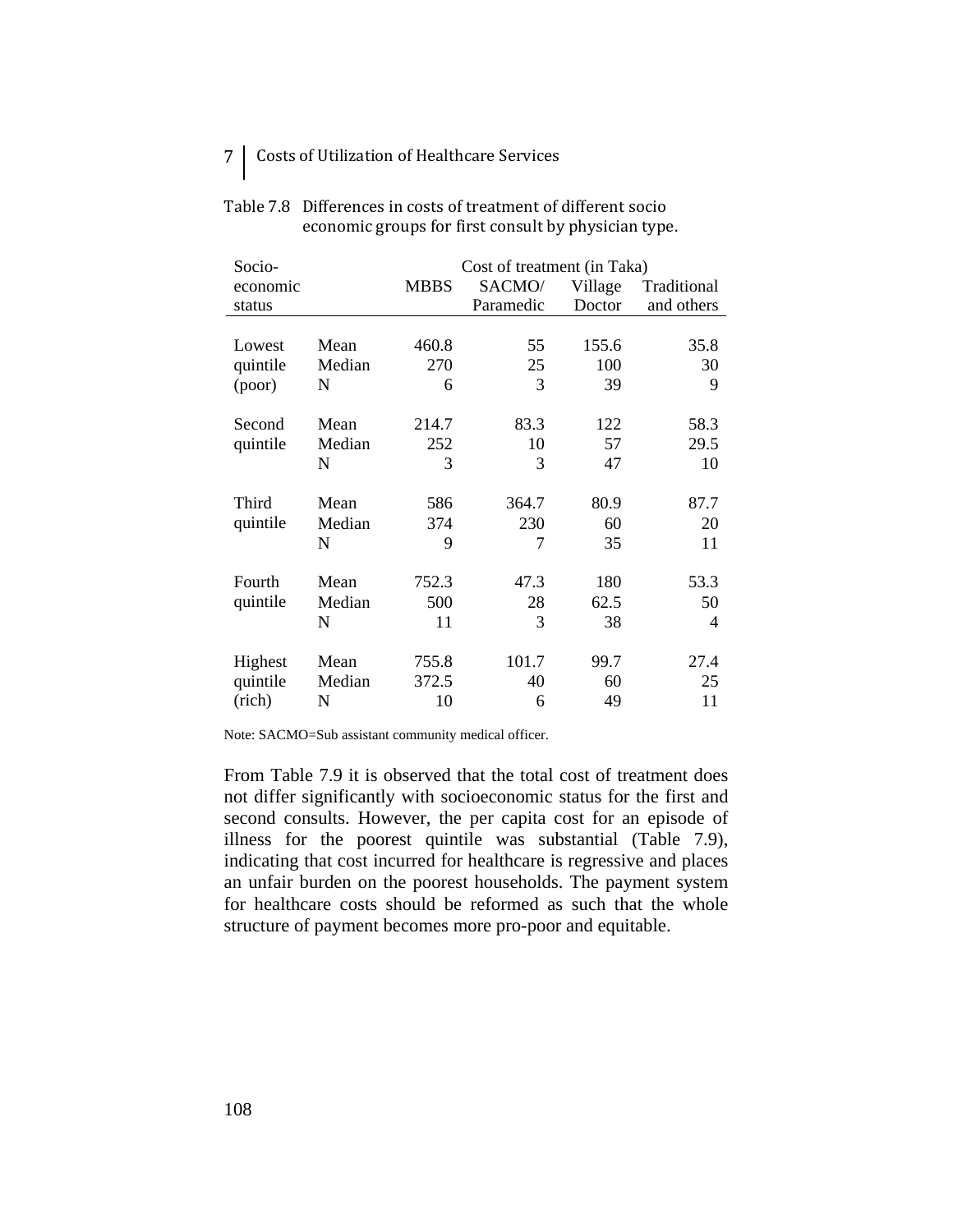# 7 | Costs of Utilization of Healthcare Services

| Socio-   |        | Cost of treatment (in Taka) |           |         |             |  |  |  |
|----------|--------|-----------------------------|-----------|---------|-------------|--|--|--|
| economic |        | <b>MBBS</b>                 | SACMO/    | Village | Traditional |  |  |  |
| status   |        |                             | Paramedic | Doctor  | and others  |  |  |  |
|          |        |                             |           |         |             |  |  |  |
| Lowest   | Mean   | 460.8                       | 55        | 155.6   | 35.8        |  |  |  |
| quintile | Median | 270                         | 25        | 100     | 30          |  |  |  |
| (poor)   | N      | 6                           | 3         | 39      | 9           |  |  |  |
|          |        |                             |           |         |             |  |  |  |
| Second   | Mean   | 214.7                       | 83.3      | 122     | 58.3        |  |  |  |
| quintile | Median | 252                         | 10        | 57      | 29.5        |  |  |  |
|          | N      | 3                           | 3         | 47      | 10          |  |  |  |
|          |        |                             |           |         |             |  |  |  |
| Third    | Mean   | 586                         | 364.7     | 80.9    | 87.7        |  |  |  |
| quintile | Median | 374                         | 230       | 60      | 20          |  |  |  |
|          | N      | 9                           | 7         | 35      | 11          |  |  |  |
|          |        |                             |           |         |             |  |  |  |
| Fourth   | Mean   | 752.3                       | 47.3      | 180     | 53.3        |  |  |  |
| quintile | Median | 500                         | 28        | 62.5    | 50          |  |  |  |
|          | N      | 11                          | 3         | 38      | 4           |  |  |  |
|          |        |                             |           |         |             |  |  |  |
| Highest  | Mean   | 755.8                       | 101.7     | 99.7    | 27.4        |  |  |  |
| quintile | Median | 372.5                       | 40        | 60      | 25          |  |  |  |
| (rich)   | N      | 10                          | 6         | 49      | 11          |  |  |  |

#### Table 7.8 Differences in costs of treatment of different socio economic groups for first consult by physician type.

Note: SACMO=Sub assistant community medical officer.

From Table 7.9 it is observed that the total cost of treatment does not differ significantly with socioeconomic status for the first and second consults. However, the per capita cost for an episode of illness for the poorest quintile was substantial (Table 7.9), indicating that cost incurred for healthcare is regressive and places an unfair burden on the poorest households. The payment system for healthcare costs should be reformed as such that the whole structure of payment becomes more pro-poor and equitable.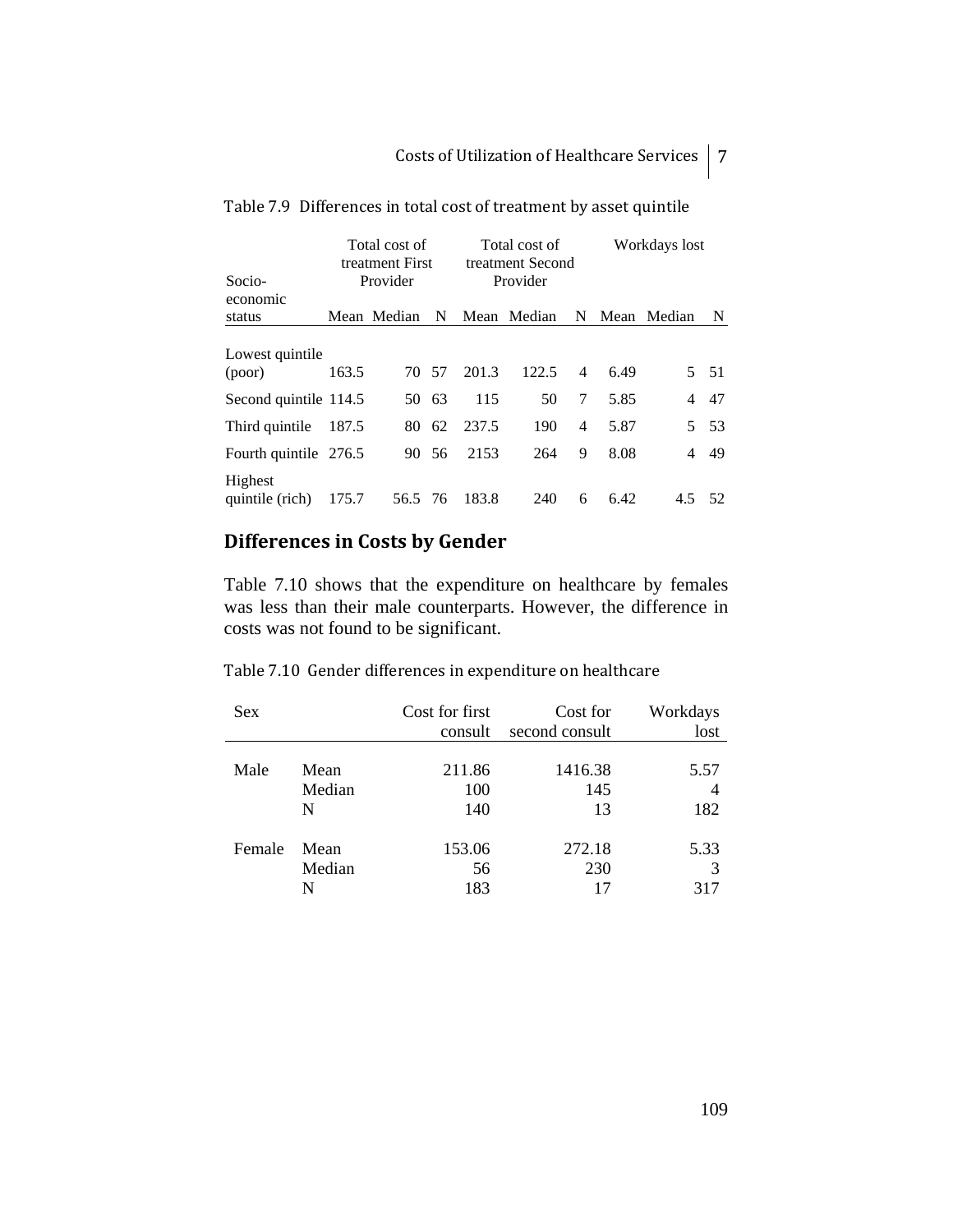|                            | Total cost of<br>treatment First |             |       | Total cost of<br>treatment Second |             |                | Workdays lost |             |      |
|----------------------------|----------------------------------|-------------|-------|-----------------------------------|-------------|----------------|---------------|-------------|------|
| Socio-                     |                                  | Provider    |       |                                   | Provider    |                |               |             |      |
| economic                   |                                  |             |       |                                   |             |                |               |             |      |
| status                     |                                  | Mean Median | N     |                                   | Mean Median | N              |               | Mean Median | N    |
| Lowest quintile<br>(poor)  | 163.5                            |             | 70 57 | 201.3                             | 122.5       | $\overline{4}$ | 6.49          |             | 5 51 |
| Second quintile 114.5      |                                  | 50          | 63    | 115                               | 50          | 7              | 5.85          | 4           | 47   |
| Third quintile             | 187.5                            | 80.         | - 62  | 237.5                             | 190         | 4              | 5.87          |             | 5 53 |
| Fourth quintile 276.5      |                                  |             | 90 56 | 2153                              | 264         | 9              | 8.08          | 4           | 49   |
| Highest<br>quintile (rich) | 175.7                            | 56.5 76     |       | 183.8                             | 240         | 6              | 6.42          | 4.5         | 52   |

|  | Table 7.9 Differences in total cost of treatment by asset quintile |  |  |  |  |
|--|--------------------------------------------------------------------|--|--|--|--|
|--|--------------------------------------------------------------------|--|--|--|--|

## **Differences in Costs by Gender**

Table 7.10 shows that the expenditure on healthcare by females was less than their male counterparts. However, the difference in costs was not found to be significant.

Table 7.10 Gender differences in expenditure on healthcare

| <b>Sex</b> |        | Cost for first<br>consult | Cost for<br>second consult | Workdays<br>lost |
|------------|--------|---------------------------|----------------------------|------------------|
|            |        |                           |                            |                  |
| Male       | Mean   | 211.86                    | 1416.38                    | 5.57             |
|            | Median | 100                       | 145                        | 4                |
|            | N      | 140                       | 13                         | 182              |
| Female     | Mean   | 153.06                    | 272.18                     | 5.33             |
|            | Median | 56                        | 230                        | 3                |
|            | N      | 183                       | 17                         | 317              |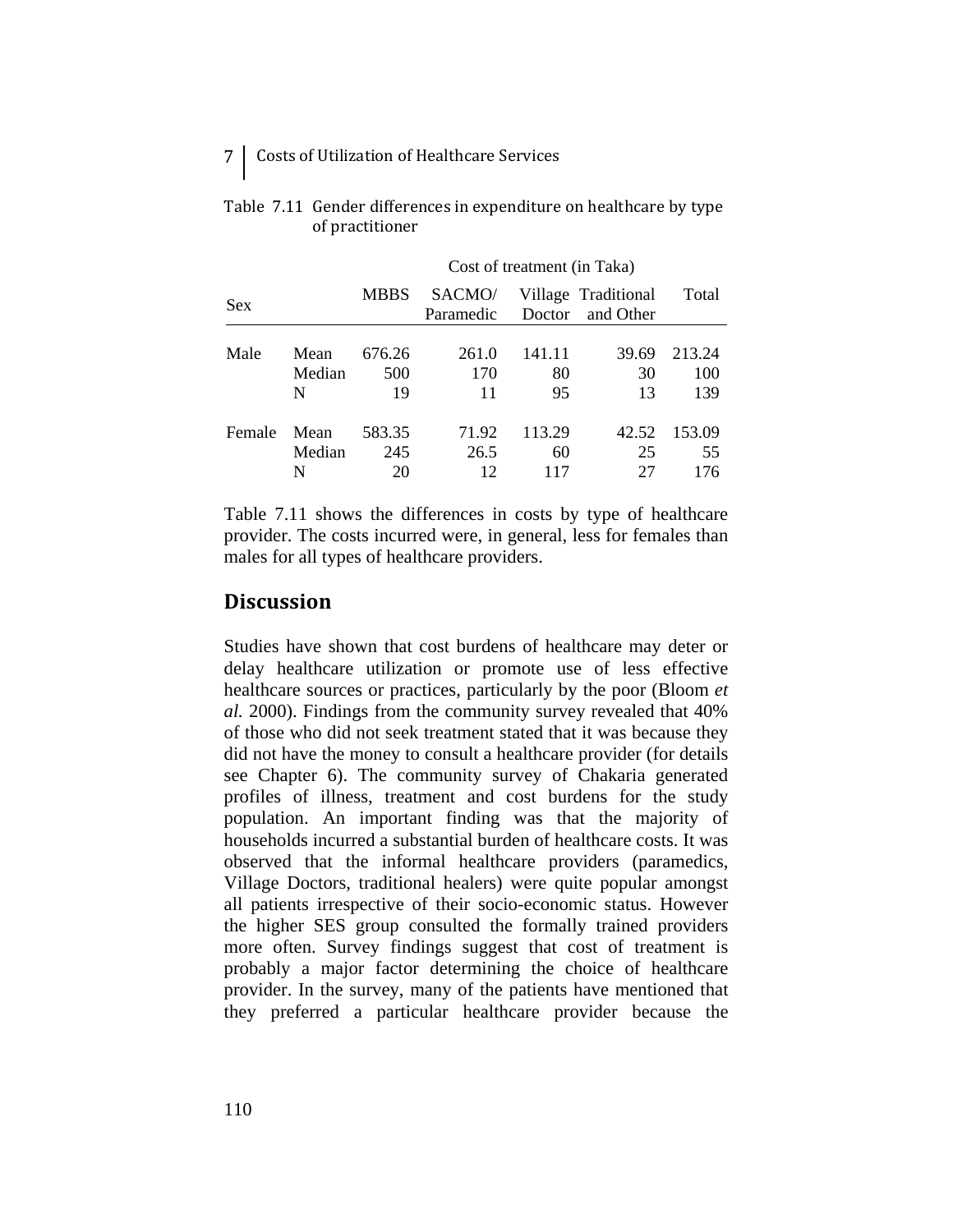## 7 Costs of Utilization of Healthcare Services

|        |        | Cost of treatment (in Taka) |                     |        |                                  |        |  |  |
|--------|--------|-----------------------------|---------------------|--------|----------------------------------|--------|--|--|
| Sex    |        | <b>MBBS</b>                 | SACMO/<br>Paramedic | Doctor | Village Traditional<br>and Other | Total  |  |  |
|        |        |                             |                     |        |                                  |        |  |  |
| Male   | Mean   | 676.26                      | 261.0               | 141.11 | 39.69                            | 213.24 |  |  |
|        | Median | 500                         | 170                 | 80     | 30                               | 100    |  |  |
|        | N      | 19                          | 11                  | 95     | 13                               | 139    |  |  |
| Female | Mean   | 583.35                      | 71.92               | 113.29 | 42.52                            | 153.09 |  |  |
|        | Median | 245                         | 26.5                | 60     | 25                               | 55     |  |  |
|        | N      | 20                          |                     |        | 27                               | 176    |  |  |

### Table 7.11 Gender differences in expenditure on healthcare by type of practitioner

Table 7.11 shows the differences in costs by type of healthcare provider. The costs incurred were, in general, less for females than males for all types of healthcare providers.

## **Discussion**

Studies have shown that cost burdens of healthcare may deter or delay healthcare utilization or promote use of less effective healthcare sources or practices, particularly by the poor (Bloom *et al.* 2000). Findings from the community survey revealed that 40% of those who did not seek treatment stated that it was because they did not have the money to consult a healthcare provider (for details see Chapter 6). The community survey of Chakaria generated profiles of illness, treatment and cost burdens for the study population. An important finding was that the majority of households incurred a substantial burden of healthcare costs. It was observed that the informal healthcare providers (paramedics, Village Doctors, traditional healers) were quite popular amongst all patients irrespective of their socio-economic status. However the higher SES group consulted the formally trained providers more often. Survey findings suggest that cost of treatment is probably a major factor determining the choice of healthcare provider. In the survey, many of the patients have mentioned that they preferred a particular healthcare provider because the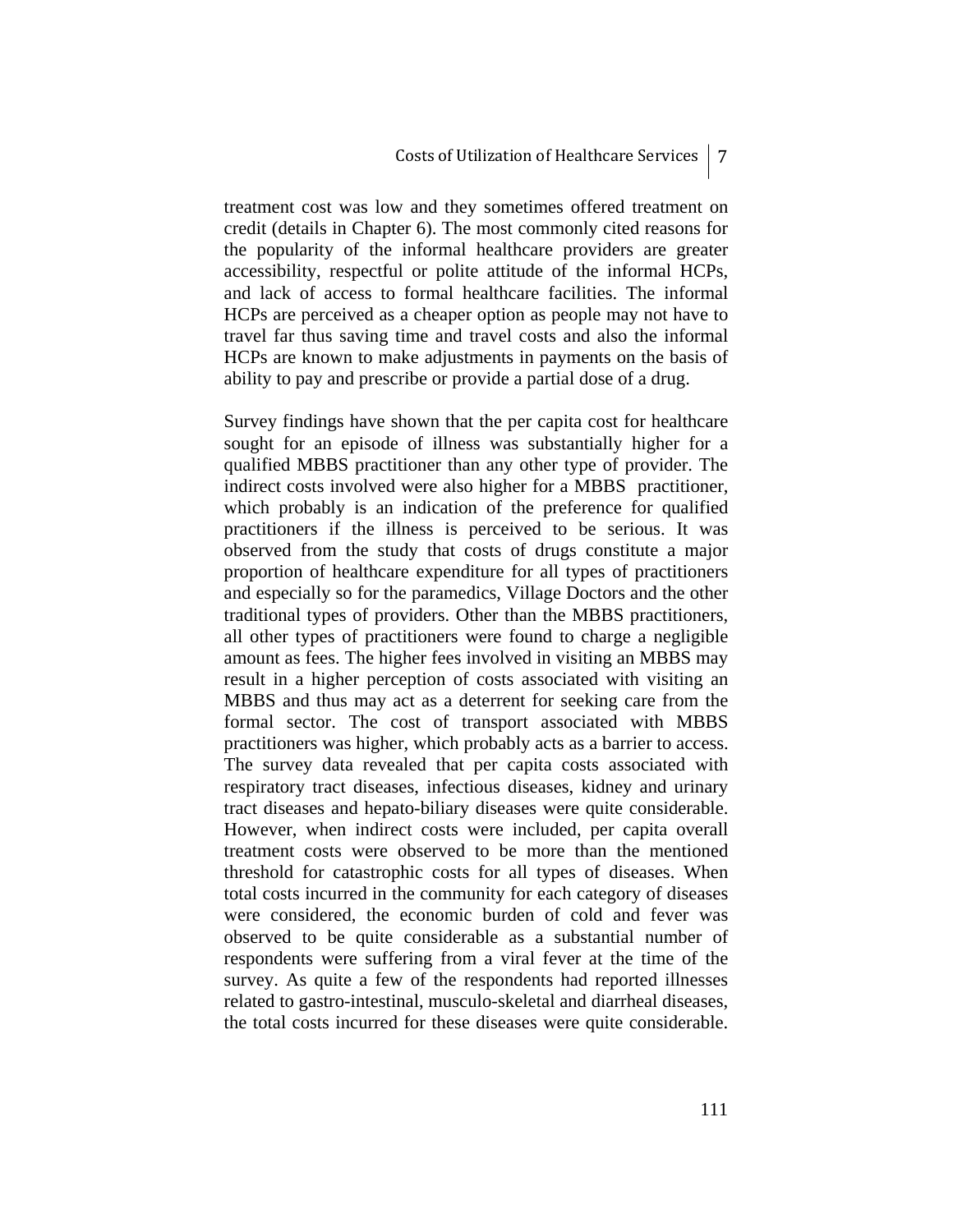treatment cost was low and they sometimes offered treatment on credit (details in Chapter 6). The most commonly cited reasons for the popularity of the informal healthcare providers are greater accessibility, respectful or polite attitude of the informal HCPs, and lack of access to formal healthcare facilities. The informal HCPs are perceived as a cheaper option as people may not have to travel far thus saving time and travel costs and also the informal HCPs are known to make adjustments in payments on the basis of ability to pay and prescribe or provide a partial dose of a drug.

Survey findings have shown that the per capita cost for healthcare sought for an episode of illness was substantially higher for a qualified MBBS practitioner than any other type of provider. The indirect costs involved were also higher for a MBBS practitioner, which probably is an indication of the preference for qualified practitioners if the illness is perceived to be serious. It was observed from the study that costs of drugs constitute a major proportion of healthcare expenditure for all types of practitioners and especially so for the paramedics, Village Doctors and the other traditional types of providers. Other than the MBBS practitioners, all other types of practitioners were found to charge a negligible amount as fees. The higher fees involved in visiting an MBBS may result in a higher perception of costs associated with visiting an MBBS and thus may act as a deterrent for seeking care from the formal sector. The cost of transport associated with MBBS practitioners was higher, which probably acts as a barrier to access. The survey data revealed that per capita costs associated with respiratory tract diseases, infectious diseases, kidney and urinary tract diseases and hepato-biliary diseases were quite considerable. However, when indirect costs were included, per capita overall treatment costs were observed to be more than the mentioned threshold for catastrophic costs for all types of diseases. When total costs incurred in the community for each category of diseases were considered, the economic burden of cold and fever was observed to be quite considerable as a substantial number of respondents were suffering from a viral fever at the time of the survey. As quite a few of the respondents had reported illnesses related to gastro-intestinal, musculo-skeletal and diarrheal diseases, the total costs incurred for these diseases were quite considerable.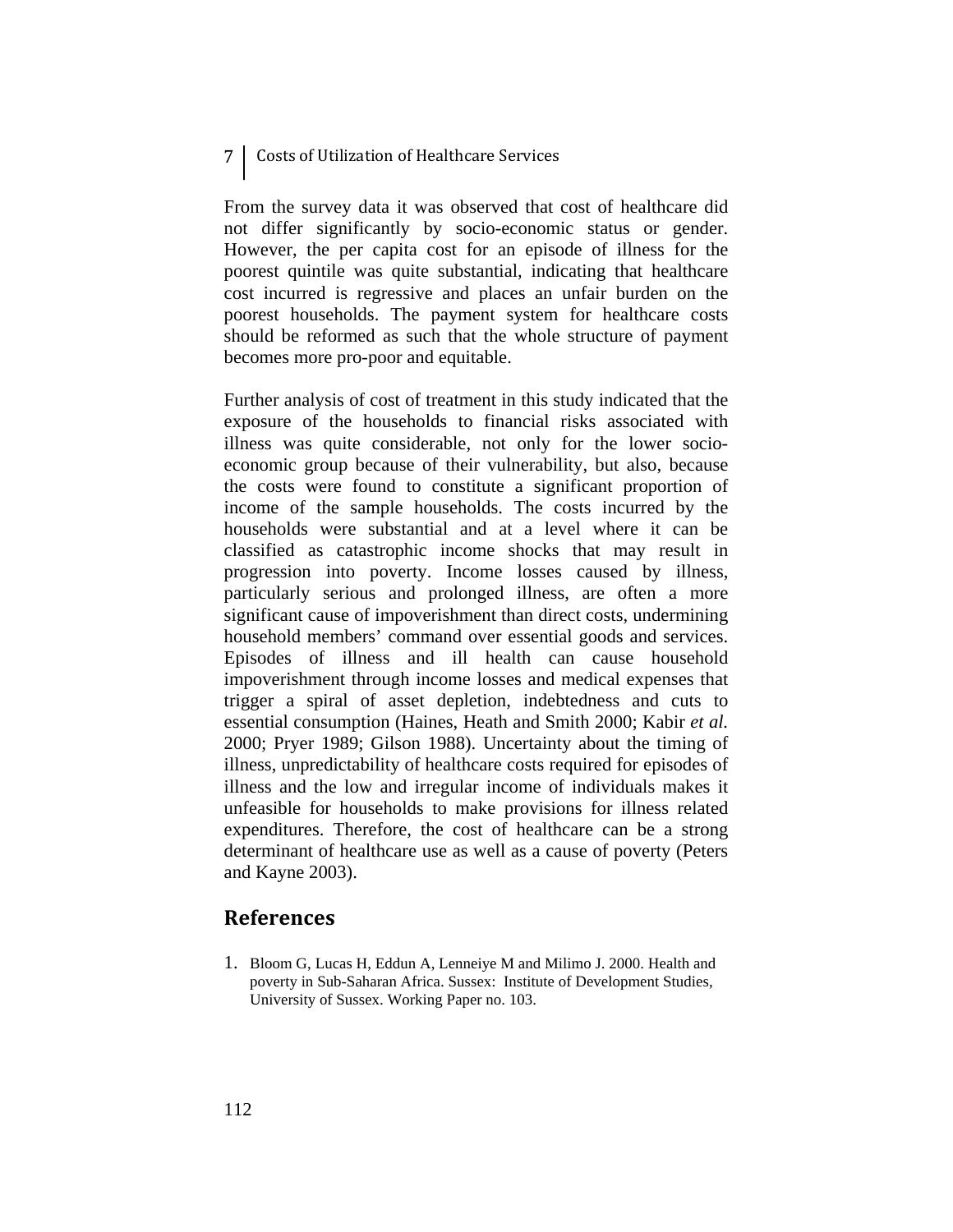### 7 Costs of Utilization of Healthcare Services

From the survey data it was observed that cost of healthcare did not differ significantly by socio-economic status or gender. However, the per capita cost for an episode of illness for the poorest quintile was quite substantial, indicating that healthcare cost incurred is regressive and places an unfair burden on the poorest households. The payment system for healthcare costs should be reformed as such that the whole structure of payment becomes more pro-poor and equitable.

Further analysis of cost of treatment in this study indicated that the exposure of the households to financial risks associated with illness was quite considerable, not only for the lower socioeconomic group because of their vulnerability, but also, because the costs were found to constitute a significant proportion of income of the sample households. The costs incurred by the households were substantial and at a level where it can be classified as catastrophic income shocks that may result in progression into poverty. Income losses caused by illness, particularly serious and prolonged illness, are often a more significant cause of impoverishment than direct costs, undermining household members' command over essential goods and services. Episodes of illness and ill health can cause household impoverishment through income losses and medical expenses that trigger a spiral of asset depletion, indebtedness and cuts to essential consumption (Haines, Heath and Smith 2000; Kabir *et al.* 2000; Pryer 1989; Gilson 1988). Uncertainty about the timing of illness, unpredictability of healthcare costs required for episodes of illness and the low and irregular income of individuals makes it unfeasible for households to make provisions for illness related expenditures. Therefore, the cost of healthcare can be a strong determinant of healthcare use as well as a cause of poverty (Peters and Kayne 2003).

## **References**

1. Bloom G, Lucas H, Eddun A, Lenneiye M and Milimo J. 2000. Health and poverty in Sub-Saharan Africa. Sussex: Institute of Development Studies, University of Sussex. Working Paper no. 103.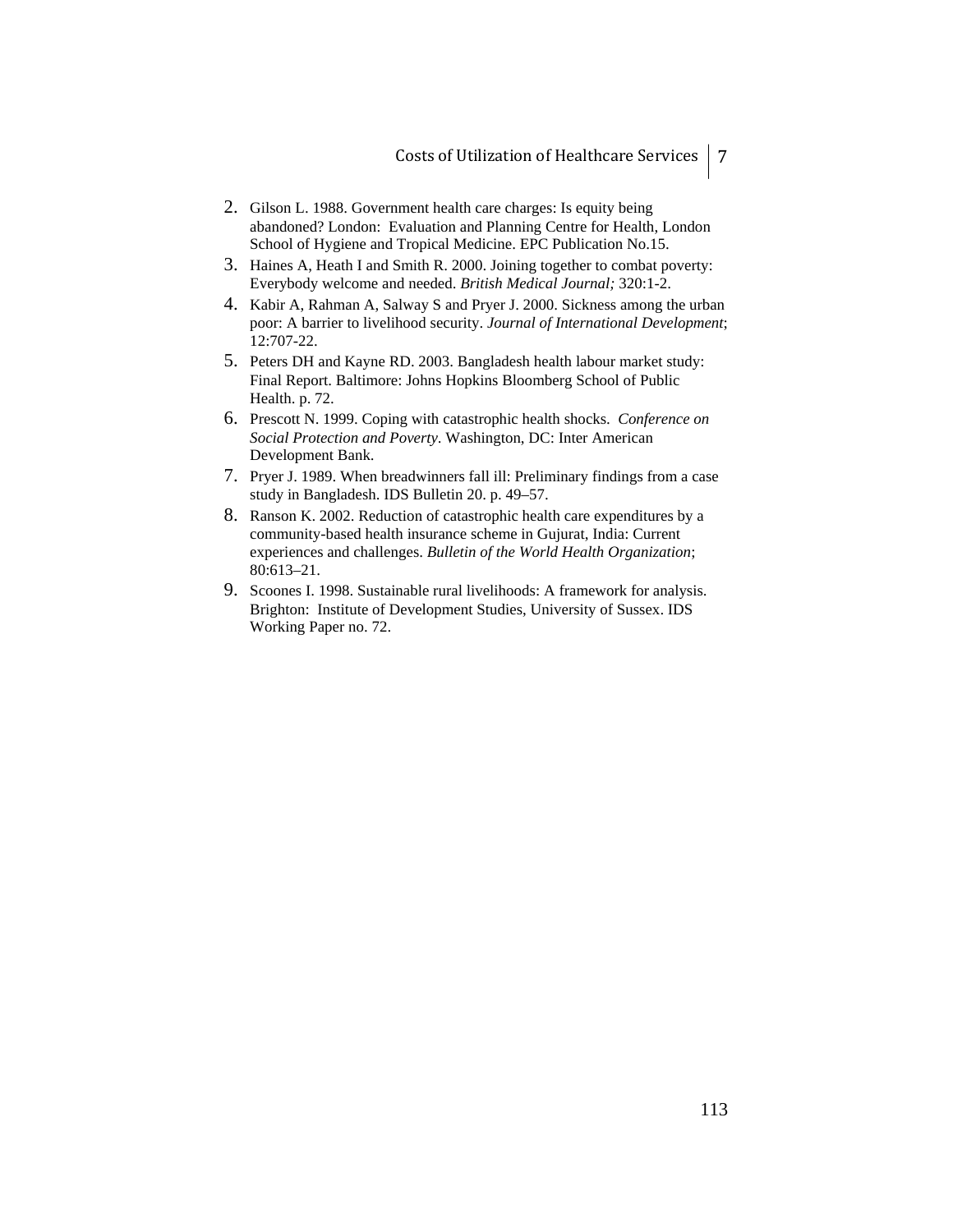- 2. Gilson L. 1988. Government health care charges: Is equity being abandoned? London: Evaluation and Planning Centre for Health, London School of Hygiene and Tropical Medicine. EPC Publication No.15.
- 3. Haines A, Heath I and Smith R. 2000. Joining together to combat poverty: Everybody welcome and needed. *British Medical Journal;* 320:1-2.
- 4. Kabir A, Rahman A, Salway S and Pryer J. 2000. Sickness among the urban poor: A barrier to livelihood security. *Journal of International Development*; 12:707-22.
- 5. Peters DH and Kayne RD. 2003. Bangladesh health labour market study: Final Report. Baltimore: Johns Hopkins Bloomberg School of Public Health. p. 72.
- 6. Prescott N. 1999. Coping with catastrophic health shocks. *Conference on Social Protection and Poverty*. Washington, DC: Inter American Development Bank.
- 7. Pryer J. 1989. When breadwinners fall ill: Preliminary findings from a case study in Bangladesh. IDS Bulletin 20. p. 49–57.
- 8. Ranson K. 2002. Reduction of catastrophic health care expenditures by a community-based health insurance scheme in Gujurat, India: Current experiences and challenges. *Bulletin of the World Health Organization*; 80:613–21.
- 9. Scoones I. 1998. Sustainable rural livelihoods: A framework for analysis. Brighton: Institute of Development Studies, University of Sussex. IDS Working Paper no. 72.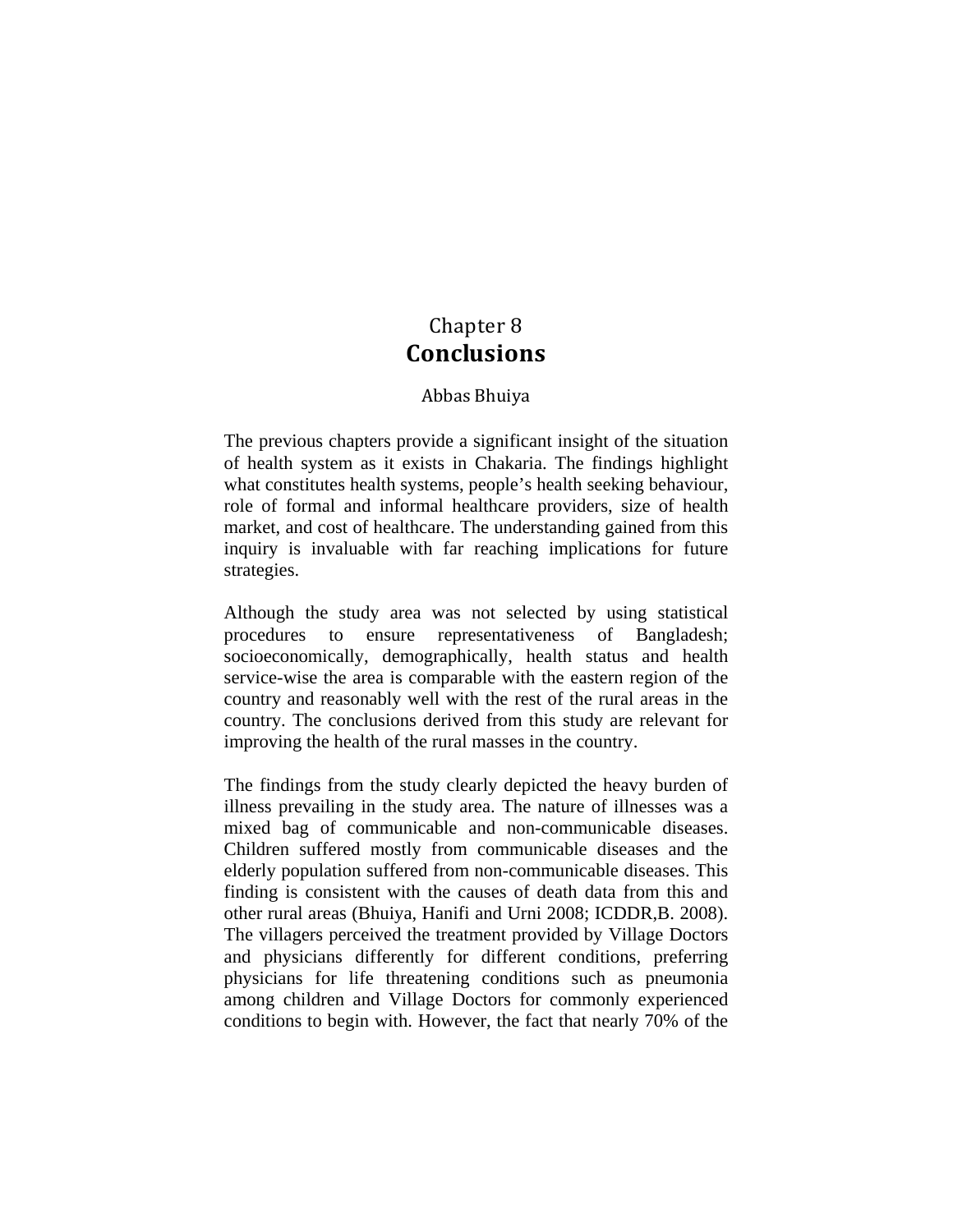# Chapter 8 **Conclusions**

### Abbas Bhuiya

The previous chapters provide a significant insight of the situation of health system as it exists in Chakaria. The findings highlight what constitutes health systems, people's health seeking behaviour, role of formal and informal healthcare providers, size of health market, and cost of healthcare. The understanding gained from this inquiry is invaluable with far reaching implications for future strategies.

Although the study area was not selected by using statistical procedures to ensure representativeness of Bangladesh; socioeconomically, demographically, health status and health service-wise the area is comparable with the eastern region of the country and reasonably well with the rest of the rural areas in the country. The conclusions derived from this study are relevant for improving the health of the rural masses in the country.

The findings from the study clearly depicted the heavy burden of illness prevailing in the study area. The nature of illnesses was a mixed bag of communicable and non-communicable diseases. Children suffered mostly from communicable diseases and the elderly population suffered from non-communicable diseases. This finding is consistent with the causes of death data from this and other rural areas (Bhuiya, Hanifi and Urni 2008; ICDDR,B. 2008). The villagers perceived the treatment provided by Village Doctors and physicians differently for different conditions, preferring physicians for life threatening conditions such as pneumonia among children and Village Doctors for commonly experienced conditions to begin with. However, the fact that nearly 70% of the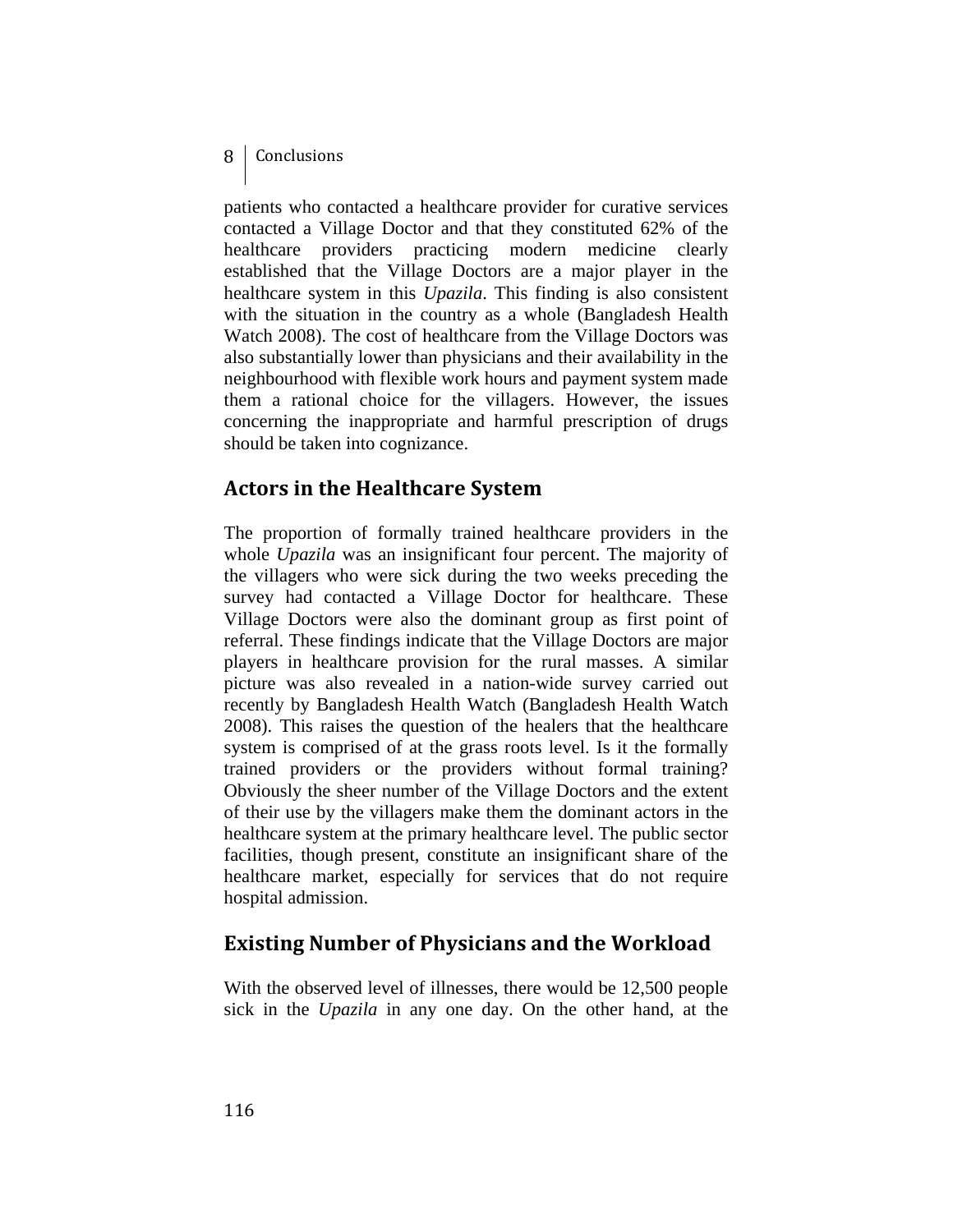### 8 | Conclusions

patients who contacted a healthcare provider for curative services contacted a Village Doctor and that they constituted 62% of the healthcare providers practicing modern medicine clearly established that the Village Doctors are a major player in the healthcare system in this *Upazila*. This finding is also consistent with the situation in the country as a whole (Bangladesh Health Watch 2008). The cost of healthcare from the Village Doctors was also substantially lower than physicians and their availability in the neighbourhood with flexible work hours and payment system made them a rational choice for the villagers. However, the issues concerning the inappropriate and harmful prescription of drugs should be taken into cognizance.

## **Actors in the Healthcare System**

The proportion of formally trained healthcare providers in the whole *Upazila* was an insignificant four percent. The majority of the villagers who were sick during the two weeks preceding the survey had contacted a Village Doctor for healthcare. These Village Doctors were also the dominant group as first point of referral. These findings indicate that the Village Doctors are major players in healthcare provision for the rural masses. A similar picture was also revealed in a nation-wide survey carried out recently by Bangladesh Health Watch (Bangladesh Health Watch 2008). This raises the question of the healers that the healthcare system is comprised of at the grass roots level. Is it the formally trained providers or the providers without formal training? Obviously the sheer number of the Village Doctors and the extent of their use by the villagers make them the dominant actors in the healthcare system at the primary healthcare level. The public sector facilities, though present, constitute an insignificant share of the healthcare market, especially for services that do not require hospital admission.

# **Existing Number of Physicians and the Workload**

With the observed level of illnesses, there would be 12,500 people sick in the *Upazila* in any one day. On the other hand, at the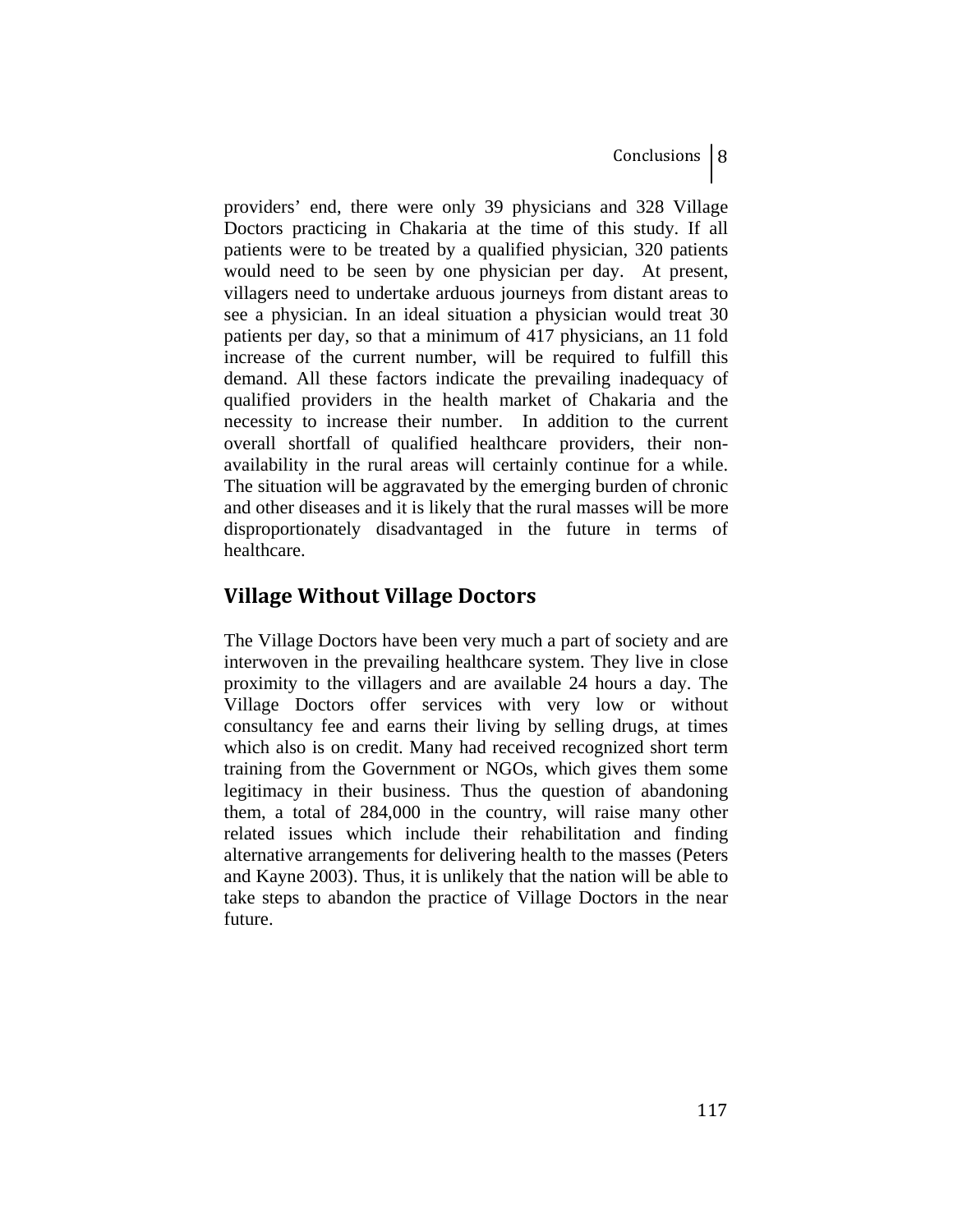providers' end, there were only 39 physicians and 328 Village Doctors practicing in Chakaria at the time of this study. If all patients were to be treated by a qualified physician, 320 patients would need to be seen by one physician per day. At present, villagers need to undertake arduous journeys from distant areas to see a physician. In an ideal situation a physician would treat 30 patients per day, so that a minimum of 417 physicians, an 11 fold increase of the current number, will be required to fulfill this demand. All these factors indicate the prevailing inadequacy of qualified providers in the health market of Chakaria and the necessity to increase their number. In addition to the current overall shortfall of qualified healthcare providers, their nonavailability in the rural areas will certainly continue for a while. The situation will be aggravated by the emerging burden of chronic and other diseases and it is likely that the rural masses will be more disproportionately disadvantaged in the future in terms of healthcare.

# **Village Without Village Doctors**

The Village Doctors have been very much a part of society and are interwoven in the prevailing healthcare system. They live in close proximity to the villagers and are available 24 hours a day. The Village Doctors offer services with very low or without consultancy fee and earns their living by selling drugs, at times which also is on credit. Many had received recognized short term training from the Government or NGOs, which gives them some legitimacy in their business. Thus the question of abandoning them, a total of 284,000 in the country, will raise many other related issues which include their rehabilitation and finding alternative arrangements for delivering health to the masses (Peters and Kayne 2003). Thus, it is unlikely that the nation will be able to take steps to abandon the practice of Village Doctors in the near future.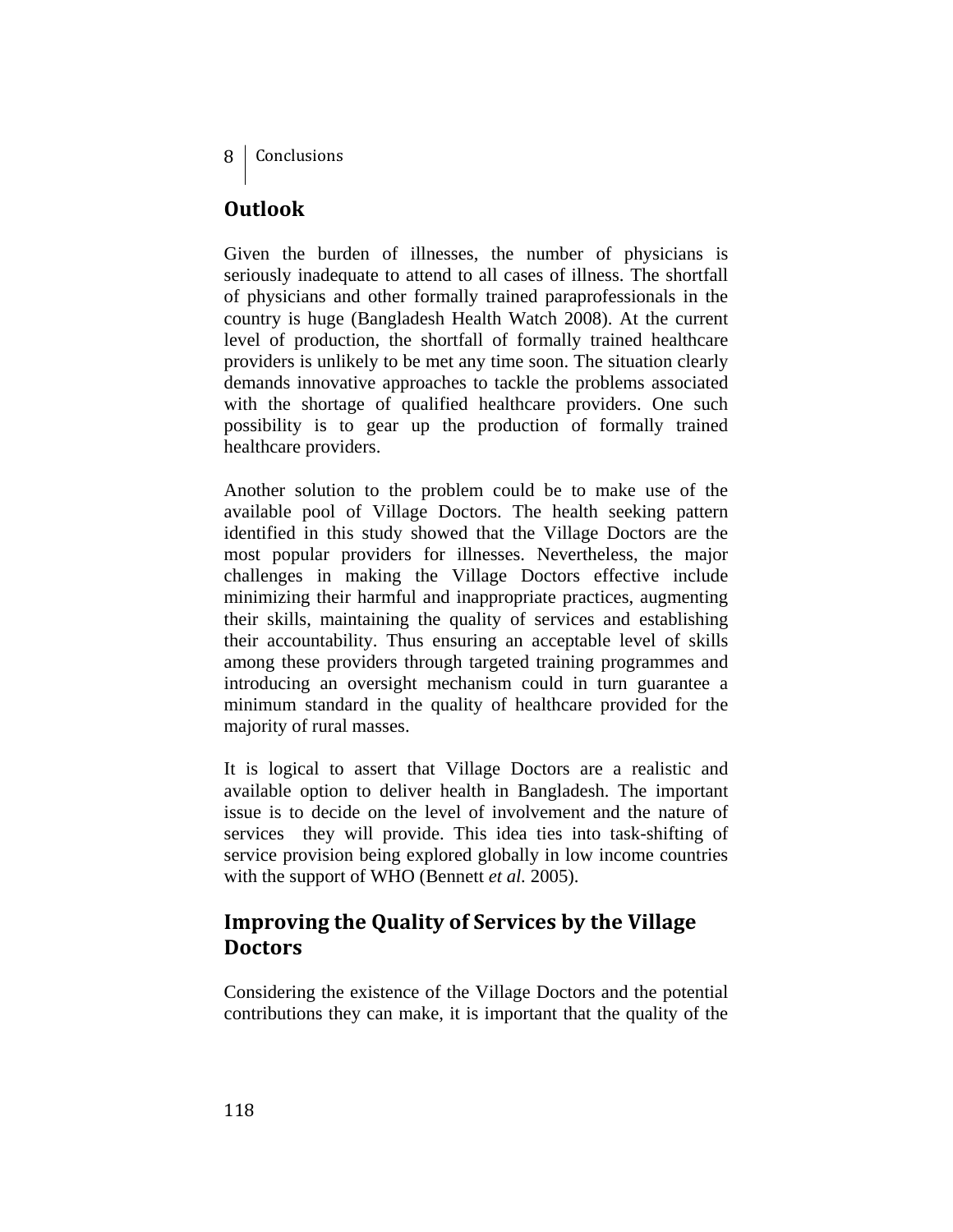# **Outlook**

Given the burden of illnesses, the number of physicians is seriously inadequate to attend to all cases of illness. The shortfall of physicians and other formally trained paraprofessionals in the country is huge (Bangladesh Health Watch 2008). At the current level of production, the shortfall of formally trained healthcare providers is unlikely to be met any time soon. The situation clearly demands innovative approaches to tackle the problems associated with the shortage of qualified healthcare providers. One such possibility is to gear up the production of formally trained healthcare providers.

Another solution to the problem could be to make use of the available pool of Village Doctors. The health seeking pattern identified in this study showed that the Village Doctors are the most popular providers for illnesses. Nevertheless, the major challenges in making the Village Doctors effective include minimizing their harmful and inappropriate practices, augmenting their skills, maintaining the quality of services and establishing their accountability. Thus ensuring an acceptable level of skills among these providers through targeted training programmes and introducing an oversight mechanism could in turn guarantee a minimum standard in the quality of healthcare provided for the majority of rural masses.

It is logical to assert that Village Doctors are a realistic and available option to deliver health in Bangladesh. The important issue is to decide on the level of involvement and the nature of services they will provide. This idea ties into task-shifting of service provision being explored globally in low income countries with the support of WHO (Bennett *et al.* 2005).

# **Improving the Quality of Services by the Village Doctors**

Considering the existence of the Village Doctors and the potential contributions they can make, it is important that the quality of the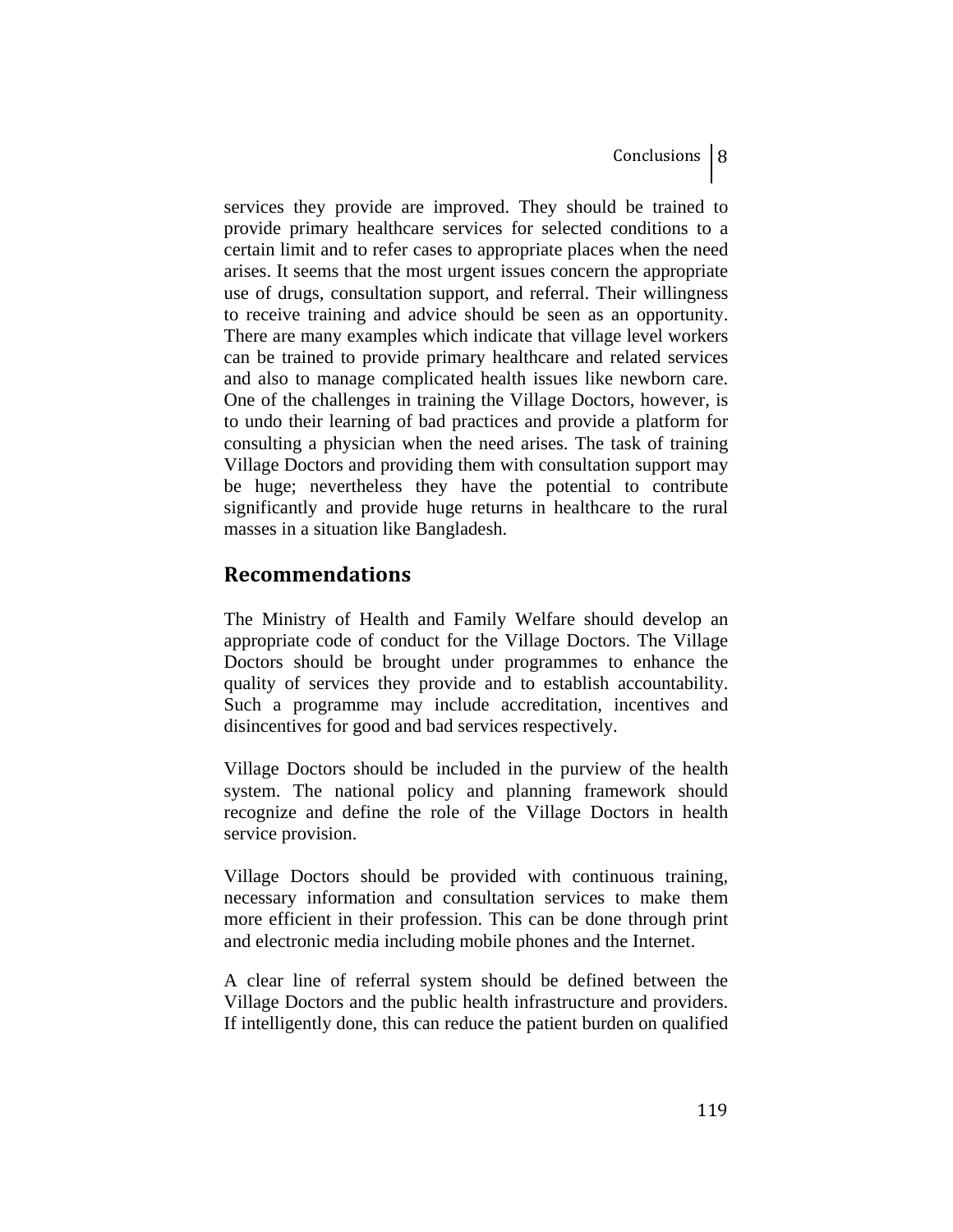services they provide are improved. They should be trained to provide primary healthcare services for selected conditions to a certain limit and to refer cases to appropriate places when the need arises. It seems that the most urgent issues concern the appropriate use of drugs, consultation support, and referral. Their willingness to receive training and advice should be seen as an opportunity. There are many examples which indicate that village level workers can be trained to provide primary healthcare and related services and also to manage complicated health issues like newborn care. One of the challenges in training the Village Doctors, however, is to undo their learning of bad practices and provide a platform for consulting a physician when the need arises. The task of training Village Doctors and providing them with consultation support may be huge; nevertheless they have the potential to contribute significantly and provide huge returns in healthcare to the rural masses in a situation like Bangladesh.

## **Recommendations**

The Ministry of Health and Family Welfare should develop an appropriate code of conduct for the Village Doctors. The Village Doctors should be brought under programmes to enhance the quality of services they provide and to establish accountability. Such a programme may include accreditation, incentives and disincentives for good and bad services respectively.

Village Doctors should be included in the purview of the health system. The national policy and planning framework should recognize and define the role of the Village Doctors in health service provision.

Village Doctors should be provided with continuous training, necessary information and consultation services to make them more efficient in their profession. This can be done through print and electronic media including mobile phones and the Internet.

A clear line of referral system should be defined between the Village Doctors and the public health infrastructure and providers. If intelligently done, this can reduce the patient burden on qualified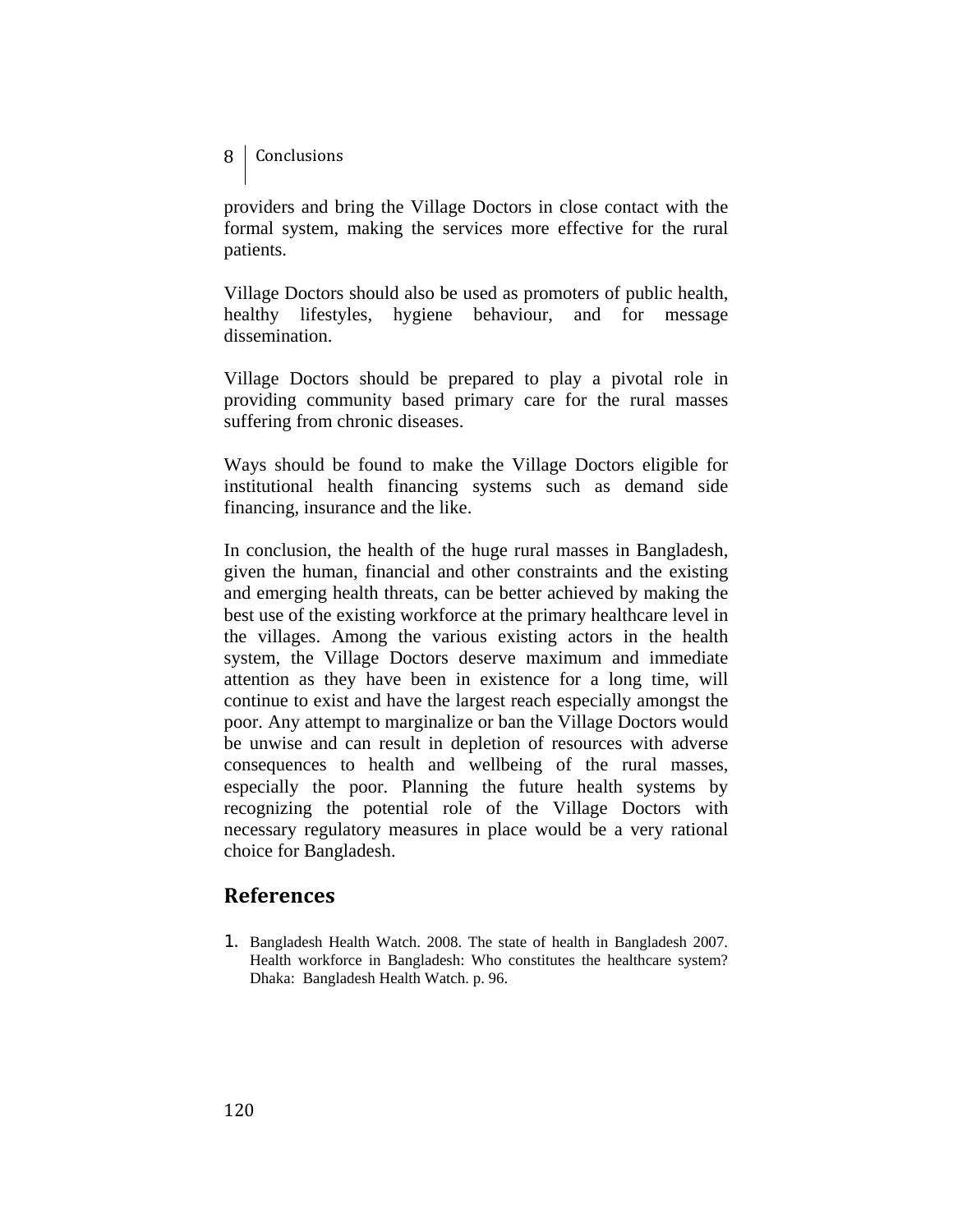### 8 | Conclusions

providers and bring the Village Doctors in close contact with the formal system, making the services more effective for the rural patients.

Village Doctors should also be used as promoters of public health, healthy lifestyles, hygiene behaviour, and for message dissemination.

Village Doctors should be prepared to play a pivotal role in providing community based primary care for the rural masses suffering from chronic diseases.

Ways should be found to make the Village Doctors eligible for institutional health financing systems such as demand side financing, insurance and the like.

In conclusion, the health of the huge rural masses in Bangladesh, given the human, financial and other constraints and the existing and emerging health threats, can be better achieved by making the best use of the existing workforce at the primary healthcare level in the villages. Among the various existing actors in the health system, the Village Doctors deserve maximum and immediate attention as they have been in existence for a long time, will continue to exist and have the largest reach especially amongst the poor. Any attempt to marginalize or ban the Village Doctors would be unwise and can result in depletion of resources with adverse consequences to health and wellbeing of the rural masses, especially the poor. Planning the future health systems by recognizing the potential role of the Village Doctors with necessary regulatory measures in place would be a very rational choice for Bangladesh.

## **References**

1. Bangladesh Health Watch. 2008. The state of health in Bangladesh 2007. Health workforce in Bangladesh: Who constitutes the healthcare system? Dhaka: Bangladesh Health Watch. p. 96.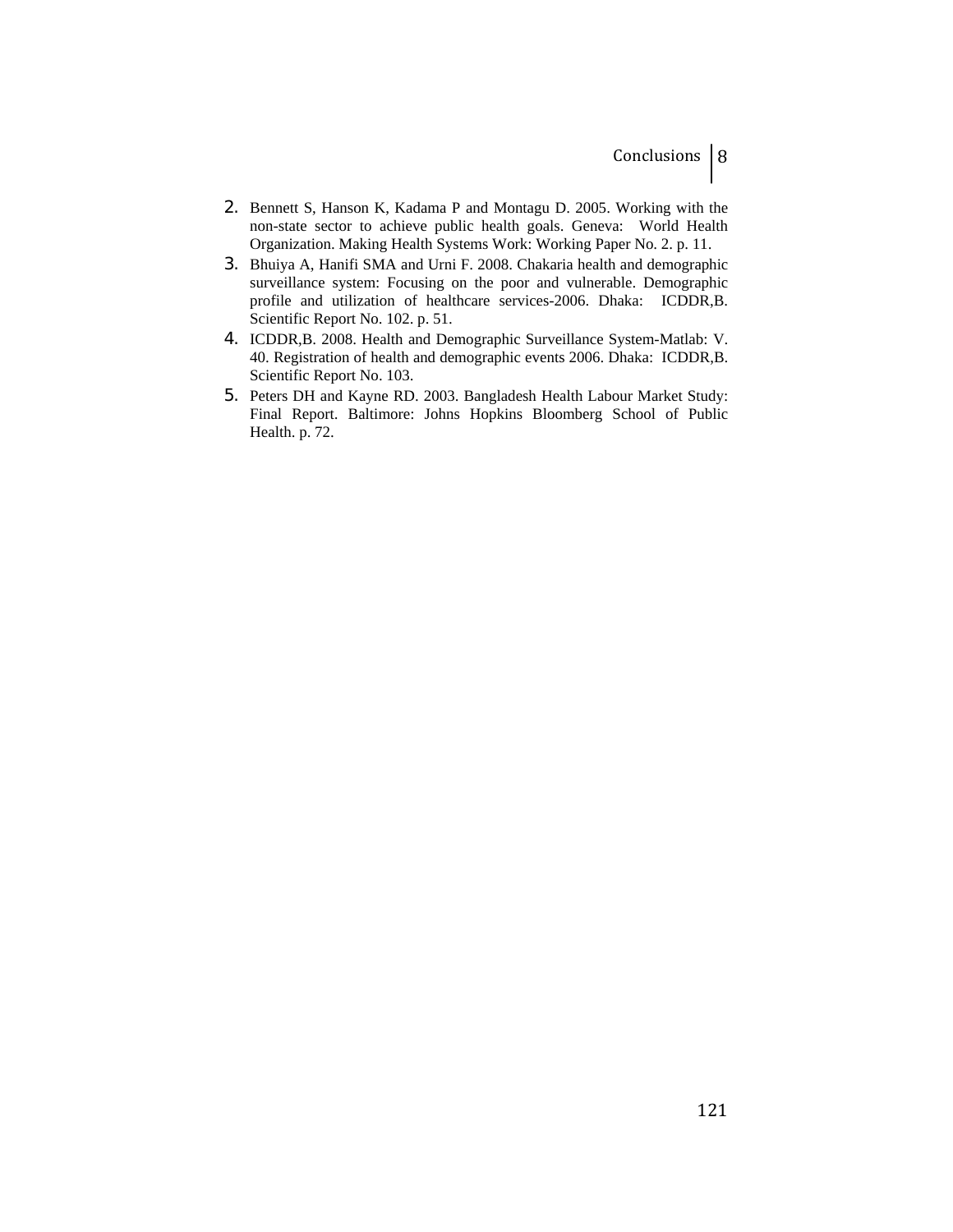- 2. Bennett S, Hanson K, Kadama P and Montagu D. 2005. Working with the non-state sector to achieve public health goals. Geneva: World Health Organization. Making Health Systems Work: Working Paper No. 2. p. 11.
- 3. Bhuiya A, Hanifi SMA and Urni F. 2008. Chakaria health and demographic surveillance system: Focusing on the poor and vulnerable. Demographic profile and utilization of healthcare services-2006. Dhaka: ICDDR,B. Scientific Report No. 102. p. 51.
- 4. ICDDR,B. 2008. Health and Demographic Surveillance System-Matlab: V. 40. Registration of health and demographic events 2006. Dhaka: ICDDR,B. Scientific Report No. 103.
- 5. Peters DH and Kayne RD. 2003. Bangladesh Health Labour Market Study: Final Report. Baltimore: Johns Hopkins Bloomberg School of Public Health. p. 72.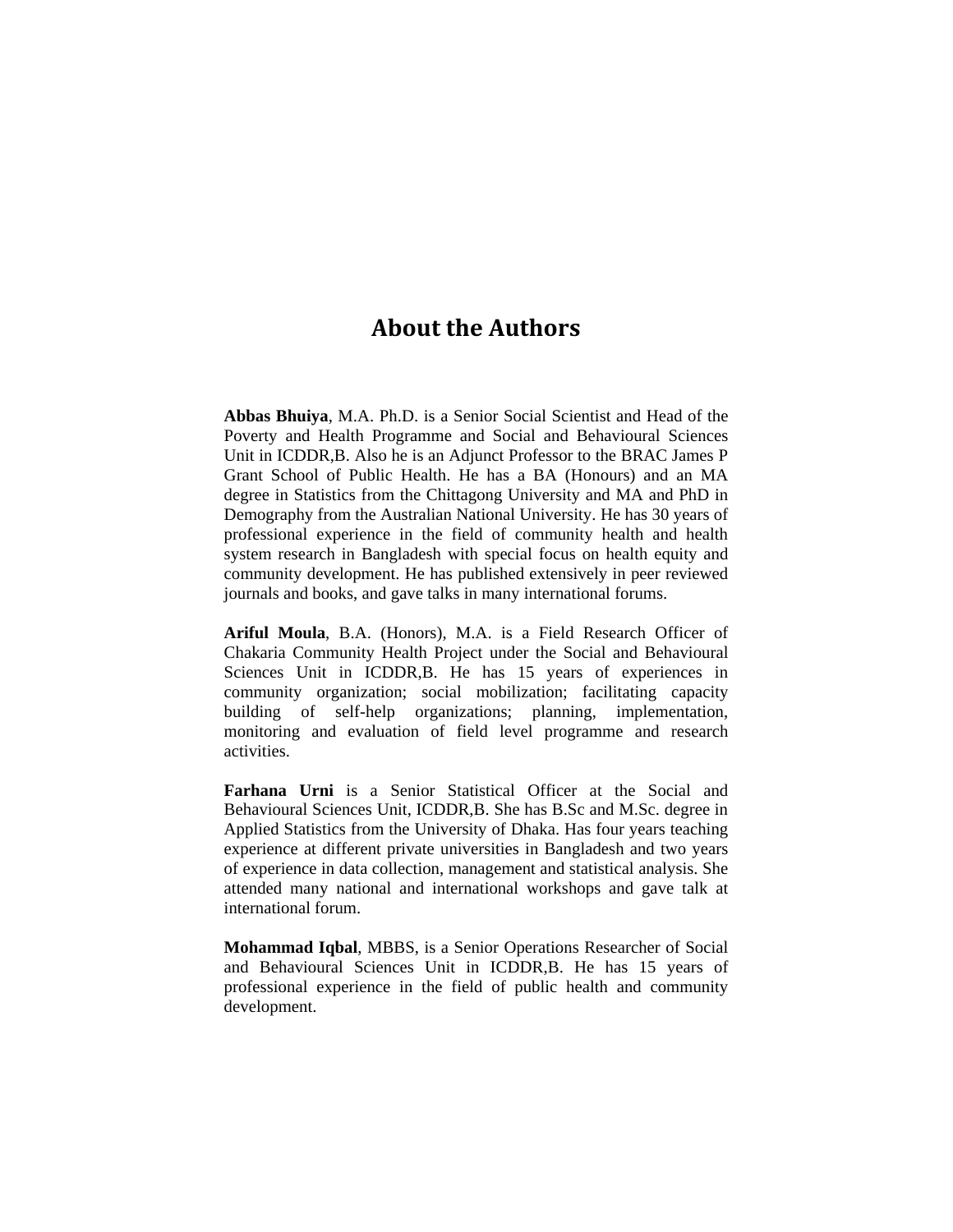# **About the Authors**

**Abbas Bhuiya**, M.A. Ph.D. is a Senior Social Scientist and Head of the Poverty and Health Programme and Social and Behavioural Sciences Unit in ICDDR,B. Also he is an Adjunct Professor to the BRAC James P Grant School of Public Health. He has a BA (Honours) and an MA degree in Statistics from the Chittagong University and MA and PhD in Demography from the Australian National University. He has 30 years of professional experience in the field of community health and health system research in Bangladesh with special focus on health equity and community development. He has published extensively in peer reviewed journals and books, and gave talks in many international forums.

**Ariful Moula**, B.A. (Honors), M.A. is a Field Research Officer of Chakaria Community Health Project under the Social and Behavioural Sciences Unit in ICDDR,B. He has 15 years of experiences in community organization; social mobilization; facilitating capacity building of self-help organizations; planning, implementation, monitoring and evaluation of field level programme and research activities.

**Farhana Urni** is a Senior Statistical Officer at the Social and Behavioural Sciences Unit, ICDDR,B. She has B.Sc and M.Sc. degree in Applied Statistics from the University of Dhaka. Has four years teaching experience at different private universities in Bangladesh and two years of experience in data collection, management and statistical analysis. She attended many national and international workshops and gave talk at international forum.

**Mohammad Iqbal**, MBBS, is a Senior Operations Researcher of Social and Behavioural Sciences Unit in ICDDR,B. He has 15 years of professional experience in the field of public health and community development.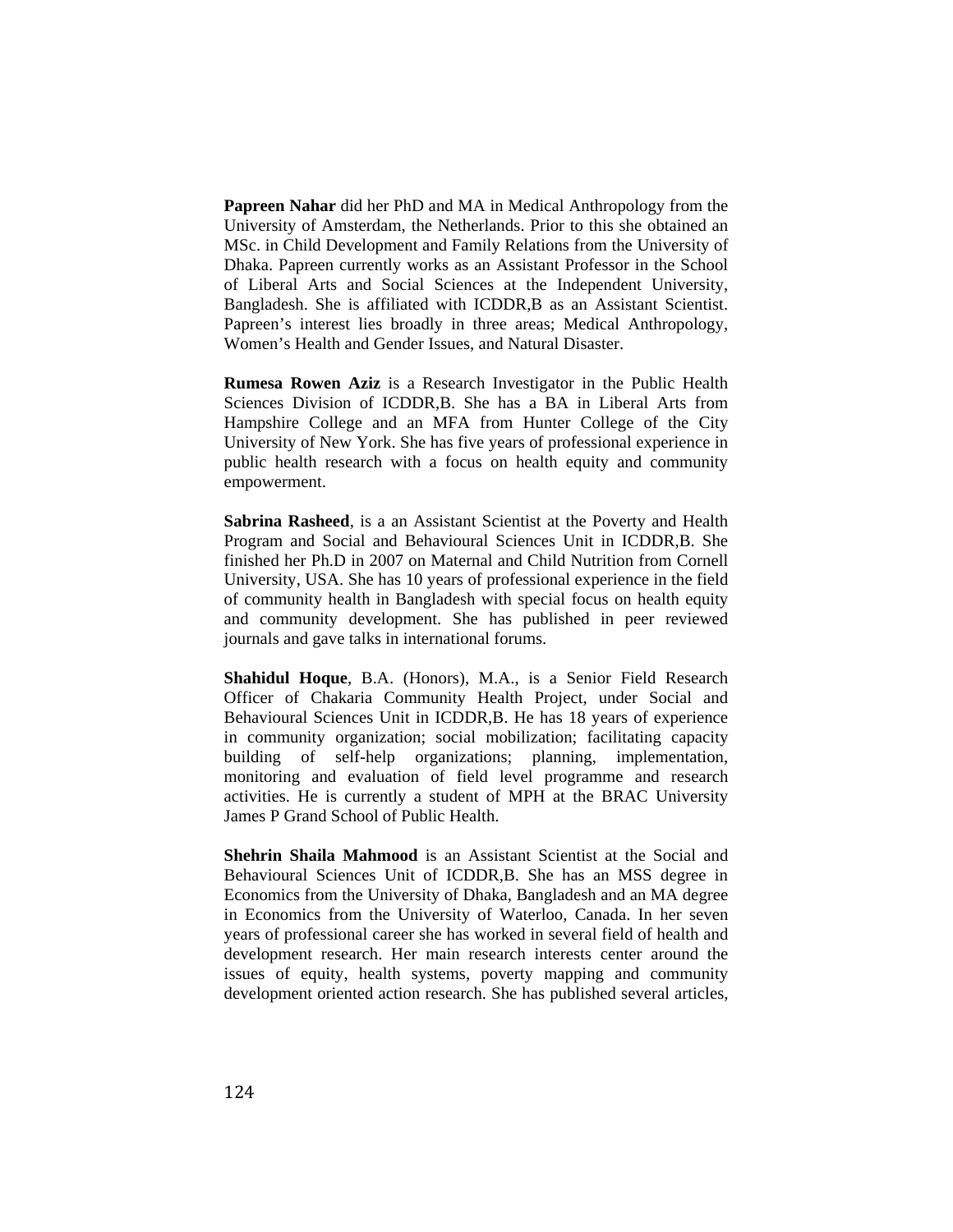**Papreen Nahar** did her PhD and MA in Medical Anthropology from the University of Amsterdam, the Netherlands. Prior to this she obtained an MSc. in Child Development and Family Relations from the University of Dhaka. Papreen currently works as an Assistant Professor in the School of Liberal Arts and Social Sciences at the Independent University, Bangladesh. She is affiliated with ICDDR,B as an Assistant Scientist. Papreen's interest lies broadly in three areas; Medical Anthropology, Women's Health and Gender Issues, and Natural Disaster.

**Rumesa Rowen Aziz** is a Research Investigator in the Public Health Sciences Division of ICDDR,B. She has a BA in Liberal Arts from Hampshire College and an MFA from Hunter College of the City University of New York. She has five years of professional experience in public health research with a focus on health equity and community empowerment.

**Sabrina Rasheed**, is a an Assistant Scientist at the Poverty and Health Program and Social and Behavioural Sciences Unit in ICDDR,B. She finished her Ph.D in 2007 on Maternal and Child Nutrition from Cornell University, USA. She has 10 years of professional experience in the field of community health in Bangladesh with special focus on health equity and community development. She has published in peer reviewed journals and gave talks in international forums.

**Shahidul Hoque**, B.A. (Honors), M.A., is a Senior Field Research Officer of Chakaria Community Health Project, under Social and Behavioural Sciences Unit in ICDDR,B. He has 18 years of experience in community organization; social mobilization; facilitating capacity building of self-help organizations; planning, implementation, monitoring and evaluation of field level programme and research activities. He is currently a student of MPH at the BRAC University James P Grand School of Public Health.

**Shehrin Shaila Mahmood** is an Assistant Scientist at the Social and Behavioural Sciences Unit of ICDDR,B. She has an MSS degree in Economics from the University of Dhaka, Bangladesh and an MA degree in Economics from the University of Waterloo, Canada. In her seven years of professional career she has worked in several field of health and development research. Her main research interests center around the issues of equity, health systems, poverty mapping and community development oriented action research. She has published several articles,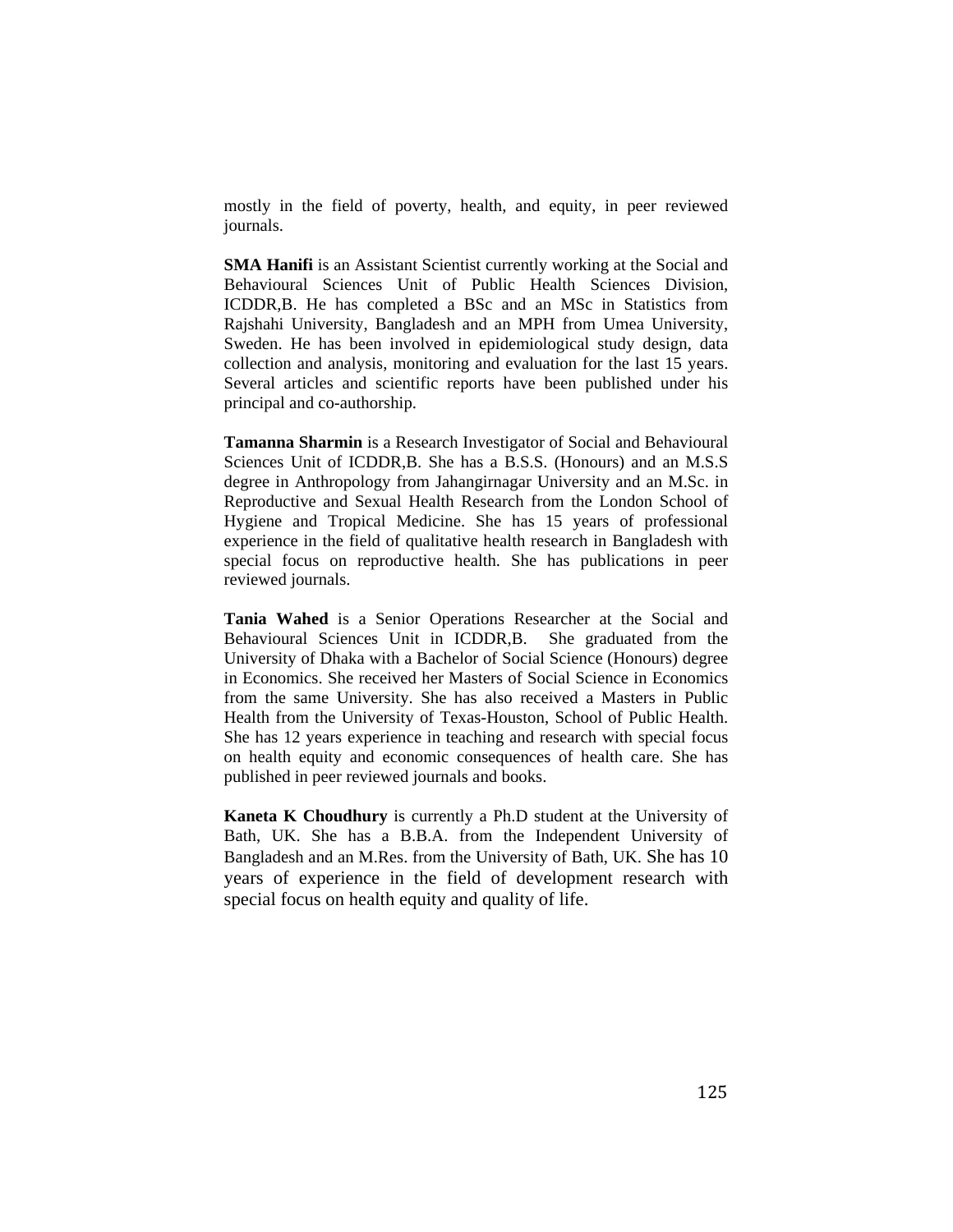mostly in the field of poverty, health, and equity, in peer reviewed journals.

**SMA Hanifi** is an Assistant Scientist currently working at the Social and Behavioural Sciences Unit of Public Health Sciences Division, ICDDR,B. He has completed a BSc and an MSc in Statistics from Rajshahi University, Bangladesh and an MPH from Umea University, Sweden. He has been involved in epidemiological study design, data collection and analysis, monitoring and evaluation for the last 15 years. Several articles and scientific reports have been published under his principal and co-authorship.

**Tamanna Sharmin** is a Research Investigator of Social and Behavioural Sciences Unit of ICDDR,B. She has a B.S.S. (Honours) and an M.S.S degree in Anthropology from Jahangirnagar University and an M.Sc. in Reproductive and Sexual Health Research from the London School of Hygiene and Tropical Medicine. She has 15 years of professional experience in the field of qualitative health research in Bangladesh with special focus on reproductive health. She has publications in peer reviewed journals.

**Tania Wahed** is a Senior Operations Researcher at the Social and Behavioural Sciences Unit in ICDDR,B. She graduated from the University of Dhaka with a Bachelor of Social Science (Honours) degree in Economics. She received her Masters of Social Science in Economics from the same University. She has also received a Masters in Public Health from the University of Texas-Houston, School of Public Health. She has 12 years experience in teaching and research with special focus on health equity and economic consequences of health care. She has published in peer reviewed journals and books.

**Kaneta K Choudhury** is currently a Ph.D student at the University of Bath, UK. She has a B.B.A. from the Independent University of Bangladesh and an M.Res. from the University of Bath, UK. She has 10 years of experience in the field of development research with special focus on health equity and quality of life.